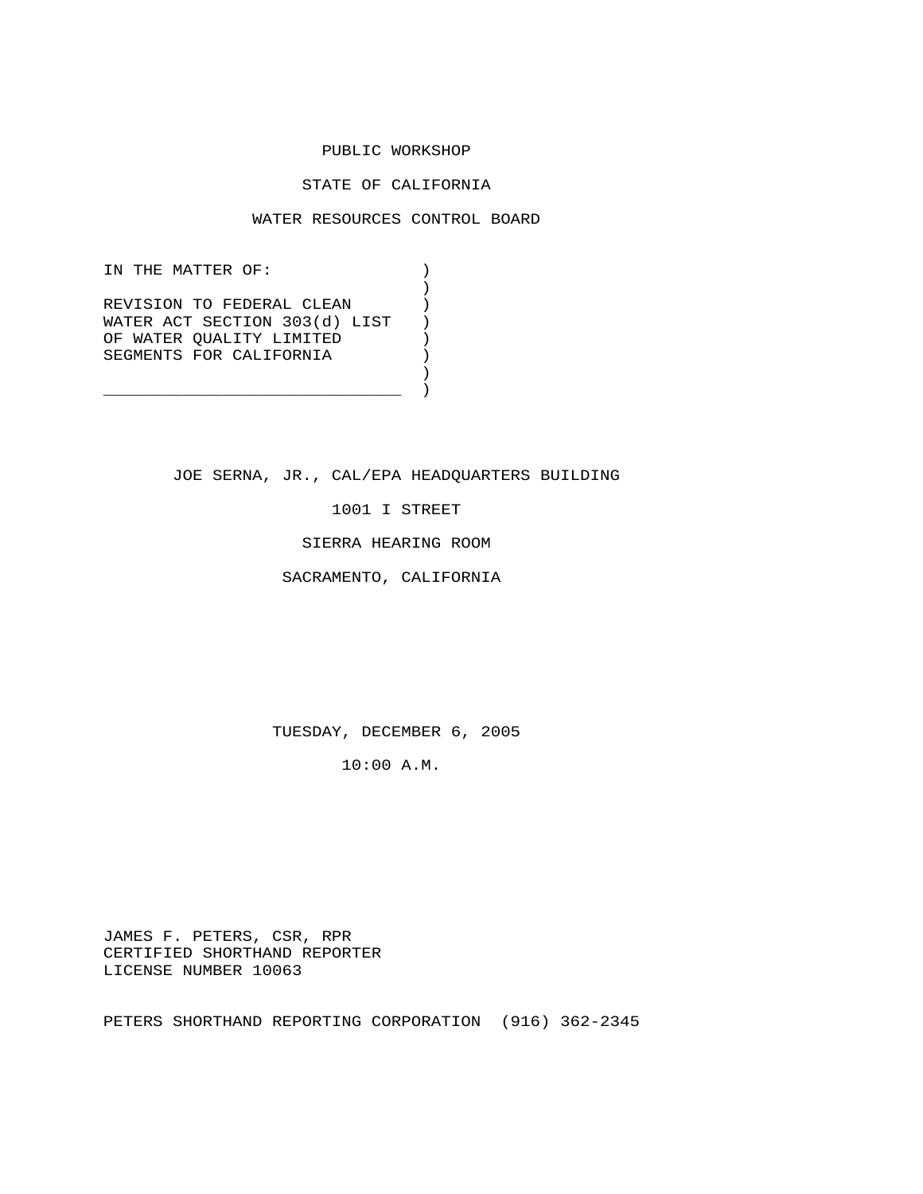### PUBLIC WORKSHOP

# STATE OF CALIFORNIA

### WATER RESOURCES CONTROL BOARD

IN THE MATTER OF:  $)$  $)$ REVISION TO FEDERAL CLEAN (1) WATER ACT SECTION 303(d) LIST ) OF WATER QUALITY LIMITED ) SEGMENTS FOR CALIFORNIA  $)$  $)$ 

 $\overline{\phantom{a}}$  ) and the contract of the contract of  $\overline{\phantom{a}}$  ) and  $\overline{\phantom{a}}$ 

JOE SERNA, JR., CAL/EPA HEADQUARTERS BUILDING

1001 I STREET

SIERRA HEARING ROOM

SACRAMENTO, CALIFORNIA

TUESDAY, DECEMBER 6, 2005

10:00 A.M.

 JAMES F. PETERS, CSR, RPR CERTIFIED SHORTHAND REPORTER LICENSE NUMBER 10063

PETERS SHORTHAND REPORTING CORPORATION (916) 362-2345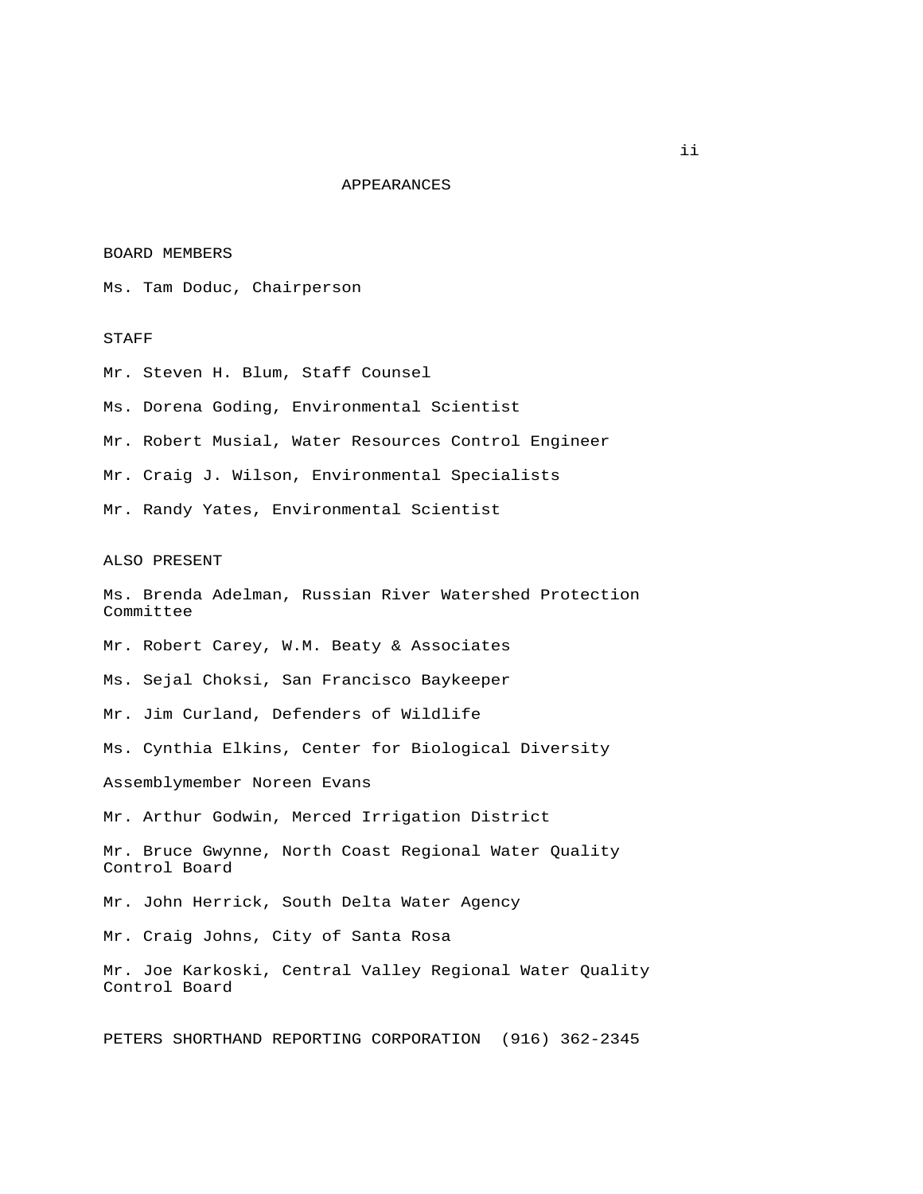### APPEARANCES

#### BOARD MEMBERS

Ms. Tam Doduc, Chairperson

## STAFF

 Mr. Steven H. Blum, Staff Counsel Ms. Dorena Goding, Environmental Scientist Mr. Robert Musial, Water Resources Control Engineer Mr. Craig J. Wilson, Environmental Specialists Mr. Randy Yates, Environmental Scientist

#### ALSO PRESENT

 Ms. Brenda Adelman, Russian River Watershed Protection Committee Mr. Robert Carey, W.M. Beaty & Associates Ms. Sejal Choksi, San Francisco Baykeeper Mr. Jim Curland, Defenders of Wildlife Ms. Cynthia Elkins, Center for Biological Diversity Assemblymember Noreen Evans Mr. Arthur Godwin, Merced Irrigation District Mr. Bruce Gwynne, North Coast Regional Water Quality Control Board Mr. John Herrick, South Delta Water Agency Mr. Craig Johns, City of Santa Rosa Mr. Joe Karkoski, Central Valley Regional Water Quality Control Board PETERS SHORTHAND REPORTING CORPORATION (916) 362-2345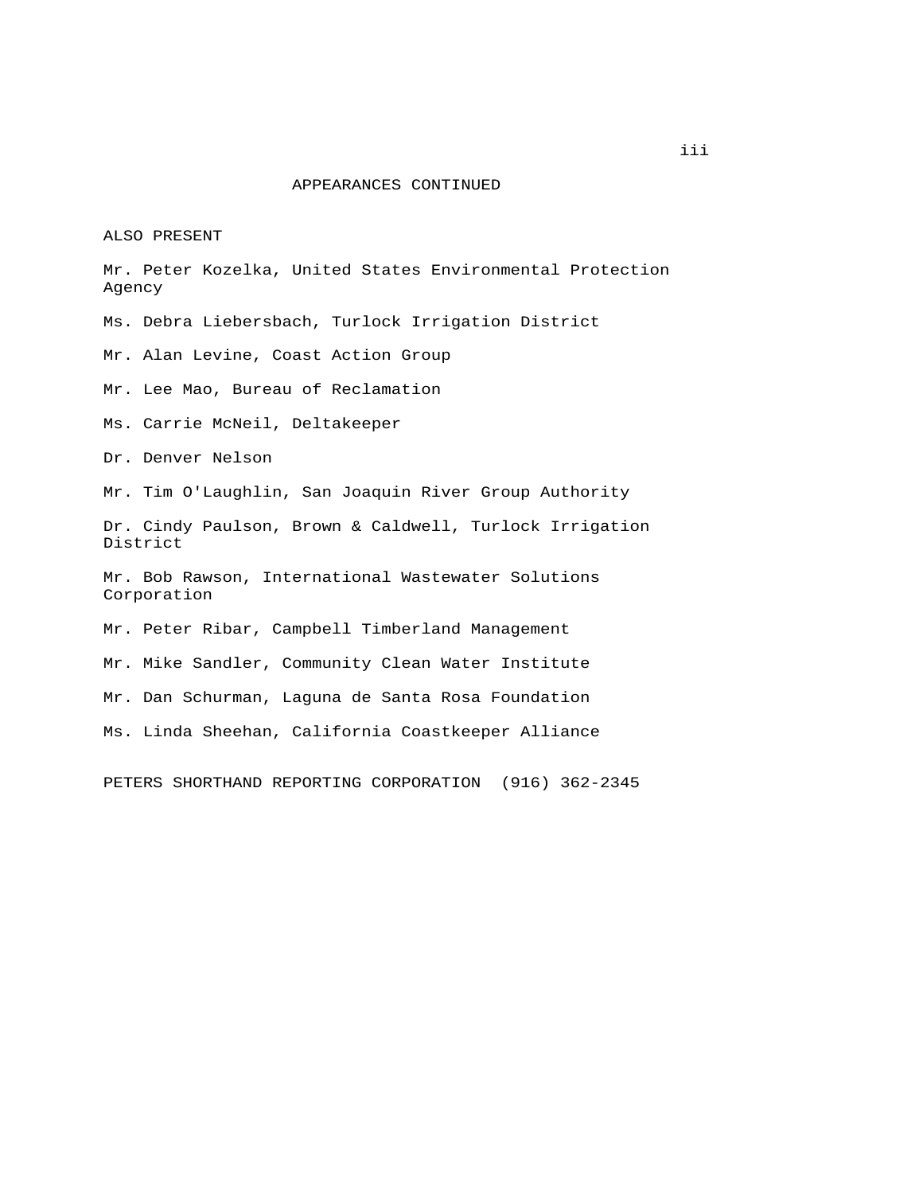# APPEARANCES CONTINUED

ALSO PRESENT

 Mr. Peter Kozelka, United States Environmental Protection Agency Ms. Debra Liebersbach, Turlock Irrigation District Mr. Alan Levine, Coast Action Group Mr. Lee Mao, Bureau of Reclamation

Ms. Carrie McNeil, Deltakeeper

Dr. Denver Nelson

Mr. Tim O'Laughlin, San Joaquin River Group Authority

 Dr. Cindy Paulson, Brown & Caldwell, Turlock Irrigation District

 Mr. Bob Rawson, International Wastewater Solutions Corporation

Mr. Peter Ribar, Campbell Timberland Management

Mr. Mike Sandler, Community Clean Water Institute

Mr. Dan Schurman, Laguna de Santa Rosa Foundation

Ms. Linda Sheehan, California Coastkeeper Alliance

PETERS SHORTHAND REPORTING CORPORATION (916) 362-2345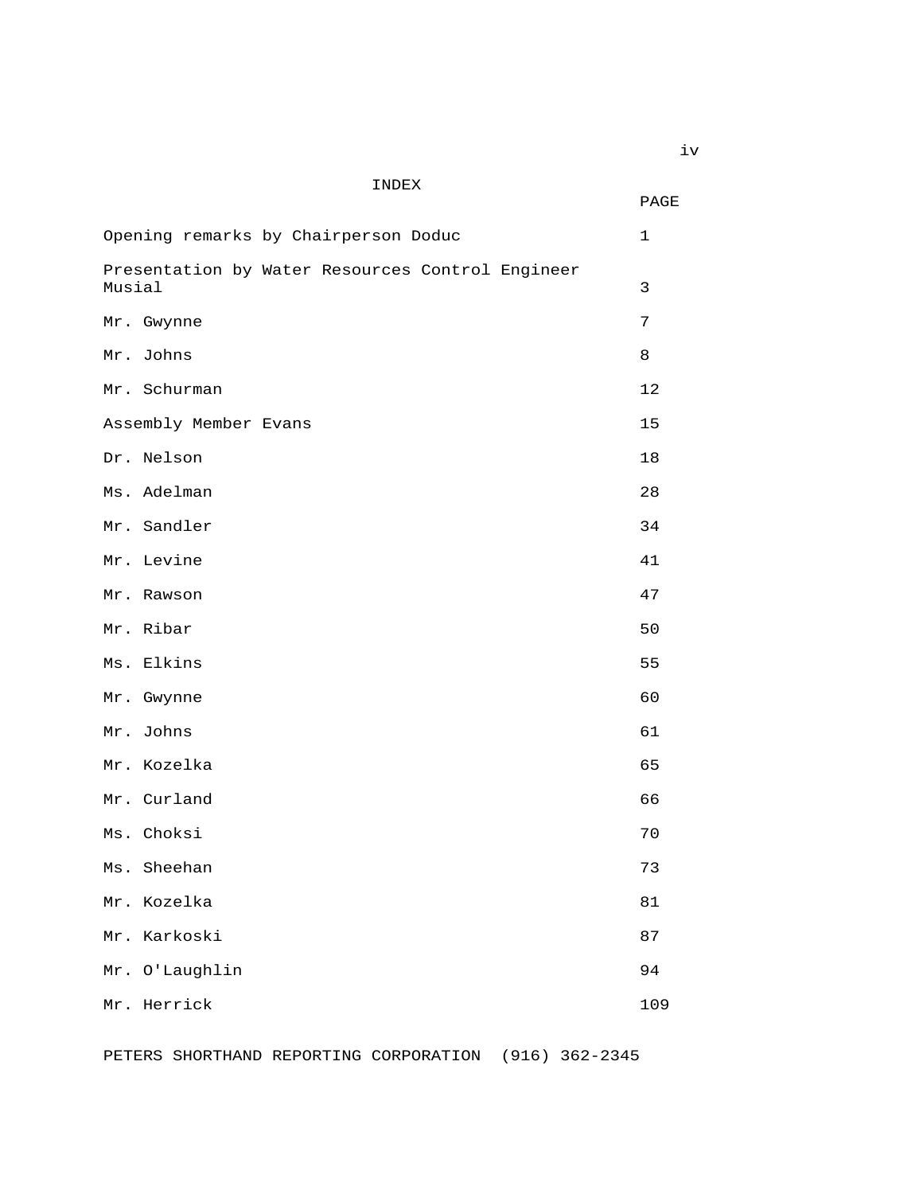# INDEX

|                                                            | PAGE         |
|------------------------------------------------------------|--------------|
| Opening remarks by Chairperson Doduc                       | $\mathbf{1}$ |
| Presentation by Water Resources Control Engineer<br>Musial | 3            |
| Mr. Gwynne                                                 | 7            |
| Mr. Johns                                                  | 8            |
| Mr. Schurman                                               | 12           |
| Assembly Member Evans                                      | 15           |
| Dr. Nelson                                                 | 18           |
| Ms. Adelman                                                | 28           |
| Mr. Sandler                                                | 34           |
| Mr. Levine                                                 | 41           |
| Mr. Rawson                                                 | 47           |
| Mr. Ribar                                                  | 50           |
| Ms. Elkins                                                 | 55           |
| Mr. Gwynne                                                 | 60           |
| Mr. Johns                                                  | 61           |
| Mr. Kozelka                                                | 65           |
| Mr. Curland                                                | 66           |
| Ms. Choksi                                                 | 70           |
| Ms. Sheehan                                                | 73           |
| Mr. Kozelka                                                | 81           |
| Mr. Karkoski                                               | 87           |
| Mr. O'Laughlin                                             | 94           |
| Mr. Herrick                                                | 109          |

PETERS SHORTHAND REPORTING CORPORATION (916) 362-2345

iv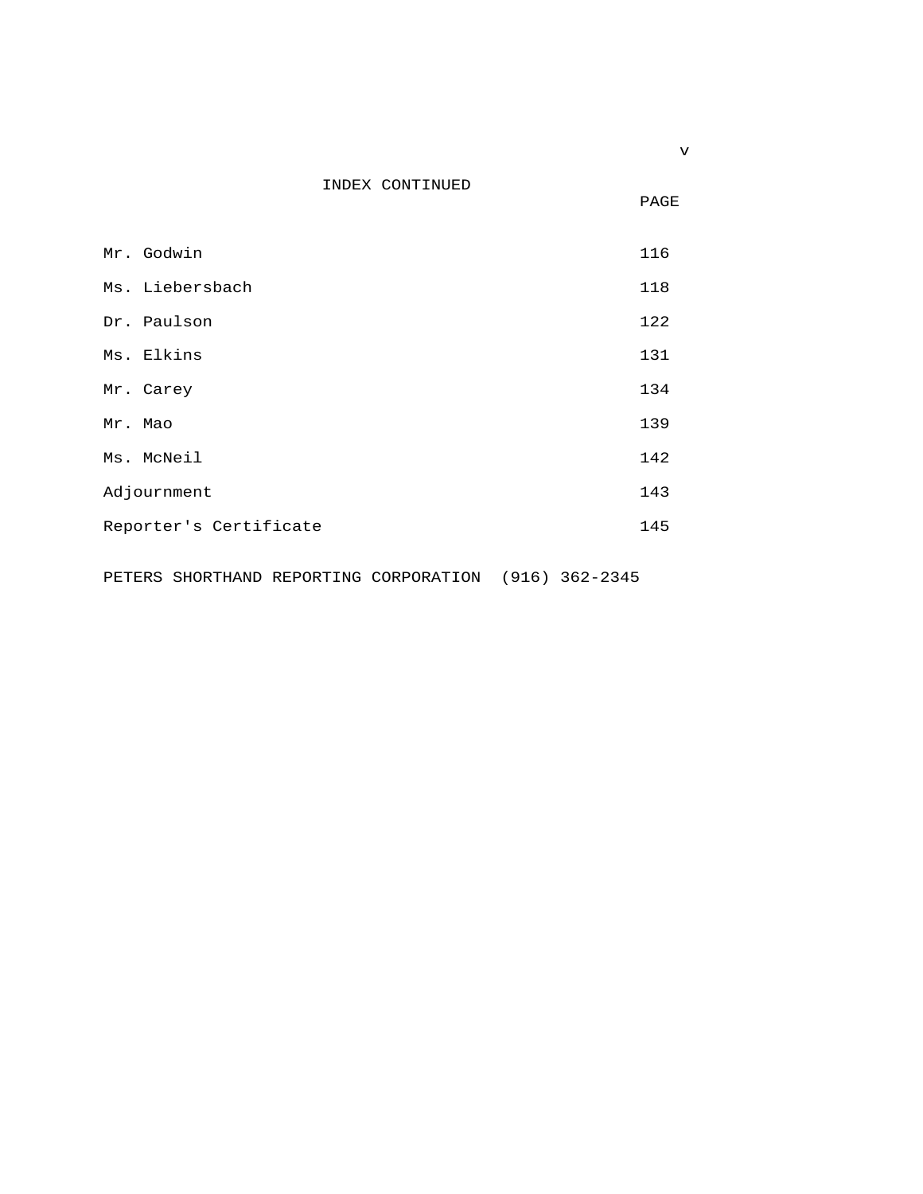|  | INDEX CONTINUED<br>___ |  |
|--|------------------------|--|
|  |                        |  |

PAGE

| Mr. Godwin             | 116 |
|------------------------|-----|
| Ms. Liebersbach        | 118 |
| Dr. Paulson            | 122 |
| Ms. Elkins             | 131 |
| Mr. Carey              | 134 |
| Mr. Mao                | 139 |
| Ms. McNeil             | 142 |
| Adjournment            | 143 |
| Reporter's Certificate | 145 |
|                        |     |

PETERS SHORTHAND REPORTING CORPORATION (916) 362-2345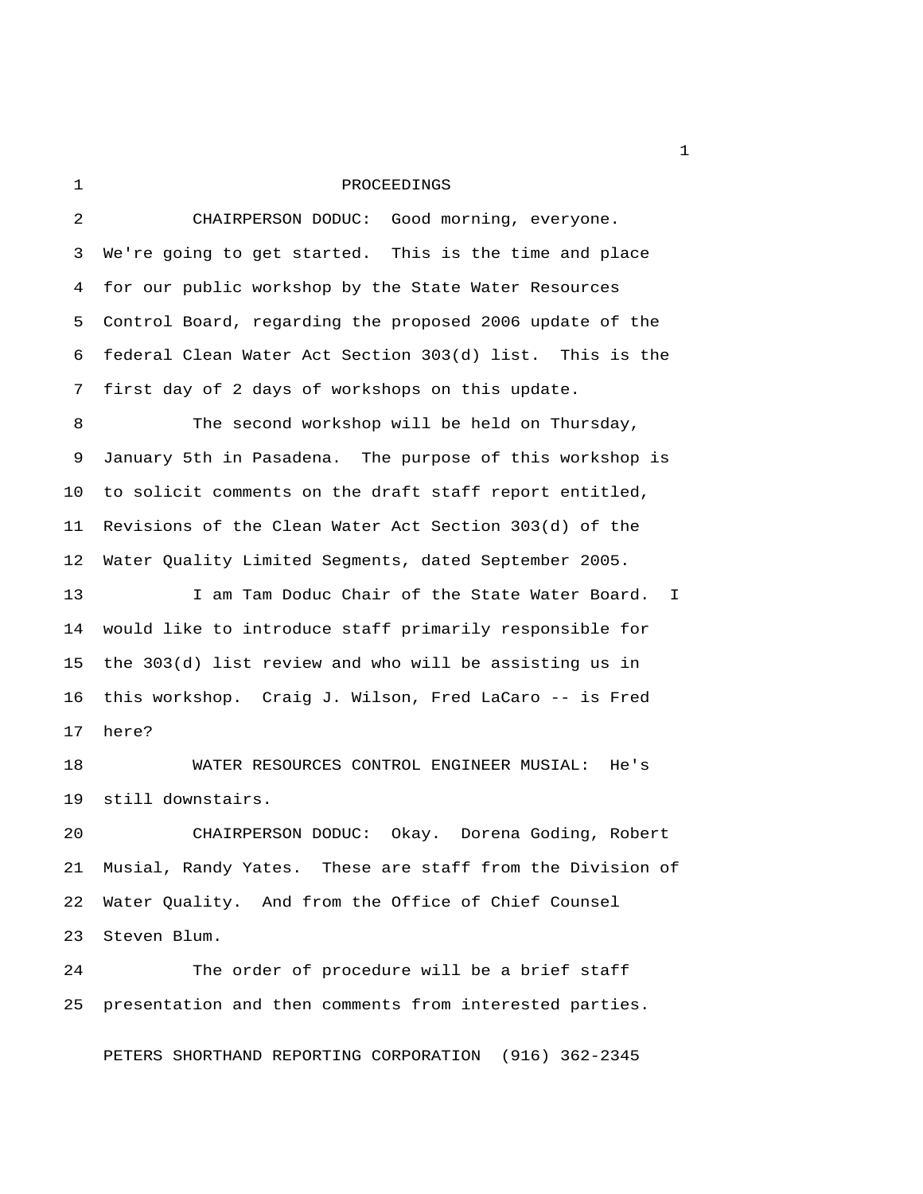1 PROCEEDINGS

 2 CHAIRPERSON DODUC: Good morning, everyone. 3 We're going to get started. This is the time and place 4 for our public workshop by the State Water Resources 5 Control Board, regarding the proposed 2006 update of the 6 federal Clean Water Act Section 303(d) list. This is the 7 first day of 2 days of workshops on this update. 8 The second workshop will be held on Thursday, 9 January 5th in Pasadena. The purpose of this workshop is 10 to solicit comments on the draft staff report entitled, 11 Revisions of the Clean Water Act Section 303(d) of the 12 Water Quality Limited Segments, dated September 2005. 13 I am Tam Doduc Chair of the State Water Board. I 14 would like to introduce staff primarily responsible for 15 the 303(d) list review and who will be assisting us in 16 this workshop. Craig J. Wilson, Fred LaCaro -- is Fred 17 here? 18 WATER RESOURCES CONTROL ENGINEER MUSIAL: He's 19 still downstairs. 20 CHAIRPERSON DODUC: Okay. Dorena Goding, Robert 21 Musial, Randy Yates. These are staff from the Division of 22 Water Quality. And from the Office of Chief Counsel 23 Steven Blum. 24 The order of procedure will be a brief staff

PETERS SHORTHAND REPORTING CORPORATION (916) 362-2345

25 presentation and then comments from interested parties.

 $\mathbf{1}$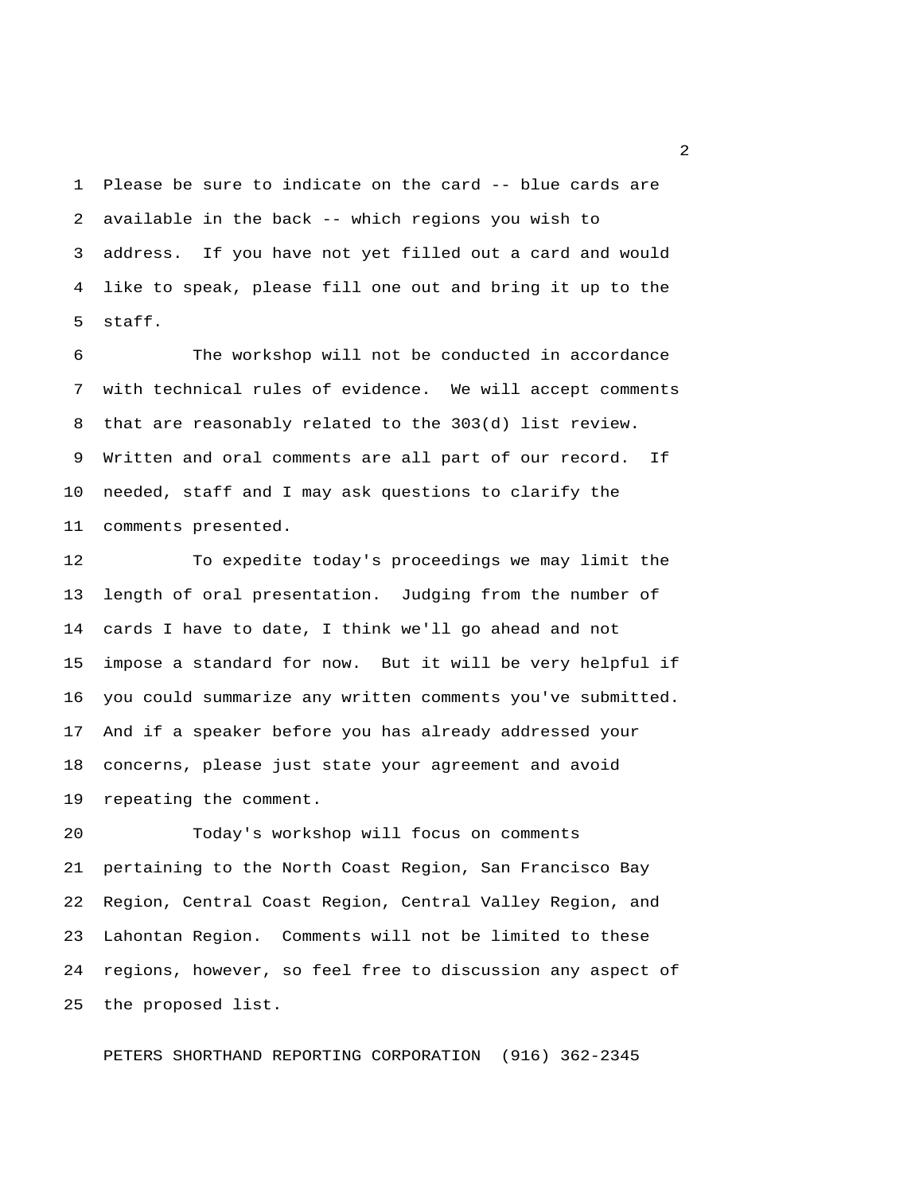1 Please be sure to indicate on the card -- blue cards are 2 available in the back -- which regions you wish to 3 address. If you have not yet filled out a card and would 4 like to speak, please fill one out and bring it up to the 5 staff.

 6 The workshop will not be conducted in accordance 7 with technical rules of evidence. We will accept comments 8 that are reasonably related to the 303(d) list review. 9 Written and oral comments are all part of our record. If 10 needed, staff and I may ask questions to clarify the 11 comments presented.

12 To expedite today's proceedings we may limit the 13 length of oral presentation. Judging from the number of 14 cards I have to date, I think we'll go ahead and not 15 impose a standard for now. But it will be very helpful if 16 you could summarize any written comments you've submitted. 17 And if a speaker before you has already addressed your 18 concerns, please just state your agreement and avoid 19 repeating the comment.

20 Today's workshop will focus on comments 21 pertaining to the North Coast Region, San Francisco Bay 22 Region, Central Coast Region, Central Valley Region, and 23 Lahontan Region. Comments will not be limited to these 24 regions, however, so feel free to discussion any aspect of 25 the proposed list.

PETERS SHORTHAND REPORTING CORPORATION (916) 362-2345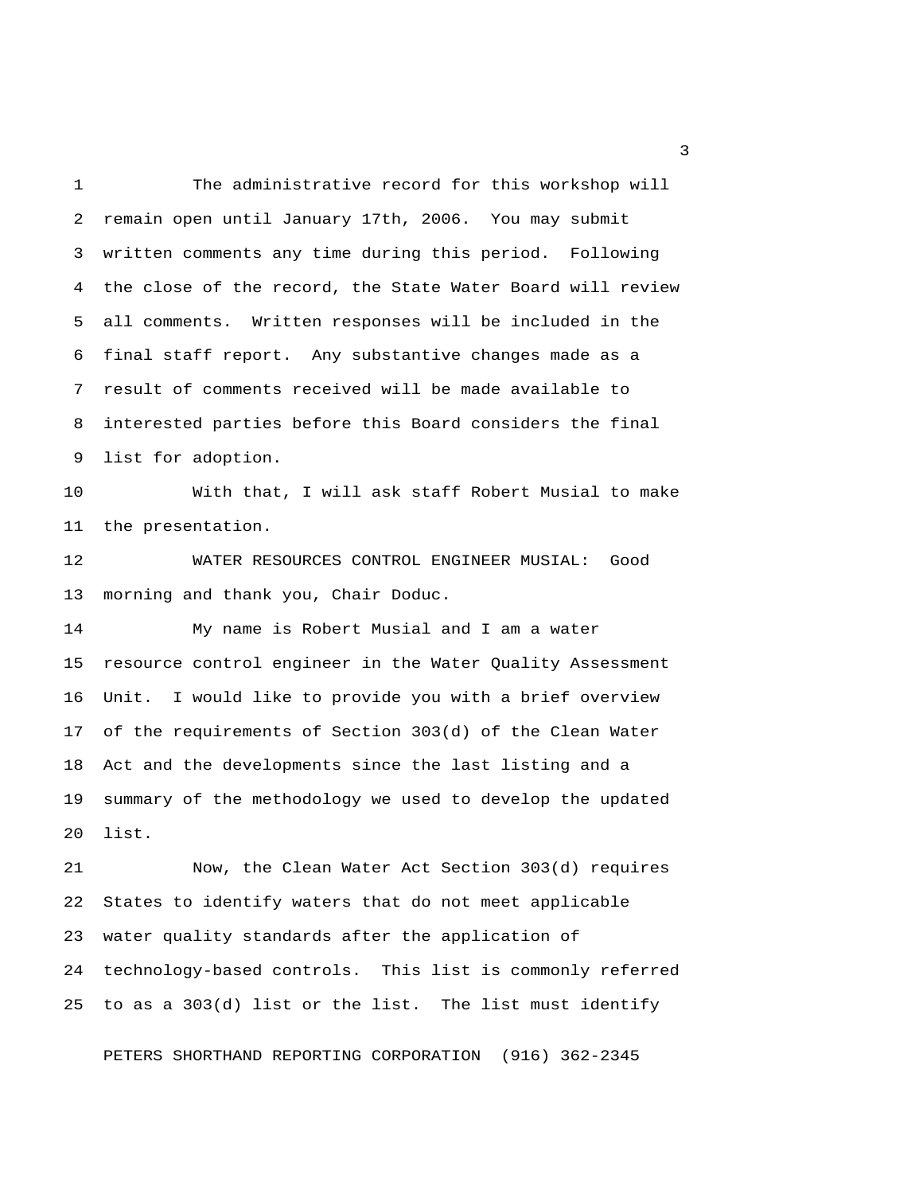1 The administrative record for this workshop will 2 remain open until January 17th, 2006. You may submit 3 written comments any time during this period. Following 4 the close of the record, the State Water Board will review 5 all comments. Written responses will be included in the 6 final staff report. Any substantive changes made as a 7 result of comments received will be made available to 8 interested parties before this Board considers the final 9 list for adoption.

10 With that, I will ask staff Robert Musial to make 11 the presentation.

12 WATER RESOURCES CONTROL ENGINEER MUSIAL: Good 13 morning and thank you, Chair Doduc.

14 My name is Robert Musial and I am a water 15 resource control engineer in the Water Quality Assessment 16 Unit. I would like to provide you with a brief overview 17 of the requirements of Section 303(d) of the Clean Water 18 Act and the developments since the last listing and a 19 summary of the methodology we used to develop the updated 20 list.

21 Now, the Clean Water Act Section 303(d) requires 22 States to identify waters that do not meet applicable 23 water quality standards after the application of 24 technology-based controls. This list is commonly referred 25 to as a 303(d) list or the list. The list must identify

PETERS SHORTHAND REPORTING CORPORATION (916) 362-2345

 $\overline{\mathbf{3}}$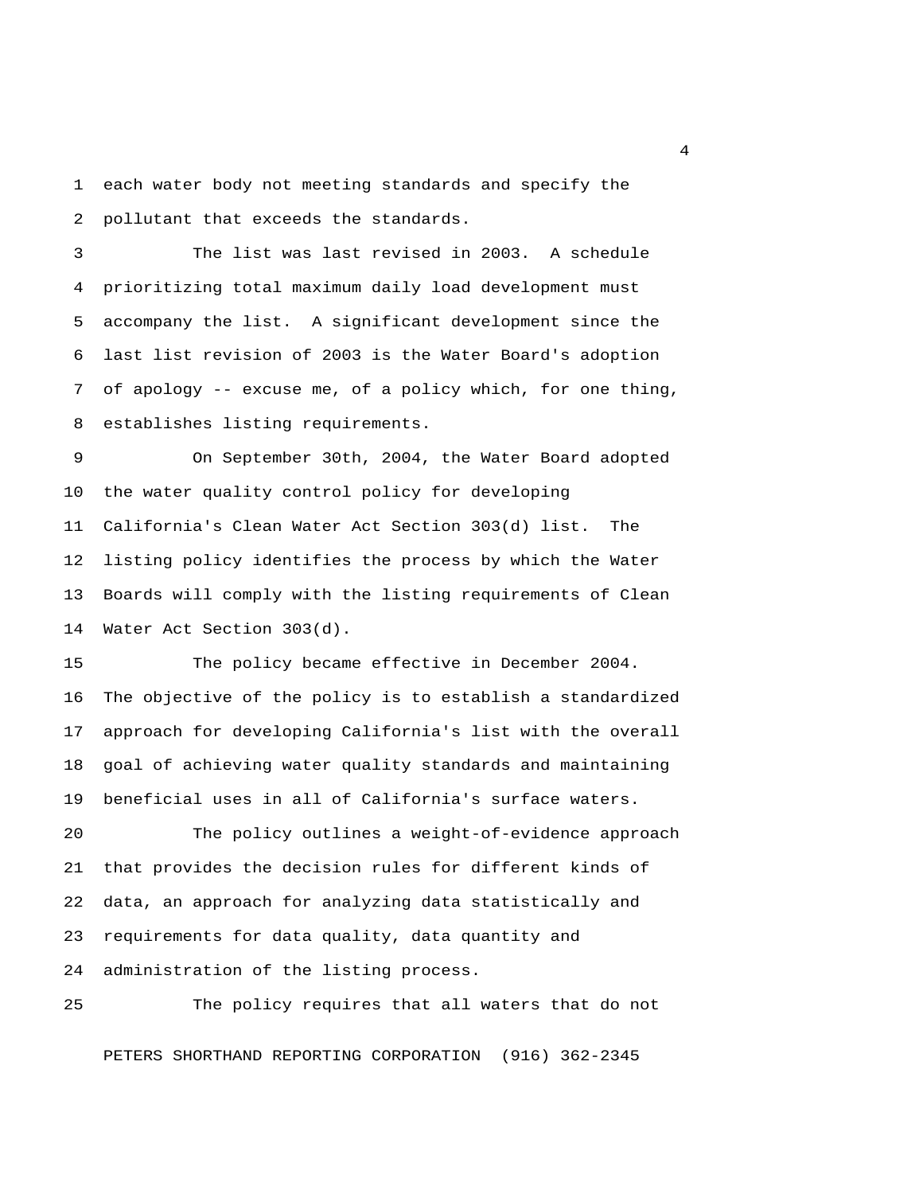1 each water body not meeting standards and specify the 2 pollutant that exceeds the standards.

 3 The list was last revised in 2003. A schedule 4 prioritizing total maximum daily load development must 5 accompany the list. A significant development since the 6 last list revision of 2003 is the Water Board's adoption 7 of apology -- excuse me, of a policy which, for one thing, 8 establishes listing requirements.

 9 On September 30th, 2004, the Water Board adopted 10 the water quality control policy for developing 11 California's Clean Water Act Section 303(d) list. The 12 listing policy identifies the process by which the Water 13 Boards will comply with the listing requirements of Clean 14 Water Act Section 303(d).

15 The policy became effective in December 2004. 16 The objective of the policy is to establish a standardized 17 approach for developing California's list with the overall 18 goal of achieving water quality standards and maintaining 19 beneficial uses in all of California's surface waters.

20 The policy outlines a weight-of-evidence approach 21 that provides the decision rules for different kinds of 22 data, an approach for analyzing data statistically and 23 requirements for data quality, data quantity and 24 administration of the listing process.

25 The policy requires that all waters that do not

PETERS SHORTHAND REPORTING CORPORATION (916) 362-2345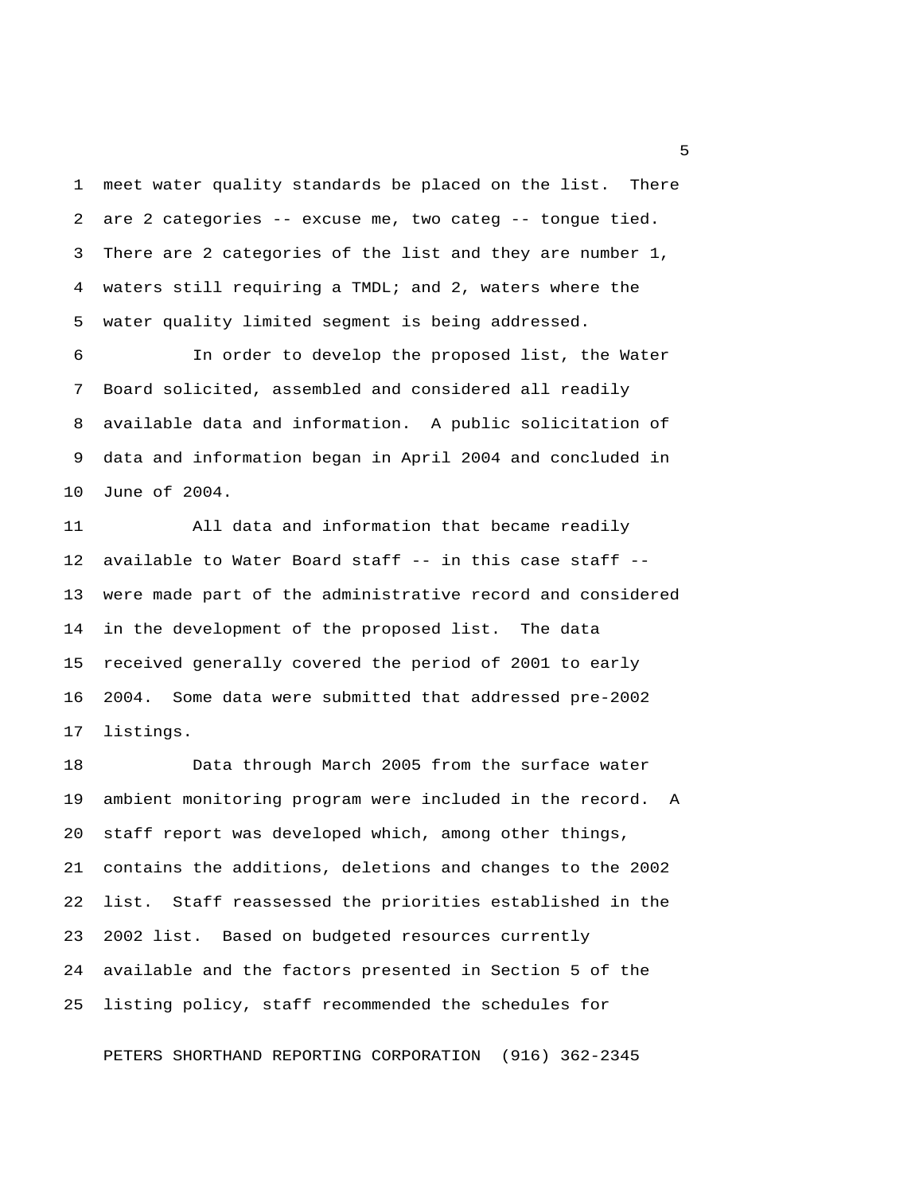1 meet water quality standards be placed on the list. There 2 are 2 categories -- excuse me, two categ -- tongue tied. 3 There are 2 categories of the list and they are number 1, 4 waters still requiring a TMDL; and 2, waters where the 5 water quality limited segment is being addressed.

 6 In order to develop the proposed list, the Water 7 Board solicited, assembled and considered all readily 8 available data and information. A public solicitation of 9 data and information began in April 2004 and concluded in 10 June of 2004.

11 All data and information that became readily 12 available to Water Board staff -- in this case staff -- 13 were made part of the administrative record and considered 14 in the development of the proposed list. The data 15 received generally covered the period of 2001 to early 16 2004. Some data were submitted that addressed pre-2002 17 listings.

18 Data through March 2005 from the surface water 19 ambient monitoring program were included in the record. A 20 staff report was developed which, among other things, 21 contains the additions, deletions and changes to the 2002 22 list. Staff reassessed the priorities established in the 23 2002 list. Based on budgeted resources currently 24 available and the factors presented in Section 5 of the 25 listing policy, staff recommended the schedules for

PETERS SHORTHAND REPORTING CORPORATION (916) 362-2345

 $\sim$  5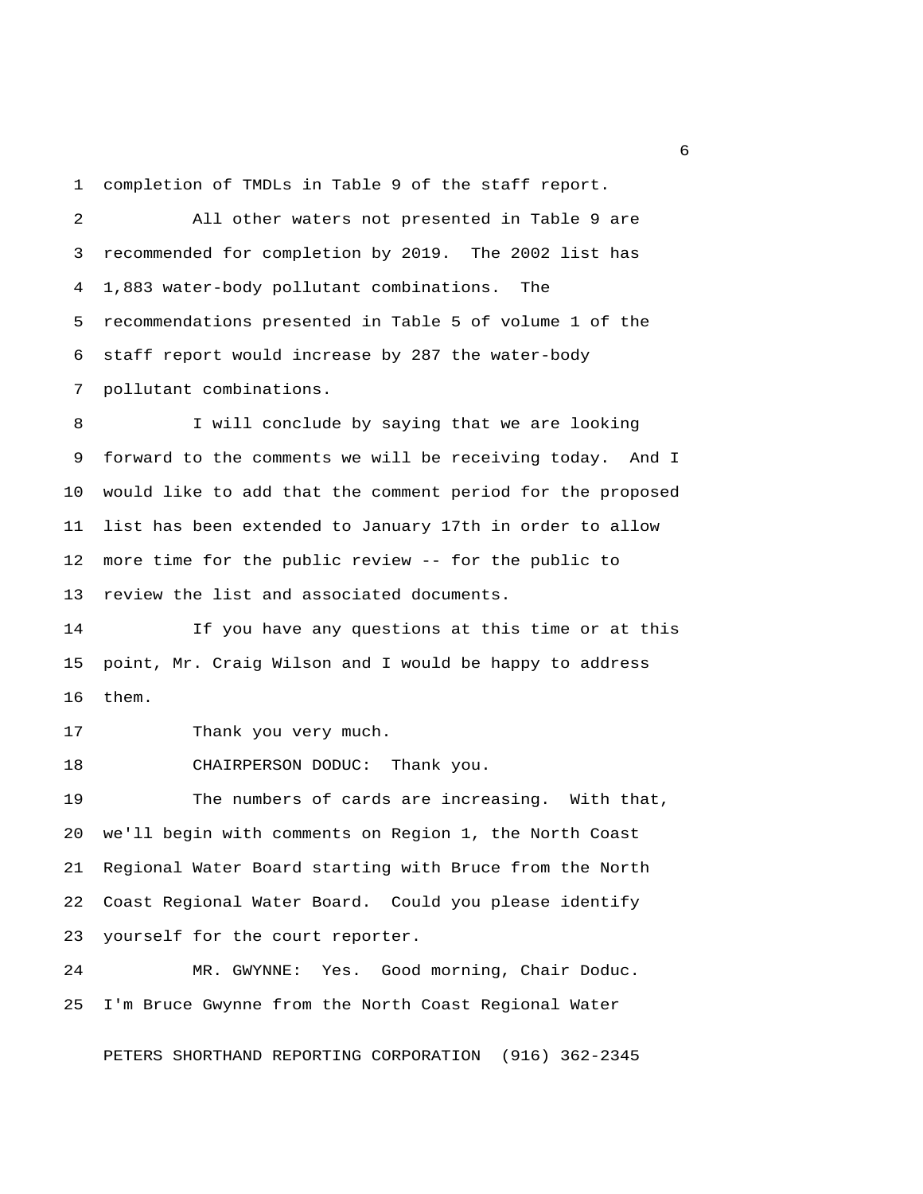1 completion of TMDLs in Table 9 of the staff report.

 2 All other waters not presented in Table 9 are 3 recommended for completion by 2019. The 2002 list has 4 1,883 water-body pollutant combinations. The 5 recommendations presented in Table 5 of volume 1 of the 6 staff report would increase by 287 the water-body 7 pollutant combinations.

 8 I will conclude by saying that we are looking 9 forward to the comments we will be receiving today. And I 10 would like to add that the comment period for the proposed 11 list has been extended to January 17th in order to allow 12 more time for the public review -- for the public to 13 review the list and associated documents.

14 If you have any questions at this time or at this 15 point, Mr. Craig Wilson and I would be happy to address 16 them.

17 Thank you very much.

18 CHAIRPERSON DODUC: Thank you.

19 The numbers of cards are increasing. With that, 20 we'll begin with comments on Region 1, the North Coast 21 Regional Water Board starting with Bruce from the North 22 Coast Regional Water Board. Could you please identify 23 yourself for the court reporter.

24 MR. GWYNNE: Yes. Good morning, Chair Doduc. 25 I'm Bruce Gwynne from the North Coast Regional Water

PETERS SHORTHAND REPORTING CORPORATION (916) 362-2345

 $6<sup>6</sup>$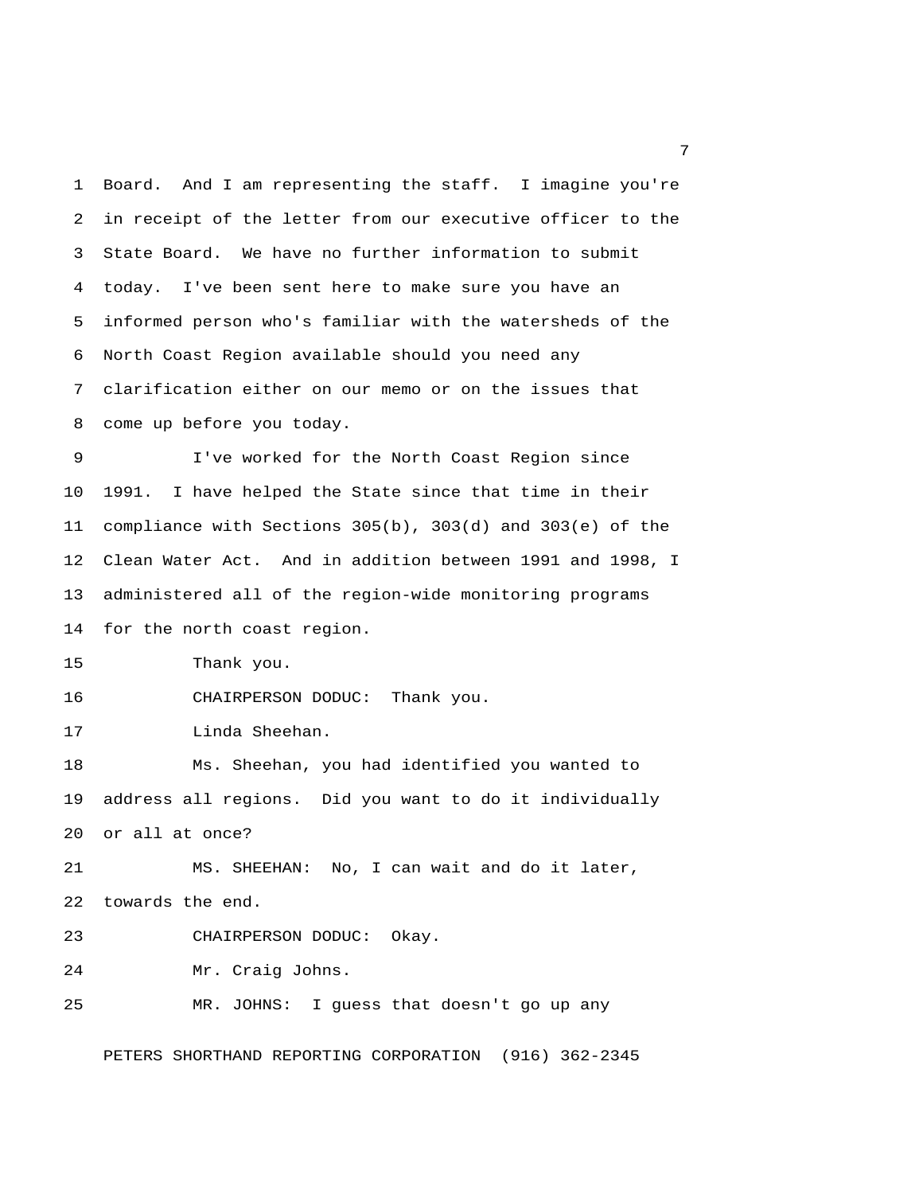1 Board. And I am representing the staff. I imagine you're 2 in receipt of the letter from our executive officer to the 3 State Board. We have no further information to submit 4 today. I've been sent here to make sure you have an 5 informed person who's familiar with the watersheds of the 6 North Coast Region available should you need any 7 clarification either on our memo or on the issues that 8 come up before you today. 9 I've worked for the North Coast Region since 10 1991. I have helped the State since that time in their 11 compliance with Sections 305(b), 303(d) and 303(e) of the 12 Clean Water Act. And in addition between 1991 and 1998, I 13 administered all of the region-wide monitoring programs 14 for the north coast region. 15 Thank you. 16 CHAIRPERSON DODUC: Thank you. 17 Linda Sheehan. 18 Ms. Sheehan, you had identified you wanted to 19 address all regions. Did you want to do it individually 20 or all at once? 21 MS. SHEEHAN: No, I can wait and do it later, 22 towards the end. 23 CHAIRPERSON DODUC: Okay. 24 Mr. Craig Johns. 25 MR. JOHNS: I guess that doesn't go up any PETERS SHORTHAND REPORTING CORPORATION (916) 362-2345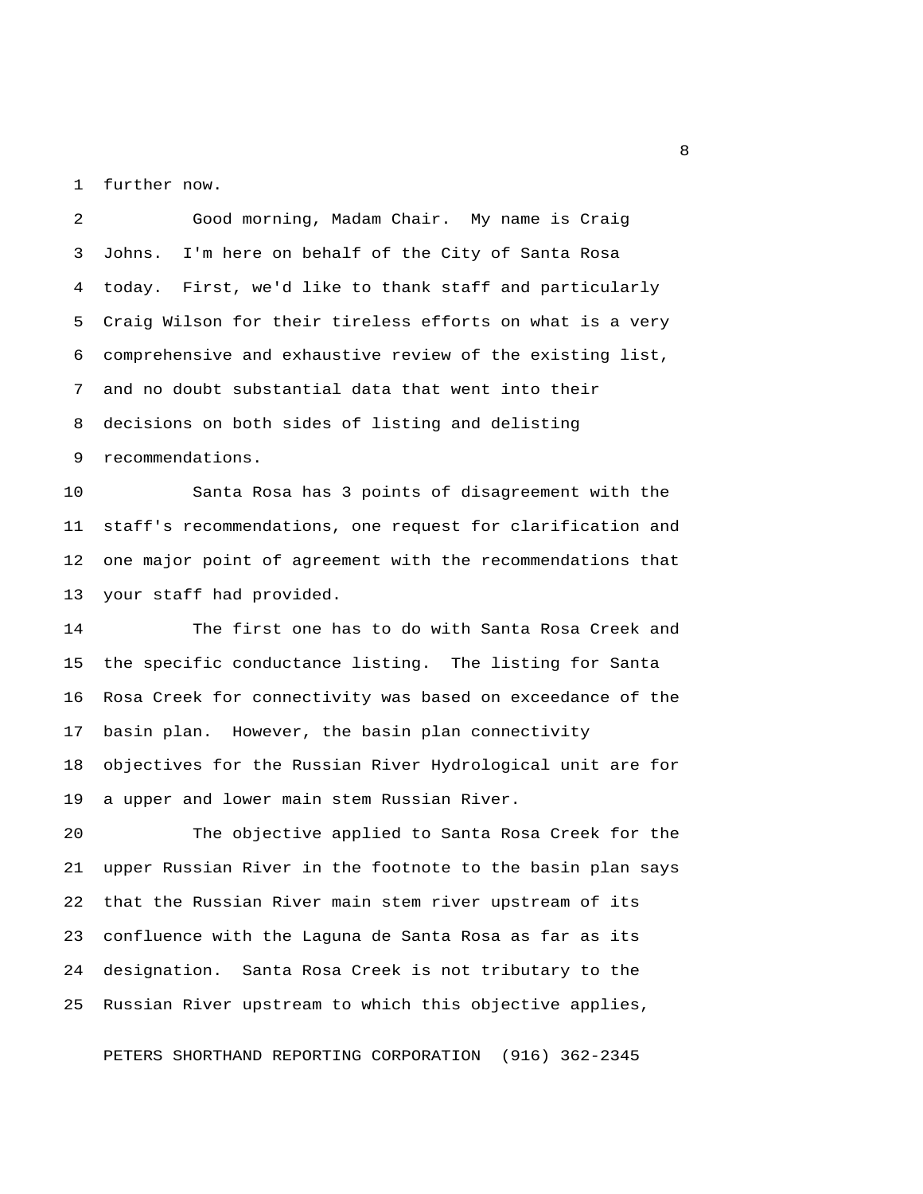1 further now.

 2 Good morning, Madam Chair. My name is Craig 3 Johns. I'm here on behalf of the City of Santa Rosa 4 today. First, we'd like to thank staff and particularly 5 Craig Wilson for their tireless efforts on what is a very 6 comprehensive and exhaustive review of the existing list, 7 and no doubt substantial data that went into their 8 decisions on both sides of listing and delisting 9 recommendations.

10 Santa Rosa has 3 points of disagreement with the 11 staff's recommendations, one request for clarification and 12 one major point of agreement with the recommendations that 13 your staff had provided.

14 The first one has to do with Santa Rosa Creek and 15 the specific conductance listing. The listing for Santa 16 Rosa Creek for connectivity was based on exceedance of the 17 basin plan. However, the basin plan connectivity 18 objectives for the Russian River Hydrological unit are for 19 a upper and lower main stem Russian River.

20 The objective applied to Santa Rosa Creek for the 21 upper Russian River in the footnote to the basin plan says 22 that the Russian River main stem river upstream of its 23 confluence with the Laguna de Santa Rosa as far as its 24 designation. Santa Rosa Creek is not tributary to the 25 Russian River upstream to which this objective applies,

PETERS SHORTHAND REPORTING CORPORATION (916) 362-2345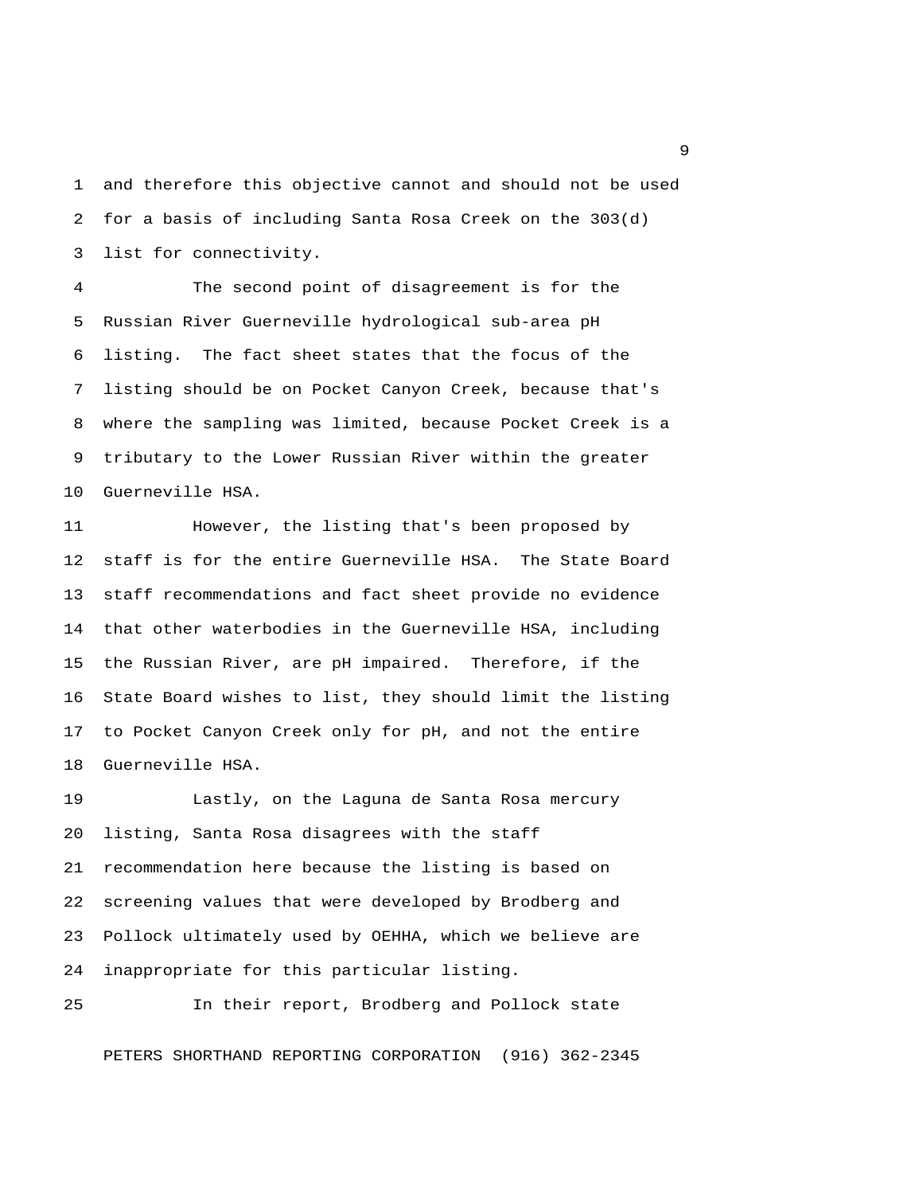1 and therefore this objective cannot and should not be used 2 for a basis of including Santa Rosa Creek on the 303(d) 3 list for connectivity.

 4 The second point of disagreement is for the 5 Russian River Guerneville hydrological sub-area pH 6 listing. The fact sheet states that the focus of the 7 listing should be on Pocket Canyon Creek, because that's 8 where the sampling was limited, because Pocket Creek is a 9 tributary to the Lower Russian River within the greater 10 Guerneville HSA.

11 However, the listing that's been proposed by 12 staff is for the entire Guerneville HSA. The State Board 13 staff recommendations and fact sheet provide no evidence 14 that other waterbodies in the Guerneville HSA, including 15 the Russian River, are pH impaired. Therefore, if the 16 State Board wishes to list, they should limit the listing 17 to Pocket Canyon Creek only for pH, and not the entire 18 Guerneville HSA.

19 Lastly, on the Laguna de Santa Rosa mercury 20 listing, Santa Rosa disagrees with the staff 21 recommendation here because the listing is based on 22 screening values that were developed by Brodberg and 23 Pollock ultimately used by OEHHA, which we believe are 24 inappropriate for this particular listing.

25 In their report, Brodberg and Pollock state

PETERS SHORTHAND REPORTING CORPORATION (916) 362-2345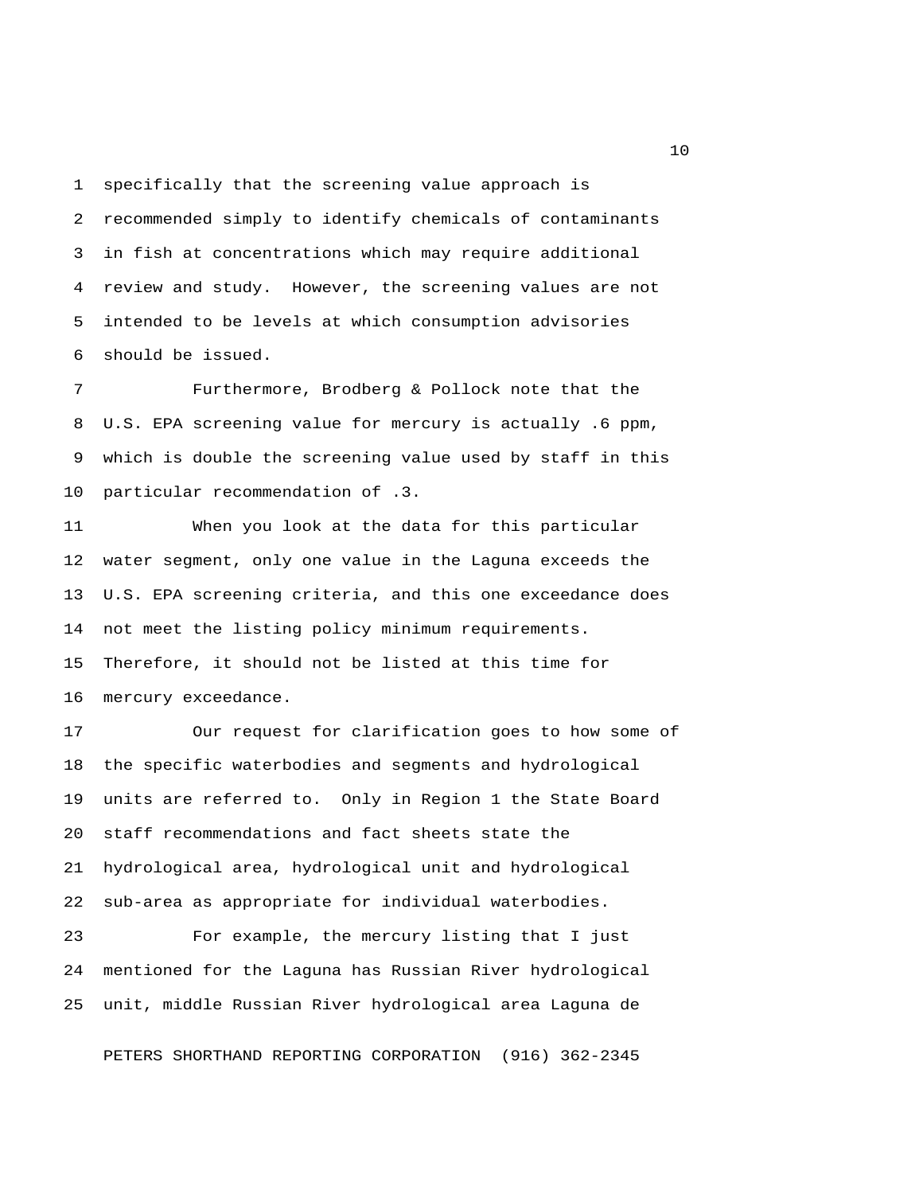1 specifically that the screening value approach is 2 recommended simply to identify chemicals of contaminants 3 in fish at concentrations which may require additional 4 review and study. However, the screening values are not 5 intended to be levels at which consumption advisories 6 should be issued.

 7 Furthermore, Brodberg & Pollock note that the 8 U.S. EPA screening value for mercury is actually .6 ppm, 9 which is double the screening value used by staff in this 10 particular recommendation of .3.

11 When you look at the data for this particular 12 water segment, only one value in the Laguna exceeds the 13 U.S. EPA screening criteria, and this one exceedance does 14 not meet the listing policy minimum requirements. 15 Therefore, it should not be listed at this time for 16 mercury exceedance.

17 Our request for clarification goes to how some of 18 the specific waterbodies and segments and hydrological 19 units are referred to. Only in Region 1 the State Board 20 staff recommendations and fact sheets state the 21 hydrological area, hydrological unit and hydrological 22 sub-area as appropriate for individual waterbodies.

23 For example, the mercury listing that I just 24 mentioned for the Laguna has Russian River hydrological 25 unit, middle Russian River hydrological area Laguna de

PETERS SHORTHAND REPORTING CORPORATION (916) 362-2345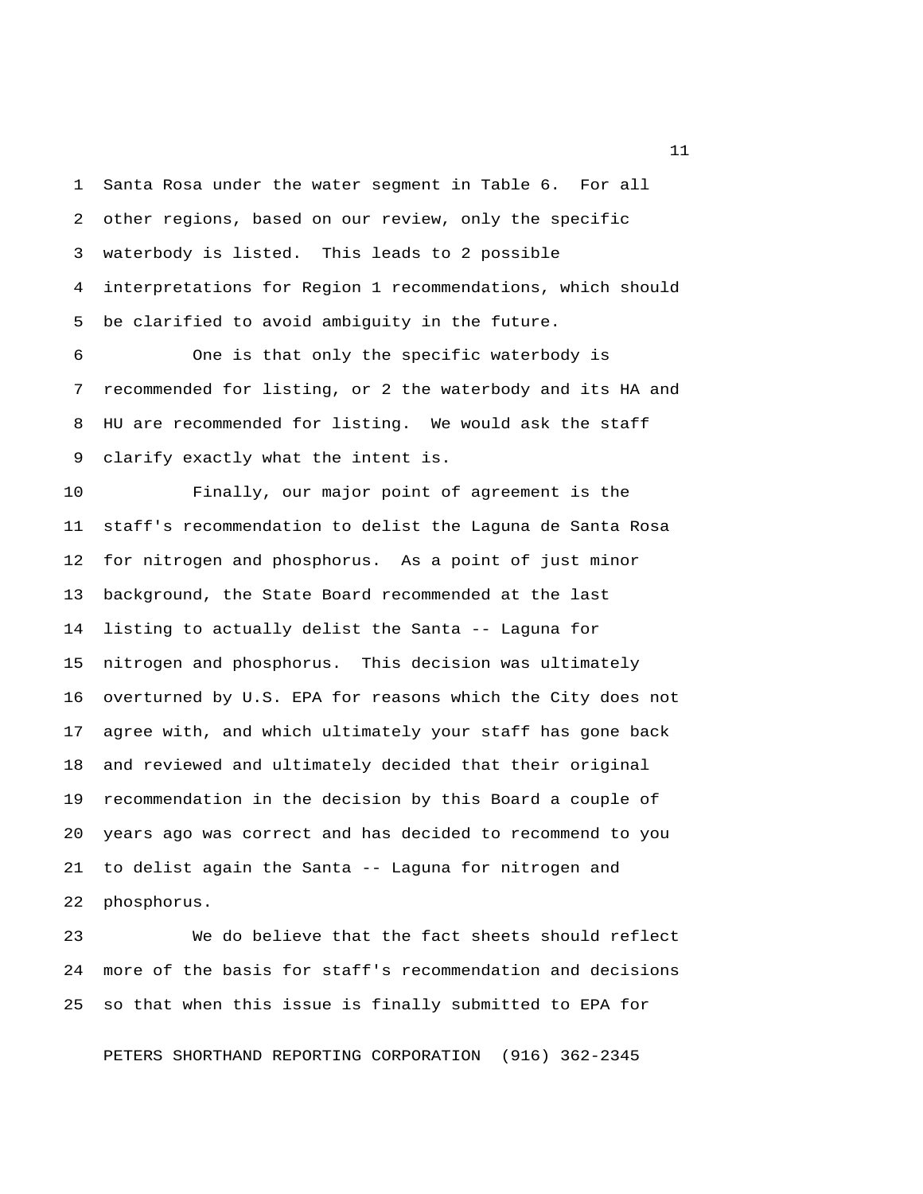1 Santa Rosa under the water segment in Table 6. For all 2 other regions, based on our review, only the specific 3 waterbody is listed. This leads to 2 possible 4 interpretations for Region 1 recommendations, which should 5 be clarified to avoid ambiguity in the future.

 6 One is that only the specific waterbody is 7 recommended for listing, or 2 the waterbody and its HA and 8 HU are recommended for listing. We would ask the staff 9 clarify exactly what the intent is.

10 Finally, our major point of agreement is the 11 staff's recommendation to delist the Laguna de Santa Rosa 12 for nitrogen and phosphorus. As a point of just minor 13 background, the State Board recommended at the last 14 listing to actually delist the Santa -- Laguna for 15 nitrogen and phosphorus. This decision was ultimately 16 overturned by U.S. EPA for reasons which the City does not 17 agree with, and which ultimately your staff has gone back 18 and reviewed and ultimately decided that their original 19 recommendation in the decision by this Board a couple of 20 years ago was correct and has decided to recommend to you 21 to delist again the Santa -- Laguna for nitrogen and 22 phosphorus.

23 We do believe that the fact sheets should reflect 24 more of the basis for staff's recommendation and decisions 25 so that when this issue is finally submitted to EPA for

PETERS SHORTHAND REPORTING CORPORATION (916) 362-2345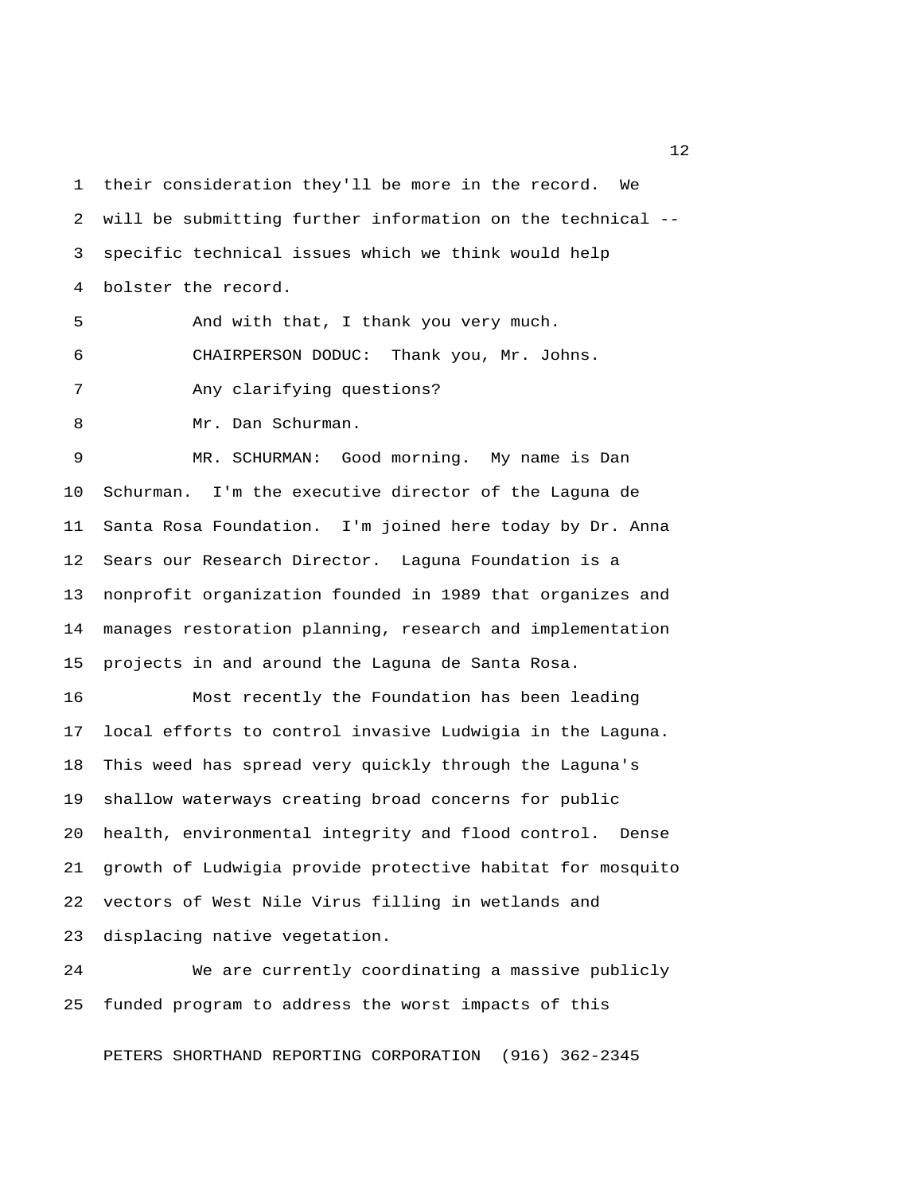1 their consideration they'll be more in the record. We 2 will be submitting further information on the technical -- 3 specific technical issues which we think would help 4 bolster the record.

5 And with that, I thank you very much.

6 CHAIRPERSON DODUC: Thank you, Mr. Johns.

7 Any clarifying questions?

8 Mr. Dan Schurman.

 9 MR. SCHURMAN: Good morning. My name is Dan 10 Schurman. I'm the executive director of the Laguna de 11 Santa Rosa Foundation. I'm joined here today by Dr. Anna 12 Sears our Research Director. Laguna Foundation is a 13 nonprofit organization founded in 1989 that organizes and 14 manages restoration planning, research and implementation 15 projects in and around the Laguna de Santa Rosa.

16 Most recently the Foundation has been leading 17 local efforts to control invasive Ludwigia in the Laguna. 18 This weed has spread very quickly through the Laguna's 19 shallow waterways creating broad concerns for public 20 health, environmental integrity and flood control. Dense 21 growth of Ludwigia provide protective habitat for mosquito 22 vectors of West Nile Virus filling in wetlands and 23 displacing native vegetation.

24 We are currently coordinating a massive publicly 25 funded program to address the worst impacts of this

PETERS SHORTHAND REPORTING CORPORATION (916) 362-2345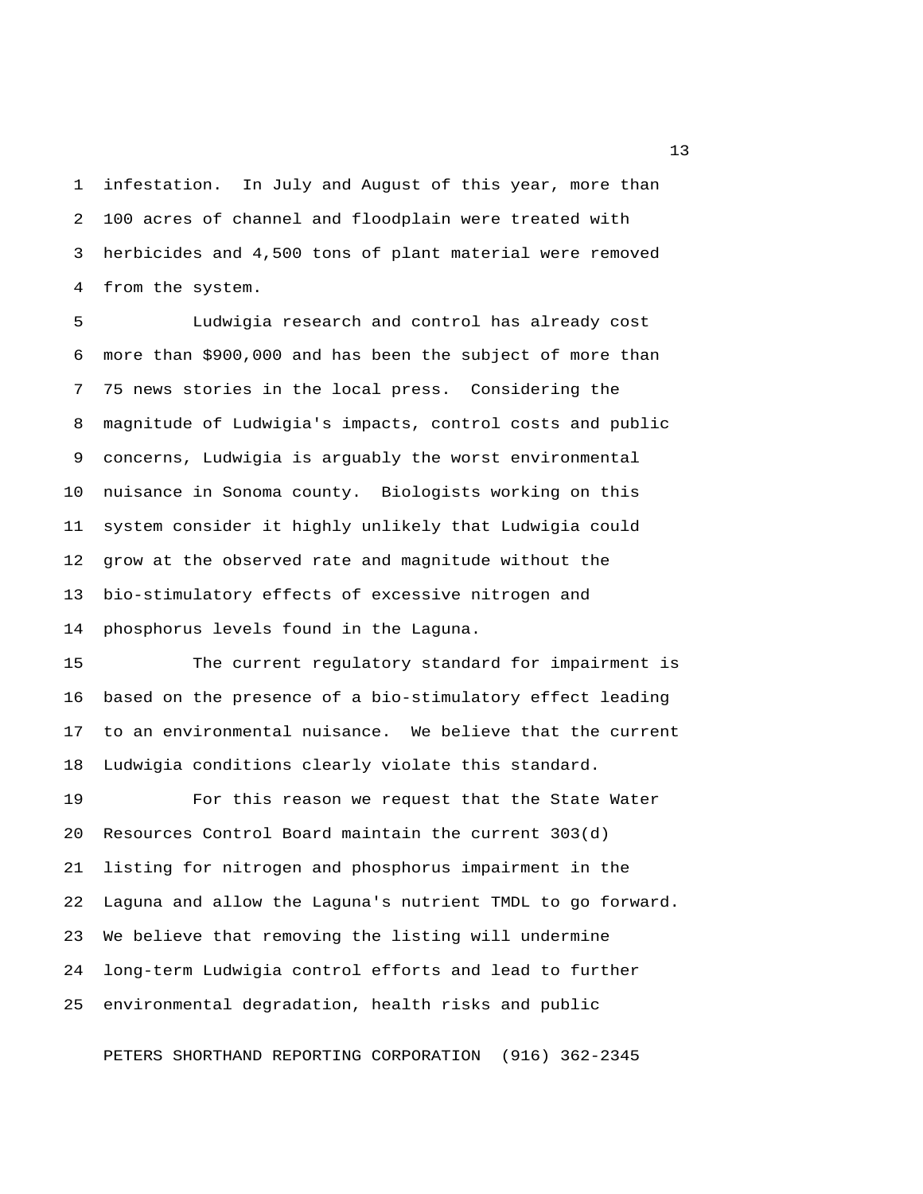1 infestation. In July and August of this year, more than 2 100 acres of channel and floodplain were treated with 3 herbicides and 4,500 tons of plant material were removed 4 from the system.

 5 Ludwigia research and control has already cost 6 more than \$900,000 and has been the subject of more than 7 75 news stories in the local press. Considering the 8 magnitude of Ludwigia's impacts, control costs and public 9 concerns, Ludwigia is arguably the worst environmental 10 nuisance in Sonoma county. Biologists working on this 11 system consider it highly unlikely that Ludwigia could 12 grow at the observed rate and magnitude without the 13 bio-stimulatory effects of excessive nitrogen and 14 phosphorus levels found in the Laguna.

15 The current regulatory standard for impairment is 16 based on the presence of a bio-stimulatory effect leading 17 to an environmental nuisance. We believe that the current 18 Ludwigia conditions clearly violate this standard.

19 For this reason we request that the State Water 20 Resources Control Board maintain the current 303(d) 21 listing for nitrogen and phosphorus impairment in the 22 Laguna and allow the Laguna's nutrient TMDL to go forward. 23 We believe that removing the listing will undermine 24 long-term Ludwigia control efforts and lead to further 25 environmental degradation, health risks and public

PETERS SHORTHAND REPORTING CORPORATION (916) 362-2345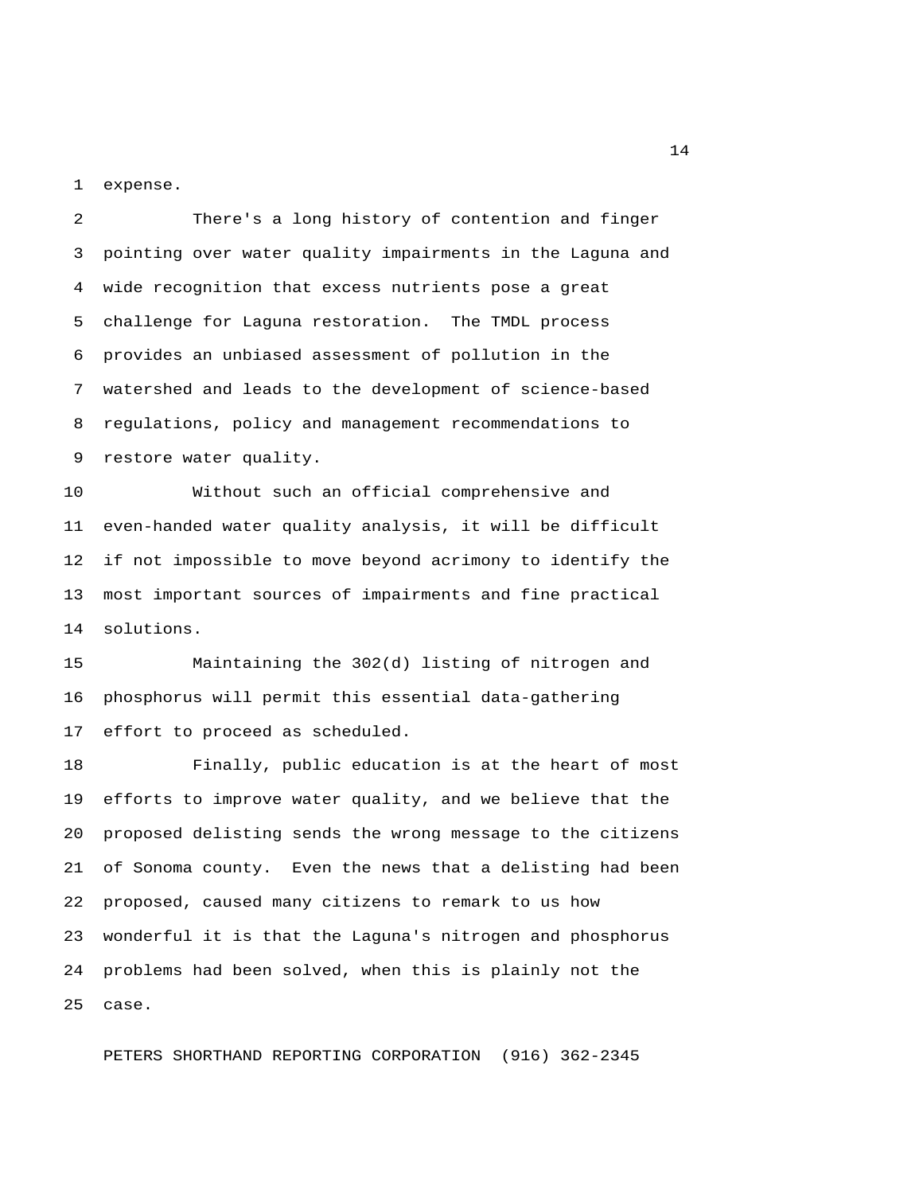1 expense.

 2 There's a long history of contention and finger 3 pointing over water quality impairments in the Laguna and 4 wide recognition that excess nutrients pose a great 5 challenge for Laguna restoration. The TMDL process 6 provides an unbiased assessment of pollution in the 7 watershed and leads to the development of science-based 8 regulations, policy and management recommendations to 9 restore water quality.

10 Without such an official comprehensive and 11 even-handed water quality analysis, it will be difficult 12 if not impossible to move beyond acrimony to identify the 13 most important sources of impairments and fine practical 14 solutions.

15 Maintaining the 302(d) listing of nitrogen and 16 phosphorus will permit this essential data-gathering 17 effort to proceed as scheduled.

18 Finally, public education is at the heart of most 19 efforts to improve water quality, and we believe that the 20 proposed delisting sends the wrong message to the citizens 21 of Sonoma county. Even the news that a delisting had been 22 proposed, caused many citizens to remark to us how 23 wonderful it is that the Laguna's nitrogen and phosphorus 24 problems had been solved, when this is plainly not the 25 case.

PETERS SHORTHAND REPORTING CORPORATION (916) 362-2345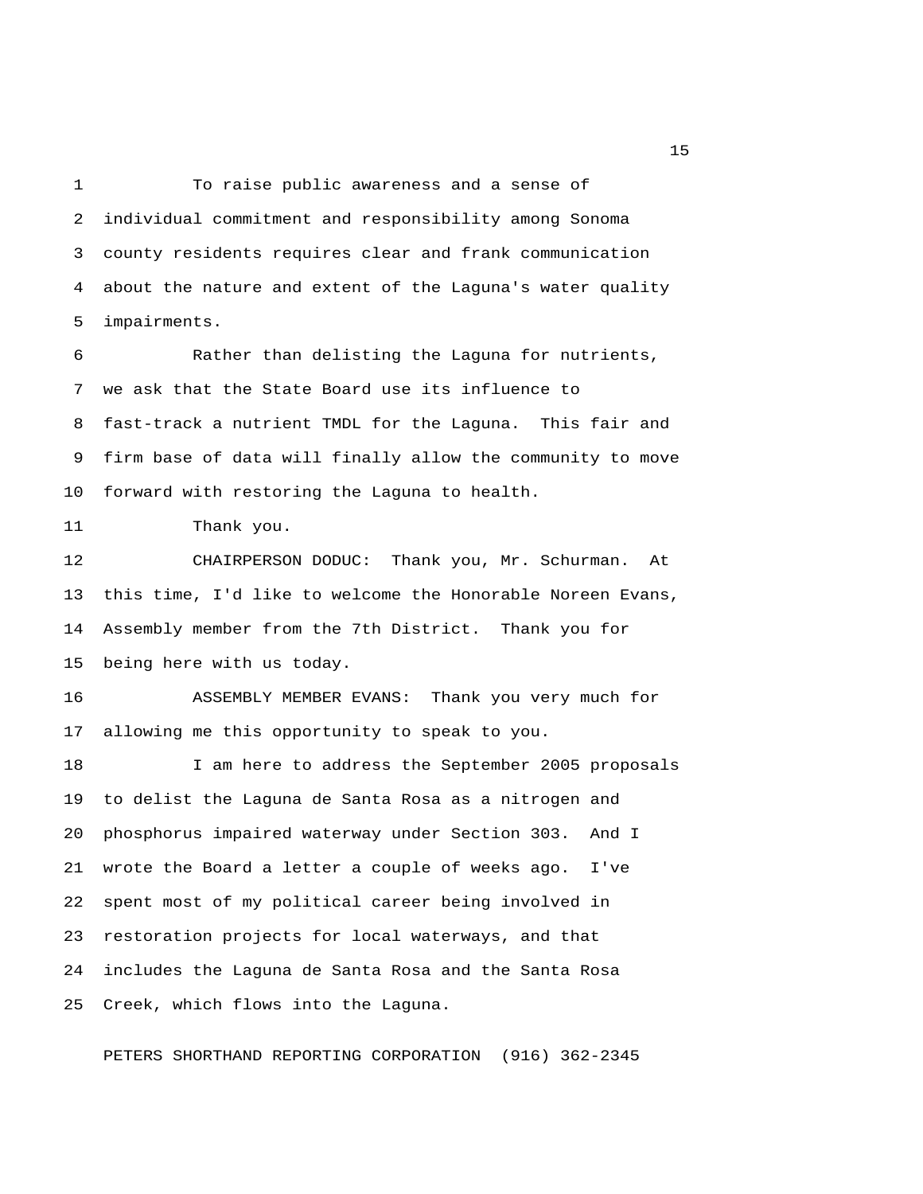1 To raise public awareness and a sense of 2 individual commitment and responsibility among Sonoma 3 county residents requires clear and frank communication 4 about the nature and extent of the Laguna's water quality 5 impairments.

 6 Rather than delisting the Laguna for nutrients, 7 we ask that the State Board use its influence to 8 fast-track a nutrient TMDL for the Laguna. This fair and 9 firm base of data will finally allow the community to move 10 forward with restoring the Laguna to health.

11 Thank you.

12 CHAIRPERSON DODUC: Thank you, Mr. Schurman. At 13 this time, I'd like to welcome the Honorable Noreen Evans, 14 Assembly member from the 7th District. Thank you for 15 being here with us today.

16 ASSEMBLY MEMBER EVANS: Thank you very much for 17 allowing me this opportunity to speak to you.

18 I am here to address the September 2005 proposals 19 to delist the Laguna de Santa Rosa as a nitrogen and 20 phosphorus impaired waterway under Section 303. And I 21 wrote the Board a letter a couple of weeks ago. I've 22 spent most of my political career being involved in 23 restoration projects for local waterways, and that 24 includes the Laguna de Santa Rosa and the Santa Rosa 25 Creek, which flows into the Laguna.

PETERS SHORTHAND REPORTING CORPORATION (916) 362-2345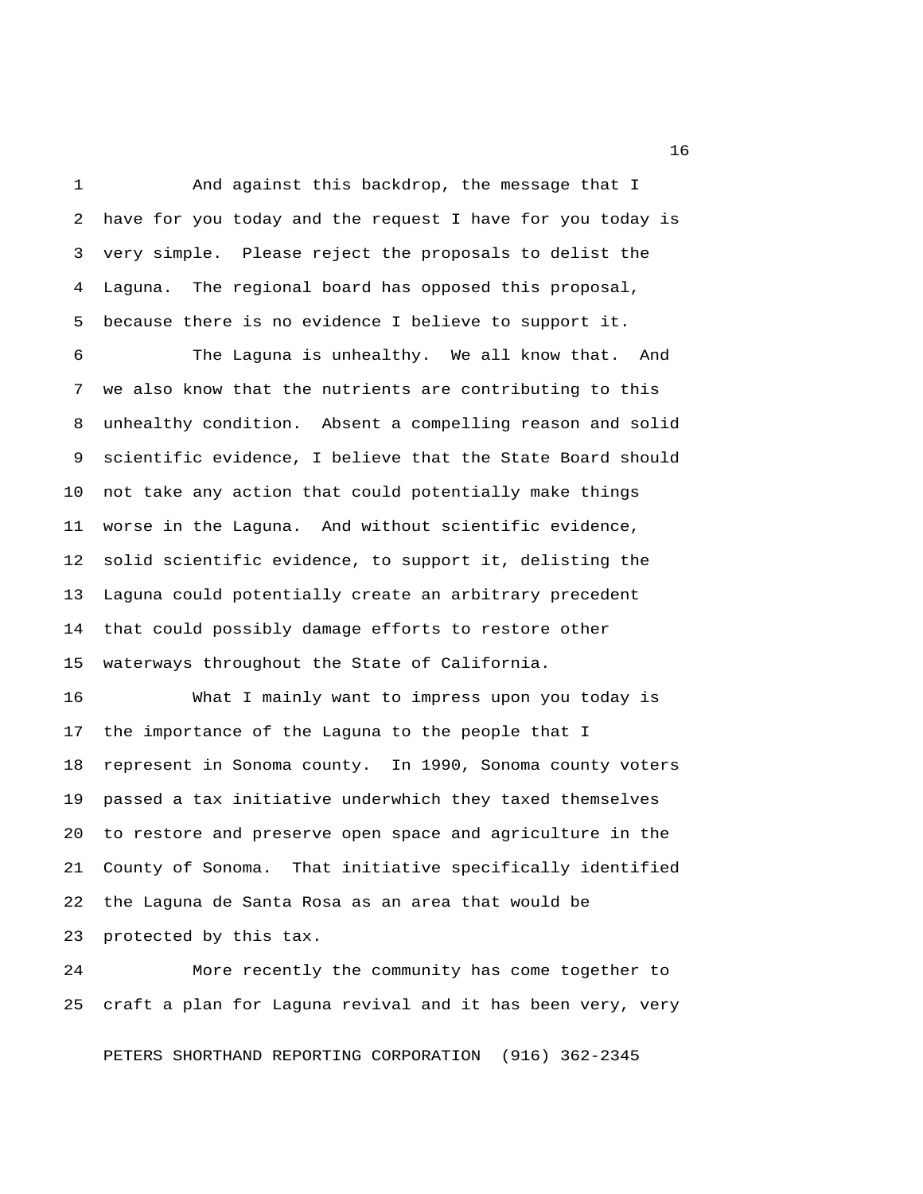1 And against this backdrop, the message that I 2 have for you today and the request I have for you today is 3 very simple. Please reject the proposals to delist the 4 Laguna. The regional board has opposed this proposal, 5 because there is no evidence I believe to support it.

 6 The Laguna is unhealthy. We all know that. And 7 we also know that the nutrients are contributing to this 8 unhealthy condition. Absent a compelling reason and solid 9 scientific evidence, I believe that the State Board should 10 not take any action that could potentially make things 11 worse in the Laguna. And without scientific evidence, 12 solid scientific evidence, to support it, delisting the 13 Laguna could potentially create an arbitrary precedent 14 that could possibly damage efforts to restore other 15 waterways throughout the State of California.

16 What I mainly want to impress upon you today is 17 the importance of the Laguna to the people that I 18 represent in Sonoma county. In 1990, Sonoma county voters 19 passed a tax initiative underwhich they taxed themselves 20 to restore and preserve open space and agriculture in the 21 County of Sonoma. That initiative specifically identified 22 the Laguna de Santa Rosa as an area that would be 23 protected by this tax.

24 More recently the community has come together to 25 craft a plan for Laguna revival and it has been very, very

PETERS SHORTHAND REPORTING CORPORATION (916) 362-2345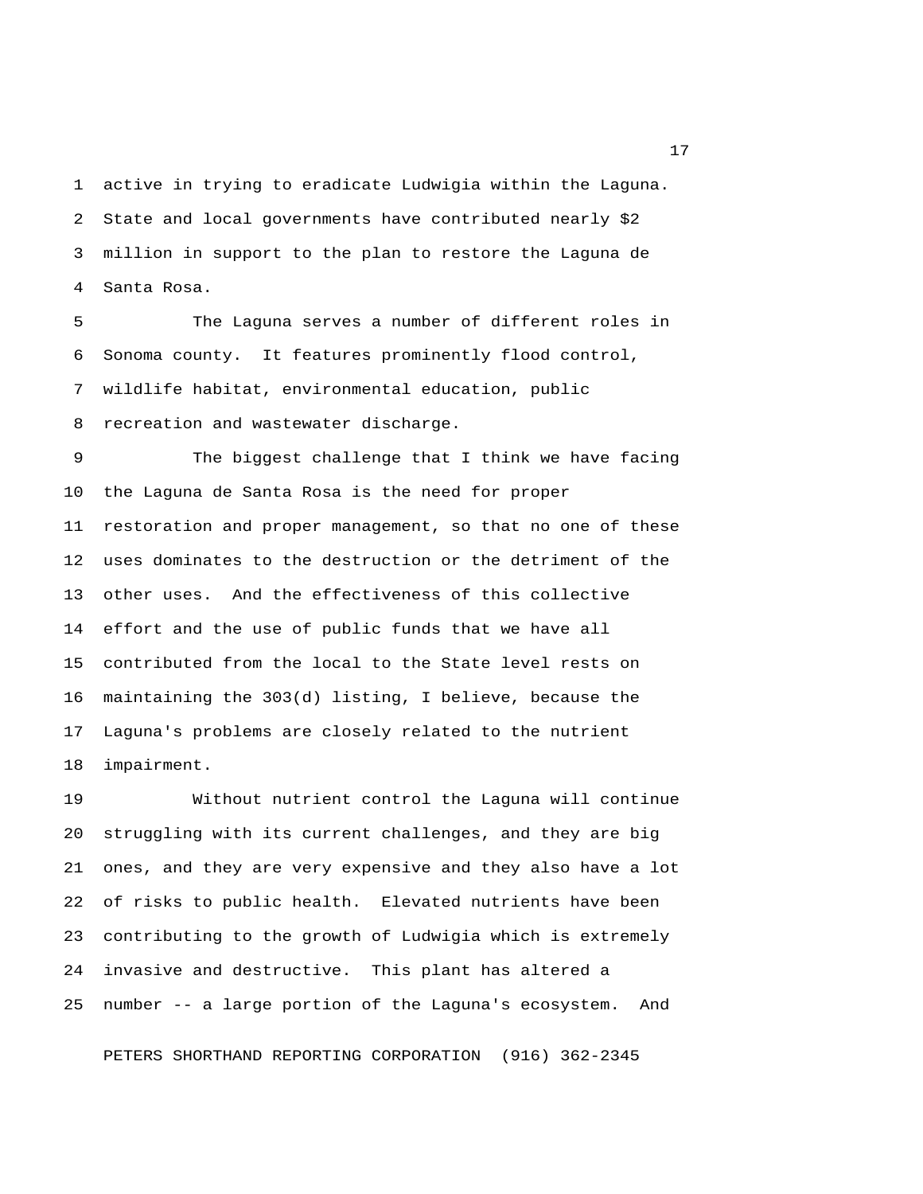1 active in trying to eradicate Ludwigia within the Laguna. 2 State and local governments have contributed nearly \$2 3 million in support to the plan to restore the Laguna de 4 Santa Rosa.

 5 The Laguna serves a number of different roles in 6 Sonoma county. It features prominently flood control, 7 wildlife habitat, environmental education, public 8 recreation and wastewater discharge.

 9 The biggest challenge that I think we have facing 10 the Laguna de Santa Rosa is the need for proper 11 restoration and proper management, so that no one of these 12 uses dominates to the destruction or the detriment of the 13 other uses. And the effectiveness of this collective 14 effort and the use of public funds that we have all 15 contributed from the local to the State level rests on 16 maintaining the 303(d) listing, I believe, because the 17 Laguna's problems are closely related to the nutrient 18 impairment.

19 Without nutrient control the Laguna will continue 20 struggling with its current challenges, and they are big 21 ones, and they are very expensive and they also have a lot 22 of risks to public health. Elevated nutrients have been 23 contributing to the growth of Ludwigia which is extremely 24 invasive and destructive. This plant has altered a 25 number -- a large portion of the Laguna's ecosystem. And

PETERS SHORTHAND REPORTING CORPORATION (916) 362-2345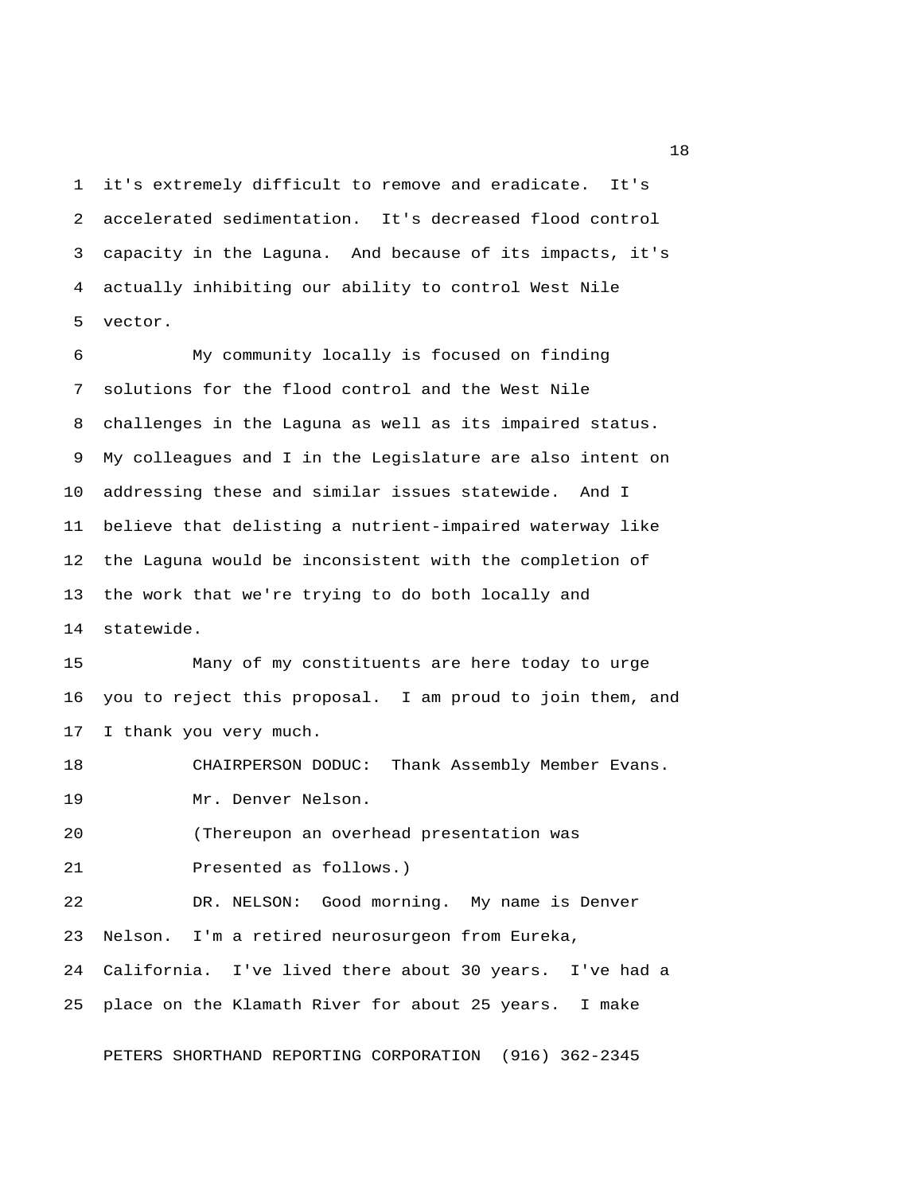1 it's extremely difficult to remove and eradicate. It's 2 accelerated sedimentation. It's decreased flood control 3 capacity in the Laguna. And because of its impacts, it's 4 actually inhibiting our ability to control West Nile 5 vector.

 6 My community locally is focused on finding 7 solutions for the flood control and the West Nile 8 challenges in the Laguna as well as its impaired status. 9 My colleagues and I in the Legislature are also intent on 10 addressing these and similar issues statewide. And I 11 believe that delisting a nutrient-impaired waterway like 12 the Laguna would be inconsistent with the completion of 13 the work that we're trying to do both locally and 14 statewide.

15 Many of my constituents are here today to urge 16 you to reject this proposal. I am proud to join them, and 17 I thank you very much.

18 CHAIRPERSON DODUC: Thank Assembly Member Evans. 19 Mr. Denver Nelson.

20 (Thereupon an overhead presentation was

21 Presented as follows.)

22 DR. NELSON: Good morning. My name is Denver 23 Nelson. I'm a retired neurosurgeon from Eureka, 24 California. I've lived there about 30 years. I've had a 25 place on the Klamath River for about 25 years. I make

PETERS SHORTHAND REPORTING CORPORATION (916) 362-2345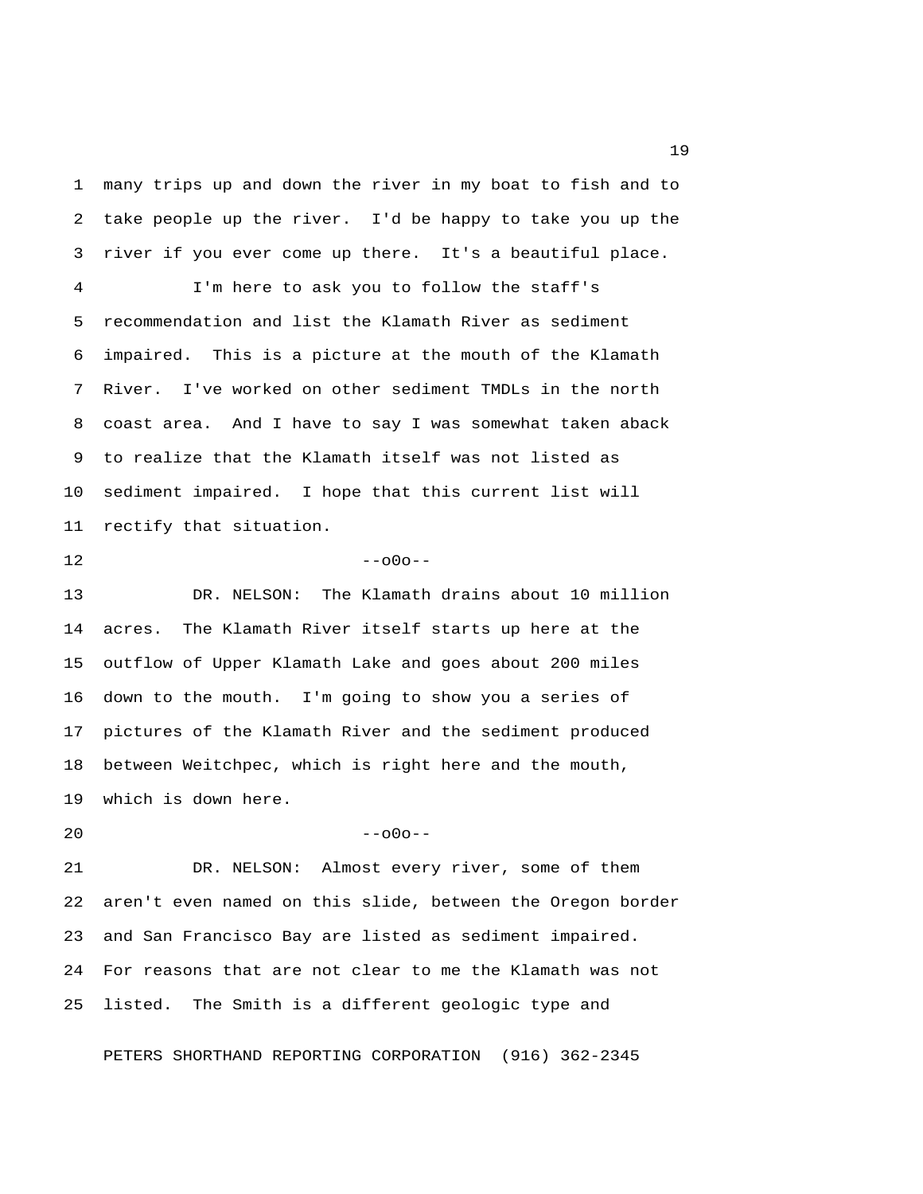1 many trips up and down the river in my boat to fish and to 2 take people up the river. I'd be happy to take you up the 3 river if you ever come up there. It's a beautiful place.

 4 I'm here to ask you to follow the staff's 5 recommendation and list the Klamath River as sediment 6 impaired. This is a picture at the mouth of the Klamath 7 River. I've worked on other sediment TMDLs in the north 8 coast area. And I have to say I was somewhat taken aback 9 to realize that the Klamath itself was not listed as 10 sediment impaired. I hope that this current list will 11 rectify that situation.

 $12$  --o0o--

13 DR. NELSON: The Klamath drains about 10 million 14 acres. The Klamath River itself starts up here at the 15 outflow of Upper Klamath Lake and goes about 200 miles 16 down to the mouth. I'm going to show you a series of 17 pictures of the Klamath River and the sediment produced 18 between Weitchpec, which is right here and the mouth, 19 which is down here.

 $20$  --o0o--

21 DR. NELSON: Almost every river, some of them 22 aren't even named on this slide, between the Oregon border 23 and San Francisco Bay are listed as sediment impaired. 24 For reasons that are not clear to me the Klamath was not 25 listed. The Smith is a different geologic type and

PETERS SHORTHAND REPORTING CORPORATION (916) 362-2345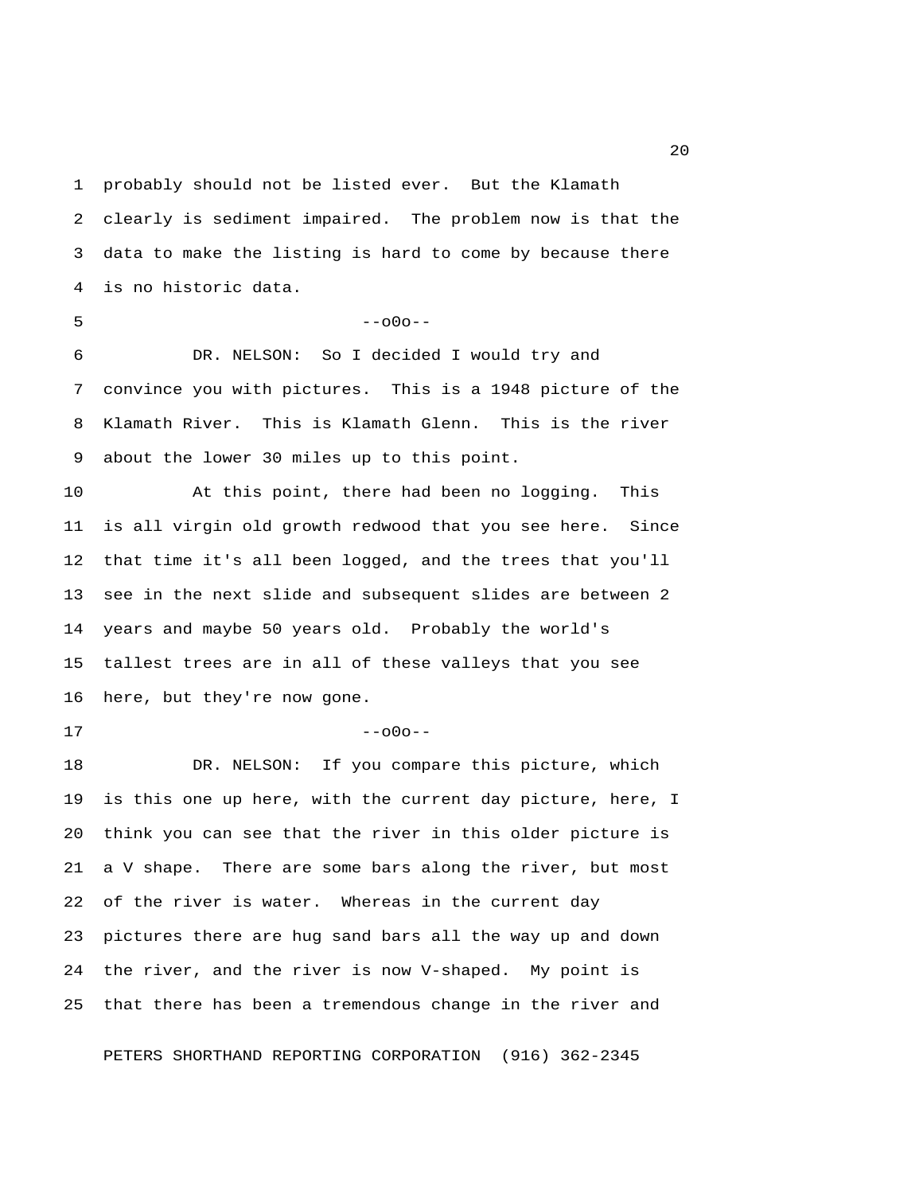1 probably should not be listed ever. But the Klamath 2 clearly is sediment impaired. The problem now is that the 3 data to make the listing is hard to come by because there 4 is no historic data.

 $5 - -000 - -$ 

 6 DR. NELSON: So I decided I would try and 7 convince you with pictures. This is a 1948 picture of the 8 Klamath River. This is Klamath Glenn. This is the river 9 about the lower 30 miles up to this point.

10 At this point, there had been no logging. This 11 is all virgin old growth redwood that you see here. Since 12 that time it's all been logged, and the trees that you'll 13 see in the next slide and subsequent slides are between 2 14 years and maybe 50 years old. Probably the world's 15 tallest trees are in all of these valleys that you see 16 here, but they're now gone.

 $17$  --000--

18 DR. NELSON: If you compare this picture, which 19 is this one up here, with the current day picture, here, I 20 think you can see that the river in this older picture is 21 a V shape. There are some bars along the river, but most 22 of the river is water. Whereas in the current day 23 pictures there are hug sand bars all the way up and down 24 the river, and the river is now V-shaped. My point is 25 that there has been a tremendous change in the river and

PETERS SHORTHAND REPORTING CORPORATION (916) 362-2345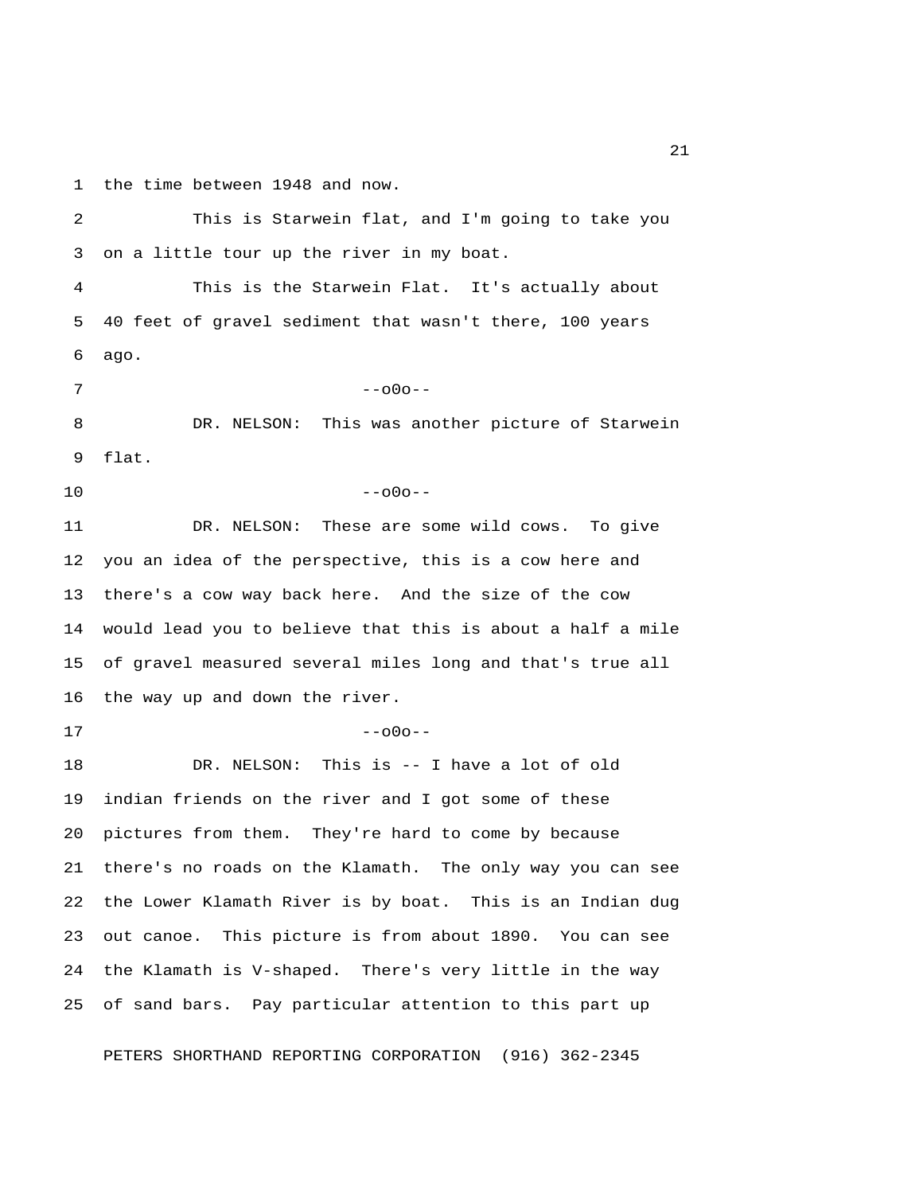1 the time between 1948 and now.

 2 This is Starwein flat, and I'm going to take you 3 on a little tour up the river in my boat. 4 This is the Starwein Flat. It's actually about 5 40 feet of gravel sediment that wasn't there, 100 years 6 ago. 7 --o0o-- 8 DR. NELSON: This was another picture of Starwein 9 flat.  $10$  --o0o--11 DR. NELSON: These are some wild cows. To give 12 you an idea of the perspective, this is a cow here and 13 there's a cow way back here. And the size of the cow 14 would lead you to believe that this is about a half a mile 15 of gravel measured several miles long and that's true all 16 the way up and down the river.  $17$  --000--18 DR. NELSON: This is -- I have a lot of old 19 indian friends on the river and I got some of these 20 pictures from them. They're hard to come by because 21 there's no roads on the Klamath. The only way you can see 22 the Lower Klamath River is by boat. This is an Indian dug 23 out canoe. This picture is from about 1890. You can see 24 the Klamath is V-shaped. There's very little in the way 25 of sand bars. Pay particular attention to this part up

PETERS SHORTHAND REPORTING CORPORATION (916) 362-2345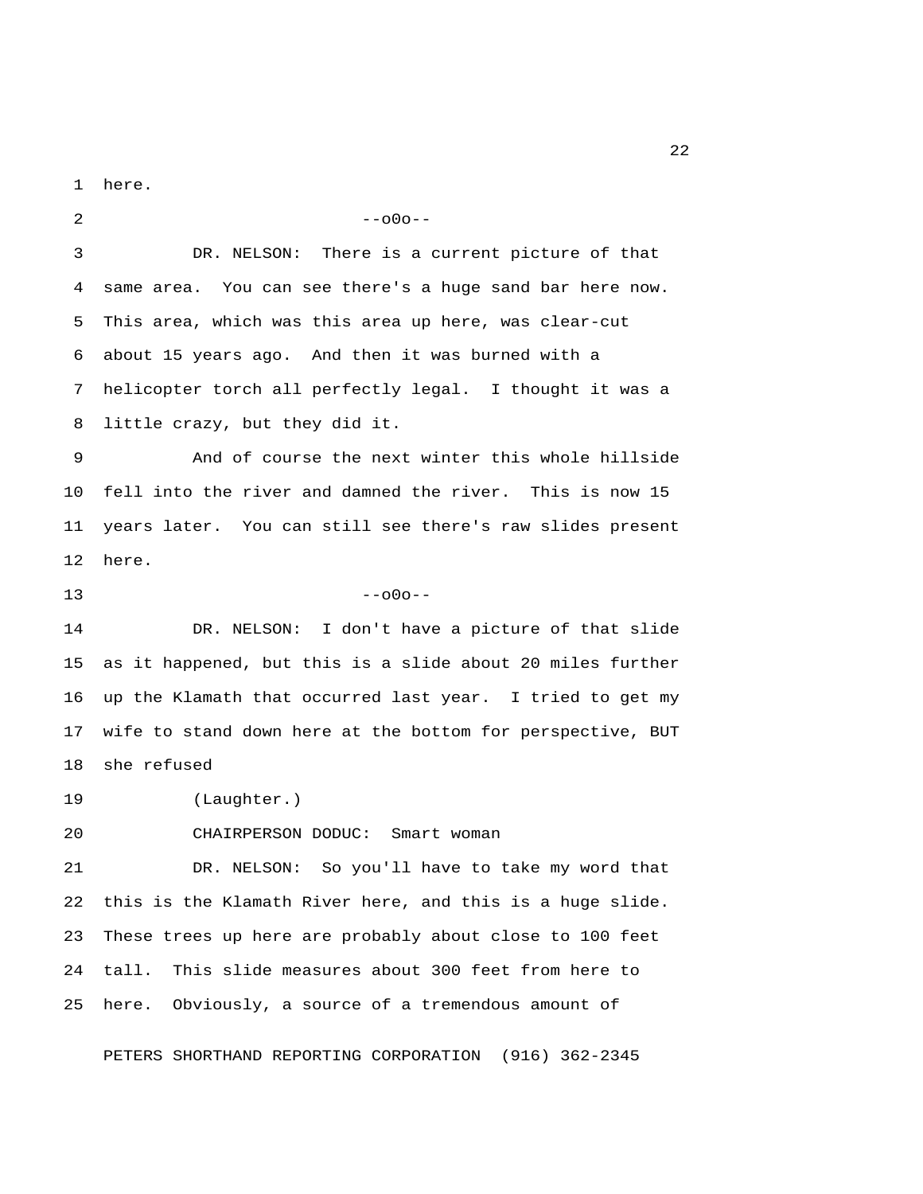1 here.

 $2 - -000 - -$  3 DR. NELSON: There is a current picture of that 4 same area. You can see there's a huge sand bar here now. 5 This area, which was this area up here, was clear-cut 6 about 15 years ago. And then it was burned with a 7 helicopter torch all perfectly legal. I thought it was a 8 little crazy, but they did it. 9 And of course the next winter this whole hillside 10 fell into the river and damned the river. This is now 15 11 years later. You can still see there's raw slides present 12 here.  $13 - -000 - -$ 14 DR. NELSON: I don't have a picture of that slide 15 as it happened, but this is a slide about 20 miles further 16 up the Klamath that occurred last year. I tried to get my 17 wife to stand down here at the bottom for perspective, BUT 18 she refused 19 (Laughter.) 20 CHAIRPERSON DODUC: Smart woman 21 DR. NELSON: So you'll have to take my word that 22 this is the Klamath River here, and this is a huge slide. 23 These trees up here are probably about close to 100 feet 24 tall. This slide measures about 300 feet from here to 25 here. Obviously, a source of a tremendous amount of

PETERS SHORTHAND REPORTING CORPORATION (916) 362-2345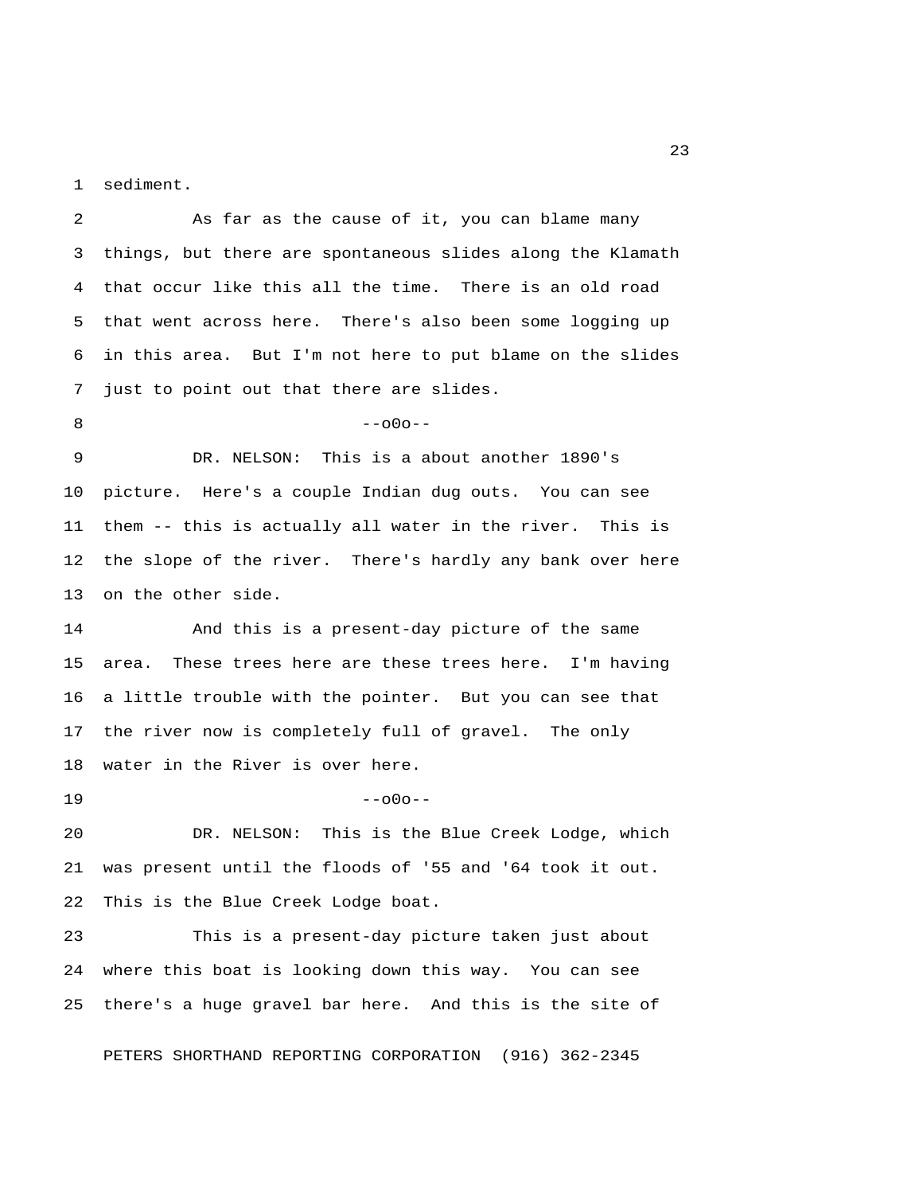1 sediment.

 3 things, but there are spontaneous slides along the Klamath 4 that occur like this all the time. There is an old road 5 that went across here. There's also been some logging up 6 in this area. But I'm not here to put blame on the slides 7 just to point out that there are slides. 8 --- 000-- 9 DR. NELSON: This is a about another 1890's 10 picture. Here's a couple Indian dug outs. You can see 11 them -- this is actually all water in the river. This is 12 the slope of the river. There's hardly any bank over here 13 on the other side. 14 And this is a present-day picture of the same 15 area. These trees here are these trees here. I'm having 16 a little trouble with the pointer. But you can see that 17 the river now is completely full of gravel. The only 18 water in the River is over here.  $19$  --o0o--20 DR. NELSON: This is the Blue Creek Lodge, which 21 was present until the floods of '55 and '64 took it out. 22 This is the Blue Creek Lodge boat. 23 This is a present-day picture taken just about 24 where this boat is looking down this way. You can see 25 there's a huge gravel bar here. And this is the site of

2 As far as the cause of it, you can blame many

PETERS SHORTHAND REPORTING CORPORATION (916) 362-2345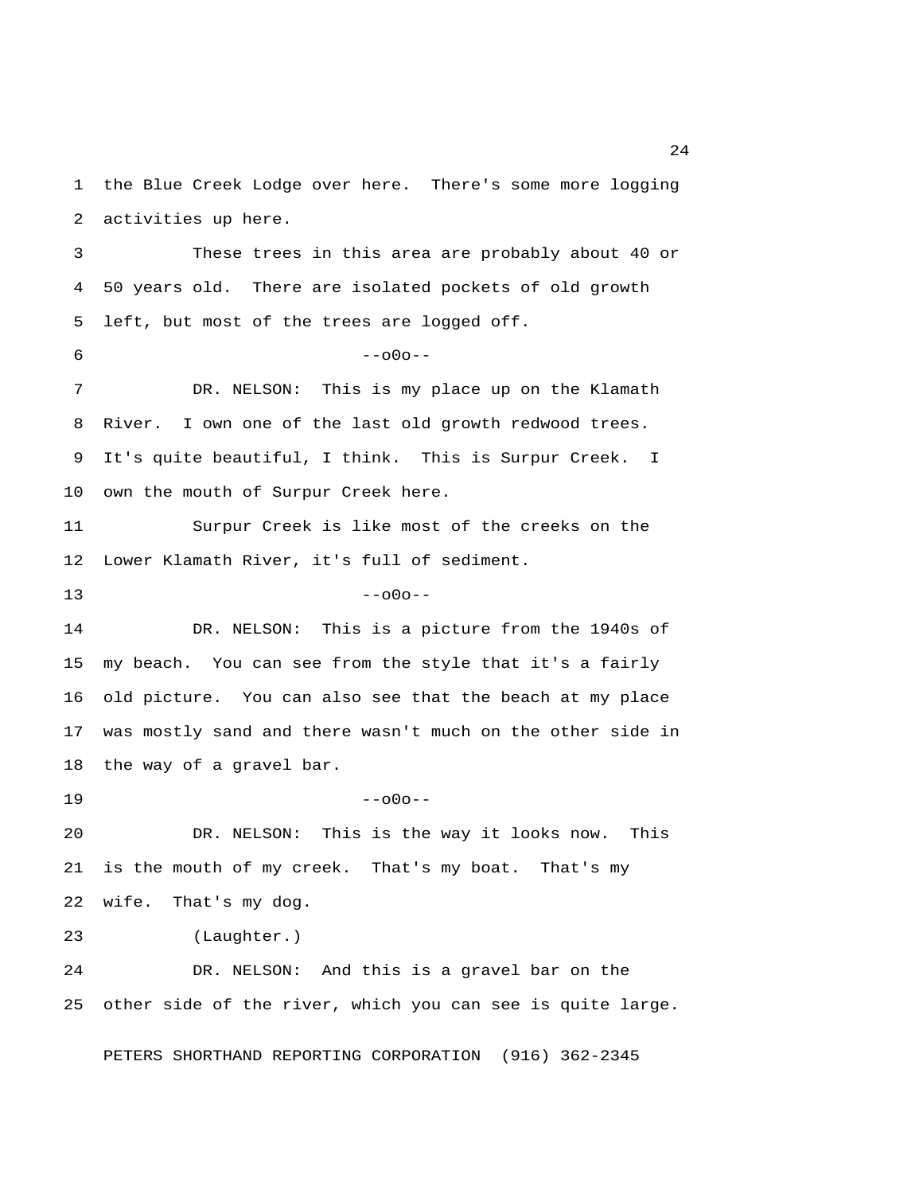1 the Blue Creek Lodge over here. There's some more logging 2 activities up here. 3 These trees in this area are probably about 40 or 4 50 years old. There are isolated pockets of old growth 5 left, but most of the trees are logged off.  $6 - -000 - -$  7 DR. NELSON: This is my place up on the Klamath 8 River. I own one of the last old growth redwood trees. 9 It's quite beautiful, I think. This is Surpur Creek. I 10 own the mouth of Surpur Creek here. 11 Surpur Creek is like most of the creeks on the 12 Lower Klamath River, it's full of sediment.  $13$  --o0o--14 DR. NELSON: This is a picture from the 1940s of 15 my beach. You can see from the style that it's a fairly 16 old picture. You can also see that the beach at my place 17 was mostly sand and there wasn't much on the other side in 18 the way of a gravel bar.  $19$  --o0o--20 DR. NELSON: This is the way it looks now. This 21 is the mouth of my creek. That's my boat. That's my 22 wife. That's my dog. 23 (Laughter.) 24 DR. NELSON: And this is a gravel bar on the 25 other side of the river, which you can see is quite large.

PETERS SHORTHAND REPORTING CORPORATION (916) 362-2345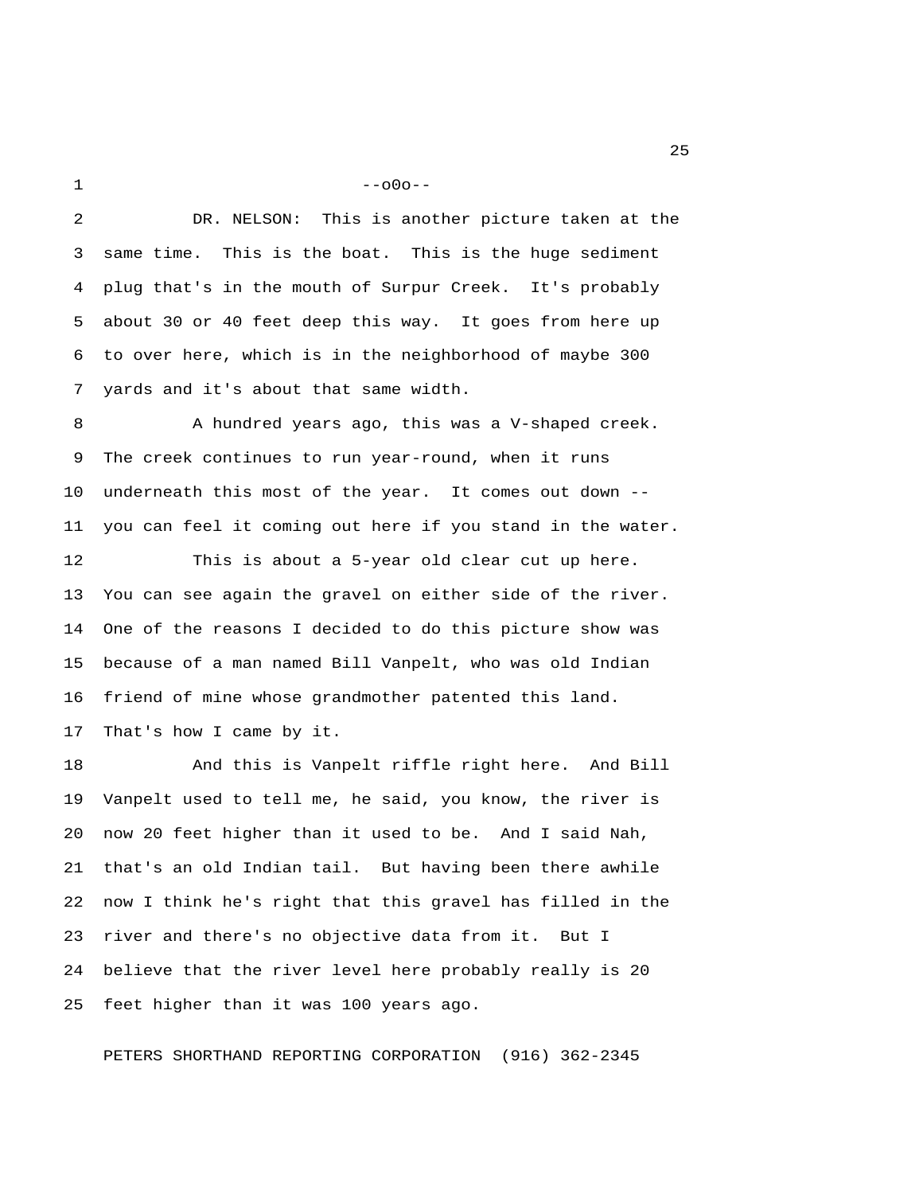$1 - -000 - -$ 

 2 DR. NELSON: This is another picture taken at the 3 same time. This is the boat. This is the huge sediment 4 plug that's in the mouth of Surpur Creek. It's probably 5 about 30 or 40 feet deep this way. It goes from here up 6 to over here, which is in the neighborhood of maybe 300 7 yards and it's about that same width.

 8 A hundred years ago, this was a V-shaped creek. 9 The creek continues to run year-round, when it runs 10 underneath this most of the year. It comes out down -- 11 you can feel it coming out here if you stand in the water.

12 This is about a 5-year old clear cut up here. 13 You can see again the gravel on either side of the river. 14 One of the reasons I decided to do this picture show was 15 because of a man named Bill Vanpelt, who was old Indian 16 friend of mine whose grandmother patented this land. 17 That's how I came by it.

18 And this is Vanpelt riffle right here. And Bill 19 Vanpelt used to tell me, he said, you know, the river is 20 now 20 feet higher than it used to be. And I said Nah, 21 that's an old Indian tail. But having been there awhile 22 now I think he's right that this gravel has filled in the 23 river and there's no objective data from it. But I 24 believe that the river level here probably really is 20 25 feet higher than it was 100 years ago.

PETERS SHORTHAND REPORTING CORPORATION (916) 362-2345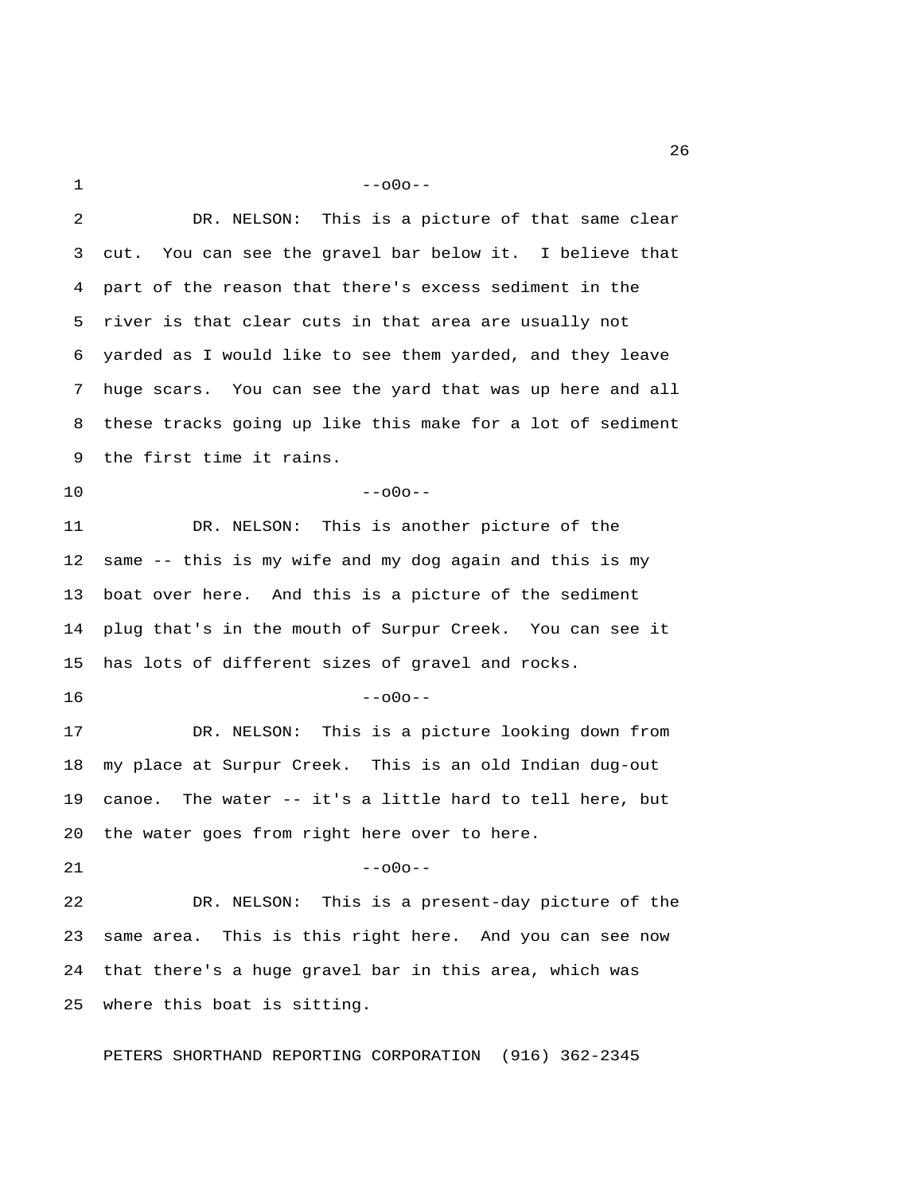$1 - -000 - -$  2 DR. NELSON: This is a picture of that same clear 3 cut. You can see the gravel bar below it. I believe that 4 part of the reason that there's excess sediment in the 5 river is that clear cuts in that area are usually not 6 yarded as I would like to see them yarded, and they leave 7 huge scars. You can see the yard that was up here and all 8 these tracks going up like this make for a lot of sediment 9 the first time it rains.  $10$  --o0o--11 DR. NELSON: This is another picture of the 12 same -- this is my wife and my dog again and this is my 13 boat over here. And this is a picture of the sediment 14 plug that's in the mouth of Surpur Creek. You can see it 15 has lots of different sizes of gravel and rocks.

 $16$  --o0o--

17 DR. NELSON: This is a picture looking down from 18 my place at Surpur Creek. This is an old Indian dug-out 19 canoe. The water -- it's a little hard to tell here, but 20 the water goes from right here over to here.

 $21$  --000--

22 DR. NELSON: This is a present-day picture of the 23 same area. This is this right here. And you can see now 24 that there's a huge gravel bar in this area, which was 25 where this boat is sitting.

PETERS SHORTHAND REPORTING CORPORATION (916) 362-2345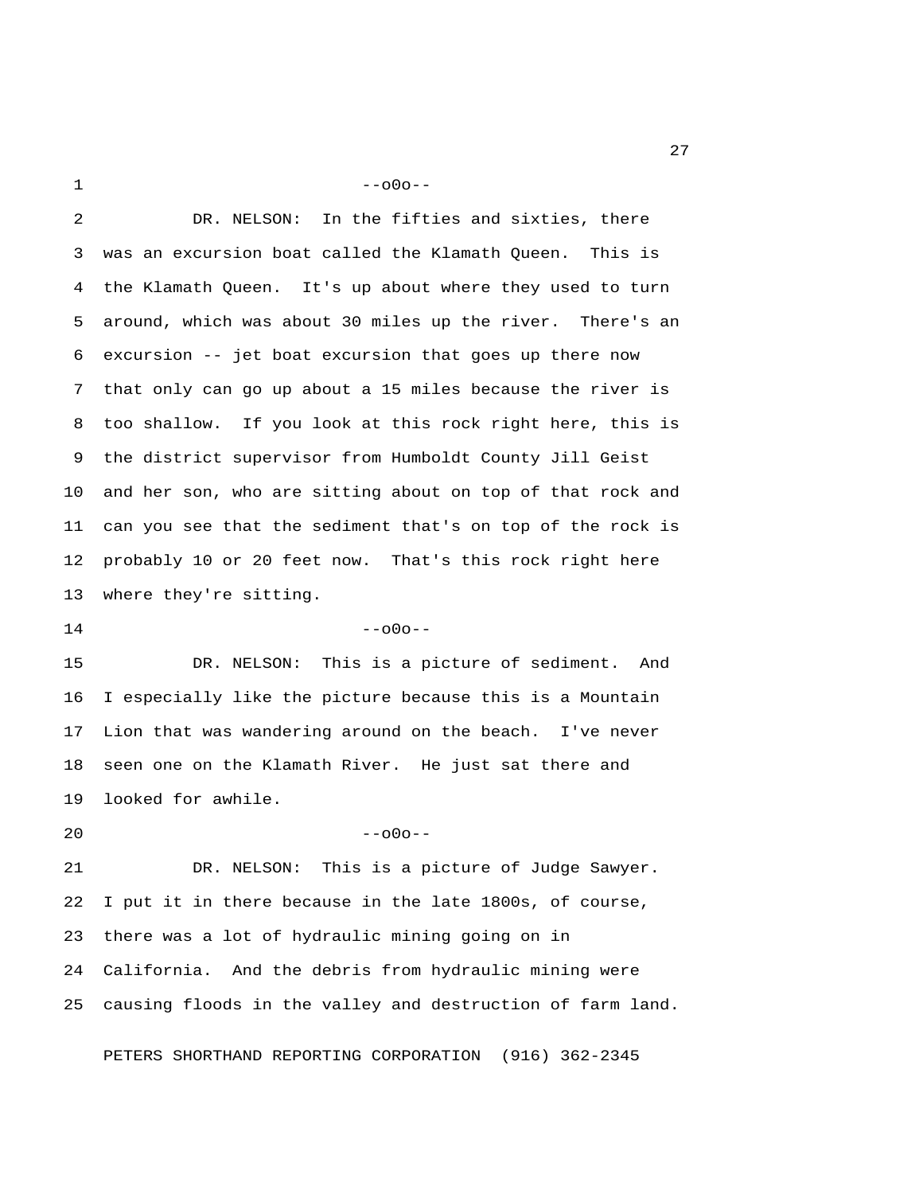$1 - -000 - -$ 

2 DR. NELSON: In the fifties and sixties, there

 3 was an excursion boat called the Klamath Queen. This is 4 the Klamath Queen. It's up about where they used to turn 5 around, which was about 30 miles up the river. There's an 6 excursion -- jet boat excursion that goes up there now 7 that only can go up about a 15 miles because the river is 8 too shallow. If you look at this rock right here, this is 9 the district supervisor from Humboldt County Jill Geist 10 and her son, who are sitting about on top of that rock and 11 can you see that the sediment that's on top of the rock is 12 probably 10 or 20 feet now. That's this rock right here 13 where they're sitting.  $14$  --000--15 DR. NELSON: This is a picture of sediment. And 16 I especially like the picture because this is a Mountain 17 Lion that was wandering around on the beach. I've never 18 seen one on the Klamath River. He just sat there and 19 looked for awhile.  $20$  --o0o--21 DR. NELSON: This is a picture of Judge Sawyer. 22 I put it in there because in the late 1800s, of course, 23 there was a lot of hydraulic mining going on in 24 California. And the debris from hydraulic mining were 25 causing floods in the valley and destruction of farm land.

PETERS SHORTHAND REPORTING CORPORATION (916) 362-2345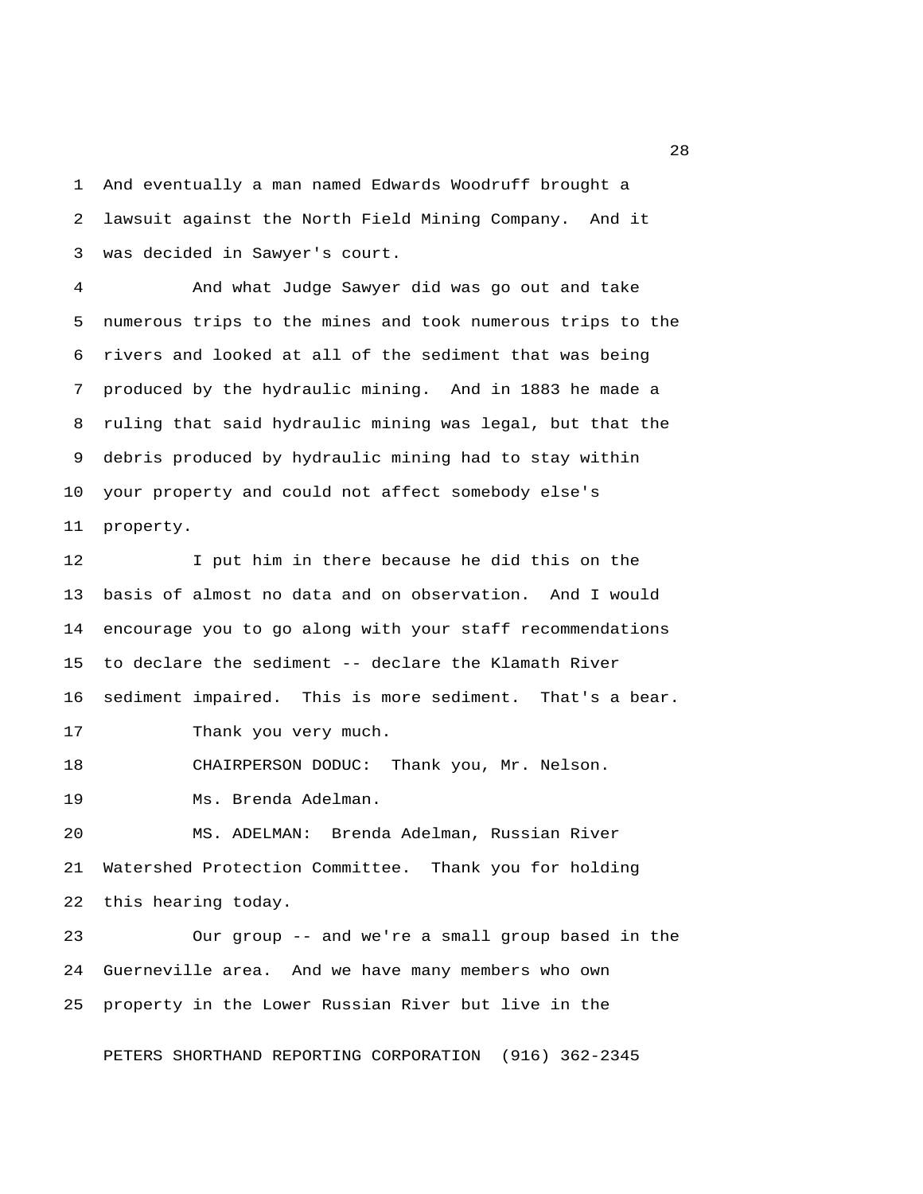1 And eventually a man named Edwards Woodruff brought a 2 lawsuit against the North Field Mining Company. And it 3 was decided in Sawyer's court.

 4 And what Judge Sawyer did was go out and take 5 numerous trips to the mines and took numerous trips to the 6 rivers and looked at all of the sediment that was being 7 produced by the hydraulic mining. And in 1883 he made a 8 ruling that said hydraulic mining was legal, but that the 9 debris produced by hydraulic mining had to stay within 10 your property and could not affect somebody else's 11 property.

12 I put him in there because he did this on the 13 basis of almost no data and on observation. And I would 14 encourage you to go along with your staff recommendations 15 to declare the sediment -- declare the Klamath River 16 sediment impaired. This is more sediment. That's a bear.

17 Thank you very much.

18 CHAIRPERSON DODUC: Thank you, Mr. Nelson.

19 Ms. Brenda Adelman.

20 MS. ADELMAN: Brenda Adelman, Russian River 21 Watershed Protection Committee. Thank you for holding 22 this hearing today.

23 Our group -- and we're a small group based in the 24 Guerneville area. And we have many members who own 25 property in the Lower Russian River but live in the

PETERS SHORTHAND REPORTING CORPORATION (916) 362-2345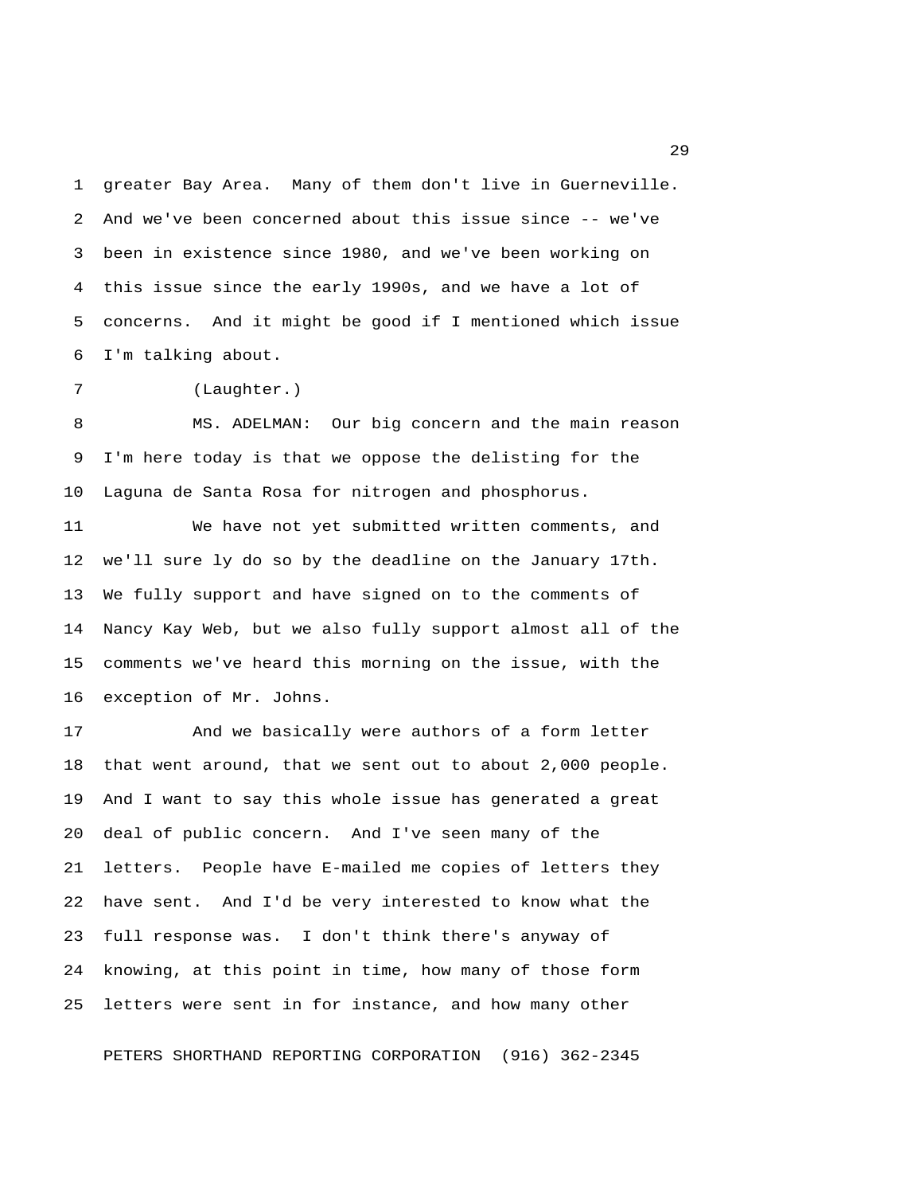1 greater Bay Area. Many of them don't live in Guerneville. 2 And we've been concerned about this issue since -- we've 3 been in existence since 1980, and we've been working on 4 this issue since the early 1990s, and we have a lot of 5 concerns. And it might be good if I mentioned which issue 6 I'm talking about.

7 (Laughter.)

 8 MS. ADELMAN: Our big concern and the main reason 9 I'm here today is that we oppose the delisting for the 10 Laguna de Santa Rosa for nitrogen and phosphorus.

11 We have not yet submitted written comments, and 12 we'll sure ly do so by the deadline on the January 17th. 13 We fully support and have signed on to the comments of 14 Nancy Kay Web, but we also fully support almost all of the 15 comments we've heard this morning on the issue, with the 16 exception of Mr. Johns.

17 And we basically were authors of a form letter 18 that went around, that we sent out to about 2,000 people. 19 And I want to say this whole issue has generated a great 20 deal of public concern. And I've seen many of the 21 letters. People have E-mailed me copies of letters they 22 have sent. And I'd be very interested to know what the 23 full response was. I don't think there's anyway of 24 knowing, at this point in time, how many of those form 25 letters were sent in for instance, and how many other

PETERS SHORTHAND REPORTING CORPORATION (916) 362-2345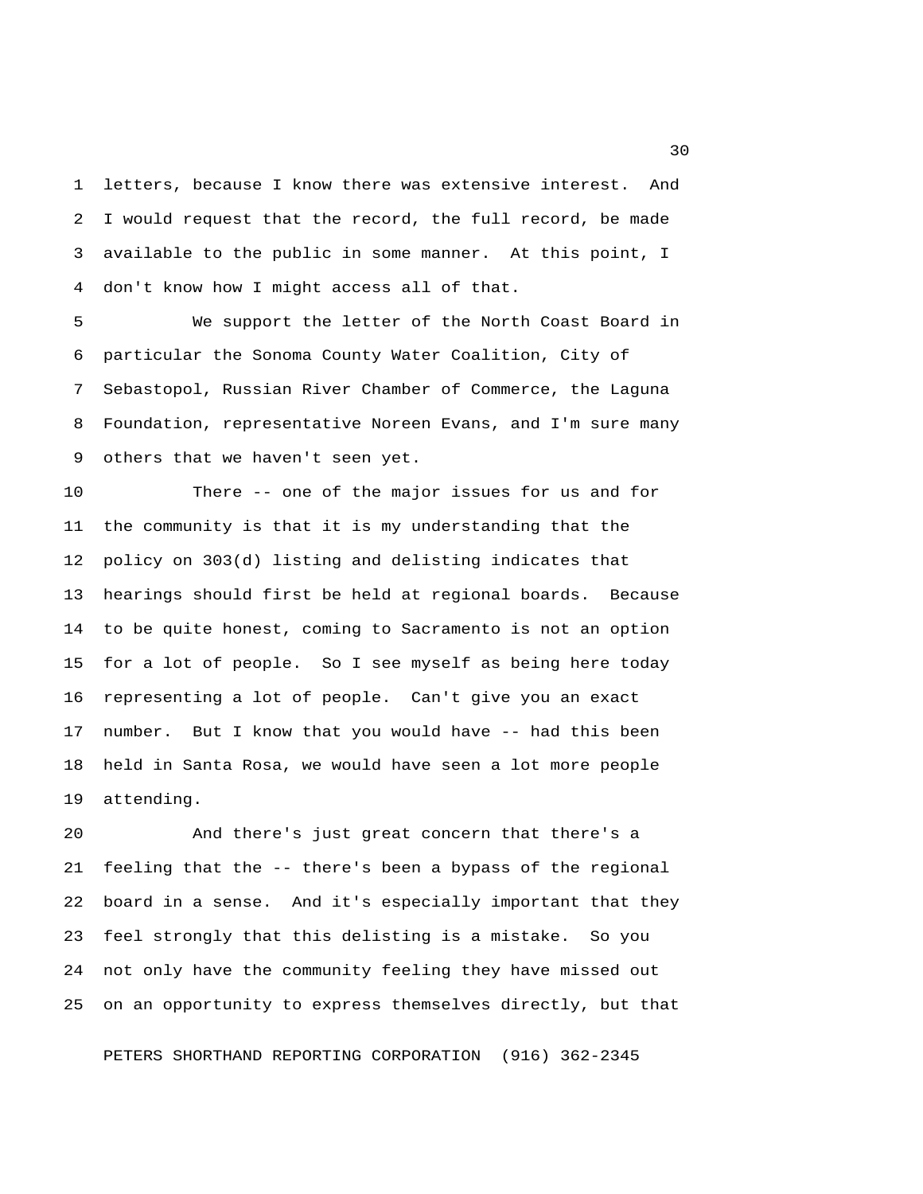1 letters, because I know there was extensive interest. And 2 I would request that the record, the full record, be made 3 available to the public in some manner. At this point, I 4 don't know how I might access all of that.

 5 We support the letter of the North Coast Board in 6 particular the Sonoma County Water Coalition, City of 7 Sebastopol, Russian River Chamber of Commerce, the Laguna 8 Foundation, representative Noreen Evans, and I'm sure many 9 others that we haven't seen yet.

10 There -- one of the major issues for us and for 11 the community is that it is my understanding that the 12 policy on 303(d) listing and delisting indicates that 13 hearings should first be held at regional boards. Because 14 to be quite honest, coming to Sacramento is not an option 15 for a lot of people. So I see myself as being here today 16 representing a lot of people. Can't give you an exact 17 number. But I know that you would have -- had this been 18 held in Santa Rosa, we would have seen a lot more people 19 attending.

20 And there's just great concern that there's a 21 feeling that the -- there's been a bypass of the regional 22 board in a sense. And it's especially important that they 23 feel strongly that this delisting is a mistake. So you 24 not only have the community feeling they have missed out 25 on an opportunity to express themselves directly, but that

PETERS SHORTHAND REPORTING CORPORATION (916) 362-2345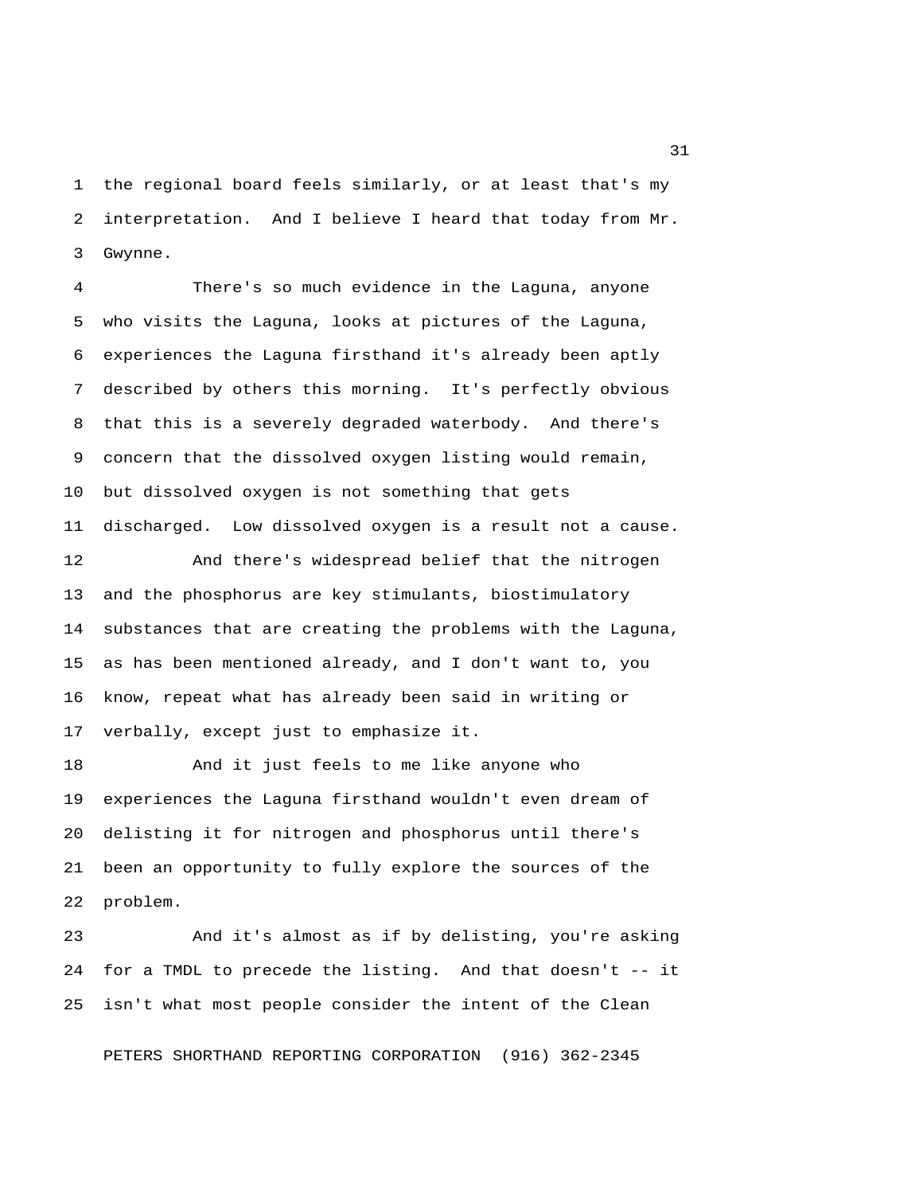1 the regional board feels similarly, or at least that's my 2 interpretation. And I believe I heard that today from Mr. 3 Gwynne.

 4 There's so much evidence in the Laguna, anyone 5 who visits the Laguna, looks at pictures of the Laguna, 6 experiences the Laguna firsthand it's already been aptly 7 described by others this morning. It's perfectly obvious 8 that this is a severely degraded waterbody. And there's 9 concern that the dissolved oxygen listing would remain, 10 but dissolved oxygen is not something that gets 11 discharged. Low dissolved oxygen is a result not a cause.

12 And there's widespread belief that the nitrogen 13 and the phosphorus are key stimulants, biostimulatory 14 substances that are creating the problems with the Laguna, 15 as has been mentioned already, and I don't want to, you 16 know, repeat what has already been said in writing or 17 verbally, except just to emphasize it.

18 And it just feels to me like anyone who 19 experiences the Laguna firsthand wouldn't even dream of 20 delisting it for nitrogen and phosphorus until there's 21 been an opportunity to fully explore the sources of the 22 problem.

23 And it's almost as if by delisting, you're asking 24 for a TMDL to precede the listing. And that doesn't -- it 25 isn't what most people consider the intent of the Clean

PETERS SHORTHAND REPORTING CORPORATION (916) 362-2345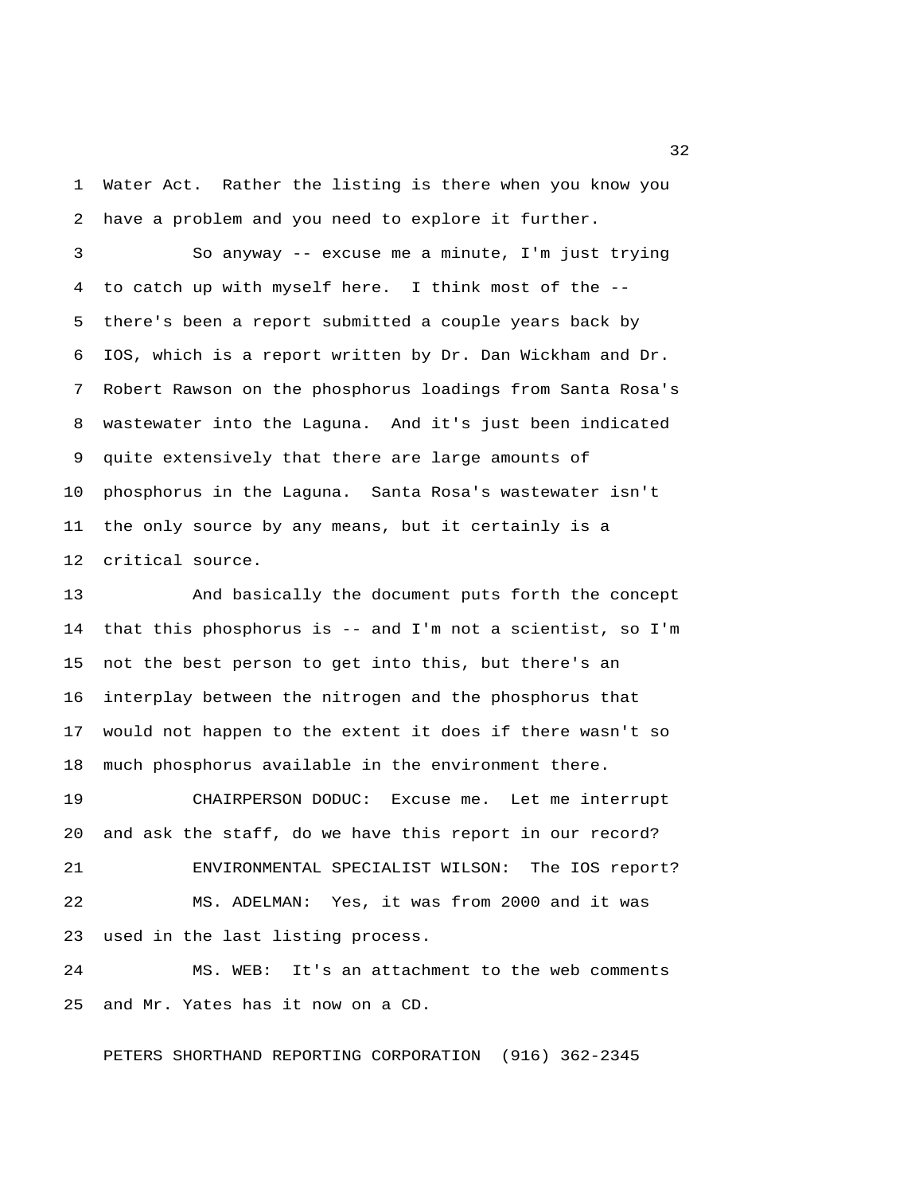1 Water Act. Rather the listing is there when you know you 2 have a problem and you need to explore it further.

 3 So anyway -- excuse me a minute, I'm just trying 4 to catch up with myself here. I think most of the -- 5 there's been a report submitted a couple years back by 6 IOS, which is a report written by Dr. Dan Wickham and Dr. 7 Robert Rawson on the phosphorus loadings from Santa Rosa's 8 wastewater into the Laguna. And it's just been indicated 9 quite extensively that there are large amounts of 10 phosphorus in the Laguna. Santa Rosa's wastewater isn't 11 the only source by any means, but it certainly is a 12 critical source.

13 And basically the document puts forth the concept 14 that this phosphorus is -- and I'm not a scientist, so I'm 15 not the best person to get into this, but there's an 16 interplay between the nitrogen and the phosphorus that 17 would not happen to the extent it does if there wasn't so 18 much phosphorus available in the environment there.

19 CHAIRPERSON DODUC: Excuse me. Let me interrupt 20 and ask the staff, do we have this report in our record? 21 ENVIRONMENTAL SPECIALIST WILSON: The IOS report? 22 MS. ADELMAN: Yes, it was from 2000 and it was 23 used in the last listing process.

24 MS. WEB: It's an attachment to the web comments 25 and Mr. Yates has it now on a CD.

PETERS SHORTHAND REPORTING CORPORATION (916) 362-2345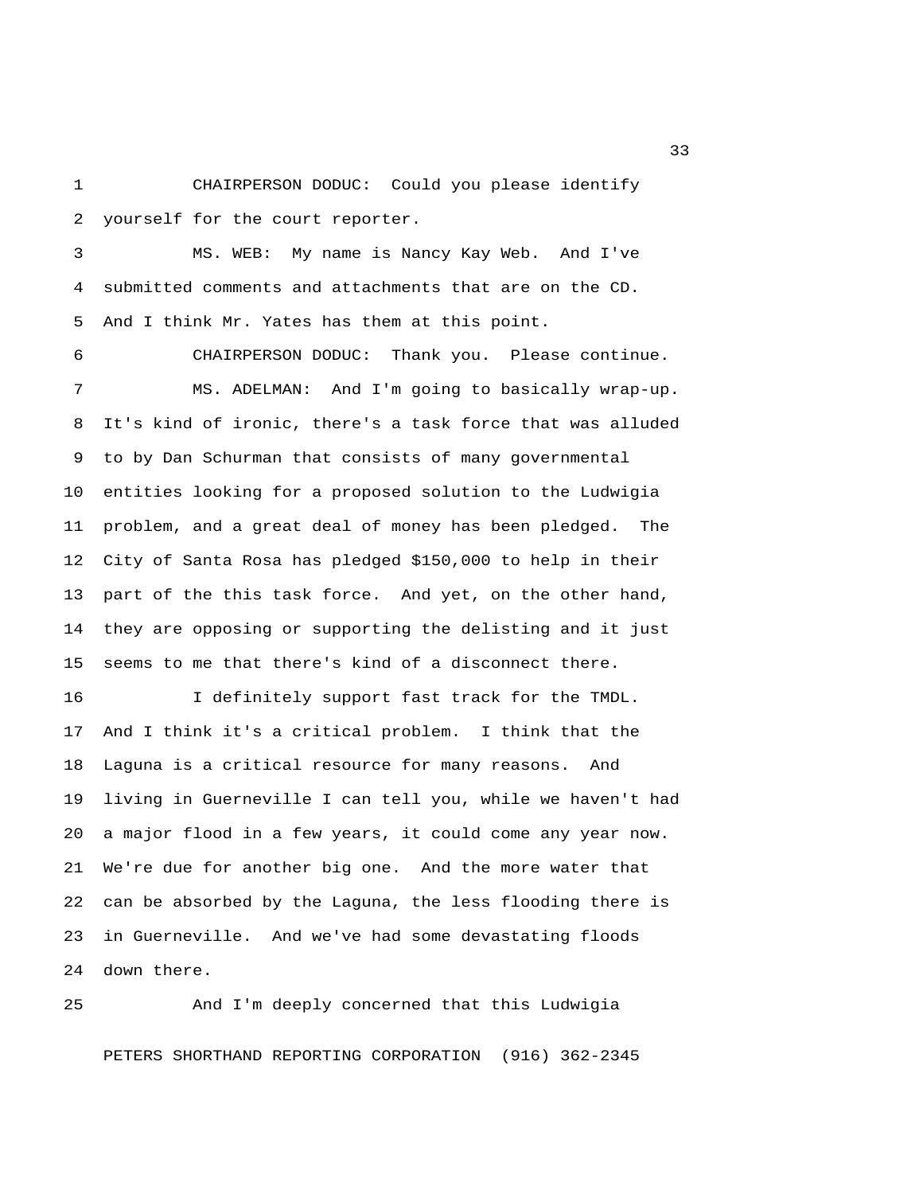1 CHAIRPERSON DODUC: Could you please identify 2 yourself for the court reporter.

 3 MS. WEB: My name is Nancy Kay Web. And I've 4 submitted comments and attachments that are on the CD. 5 And I think Mr. Yates has them at this point.

 6 CHAIRPERSON DODUC: Thank you. Please continue. 7 MS. ADELMAN: And I'm going to basically wrap-up. 8 It's kind of ironic, there's a task force that was alluded 9 to by Dan Schurman that consists of many governmental 10 entities looking for a proposed solution to the Ludwigia 11 problem, and a great deal of money has been pledged. The 12 City of Santa Rosa has pledged \$150,000 to help in their 13 part of the this task force. And yet, on the other hand, 14 they are opposing or supporting the delisting and it just 15 seems to me that there's kind of a disconnect there.

16 I definitely support fast track for the TMDL. 17 And I think it's a critical problem. I think that the 18 Laguna is a critical resource for many reasons. And 19 living in Guerneville I can tell you, while we haven't had 20 a major flood in a few years, it could come any year now. 21 We're due for another big one. And the more water that 22 can be absorbed by the Laguna, the less flooding there is 23 in Guerneville. And we've had some devastating floods 24 down there.

25 And I'm deeply concerned that this Ludwigia PETERS SHORTHAND REPORTING CORPORATION (916) 362-2345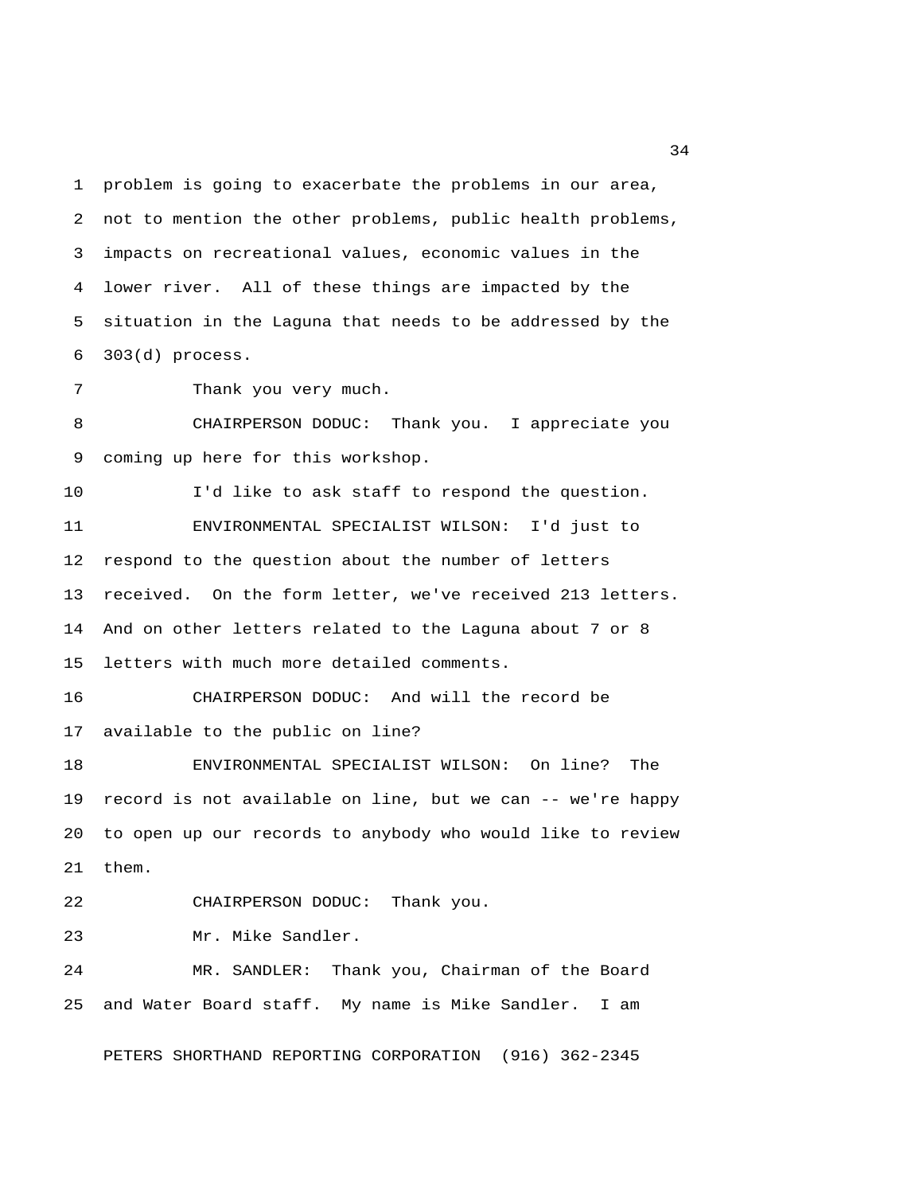1 problem is going to exacerbate the problems in our area, 2 not to mention the other problems, public health problems, 3 impacts on recreational values, economic values in the 4 lower river. All of these things are impacted by the 5 situation in the Laguna that needs to be addressed by the 6 303(d) process.

7 Thank you very much.

 8 CHAIRPERSON DODUC: Thank you. I appreciate you 9 coming up here for this workshop.

10 I'd like to ask staff to respond the question. 11 ENVIRONMENTAL SPECIALIST WILSON: I'd just to 12 respond to the question about the number of letters 13 received. On the form letter, we've received 213 letters. 14 And on other letters related to the Laguna about 7 or 8 15 letters with much more detailed comments.

16 CHAIRPERSON DODUC: And will the record be 17 available to the public on line?

18 ENVIRONMENTAL SPECIALIST WILSON: On line? The 19 record is not available on line, but we can -- we're happy 20 to open up our records to anybody who would like to review 21 them.

22 CHAIRPERSON DODUC: Thank you.

23 Mr. Mike Sandler.

24 MR. SANDLER: Thank you, Chairman of the Board 25 and Water Board staff. My name is Mike Sandler. I am

PETERS SHORTHAND REPORTING CORPORATION (916) 362-2345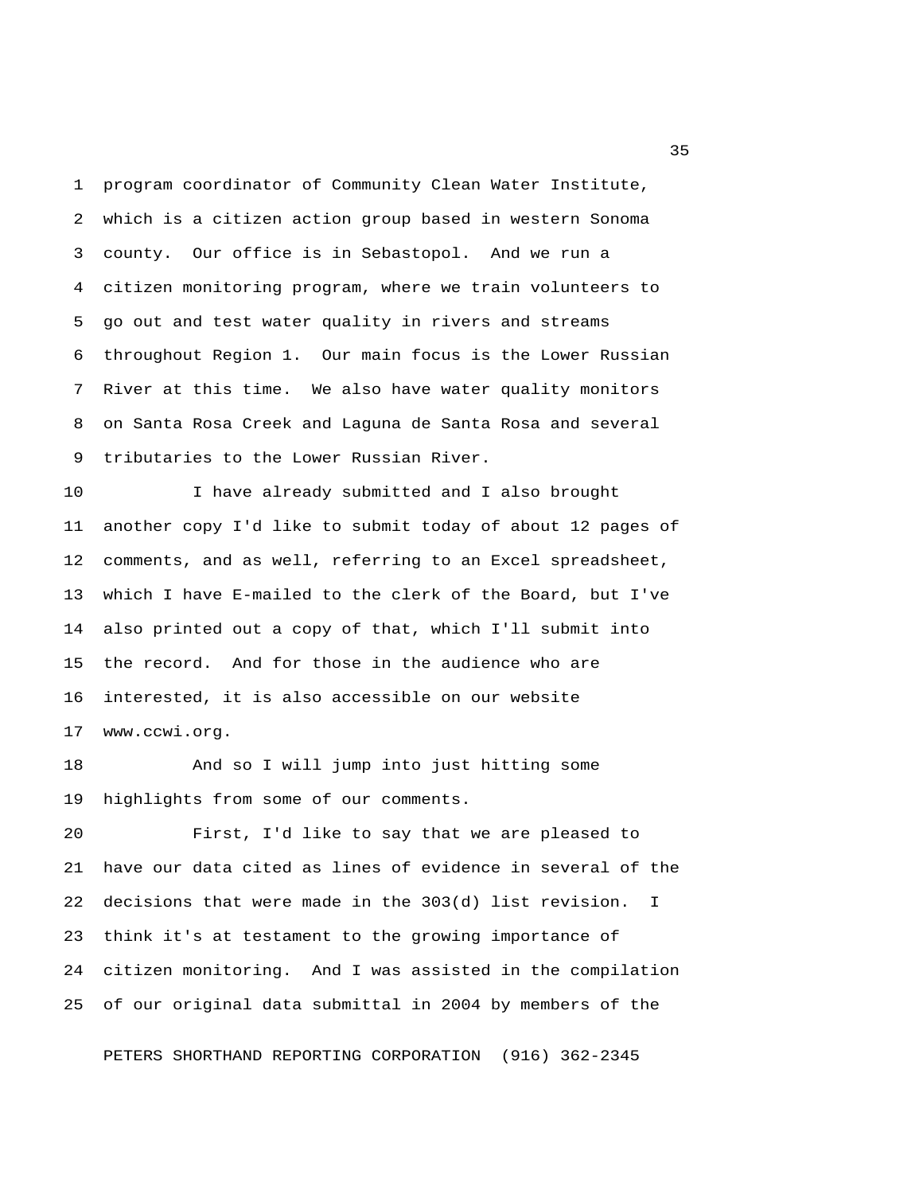1 program coordinator of Community Clean Water Institute, 2 which is a citizen action group based in western Sonoma 3 county. Our office is in Sebastopol. And we run a 4 citizen monitoring program, where we train volunteers to 5 go out and test water quality in rivers and streams 6 throughout Region 1. Our main focus is the Lower Russian 7 River at this time. We also have water quality monitors 8 on Santa Rosa Creek and Laguna de Santa Rosa and several 9 tributaries to the Lower Russian River.

10 I have already submitted and I also brought 11 another copy I'd like to submit today of about 12 pages of 12 comments, and as well, referring to an Excel spreadsheet, 13 which I have E-mailed to the clerk of the Board, but I've 14 also printed out a copy of that, which I'll submit into 15 the record. And for those in the audience who are 16 interested, it is also accessible on our website 17 www.ccwi.org.

18 And so I will jump into just hitting some 19 highlights from some of our comments.

20 First, I'd like to say that we are pleased to 21 have our data cited as lines of evidence in several of the 22 decisions that were made in the 303(d) list revision. I 23 think it's at testament to the growing importance of 24 citizen monitoring. And I was assisted in the compilation 25 of our original data submittal in 2004 by members of the

PETERS SHORTHAND REPORTING CORPORATION (916) 362-2345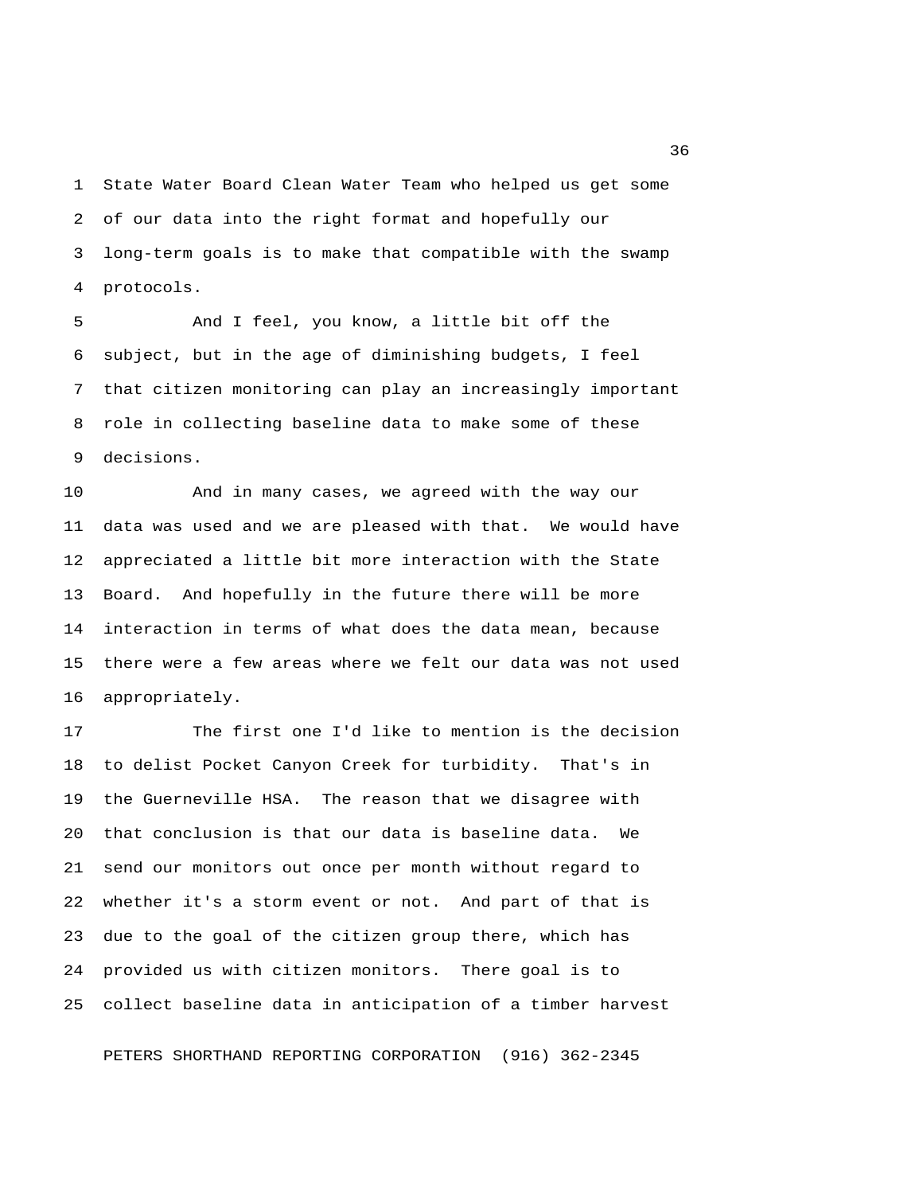1 State Water Board Clean Water Team who helped us get some 2 of our data into the right format and hopefully our 3 long-term goals is to make that compatible with the swamp 4 protocols.

 5 And I feel, you know, a little bit off the 6 subject, but in the age of diminishing budgets, I feel 7 that citizen monitoring can play an increasingly important 8 role in collecting baseline data to make some of these 9 decisions.

10 And in many cases, we agreed with the way our 11 data was used and we are pleased with that. We would have 12 appreciated a little bit more interaction with the State 13 Board. And hopefully in the future there will be more 14 interaction in terms of what does the data mean, because 15 there were a few areas where we felt our data was not used 16 appropriately.

17 The first one I'd like to mention is the decision 18 to delist Pocket Canyon Creek for turbidity. That's in 19 the Guerneville HSA. The reason that we disagree with 20 that conclusion is that our data is baseline data. We 21 send our monitors out once per month without regard to 22 whether it's a storm event or not. And part of that is 23 due to the goal of the citizen group there, which has 24 provided us with citizen monitors. There goal is to 25 collect baseline data in anticipation of a timber harvest

PETERS SHORTHAND REPORTING CORPORATION (916) 362-2345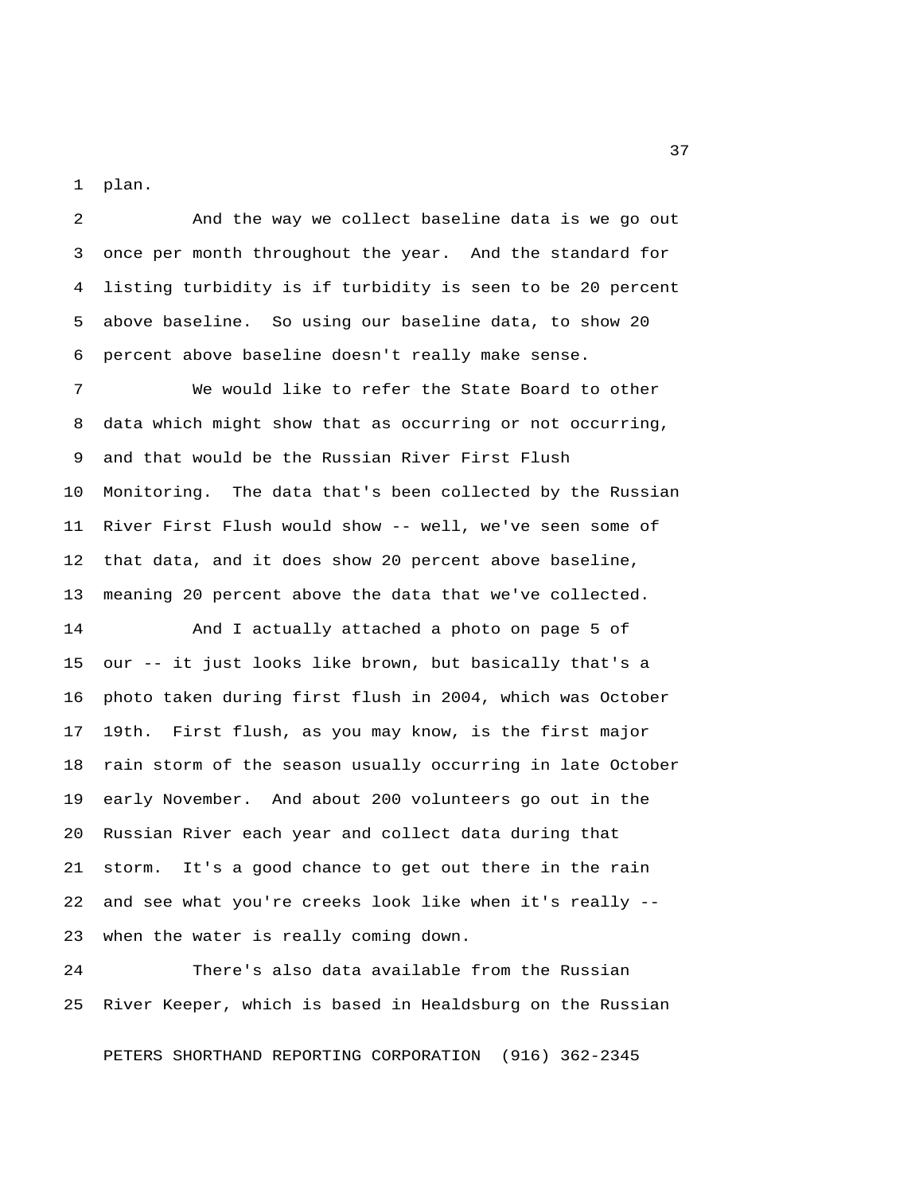1 plan.

 2 And the way we collect baseline data is we go out 3 once per month throughout the year. And the standard for 4 listing turbidity is if turbidity is seen to be 20 percent 5 above baseline. So using our baseline data, to show 20 6 percent above baseline doesn't really make sense.

 7 We would like to refer the State Board to other 8 data which might show that as occurring or not occurring, 9 and that would be the Russian River First Flush 10 Monitoring. The data that's been collected by the Russian 11 River First Flush would show -- well, we've seen some of 12 that data, and it does show 20 percent above baseline, 13 meaning 20 percent above the data that we've collected.

14 And I actually attached a photo on page 5 of 15 our -- it just looks like brown, but basically that's a 16 photo taken during first flush in 2004, which was October 17 19th. First flush, as you may know, is the first major 18 rain storm of the season usually occurring in late October 19 early November. And about 200 volunteers go out in the 20 Russian River each year and collect data during that 21 storm. It's a good chance to get out there in the rain 22 and see what you're creeks look like when it's really -- 23 when the water is really coming down.

24 There's also data available from the Russian 25 River Keeper, which is based in Healdsburg on the Russian

PETERS SHORTHAND REPORTING CORPORATION (916) 362-2345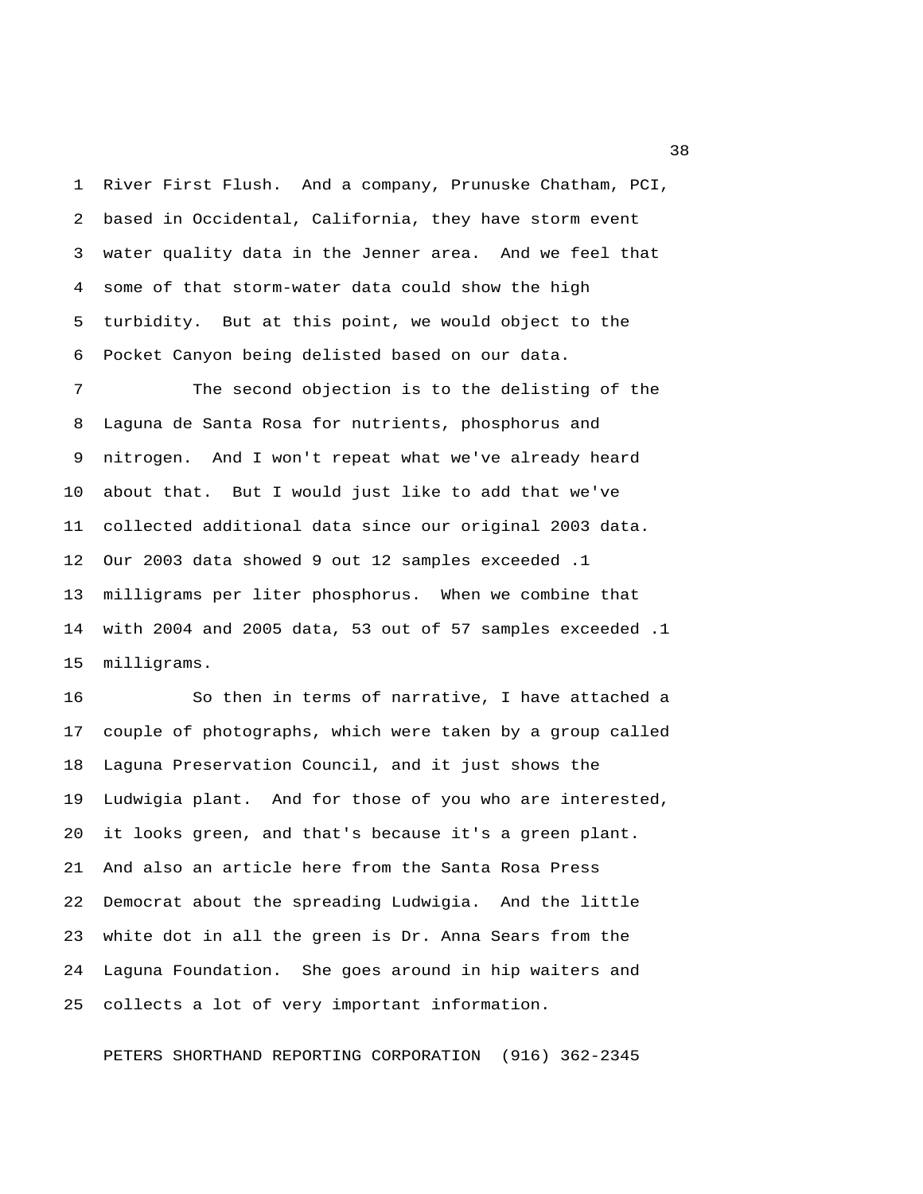1 River First Flush. And a company, Prunuske Chatham, PCI, 2 based in Occidental, California, they have storm event 3 water quality data in the Jenner area. And we feel that 4 some of that storm-water data could show the high 5 turbidity. But at this point, we would object to the 6 Pocket Canyon being delisted based on our data.

 7 The second objection is to the delisting of the 8 Laguna de Santa Rosa for nutrients, phosphorus and 9 nitrogen. And I won't repeat what we've already heard 10 about that. But I would just like to add that we've 11 collected additional data since our original 2003 data. 12 Our 2003 data showed 9 out 12 samples exceeded .1 13 milligrams per liter phosphorus. When we combine that 14 with 2004 and 2005 data, 53 out of 57 samples exceeded .1 15 milligrams.

16 So then in terms of narrative, I have attached a 17 couple of photographs, which were taken by a group called 18 Laguna Preservation Council, and it just shows the 19 Ludwigia plant. And for those of you who are interested, 20 it looks green, and that's because it's a green plant. 21 And also an article here from the Santa Rosa Press 22 Democrat about the spreading Ludwigia. And the little 23 white dot in all the green is Dr. Anna Sears from the 24 Laguna Foundation. She goes around in hip waiters and 25 collects a lot of very important information.

PETERS SHORTHAND REPORTING CORPORATION (916) 362-2345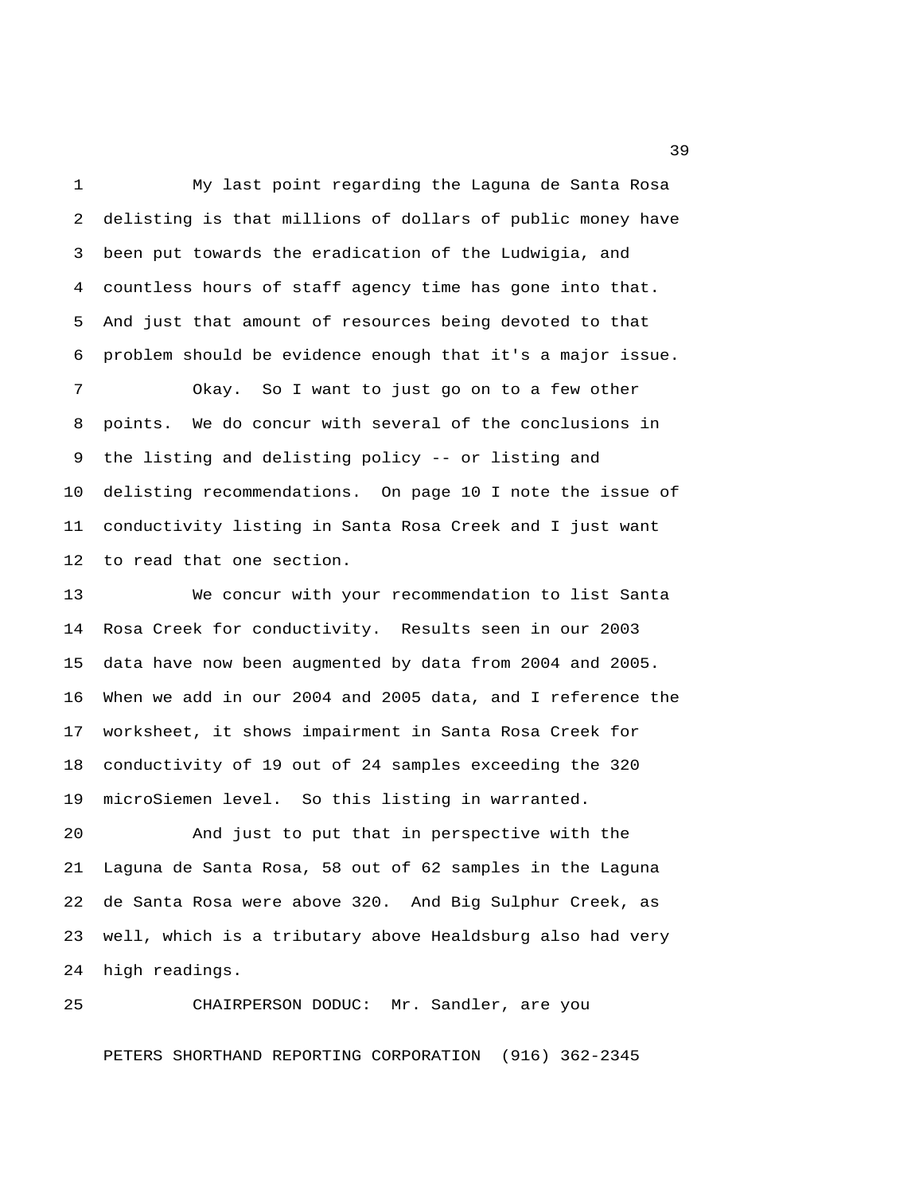1 My last point regarding the Laguna de Santa Rosa 2 delisting is that millions of dollars of public money have 3 been put towards the eradication of the Ludwigia, and 4 countless hours of staff agency time has gone into that. 5 And just that amount of resources being devoted to that 6 problem should be evidence enough that it's a major issue.

 7 Okay. So I want to just go on to a few other 8 points. We do concur with several of the conclusions in 9 the listing and delisting policy -- or listing and 10 delisting recommendations. On page 10 I note the issue of 11 conductivity listing in Santa Rosa Creek and I just want 12 to read that one section.

13 We concur with your recommendation to list Santa 14 Rosa Creek for conductivity. Results seen in our 2003 15 data have now been augmented by data from 2004 and 2005. 16 When we add in our 2004 and 2005 data, and I reference the 17 worksheet, it shows impairment in Santa Rosa Creek for 18 conductivity of 19 out of 24 samples exceeding the 320 19 microSiemen level. So this listing in warranted.

20 And just to put that in perspective with the 21 Laguna de Santa Rosa, 58 out of 62 samples in the Laguna 22 de Santa Rosa were above 320. And Big Sulphur Creek, as 23 well, which is a tributary above Healdsburg also had very 24 high readings.

25 CHAIRPERSON DODUC: Mr. Sandler, are you PETERS SHORTHAND REPORTING CORPORATION (916) 362-2345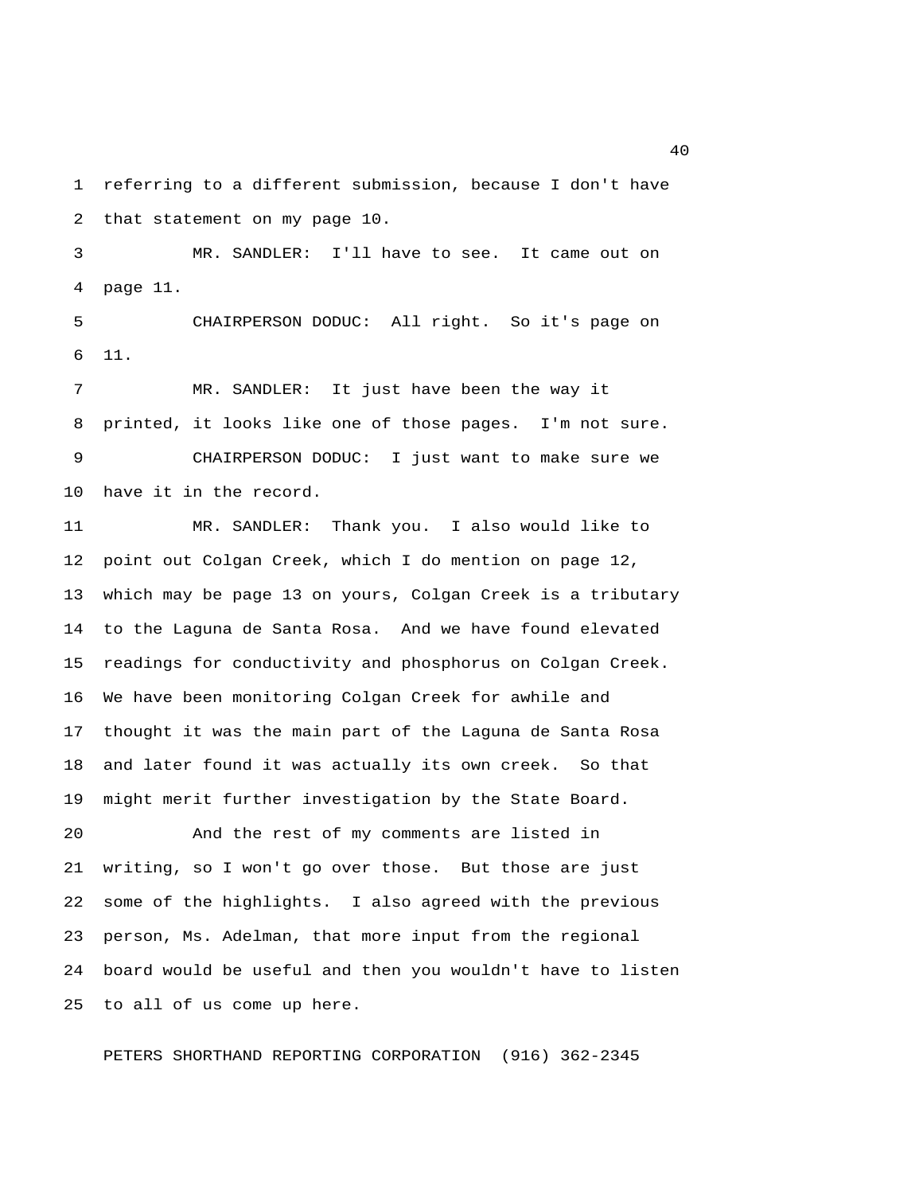1 referring to a different submission, because I don't have 2 that statement on my page 10.

 3 MR. SANDLER: I'll have to see. It came out on 4 page 11.

 5 CHAIRPERSON DODUC: All right. So it's page on 6 11.

 7 MR. SANDLER: It just have been the way it 8 printed, it looks like one of those pages. I'm not sure. 9 CHAIRPERSON DODUC: I just want to make sure we 10 have it in the record.

11 MR. SANDLER: Thank you. I also would like to 12 point out Colgan Creek, which I do mention on page 12, 13 which may be page 13 on yours, Colgan Creek is a tributary 14 to the Laguna de Santa Rosa. And we have found elevated 15 readings for conductivity and phosphorus on Colgan Creek. 16 We have been monitoring Colgan Creek for awhile and 17 thought it was the main part of the Laguna de Santa Rosa 18 and later found it was actually its own creek. So that 19 might merit further investigation by the State Board.

20 And the rest of my comments are listed in 21 writing, so I won't go over those. But those are just 22 some of the highlights. I also agreed with the previous 23 person, Ms. Adelman, that more input from the regional 24 board would be useful and then you wouldn't have to listen 25 to all of us come up here.

PETERS SHORTHAND REPORTING CORPORATION (916) 362-2345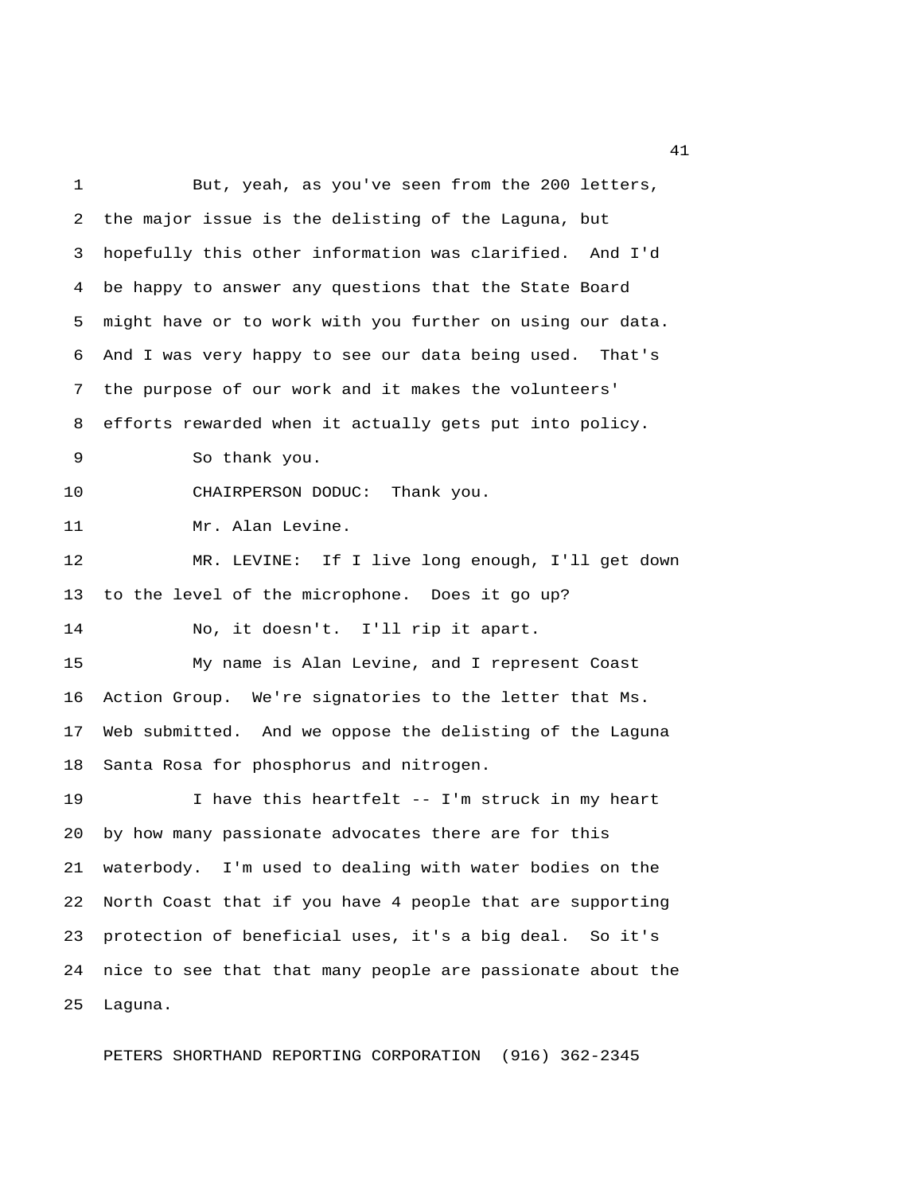1 But, yeah, as you've seen from the 200 letters, 2 the major issue is the delisting of the Laguna, but 3 hopefully this other information was clarified. And I'd 4 be happy to answer any questions that the State Board 5 might have or to work with you further on using our data. 6 And I was very happy to see our data being used. That's 7 the purpose of our work and it makes the volunteers' 8 efforts rewarded when it actually gets put into policy. 9 So thank you. 10 CHAIRPERSON DODUC: Thank you. 11 Mr. Alan Levine. 12 MR. LEVINE: If I live long enough, I'll get down 13 to the level of the microphone. Does it go up? 14 No, it doesn't. I'll rip it apart. 15 My name is Alan Levine, and I represent Coast 16 Action Group. We're signatories to the letter that Ms. 17 Web submitted. And we oppose the delisting of the Laguna 18 Santa Rosa for phosphorus and nitrogen. 19 I have this heartfelt -- I'm struck in my heart 20 by how many passionate advocates there are for this 21 waterbody. I'm used to dealing with water bodies on the 22 North Coast that if you have 4 people that are supporting 23 protection of beneficial uses, it's a big deal. So it's 24 nice to see that that many people are passionate about the 25 Laguna.

PETERS SHORTHAND REPORTING CORPORATION (916) 362-2345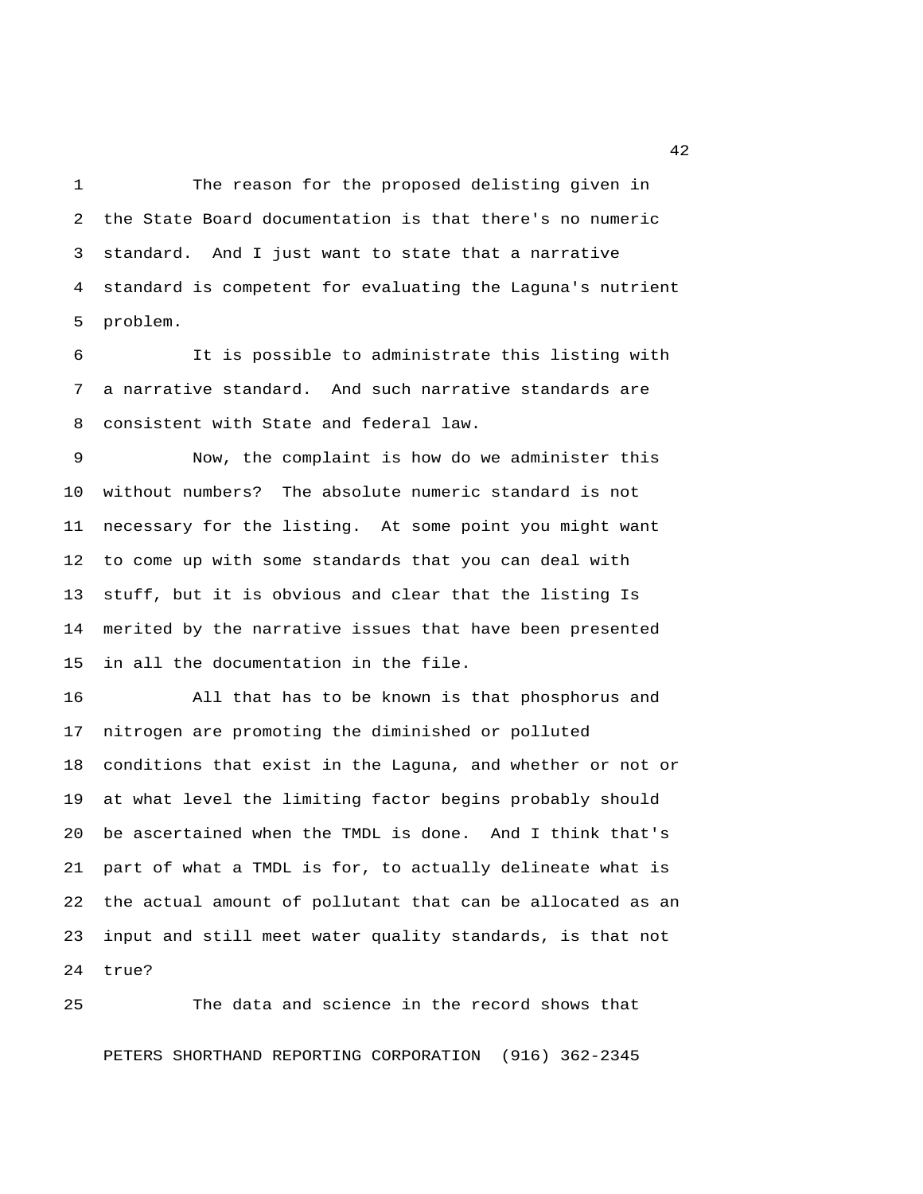1 The reason for the proposed delisting given in 2 the State Board documentation is that there's no numeric 3 standard. And I just want to state that a narrative 4 standard is competent for evaluating the Laguna's nutrient 5 problem.

 6 It is possible to administrate this listing with 7 a narrative standard. And such narrative standards are 8 consistent with State and federal law.

 9 Now, the complaint is how do we administer this 10 without numbers? The absolute numeric standard is not 11 necessary for the listing. At some point you might want 12 to come up with some standards that you can deal with 13 stuff, but it is obvious and clear that the listing Is 14 merited by the narrative issues that have been presented 15 in all the documentation in the file.

16 All that has to be known is that phosphorus and 17 nitrogen are promoting the diminished or polluted 18 conditions that exist in the Laguna, and whether or not or 19 at what level the limiting factor begins probably should 20 be ascertained when the TMDL is done. And I think that's 21 part of what a TMDL is for, to actually delineate what is 22 the actual amount of pollutant that can be allocated as an 23 input and still meet water quality standards, is that not 24 true?

25 The data and science in the record shows that PETERS SHORTHAND REPORTING CORPORATION (916) 362-2345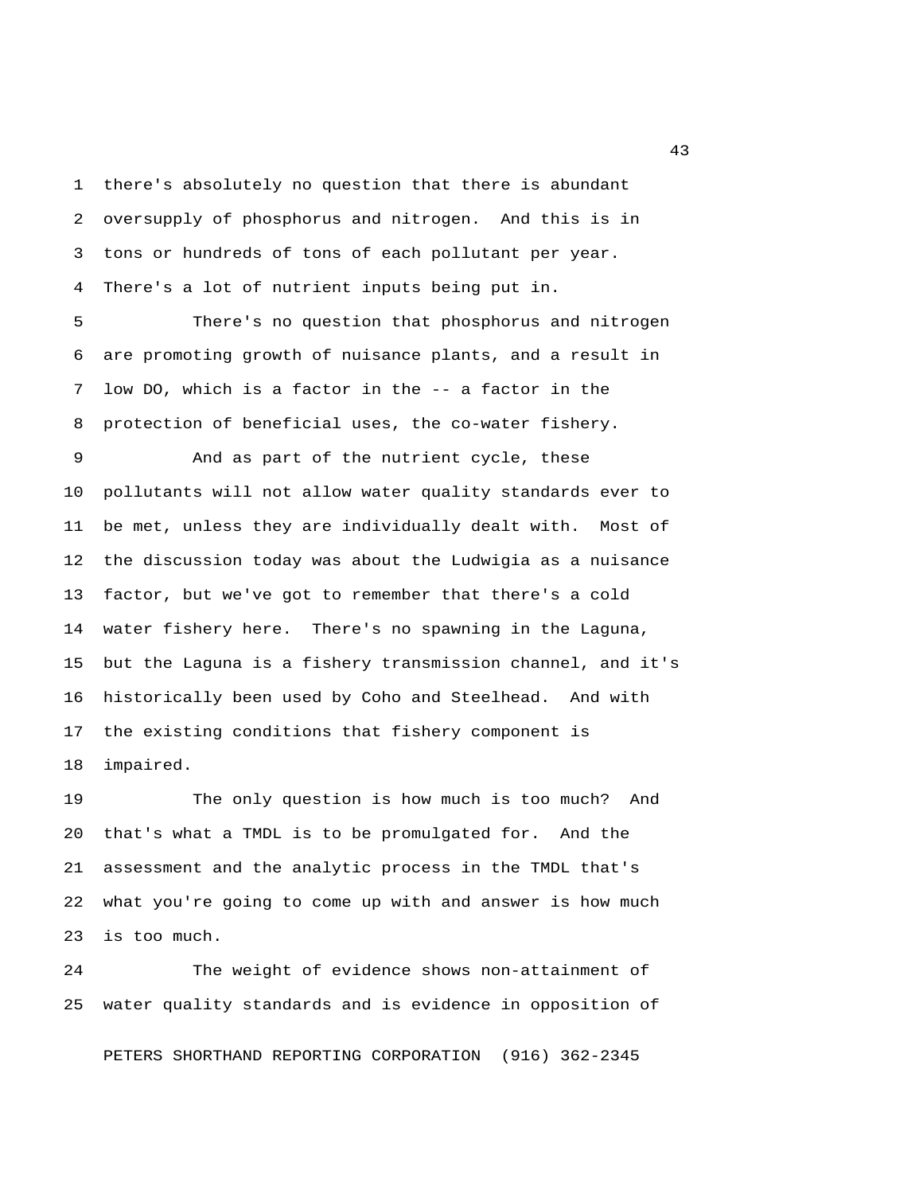1 there's absolutely no question that there is abundant 2 oversupply of phosphorus and nitrogen. And this is in 3 tons or hundreds of tons of each pollutant per year. 4 There's a lot of nutrient inputs being put in.

 5 There's no question that phosphorus and nitrogen 6 are promoting growth of nuisance plants, and a result in 7 low DO, which is a factor in the -- a factor in the 8 protection of beneficial uses, the co-water fishery.

 9 And as part of the nutrient cycle, these 10 pollutants will not allow water quality standards ever to 11 be met, unless they are individually dealt with. Most of 12 the discussion today was about the Ludwigia as a nuisance 13 factor, but we've got to remember that there's a cold 14 water fishery here. There's no spawning in the Laguna, 15 but the Laguna is a fishery transmission channel, and it's 16 historically been used by Coho and Steelhead. And with 17 the existing conditions that fishery component is 18 impaired.

19 The only question is how much is too much? And 20 that's what a TMDL is to be promulgated for. And the 21 assessment and the analytic process in the TMDL that's 22 what you're going to come up with and answer is how much 23 is too much.

24 The weight of evidence shows non-attainment of 25 water quality standards and is evidence in opposition of

PETERS SHORTHAND REPORTING CORPORATION (916) 362-2345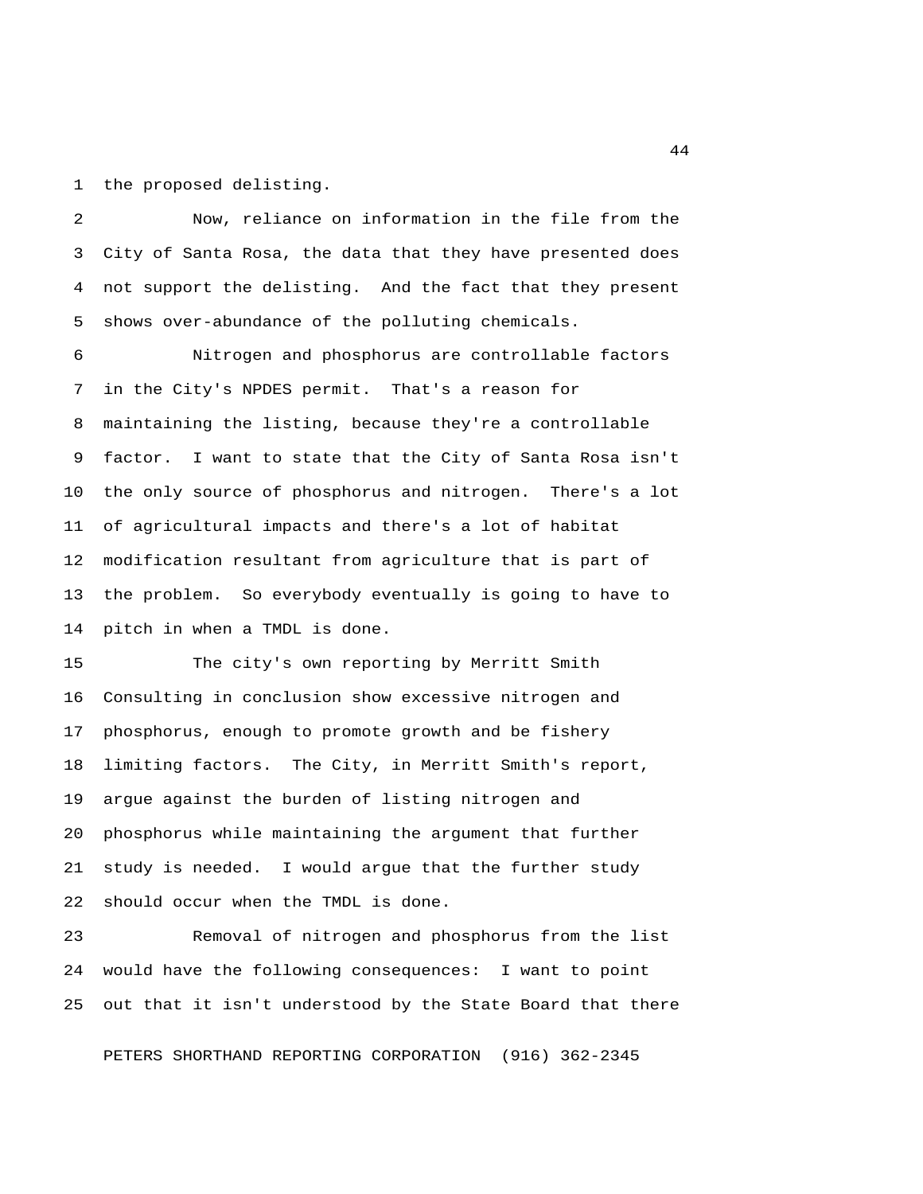1 the proposed delisting.

 2 Now, reliance on information in the file from the 3 City of Santa Rosa, the data that they have presented does 4 not support the delisting. And the fact that they present 5 shows over-abundance of the polluting chemicals.

 6 Nitrogen and phosphorus are controllable factors 7 in the City's NPDES permit. That's a reason for 8 maintaining the listing, because they're a controllable 9 factor. I want to state that the City of Santa Rosa isn't 10 the only source of phosphorus and nitrogen. There's a lot 11 of agricultural impacts and there's a lot of habitat 12 modification resultant from agriculture that is part of 13 the problem. So everybody eventually is going to have to 14 pitch in when a TMDL is done.

15 The city's own reporting by Merritt Smith 16 Consulting in conclusion show excessive nitrogen and 17 phosphorus, enough to promote growth and be fishery 18 limiting factors. The City, in Merritt Smith's report, 19 argue against the burden of listing nitrogen and 20 phosphorus while maintaining the argument that further 21 study is needed. I would argue that the further study 22 should occur when the TMDL is done.

23 Removal of nitrogen and phosphorus from the list 24 would have the following consequences: I want to point 25 out that it isn't understood by the State Board that there

PETERS SHORTHAND REPORTING CORPORATION (916) 362-2345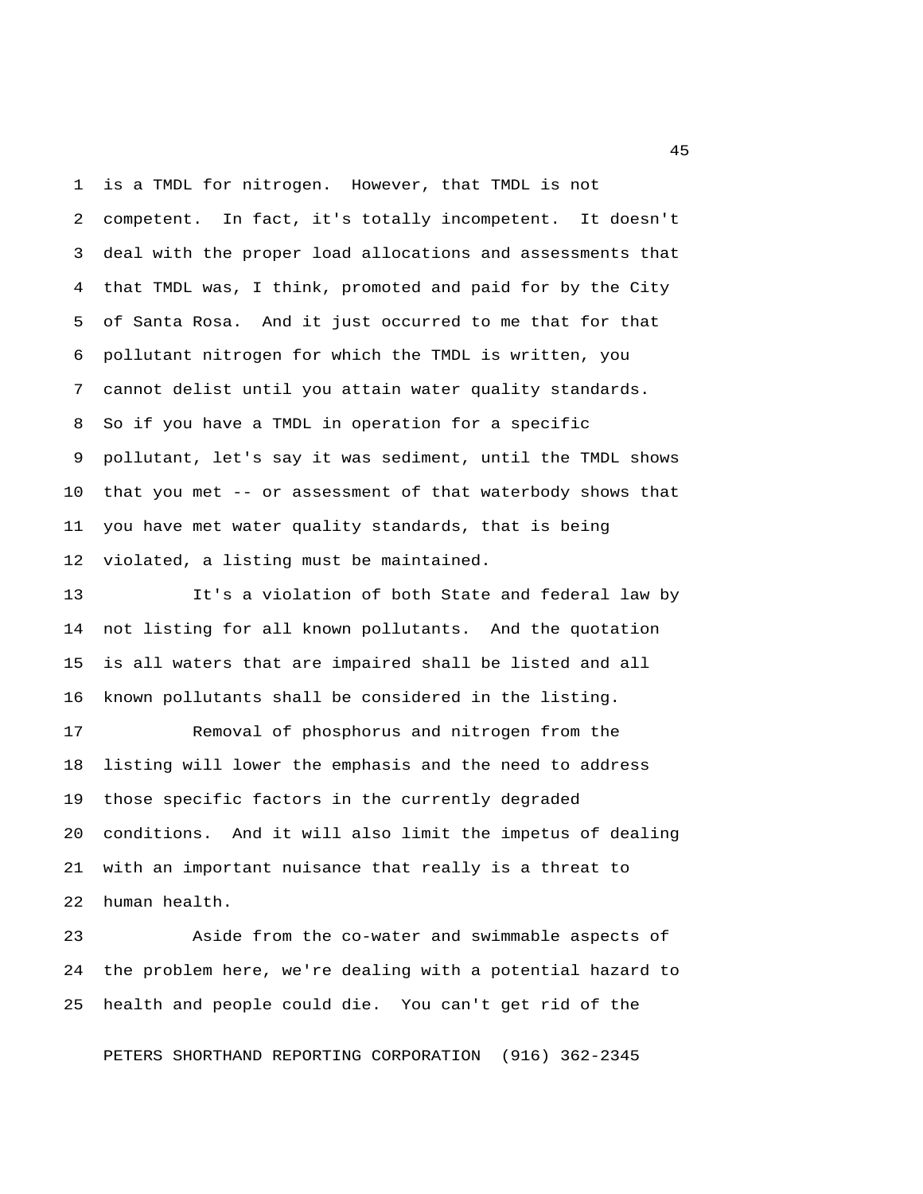1 is a TMDL for nitrogen. However, that TMDL is not 2 competent. In fact, it's totally incompetent. It doesn't 3 deal with the proper load allocations and assessments that 4 that TMDL was, I think, promoted and paid for by the City 5 of Santa Rosa. And it just occurred to me that for that 6 pollutant nitrogen for which the TMDL is written, you 7 cannot delist until you attain water quality standards. 8 So if you have a TMDL in operation for a specific 9 pollutant, let's say it was sediment, until the TMDL shows 10 that you met -- or assessment of that waterbody shows that 11 you have met water quality standards, that is being 12 violated, a listing must be maintained.

13 It's a violation of both State and federal law by 14 not listing for all known pollutants. And the quotation 15 is all waters that are impaired shall be listed and all 16 known pollutants shall be considered in the listing.

17 Removal of phosphorus and nitrogen from the 18 listing will lower the emphasis and the need to address 19 those specific factors in the currently degraded 20 conditions. And it will also limit the impetus of dealing 21 with an important nuisance that really is a threat to 22 human health.

23 Aside from the co-water and swimmable aspects of 24 the problem here, we're dealing with a potential hazard to 25 health and people could die. You can't get rid of the

PETERS SHORTHAND REPORTING CORPORATION (916) 362-2345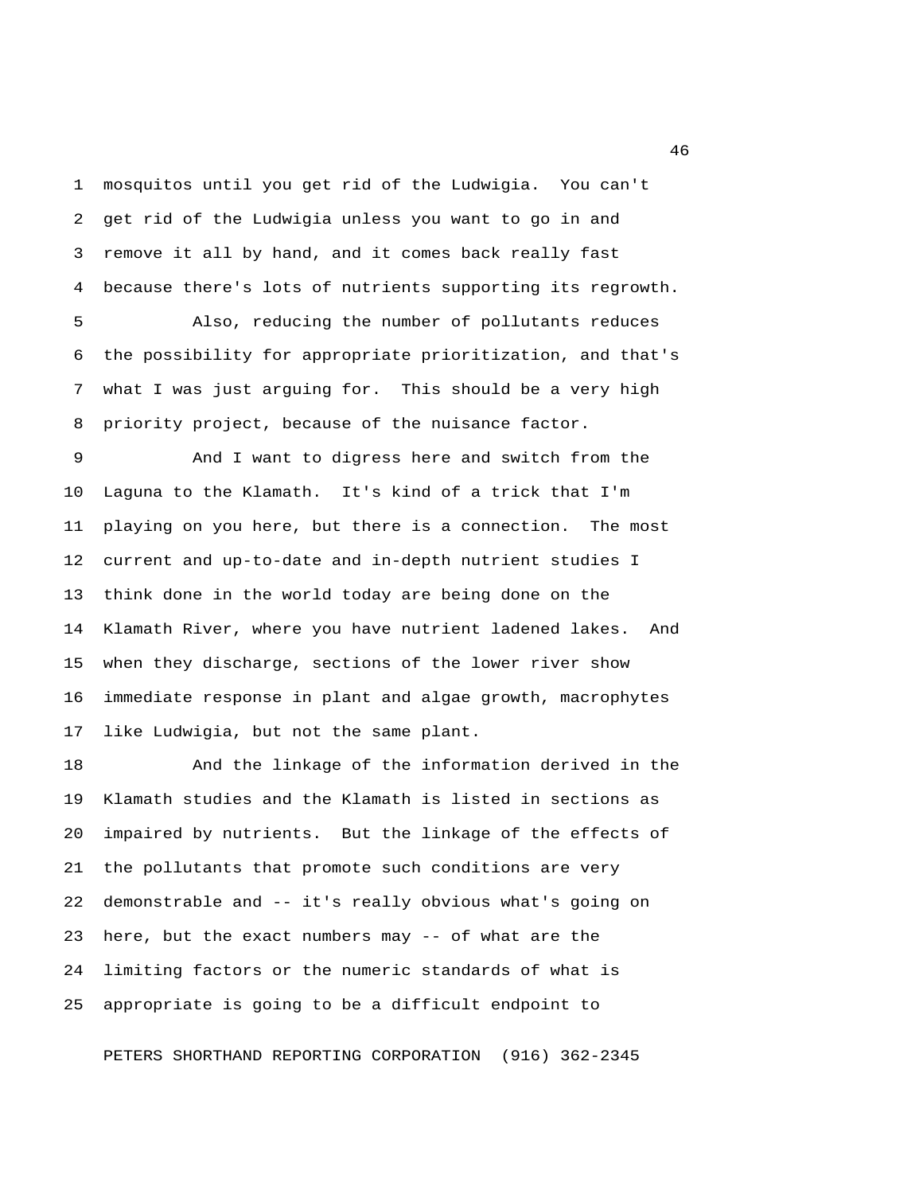1 mosquitos until you get rid of the Ludwigia. You can't 2 get rid of the Ludwigia unless you want to go in and 3 remove it all by hand, and it comes back really fast 4 because there's lots of nutrients supporting its regrowth.

 5 Also, reducing the number of pollutants reduces 6 the possibility for appropriate prioritization, and that's 7 what I was just arguing for. This should be a very high 8 priority project, because of the nuisance factor.

 9 And I want to digress here and switch from the 10 Laguna to the Klamath. It's kind of a trick that I'm 11 playing on you here, but there is a connection. The most 12 current and up-to-date and in-depth nutrient studies I 13 think done in the world today are being done on the 14 Klamath River, where you have nutrient ladened lakes. And 15 when they discharge, sections of the lower river show 16 immediate response in plant and algae growth, macrophytes 17 like Ludwigia, but not the same plant.

18 And the linkage of the information derived in the 19 Klamath studies and the Klamath is listed in sections as 20 impaired by nutrients. But the linkage of the effects of 21 the pollutants that promote such conditions are very 22 demonstrable and -- it's really obvious what's going on 23 here, but the exact numbers may -- of what are the 24 limiting factors or the numeric standards of what is 25 appropriate is going to be a difficult endpoint to

PETERS SHORTHAND REPORTING CORPORATION (916) 362-2345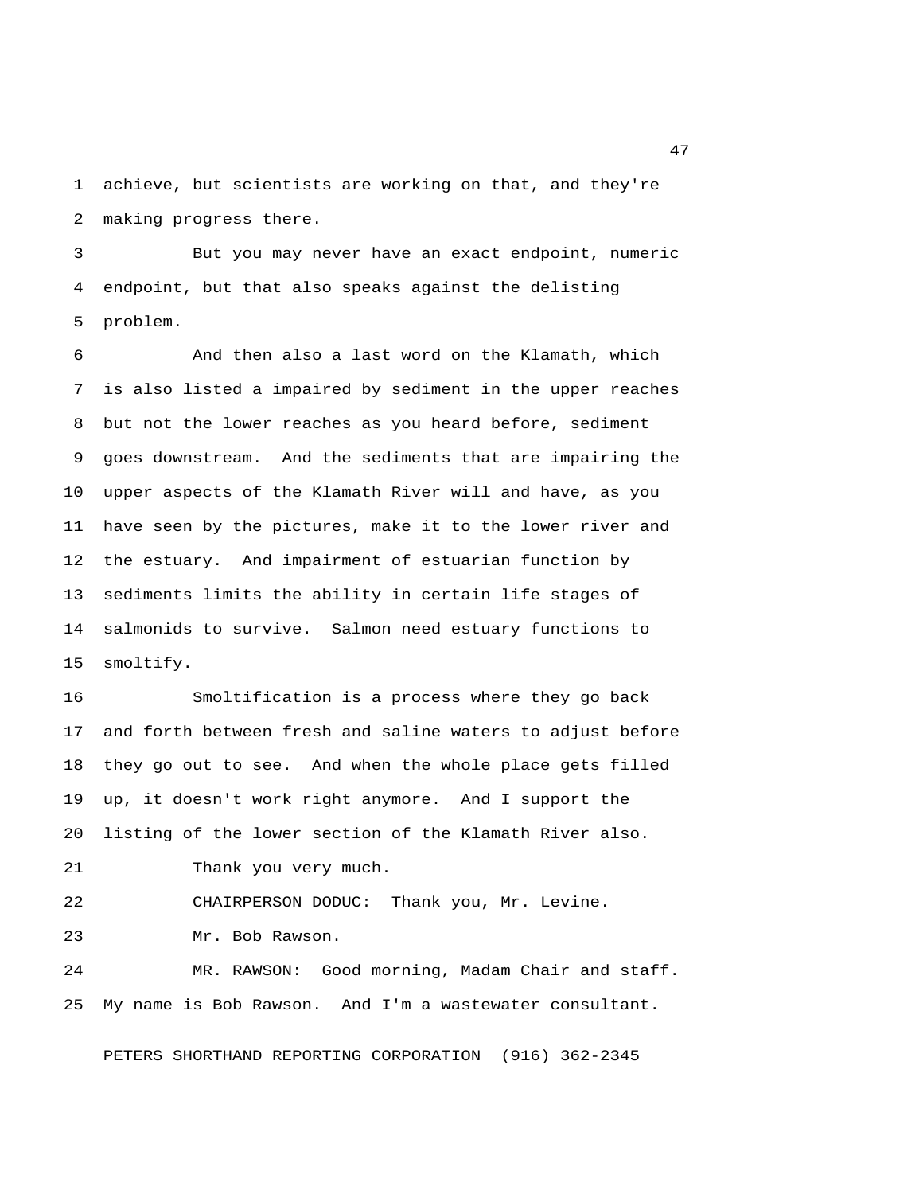1 achieve, but scientists are working on that, and they're 2 making progress there.

 3 But you may never have an exact endpoint, numeric 4 endpoint, but that also speaks against the delisting 5 problem.

 6 And then also a last word on the Klamath, which 7 is also listed a impaired by sediment in the upper reaches 8 but not the lower reaches as you heard before, sediment 9 goes downstream. And the sediments that are impairing the 10 upper aspects of the Klamath River will and have, as you 11 have seen by the pictures, make it to the lower river and 12 the estuary. And impairment of estuarian function by 13 sediments limits the ability in certain life stages of 14 salmonids to survive. Salmon need estuary functions to 15 smoltify.

16 Smoltification is a process where they go back 17 and forth between fresh and saline waters to adjust before 18 they go out to see. And when the whole place gets filled 19 up, it doesn't work right anymore. And I support the 20 listing of the lower section of the Klamath River also. 21 Thank you very much.

22 CHAIRPERSON DODUC: Thank you, Mr. Levine.

23 Mr. Bob Rawson.

24 MR. RAWSON: Good morning, Madam Chair and staff. 25 My name is Bob Rawson. And I'm a wastewater consultant.

PETERS SHORTHAND REPORTING CORPORATION (916) 362-2345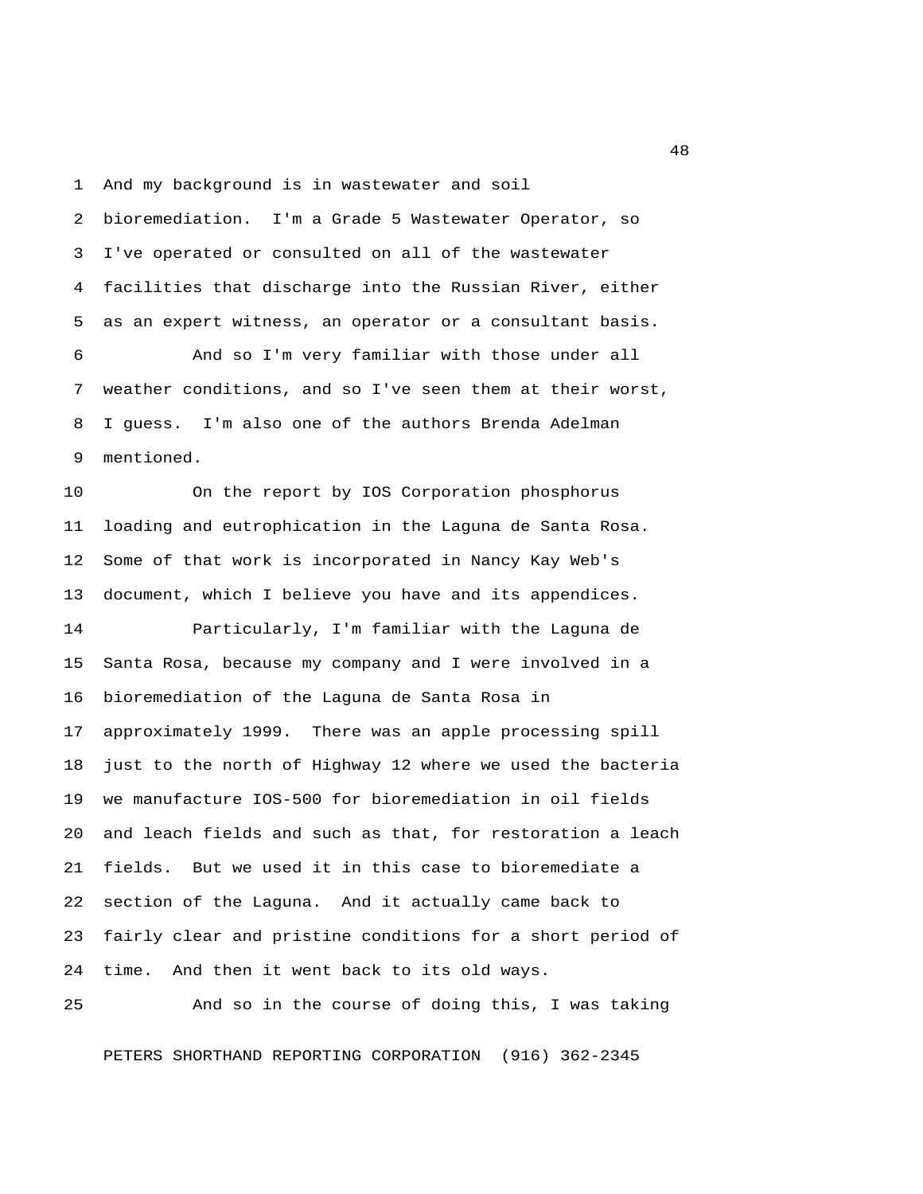1 And my background is in wastewater and soil

 2 bioremediation. I'm a Grade 5 Wastewater Operator, so 3 I've operated or consulted on all of the wastewater 4 facilities that discharge into the Russian River, either 5 as an expert witness, an operator or a consultant basis.

 6 And so I'm very familiar with those under all 7 weather conditions, and so I've seen them at their worst, 8 I guess. I'm also one of the authors Brenda Adelman 9 mentioned.

10 On the report by IOS Corporation phosphorus 11 loading and eutrophication in the Laguna de Santa Rosa. 12 Some of that work is incorporated in Nancy Kay Web's 13 document, which I believe you have and its appendices.

14 Particularly, I'm familiar with the Laguna de 15 Santa Rosa, because my company and I were involved in a 16 bioremediation of the Laguna de Santa Rosa in 17 approximately 1999. There was an apple processing spill 18 just to the north of Highway 12 where we used the bacteria 19 we manufacture IOS-500 for bioremediation in oil fields 20 and leach fields and such as that, for restoration a leach 21 fields. But we used it in this case to bioremediate a 22 section of the Laguna. And it actually came back to 23 fairly clear and pristine conditions for a short period of 24 time. And then it went back to its old ways.

25 And so in the course of doing this, I was taking

PETERS SHORTHAND REPORTING CORPORATION (916) 362-2345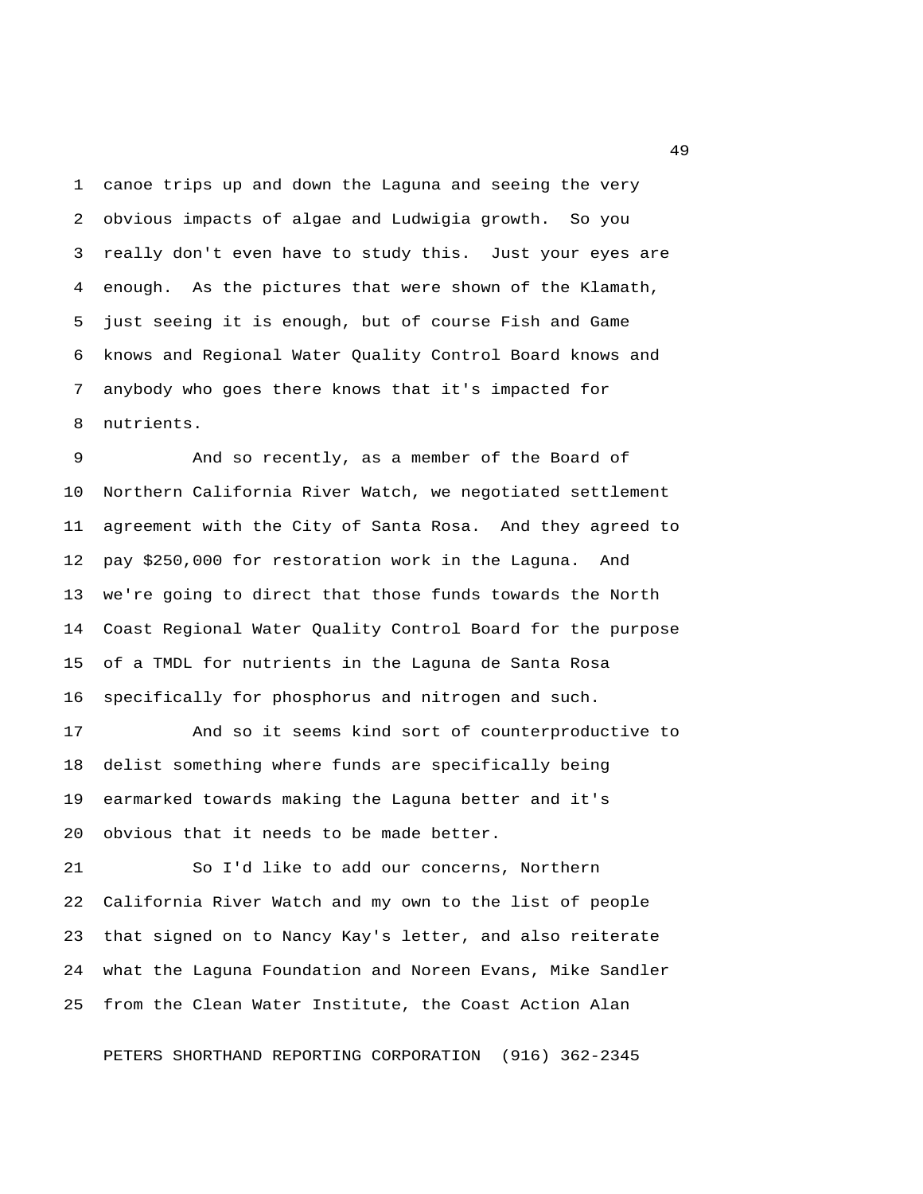1 canoe trips up and down the Laguna and seeing the very 2 obvious impacts of algae and Ludwigia growth. So you 3 really don't even have to study this. Just your eyes are 4 enough. As the pictures that were shown of the Klamath, 5 just seeing it is enough, but of course Fish and Game 6 knows and Regional Water Quality Control Board knows and 7 anybody who goes there knows that it's impacted for 8 nutrients.

 9 And so recently, as a member of the Board of 10 Northern California River Watch, we negotiated settlement 11 agreement with the City of Santa Rosa. And they agreed to 12 pay \$250,000 for restoration work in the Laguna. And 13 we're going to direct that those funds towards the North 14 Coast Regional Water Quality Control Board for the purpose 15 of a TMDL for nutrients in the Laguna de Santa Rosa 16 specifically for phosphorus and nitrogen and such.

17 And so it seems kind sort of counterproductive to 18 delist something where funds are specifically being 19 earmarked towards making the Laguna better and it's 20 obvious that it needs to be made better.

21 So I'd like to add our concerns, Northern 22 California River Watch and my own to the list of people 23 that signed on to Nancy Kay's letter, and also reiterate 24 what the Laguna Foundation and Noreen Evans, Mike Sandler 25 from the Clean Water Institute, the Coast Action Alan

PETERS SHORTHAND REPORTING CORPORATION (916) 362-2345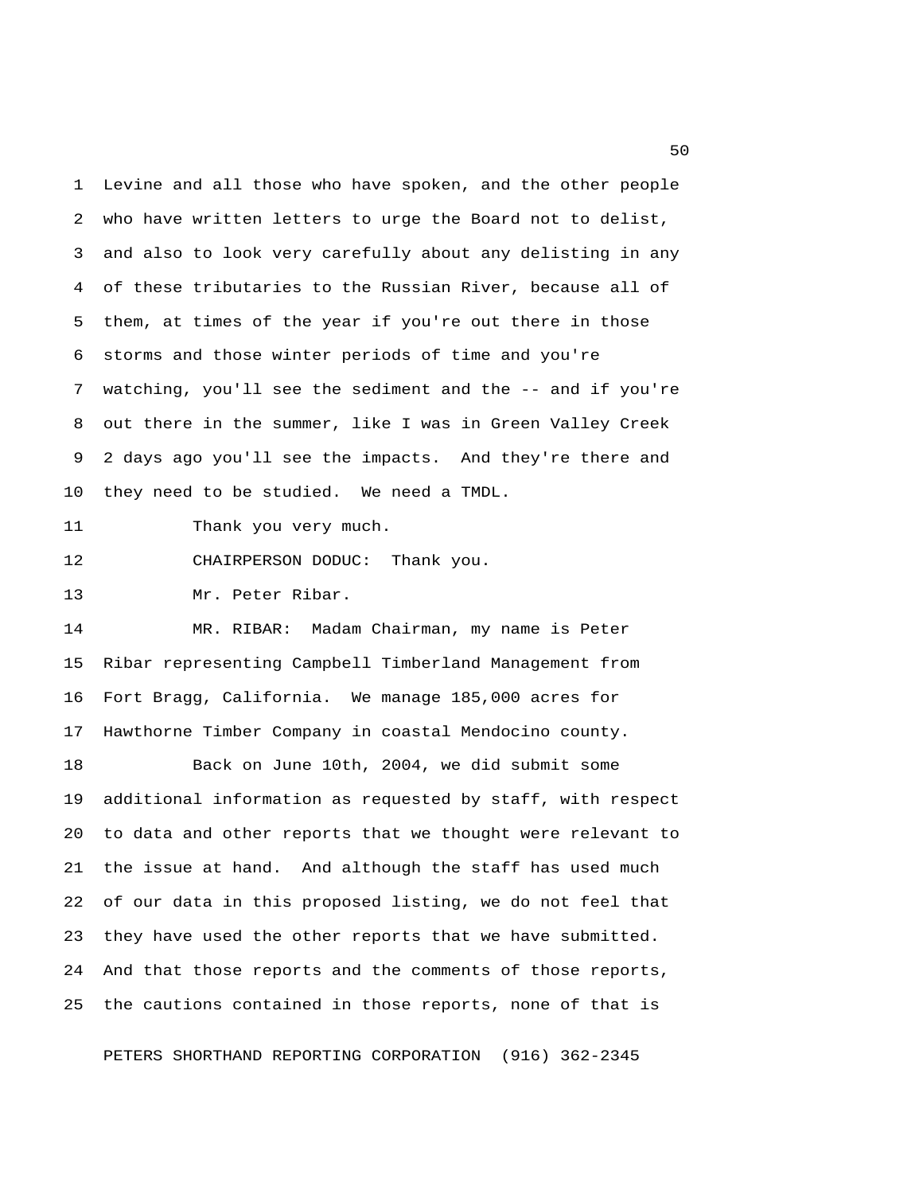1 Levine and all those who have spoken, and the other people 2 who have written letters to urge the Board not to delist, 3 and also to look very carefully about any delisting in any 4 of these tributaries to the Russian River, because all of 5 them, at times of the year if you're out there in those 6 storms and those winter periods of time and you're 7 watching, you'll see the sediment and the -- and if you're 8 out there in the summer, like I was in Green Valley Creek 9 2 days ago you'll see the impacts. And they're there and 10 they need to be studied. We need a TMDL.

11 Thank you very much.

12 CHAIRPERSON DODUC: Thank you.

13 Mr. Peter Ribar.

14 MR. RIBAR: Madam Chairman, my name is Peter 15 Ribar representing Campbell Timberland Management from 16 Fort Bragg, California. We manage 185,000 acres for 17 Hawthorne Timber Company in coastal Mendocino county.

18 Back on June 10th, 2004, we did submit some 19 additional information as requested by staff, with respect 20 to data and other reports that we thought were relevant to 21 the issue at hand. And although the staff has used much 22 of our data in this proposed listing, we do not feel that 23 they have used the other reports that we have submitted. 24 And that those reports and the comments of those reports, 25 the cautions contained in those reports, none of that is

PETERS SHORTHAND REPORTING CORPORATION (916) 362-2345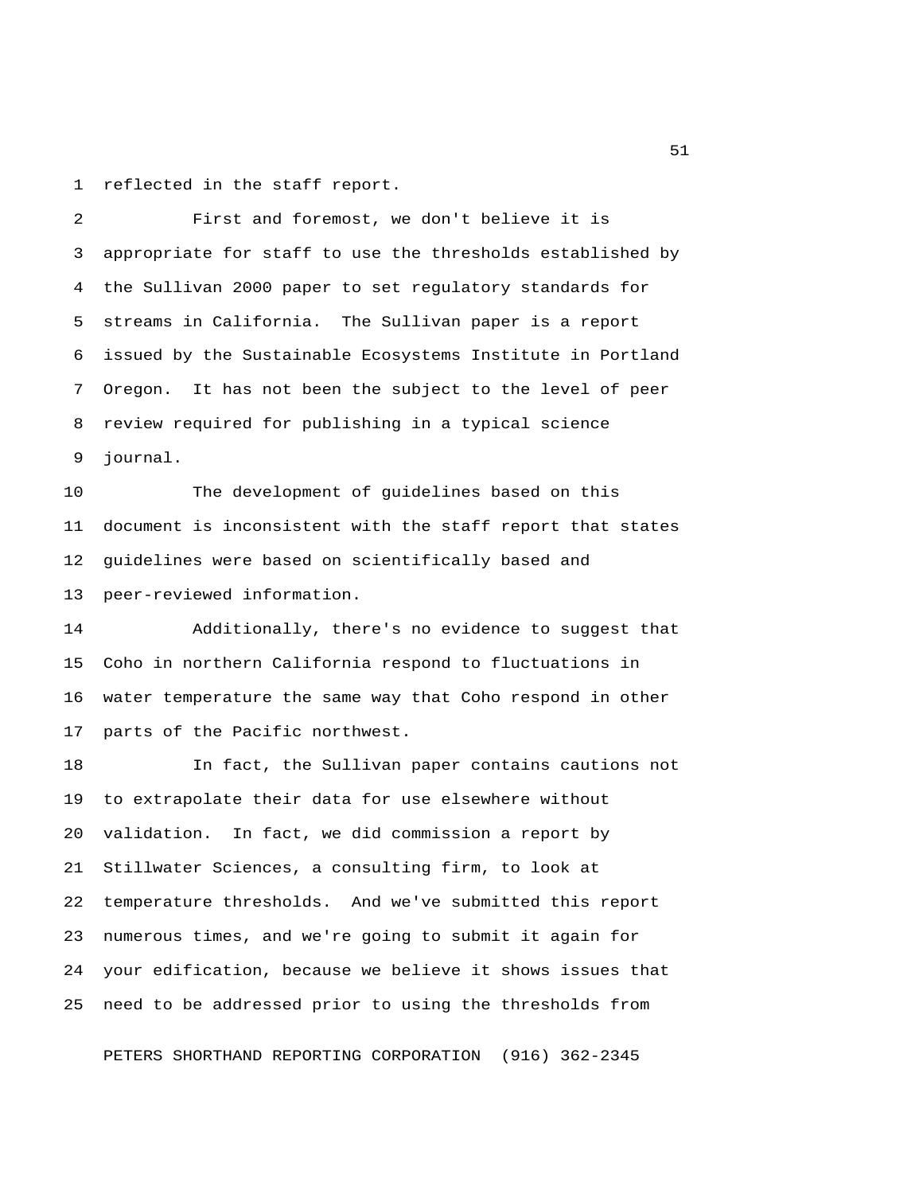1 reflected in the staff report.

 2 First and foremost, we don't believe it is 3 appropriate for staff to use the thresholds established by 4 the Sullivan 2000 paper to set regulatory standards for 5 streams in California. The Sullivan paper is a report 6 issued by the Sustainable Ecosystems Institute in Portland 7 Oregon. It has not been the subject to the level of peer 8 review required for publishing in a typical science 9 journal.

10 The development of guidelines based on this 11 document is inconsistent with the staff report that states 12 guidelines were based on scientifically based and 13 peer-reviewed information.

14 Additionally, there's no evidence to suggest that 15 Coho in northern California respond to fluctuations in 16 water temperature the same way that Coho respond in other 17 parts of the Pacific northwest.

18 In fact, the Sullivan paper contains cautions not 19 to extrapolate their data for use elsewhere without 20 validation. In fact, we did commission a report by 21 Stillwater Sciences, a consulting firm, to look at 22 temperature thresholds. And we've submitted this report 23 numerous times, and we're going to submit it again for 24 your edification, because we believe it shows issues that 25 need to be addressed prior to using the thresholds from

PETERS SHORTHAND REPORTING CORPORATION (916) 362-2345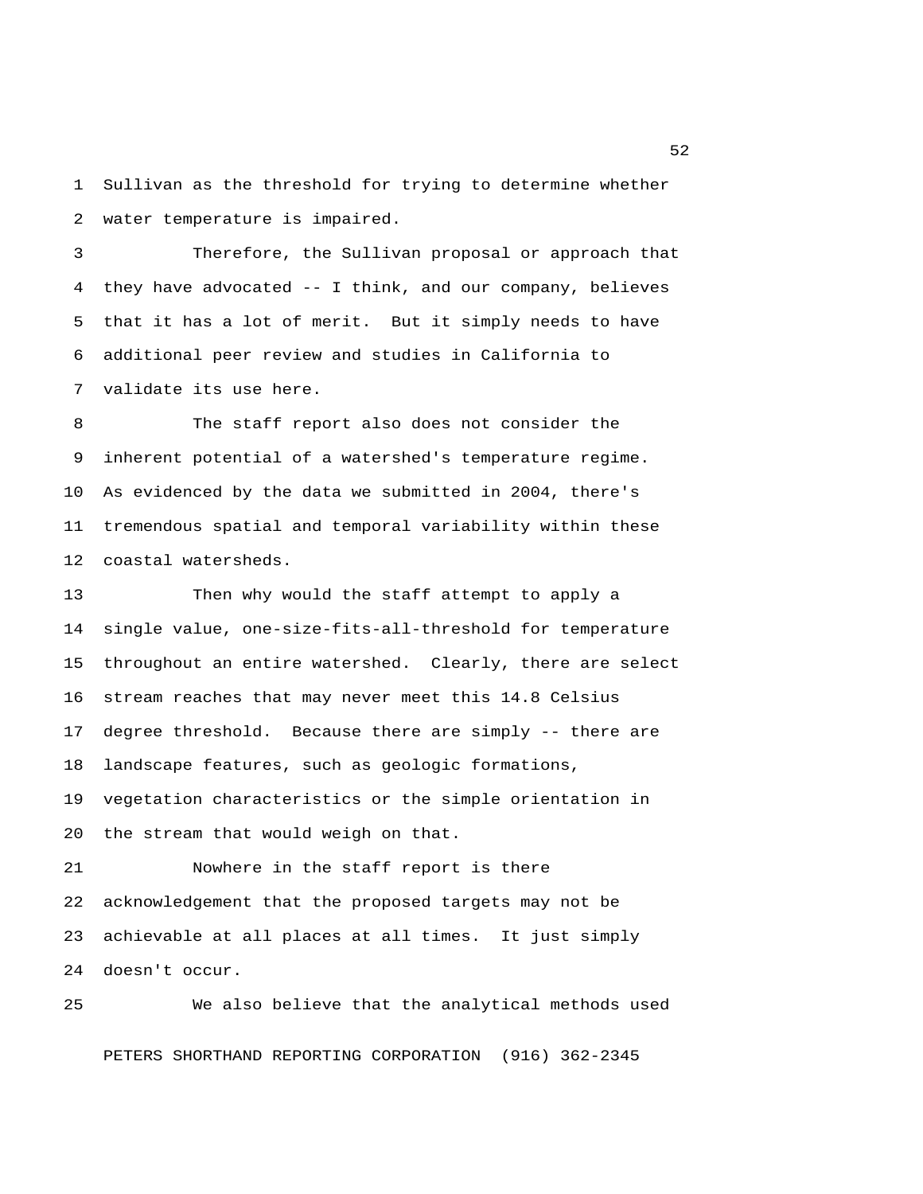1 Sullivan as the threshold for trying to determine whether 2 water temperature is impaired.

 3 Therefore, the Sullivan proposal or approach that 4 they have advocated -- I think, and our company, believes 5 that it has a lot of merit. But it simply needs to have 6 additional peer review and studies in California to 7 validate its use here.

 8 The staff report also does not consider the 9 inherent potential of a watershed's temperature regime. 10 As evidenced by the data we submitted in 2004, there's 11 tremendous spatial and temporal variability within these 12 coastal watersheds.

13 Then why would the staff attempt to apply a 14 single value, one-size-fits-all-threshold for temperature 15 throughout an entire watershed. Clearly, there are select 16 stream reaches that may never meet this 14.8 Celsius 17 degree threshold. Because there are simply -- there are 18 landscape features, such as geologic formations, 19 vegetation characteristics or the simple orientation in 20 the stream that would weigh on that.

21 Nowhere in the staff report is there 22 acknowledgement that the proposed targets may not be 23 achievable at all places at all times. It just simply 24 doesn't occur.

25 We also believe that the analytical methods used PETERS SHORTHAND REPORTING CORPORATION (916) 362-2345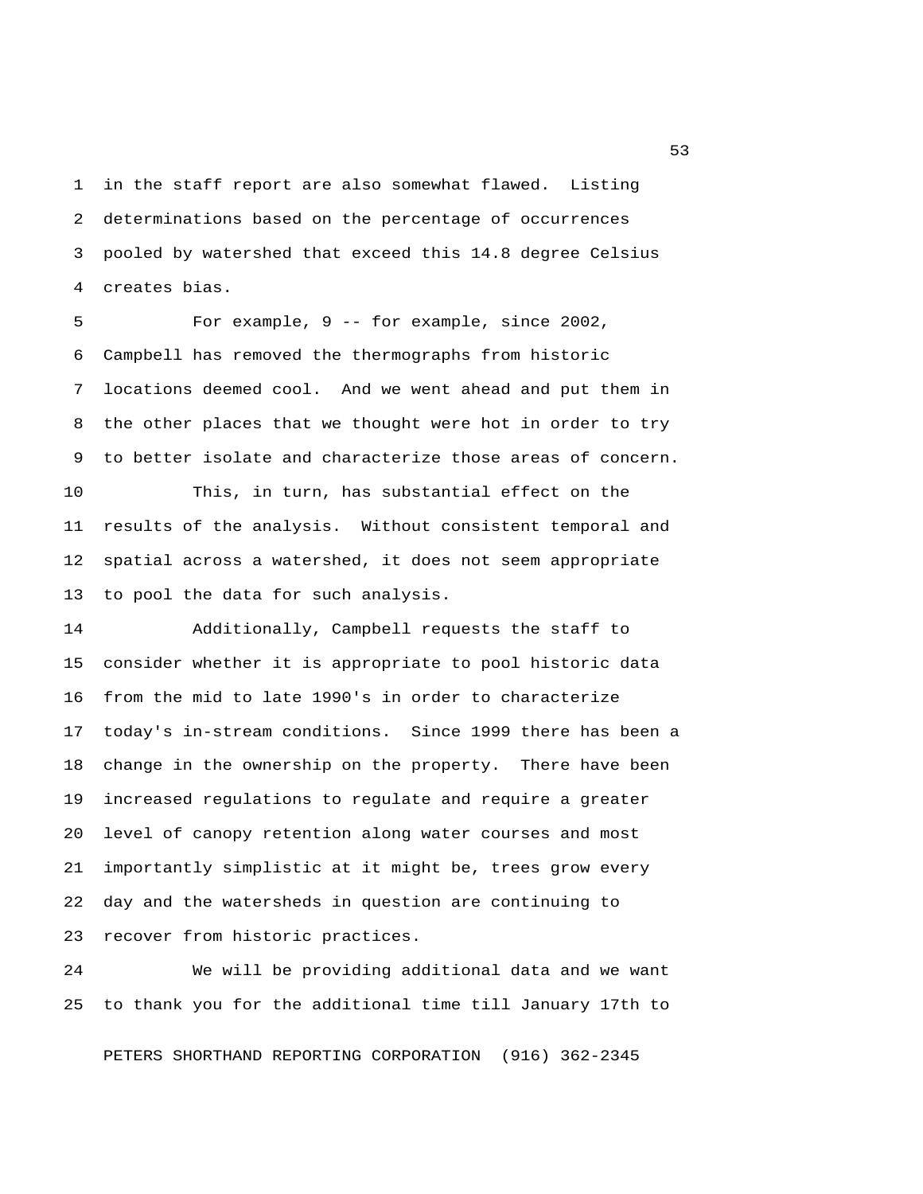1 in the staff report are also somewhat flawed. Listing 2 determinations based on the percentage of occurrences 3 pooled by watershed that exceed this 14.8 degree Celsius 4 creates bias.

 5 For example, 9 -- for example, since 2002, 6 Campbell has removed the thermographs from historic 7 locations deemed cool. And we went ahead and put them in 8 the other places that we thought were hot in order to try 9 to better isolate and characterize those areas of concern.

10 This, in turn, has substantial effect on the 11 results of the analysis. Without consistent temporal and 12 spatial across a watershed, it does not seem appropriate 13 to pool the data for such analysis.

14 Additionally, Campbell requests the staff to 15 consider whether it is appropriate to pool historic data 16 from the mid to late 1990's in order to characterize 17 today's in-stream conditions. Since 1999 there has been a 18 change in the ownership on the property. There have been 19 increased regulations to regulate and require a greater 20 level of canopy retention along water courses and most 21 importantly simplistic at it might be, trees grow every 22 day and the watersheds in question are continuing to 23 recover from historic practices.

24 We will be providing additional data and we want 25 to thank you for the additional time till January 17th to

PETERS SHORTHAND REPORTING CORPORATION (916) 362-2345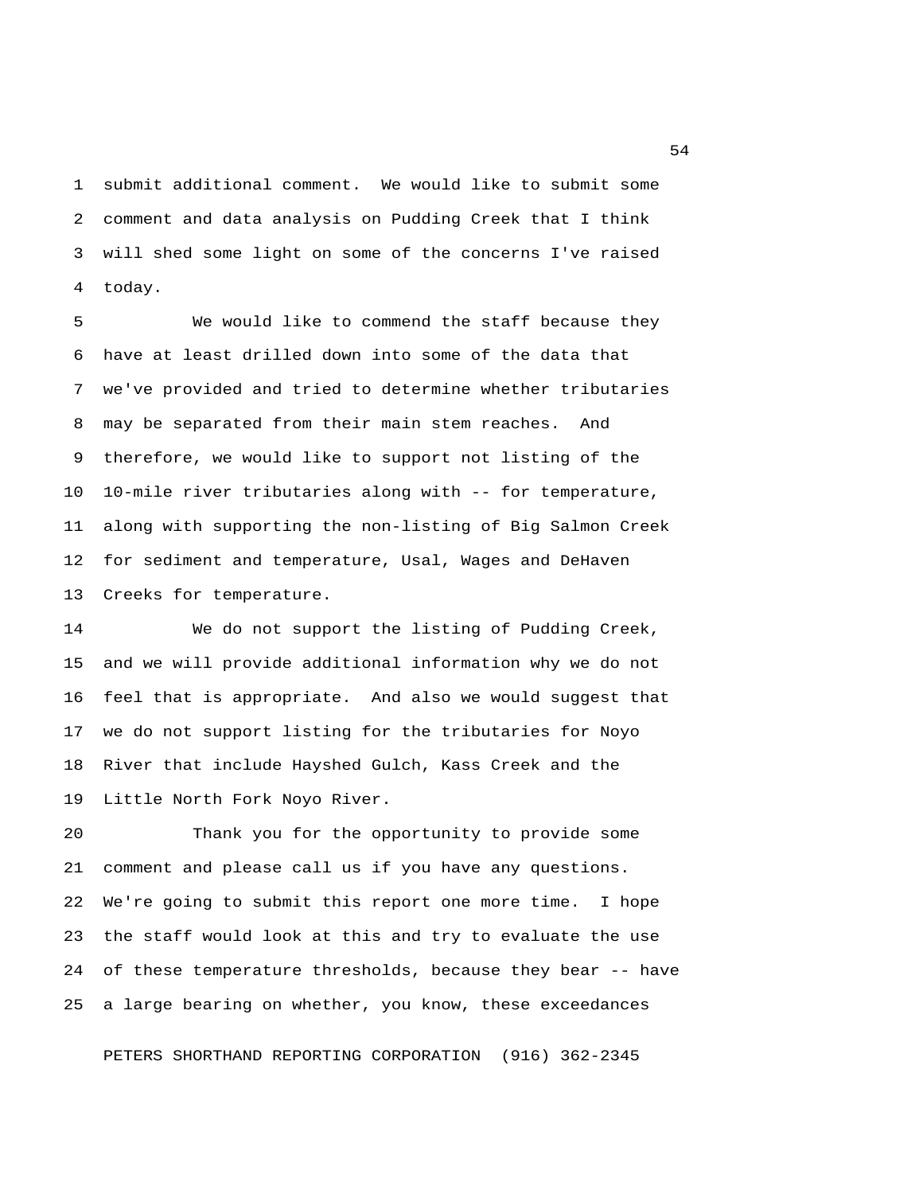1 submit additional comment. We would like to submit some 2 comment and data analysis on Pudding Creek that I think 3 will shed some light on some of the concerns I've raised 4 today.

 5 We would like to commend the staff because they 6 have at least drilled down into some of the data that 7 we've provided and tried to determine whether tributaries 8 may be separated from their main stem reaches. And 9 therefore, we would like to support not listing of the 10 10-mile river tributaries along with -- for temperature, 11 along with supporting the non-listing of Big Salmon Creek 12 for sediment and temperature, Usal, Wages and DeHaven 13 Creeks for temperature.

14 We do not support the listing of Pudding Creek, 15 and we will provide additional information why we do not 16 feel that is appropriate. And also we would suggest that 17 we do not support listing for the tributaries for Noyo 18 River that include Hayshed Gulch, Kass Creek and the 19 Little North Fork Noyo River.

20 Thank you for the opportunity to provide some 21 comment and please call us if you have any questions. 22 We're going to submit this report one more time. I hope 23 the staff would look at this and try to evaluate the use 24 of these temperature thresholds, because they bear -- have 25 a large bearing on whether, you know, these exceedances

PETERS SHORTHAND REPORTING CORPORATION (916) 362-2345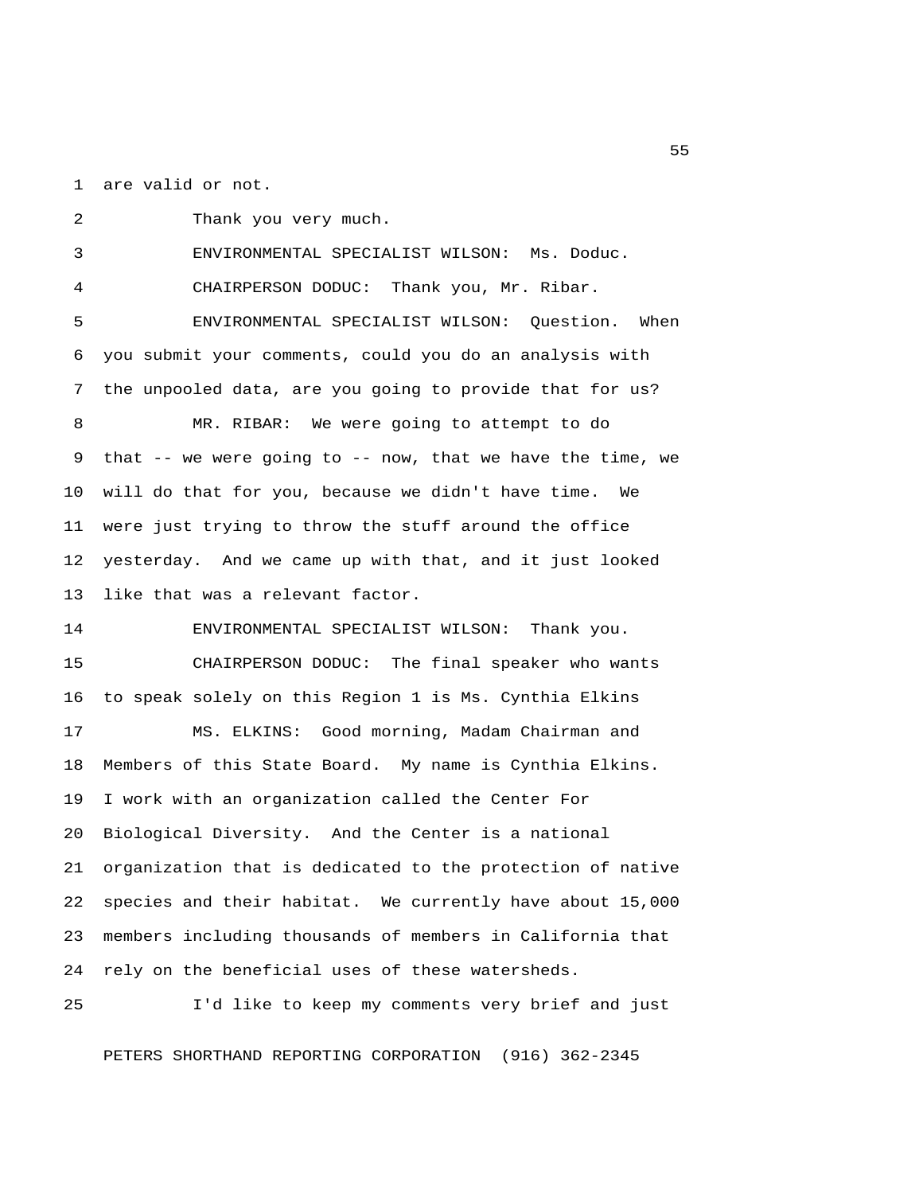1 are valid or not.

 2 Thank you very much. 3 ENVIRONMENTAL SPECIALIST WILSON: Ms. Doduc. 4 CHAIRPERSON DODUC: Thank you, Mr. Ribar. 5 ENVIRONMENTAL SPECIALIST WILSON: Question. When 6 you submit your comments, could you do an analysis with 7 the unpooled data, are you going to provide that for us? 8 MR. RIBAR: We were going to attempt to do 9 that -- we were going to -- now, that we have the time, we 10 will do that for you, because we didn't have time. We 11 were just trying to throw the stuff around the office 12 yesterday. And we came up with that, and it just looked 13 like that was a relevant factor. 14 ENVIRONMENTAL SPECIALIST WILSON: Thank you. 15 CHAIRPERSON DODUC: The final speaker who wants 16 to speak solely on this Region 1 is Ms. Cynthia Elkins 17 MS. ELKINS: Good morning, Madam Chairman and 18 Members of this State Board. My name is Cynthia Elkins. 19 I work with an organization called the Center For 20 Biological Diversity. And the Center is a national 21 organization that is dedicated to the protection of native 22 species and their habitat. We currently have about 15,000 23 members including thousands of members in California that 24 rely on the beneficial uses of these watersheds.

25 I'd like to keep my comments very brief and just

PETERS SHORTHAND REPORTING CORPORATION (916) 362-2345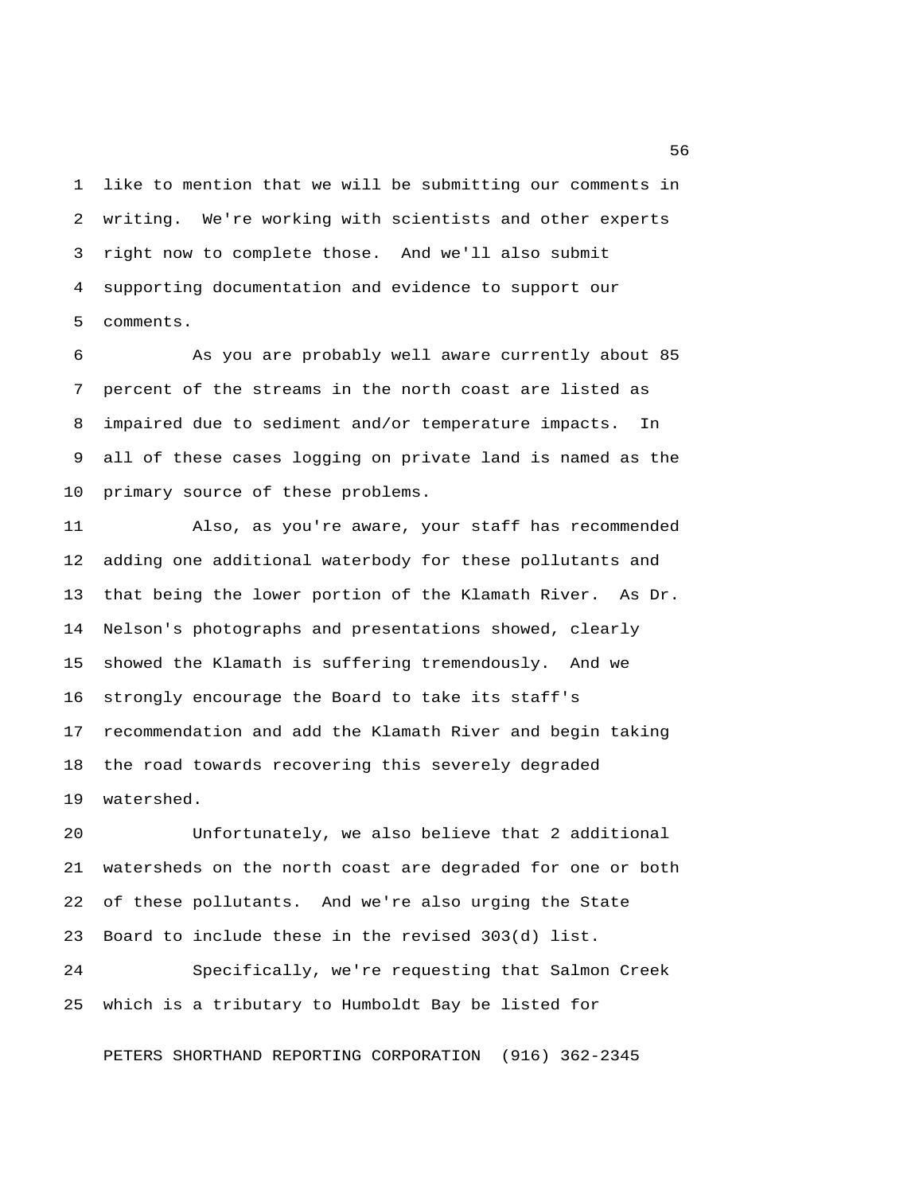1 like to mention that we will be submitting our comments in 2 writing. We're working with scientists and other experts 3 right now to complete those. And we'll also submit 4 supporting documentation and evidence to support our 5 comments.

 6 As you are probably well aware currently about 85 7 percent of the streams in the north coast are listed as 8 impaired due to sediment and/or temperature impacts. In 9 all of these cases logging on private land is named as the 10 primary source of these problems.

11 Also, as you're aware, your staff has recommended 12 adding one additional waterbody for these pollutants and 13 that being the lower portion of the Klamath River. As Dr. 14 Nelson's photographs and presentations showed, clearly 15 showed the Klamath is suffering tremendously. And we 16 strongly encourage the Board to take its staff's 17 recommendation and add the Klamath River and begin taking 18 the road towards recovering this severely degraded 19 watershed.

20 Unfortunately, we also believe that 2 additional 21 watersheds on the north coast are degraded for one or both 22 of these pollutants. And we're also urging the State 23 Board to include these in the revised 303(d) list.

24 Specifically, we're requesting that Salmon Creek 25 which is a tributary to Humboldt Bay be listed for

PETERS SHORTHAND REPORTING CORPORATION (916) 362-2345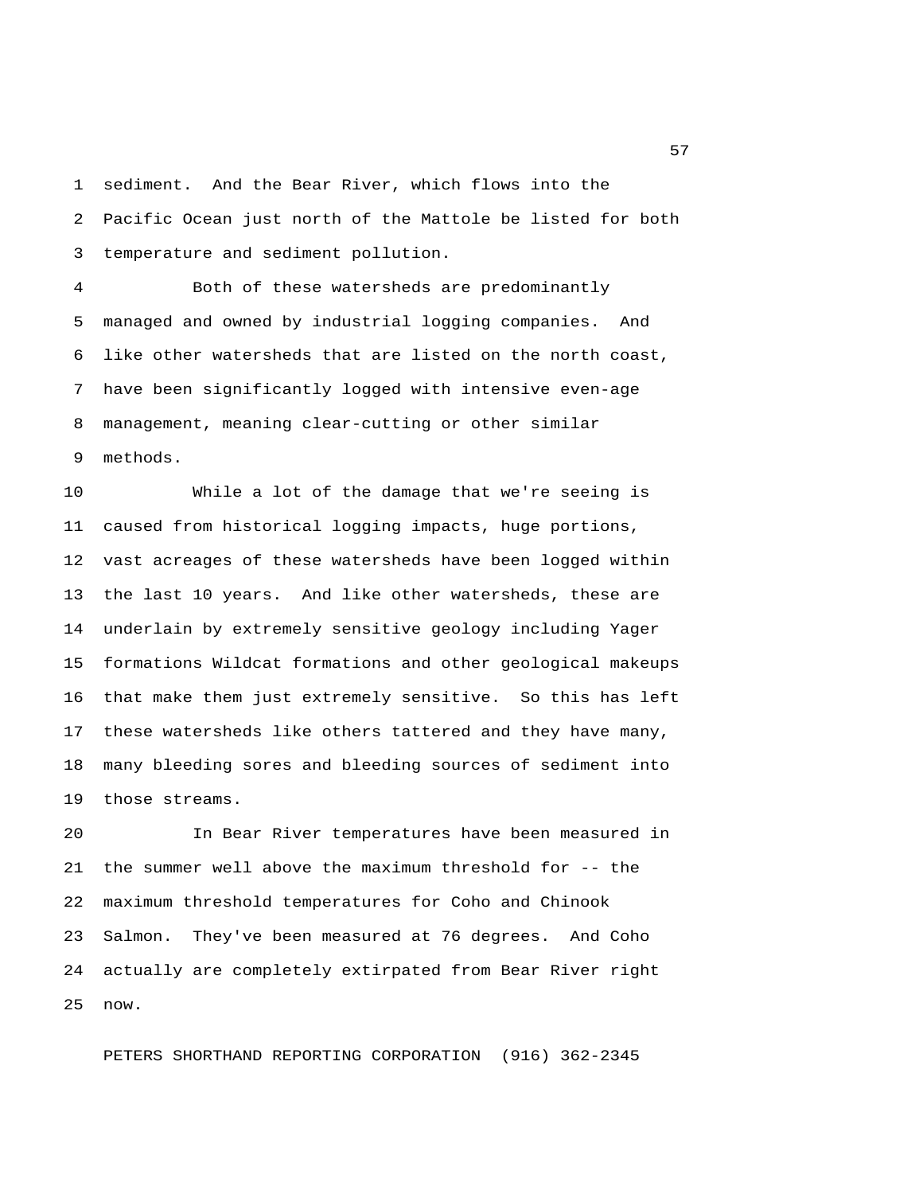1 sediment. And the Bear River, which flows into the 2 Pacific Ocean just north of the Mattole be listed for both 3 temperature and sediment pollution.

 4 Both of these watersheds are predominantly 5 managed and owned by industrial logging companies. And 6 like other watersheds that are listed on the north coast, 7 have been significantly logged with intensive even-age 8 management, meaning clear-cutting or other similar 9 methods.

10 While a lot of the damage that we're seeing is 11 caused from historical logging impacts, huge portions, 12 vast acreages of these watersheds have been logged within 13 the last 10 years. And like other watersheds, these are 14 underlain by extremely sensitive geology including Yager 15 formations Wildcat formations and other geological makeups 16 that make them just extremely sensitive. So this has left 17 these watersheds like others tattered and they have many, 18 many bleeding sores and bleeding sources of sediment into 19 those streams.

20 In Bear River temperatures have been measured in 21 the summer well above the maximum threshold for -- the 22 maximum threshold temperatures for Coho and Chinook 23 Salmon. They've been measured at 76 degrees. And Coho 24 actually are completely extirpated from Bear River right 25 now.

PETERS SHORTHAND REPORTING CORPORATION (916) 362-2345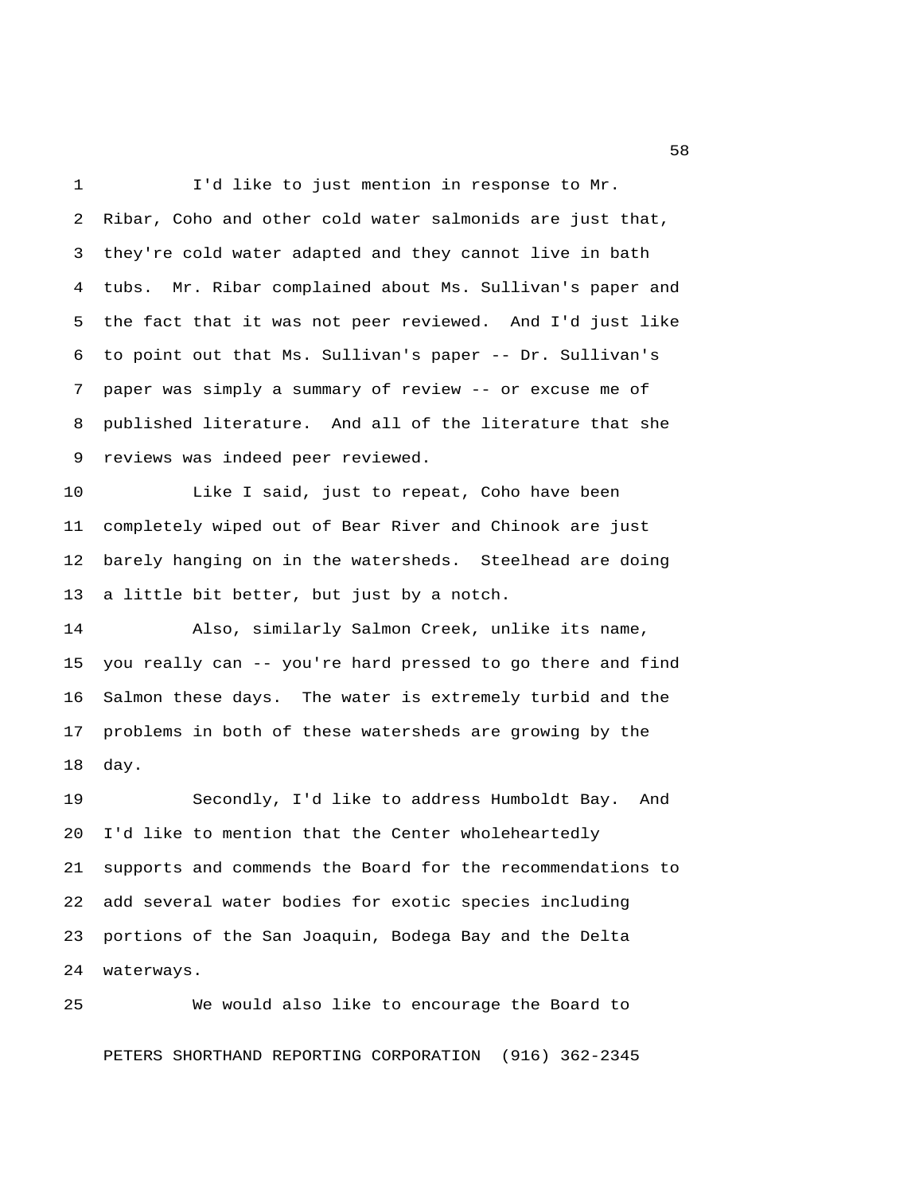1 I'd like to just mention in response to Mr. 2 Ribar, Coho and other cold water salmonids are just that, 3 they're cold water adapted and they cannot live in bath 4 tubs. Mr. Ribar complained about Ms. Sullivan's paper and 5 the fact that it was not peer reviewed. And I'd just like 6 to point out that Ms. Sullivan's paper -- Dr. Sullivan's 7 paper was simply a summary of review -- or excuse me of 8 published literature. And all of the literature that she 9 reviews was indeed peer reviewed.

10 Like I said, just to repeat, Coho have been 11 completely wiped out of Bear River and Chinook are just 12 barely hanging on in the watersheds. Steelhead are doing 13 a little bit better, but just by a notch.

14 Also, similarly Salmon Creek, unlike its name, 15 you really can -- you're hard pressed to go there and find 16 Salmon these days. The water is extremely turbid and the 17 problems in both of these watersheds are growing by the 18 day.

19 Secondly, I'd like to address Humboldt Bay. And 20 I'd like to mention that the Center wholeheartedly 21 supports and commends the Board for the recommendations to 22 add several water bodies for exotic species including 23 portions of the San Joaquin, Bodega Bay and the Delta 24 waterways.

25 We would also like to encourage the Board to PETERS SHORTHAND REPORTING CORPORATION (916) 362-2345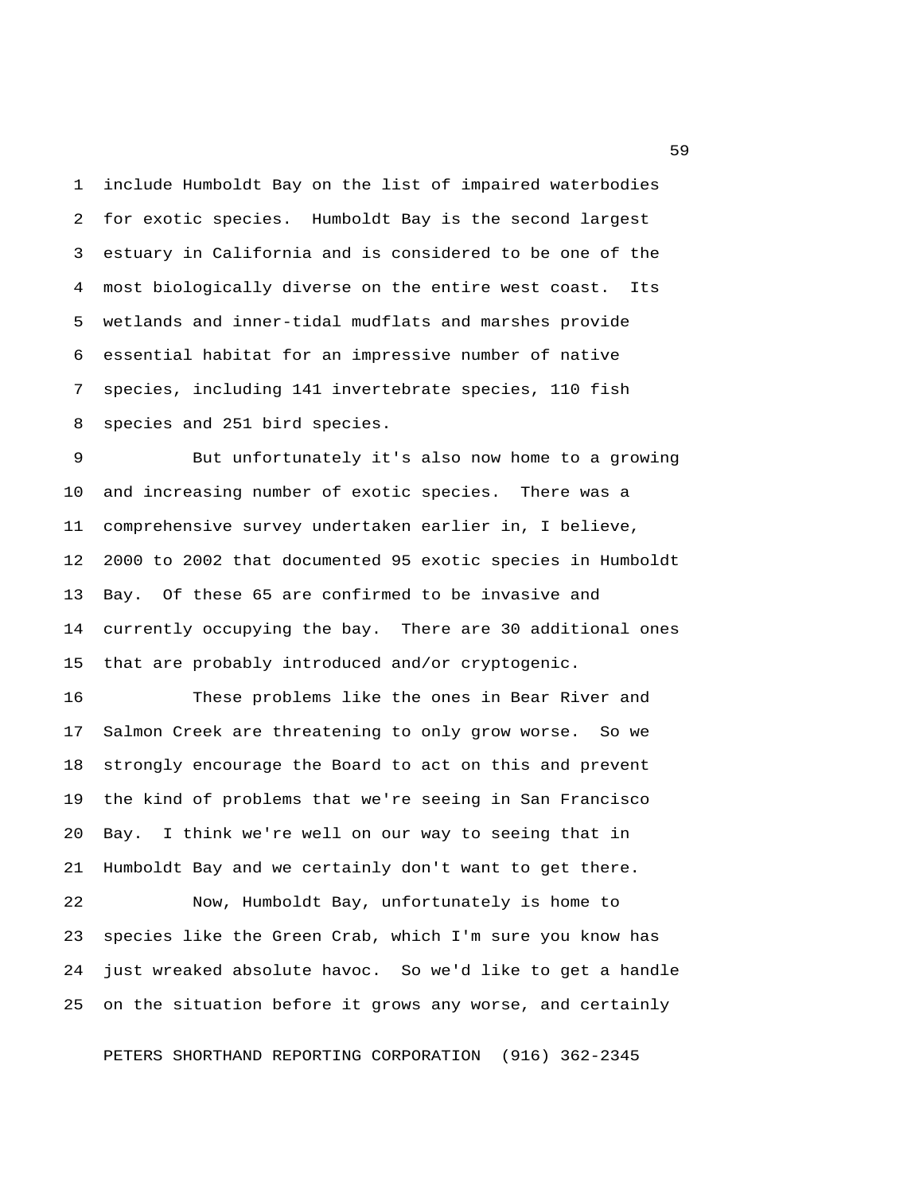1 include Humboldt Bay on the list of impaired waterbodies 2 for exotic species. Humboldt Bay is the second largest 3 estuary in California and is considered to be one of the 4 most biologically diverse on the entire west coast. Its 5 wetlands and inner-tidal mudflats and marshes provide 6 essential habitat for an impressive number of native 7 species, including 141 invertebrate species, 110 fish 8 species and 251 bird species.

 9 But unfortunately it's also now home to a growing 10 and increasing number of exotic species. There was a 11 comprehensive survey undertaken earlier in, I believe, 12 2000 to 2002 that documented 95 exotic species in Humboldt 13 Bay. Of these 65 are confirmed to be invasive and 14 currently occupying the bay. There are 30 additional ones 15 that are probably introduced and/or cryptogenic.

16 These problems like the ones in Bear River and 17 Salmon Creek are threatening to only grow worse. So we 18 strongly encourage the Board to act on this and prevent 19 the kind of problems that we're seeing in San Francisco 20 Bay. I think we're well on our way to seeing that in 21 Humboldt Bay and we certainly don't want to get there.

22 Now, Humboldt Bay, unfortunately is home to 23 species like the Green Crab, which I'm sure you know has 24 just wreaked absolute havoc. So we'd like to get a handle 25 on the situation before it grows any worse, and certainly

PETERS SHORTHAND REPORTING CORPORATION (916) 362-2345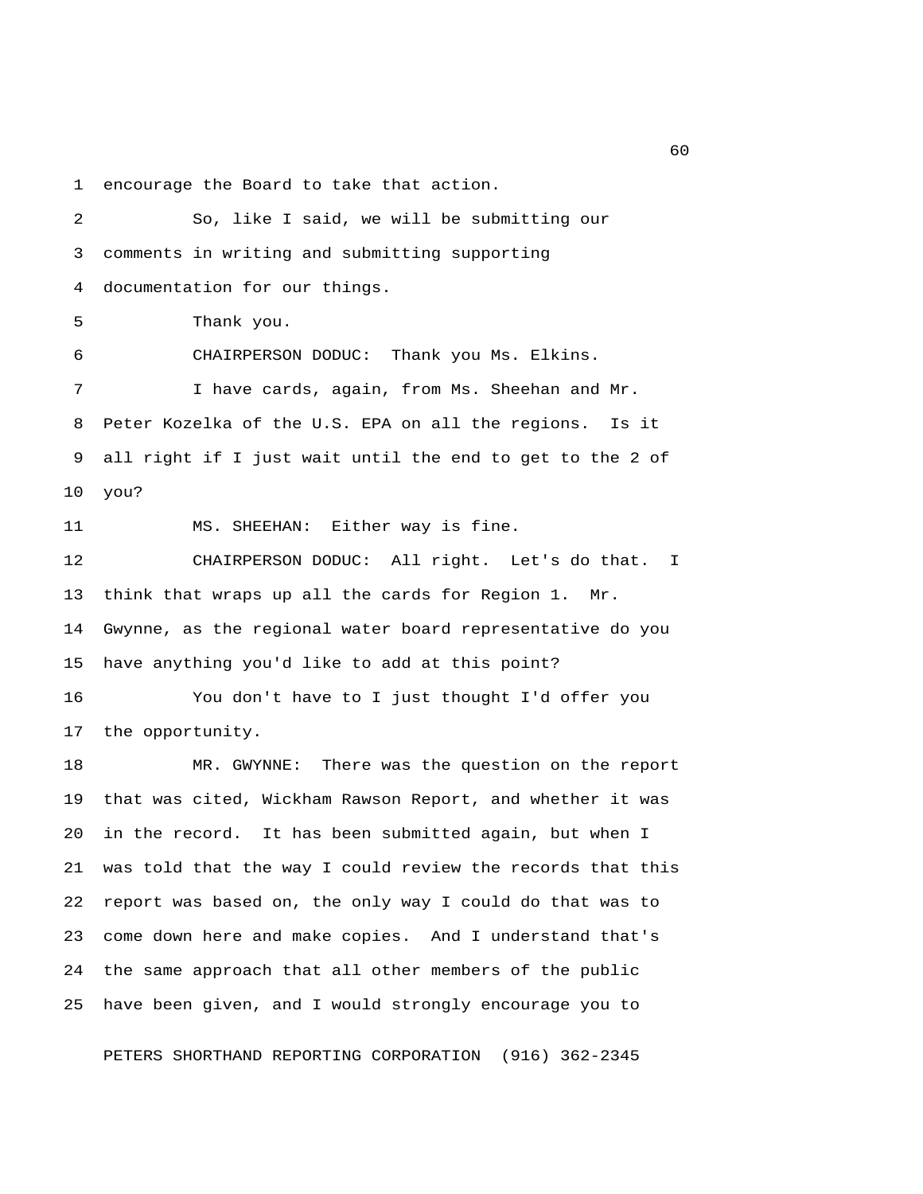1 encourage the Board to take that action.

 2 So, like I said, we will be submitting our 3 comments in writing and submitting supporting 4 documentation for our things. 5 Thank you. 6 CHAIRPERSON DODUC: Thank you Ms. Elkins. 7 I have cards, again, from Ms. Sheehan and Mr. 8 Peter Kozelka of the U.S. EPA on all the regions. Is it 9 all right if I just wait until the end to get to the 2 of 10 you? 11 MS. SHEEHAN: Either way is fine. 12 CHAIRPERSON DODUC: All right. Let's do that. I 13 think that wraps up all the cards for Region 1. Mr. 14 Gwynne, as the regional water board representative do you 15 have anything you'd like to add at this point? 16 You don't have to I just thought I'd offer you 17 the opportunity. 18 MR. GWYNNE: There was the question on the report 19 that was cited, Wickham Rawson Report, and whether it was 20 in the record. It has been submitted again, but when I 21 was told that the way I could review the records that this 22 report was based on, the only way I could do that was to 23 come down here and make copies. And I understand that's 24 the same approach that all other members of the public 25 have been given, and I would strongly encourage you to

PETERS SHORTHAND REPORTING CORPORATION (916) 362-2345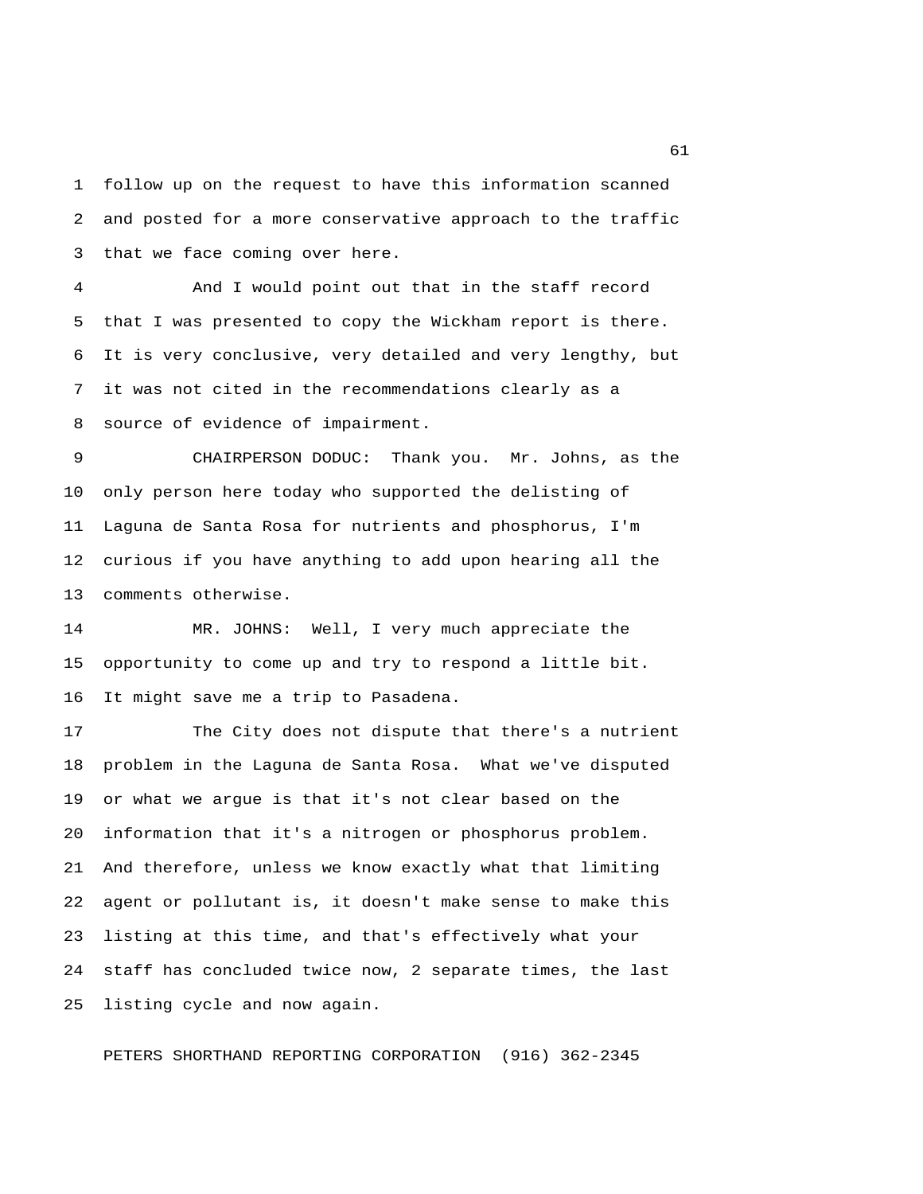1 follow up on the request to have this information scanned 2 and posted for a more conservative approach to the traffic 3 that we face coming over here.

 4 And I would point out that in the staff record 5 that I was presented to copy the Wickham report is there. 6 It is very conclusive, very detailed and very lengthy, but 7 it was not cited in the recommendations clearly as a 8 source of evidence of impairment.

 9 CHAIRPERSON DODUC: Thank you. Mr. Johns, as the 10 only person here today who supported the delisting of 11 Laguna de Santa Rosa for nutrients and phosphorus, I'm 12 curious if you have anything to add upon hearing all the 13 comments otherwise.

14 MR. JOHNS: Well, I very much appreciate the 15 opportunity to come up and try to respond a little bit. 16 It might save me a trip to Pasadena.

17 The City does not dispute that there's a nutrient 18 problem in the Laguna de Santa Rosa. What we've disputed 19 or what we argue is that it's not clear based on the 20 information that it's a nitrogen or phosphorus problem. 21 And therefore, unless we know exactly what that limiting 22 agent or pollutant is, it doesn't make sense to make this 23 listing at this time, and that's effectively what your 24 staff has concluded twice now, 2 separate times, the last 25 listing cycle and now again.

PETERS SHORTHAND REPORTING CORPORATION (916) 362-2345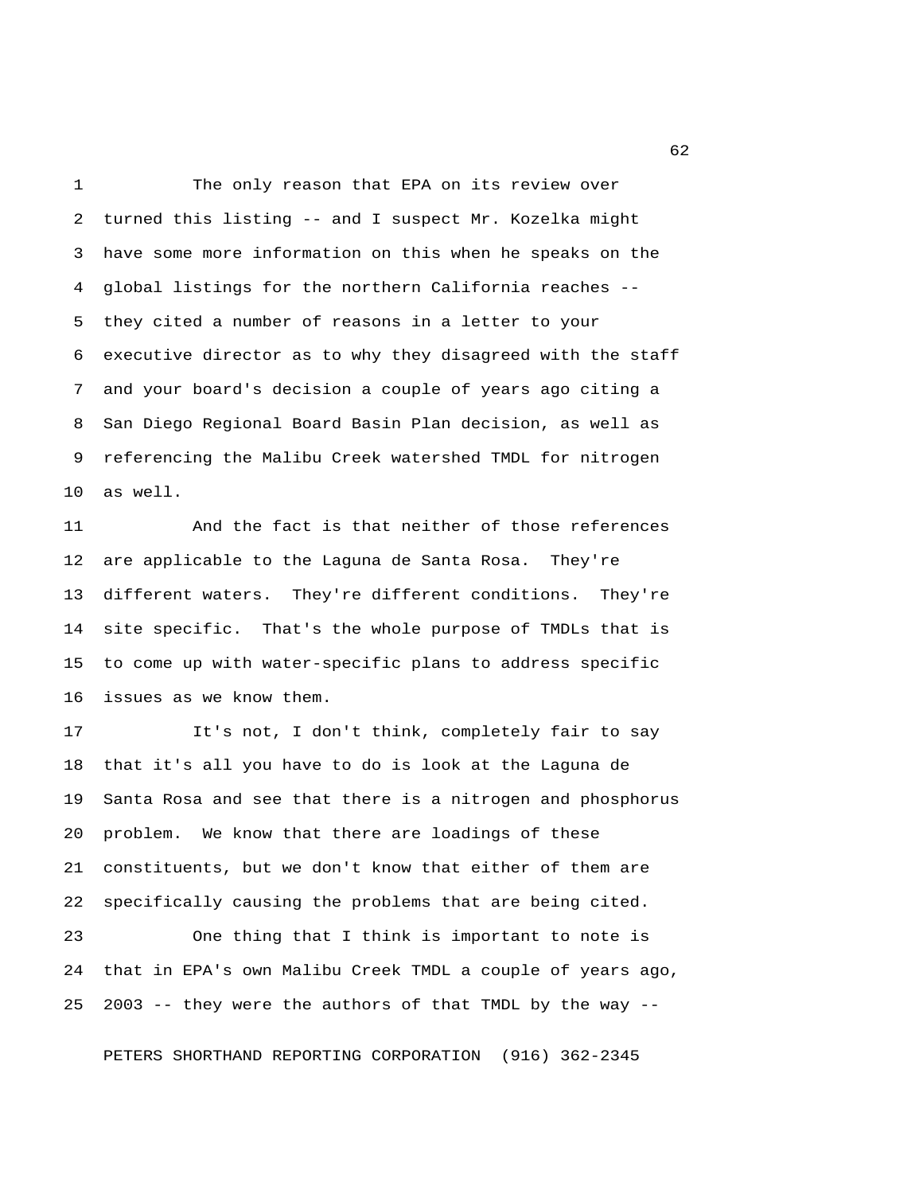1 The only reason that EPA on its review over 2 turned this listing -- and I suspect Mr. Kozelka might 3 have some more information on this when he speaks on the 4 global listings for the northern California reaches -- 5 they cited a number of reasons in a letter to your 6 executive director as to why they disagreed with the staff 7 and your board's decision a couple of years ago citing a 8 San Diego Regional Board Basin Plan decision, as well as 9 referencing the Malibu Creek watershed TMDL for nitrogen 10 as well.

11 And the fact is that neither of those references 12 are applicable to the Laguna de Santa Rosa. They're 13 different waters. They're different conditions. They're 14 site specific. That's the whole purpose of TMDLs that is 15 to come up with water-specific plans to address specific 16 issues as we know them.

17 It's not, I don't think, completely fair to say 18 that it's all you have to do is look at the Laguna de 19 Santa Rosa and see that there is a nitrogen and phosphorus 20 problem. We know that there are loadings of these 21 constituents, but we don't know that either of them are 22 specifically causing the problems that are being cited.

23 One thing that I think is important to note is 24 that in EPA's own Malibu Creek TMDL a couple of years ago, 25 2003 -- they were the authors of that TMDL by the way --

PETERS SHORTHAND REPORTING CORPORATION (916) 362-2345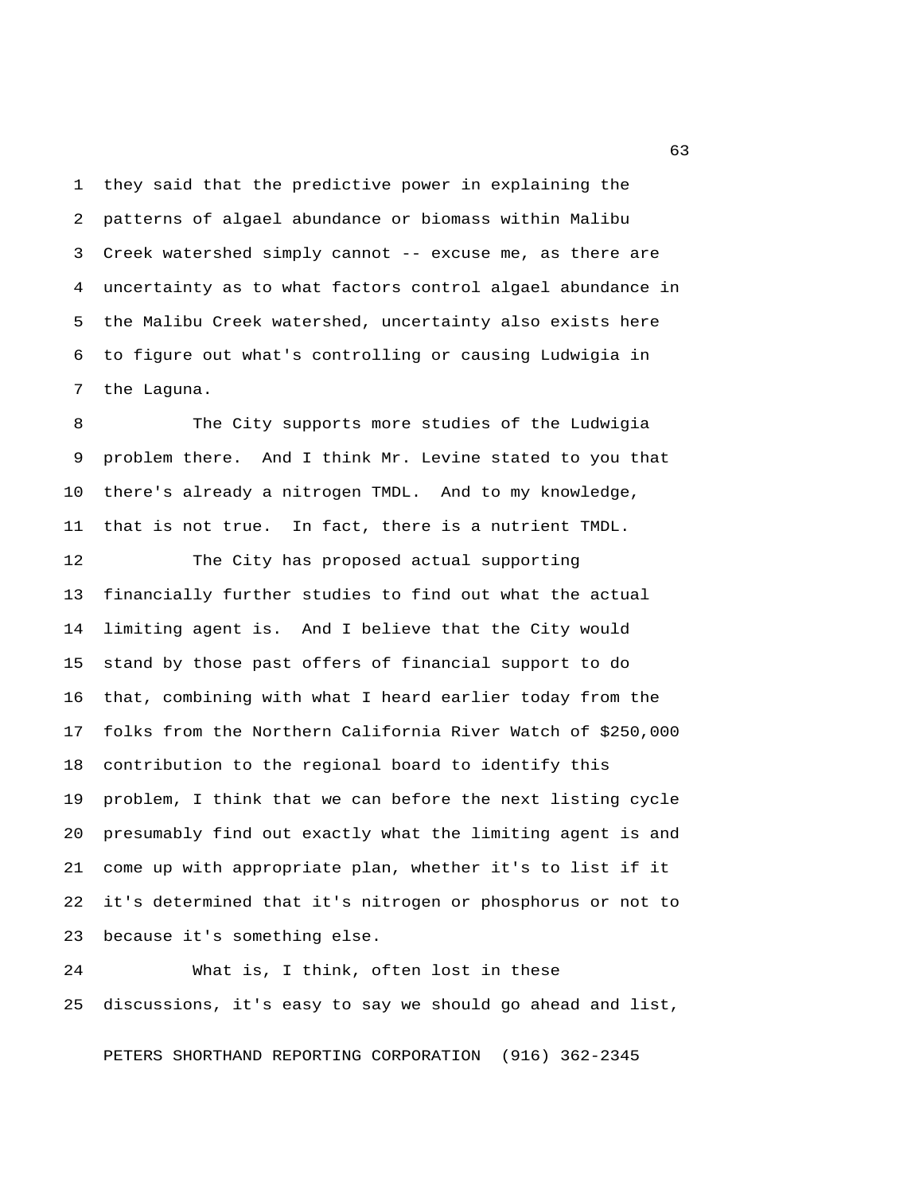1 they said that the predictive power in explaining the 2 patterns of algael abundance or biomass within Malibu 3 Creek watershed simply cannot -- excuse me, as there are 4 uncertainty as to what factors control algael abundance in 5 the Malibu Creek watershed, uncertainty also exists here 6 to figure out what's controlling or causing Ludwigia in 7 the Laguna.

 8 The City supports more studies of the Ludwigia 9 problem there. And I think Mr. Levine stated to you that 10 there's already a nitrogen TMDL. And to my knowledge, 11 that is not true. In fact, there is a nutrient TMDL.

12 The City has proposed actual supporting 13 financially further studies to find out what the actual 14 limiting agent is. And I believe that the City would 15 stand by those past offers of financial support to do 16 that, combining with what I heard earlier today from the 17 folks from the Northern California River Watch of \$250,000 18 contribution to the regional board to identify this 19 problem, I think that we can before the next listing cycle 20 presumably find out exactly what the limiting agent is and 21 come up with appropriate plan, whether it's to list if it 22 it's determined that it's nitrogen or phosphorus or not to 23 because it's something else.

24 What is, I think, often lost in these 25 discussions, it's easy to say we should go ahead and list,

PETERS SHORTHAND REPORTING CORPORATION (916) 362-2345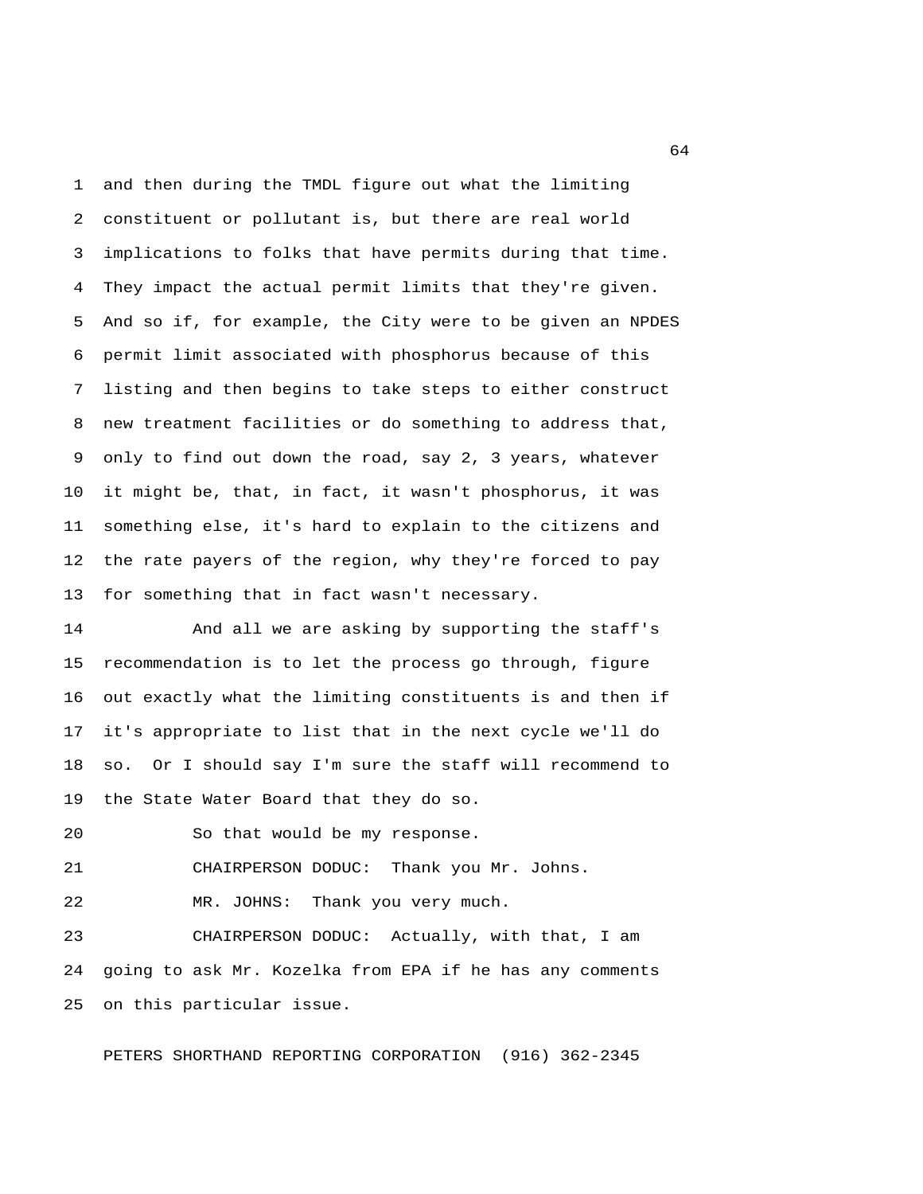1 and then during the TMDL figure out what the limiting 2 constituent or pollutant is, but there are real world 3 implications to folks that have permits during that time. 4 They impact the actual permit limits that they're given. 5 And so if, for example, the City were to be given an NPDES 6 permit limit associated with phosphorus because of this 7 listing and then begins to take steps to either construct 8 new treatment facilities or do something to address that, 9 only to find out down the road, say 2, 3 years, whatever 10 it might be, that, in fact, it wasn't phosphorus, it was 11 something else, it's hard to explain to the citizens and 12 the rate payers of the region, why they're forced to pay 13 for something that in fact wasn't necessary.

14 And all we are asking by supporting the staff's 15 recommendation is to let the process go through, figure 16 out exactly what the limiting constituents is and then if 17 it's appropriate to list that in the next cycle we'll do 18 so. Or I should say I'm sure the staff will recommend to 19 the State Water Board that they do so.

20 So that would be my response.

21 CHAIRPERSON DODUC: Thank you Mr. Johns.

22 MR. JOHNS: Thank you very much.

23 CHAIRPERSON DODUC: Actually, with that, I am 24 going to ask Mr. Kozelka from EPA if he has any comments 25 on this particular issue.

PETERS SHORTHAND REPORTING CORPORATION (916) 362-2345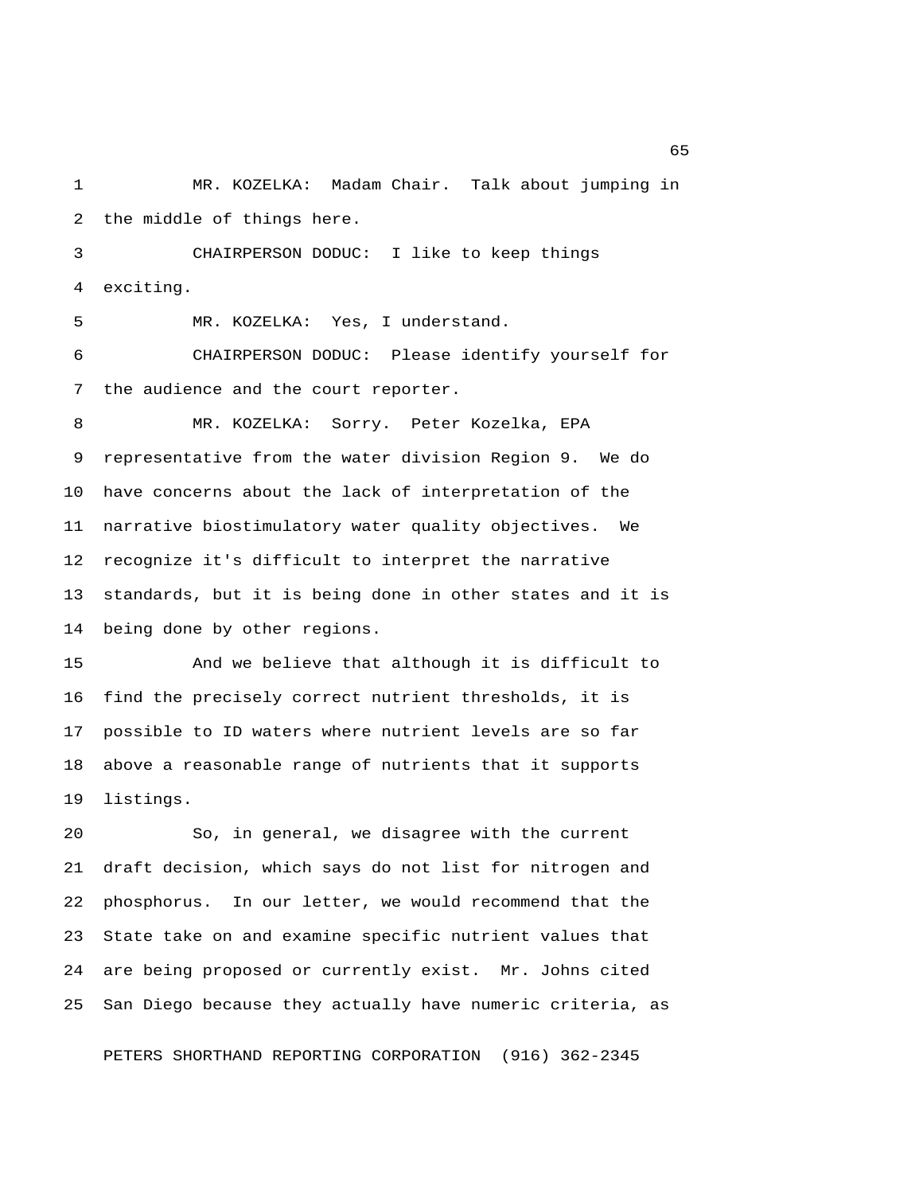1 MR. KOZELKA: Madam Chair. Talk about jumping in 2 the middle of things here.

 3 CHAIRPERSON DODUC: I like to keep things 4 exciting.

5 MR. KOZELKA: Yes, I understand.

 6 CHAIRPERSON DODUC: Please identify yourself for 7 the audience and the court reporter.

 8 MR. KOZELKA: Sorry. Peter Kozelka, EPA 9 representative from the water division Region 9. We do 10 have concerns about the lack of interpretation of the 11 narrative biostimulatory water quality objectives. We 12 recognize it's difficult to interpret the narrative 13 standards, but it is being done in other states and it is 14 being done by other regions.

15 And we believe that although it is difficult to 16 find the precisely correct nutrient thresholds, it is 17 possible to ID waters where nutrient levels are so far 18 above a reasonable range of nutrients that it supports 19 listings.

20 So, in general, we disagree with the current 21 draft decision, which says do not list for nitrogen and 22 phosphorus. In our letter, we would recommend that the 23 State take on and examine specific nutrient values that 24 are being proposed or currently exist. Mr. Johns cited 25 San Diego because they actually have numeric criteria, as

PETERS SHORTHAND REPORTING CORPORATION (916) 362-2345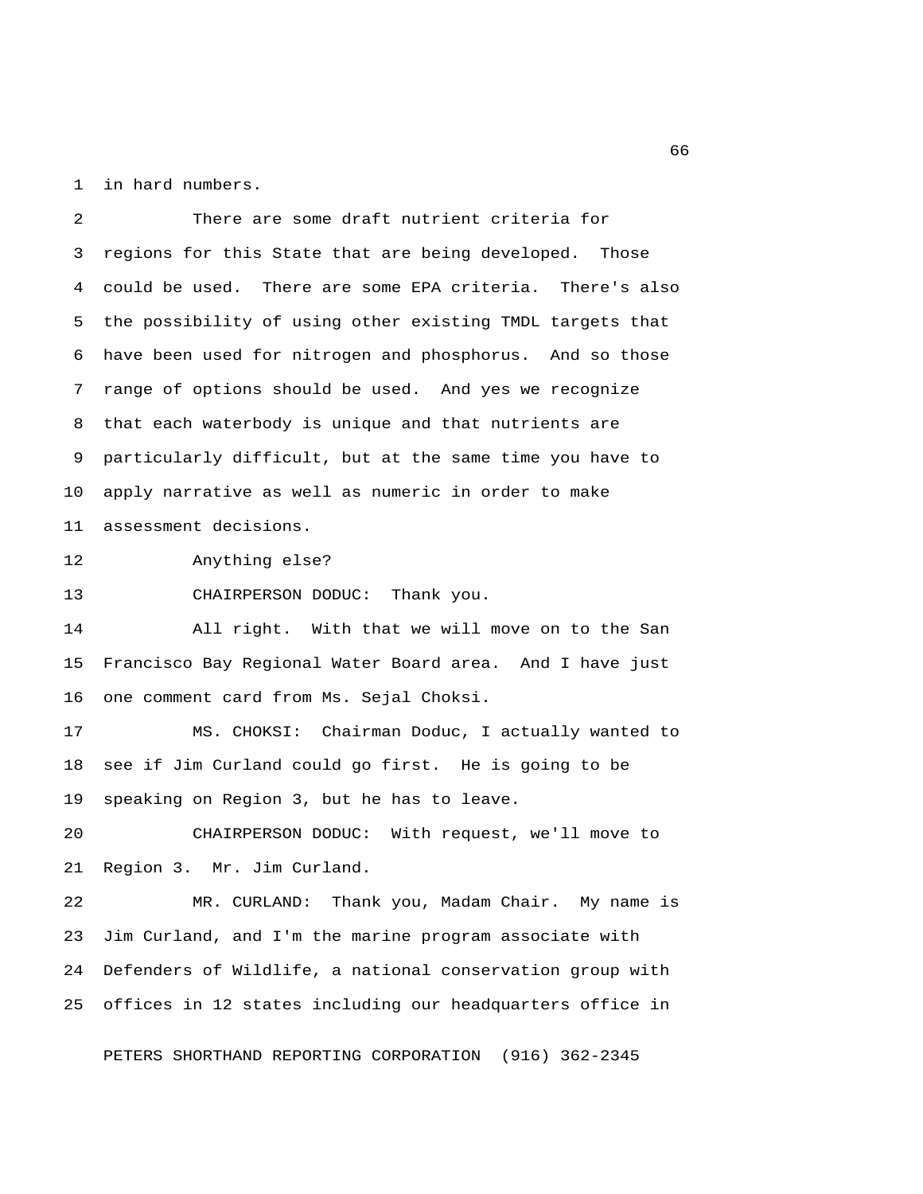1 in hard numbers.

 2 There are some draft nutrient criteria for 3 regions for this State that are being developed. Those 4 could be used. There are some EPA criteria. There's also 5 the possibility of using other existing TMDL targets that 6 have been used for nitrogen and phosphorus. And so those 7 range of options should be used. And yes we recognize 8 that each waterbody is unique and that nutrients are 9 particularly difficult, but at the same time you have to 10 apply narrative as well as numeric in order to make 11 assessment decisions.

12 Anything else?

13 CHAIRPERSON DODUC: Thank you.

14 All right. With that we will move on to the San 15 Francisco Bay Regional Water Board area. And I have just 16 one comment card from Ms. Sejal Choksi.

17 MS. CHOKSI: Chairman Doduc, I actually wanted to 18 see if Jim Curland could go first. He is going to be 19 speaking on Region 3, but he has to leave.

20 CHAIRPERSON DODUC: With request, we'll move to 21 Region 3. Mr. Jim Curland.

22 MR. CURLAND: Thank you, Madam Chair. My name is 23 Jim Curland, and I'm the marine program associate with 24 Defenders of Wildlife, a national conservation group with 25 offices in 12 states including our headquarters office in

PETERS SHORTHAND REPORTING CORPORATION (916) 362-2345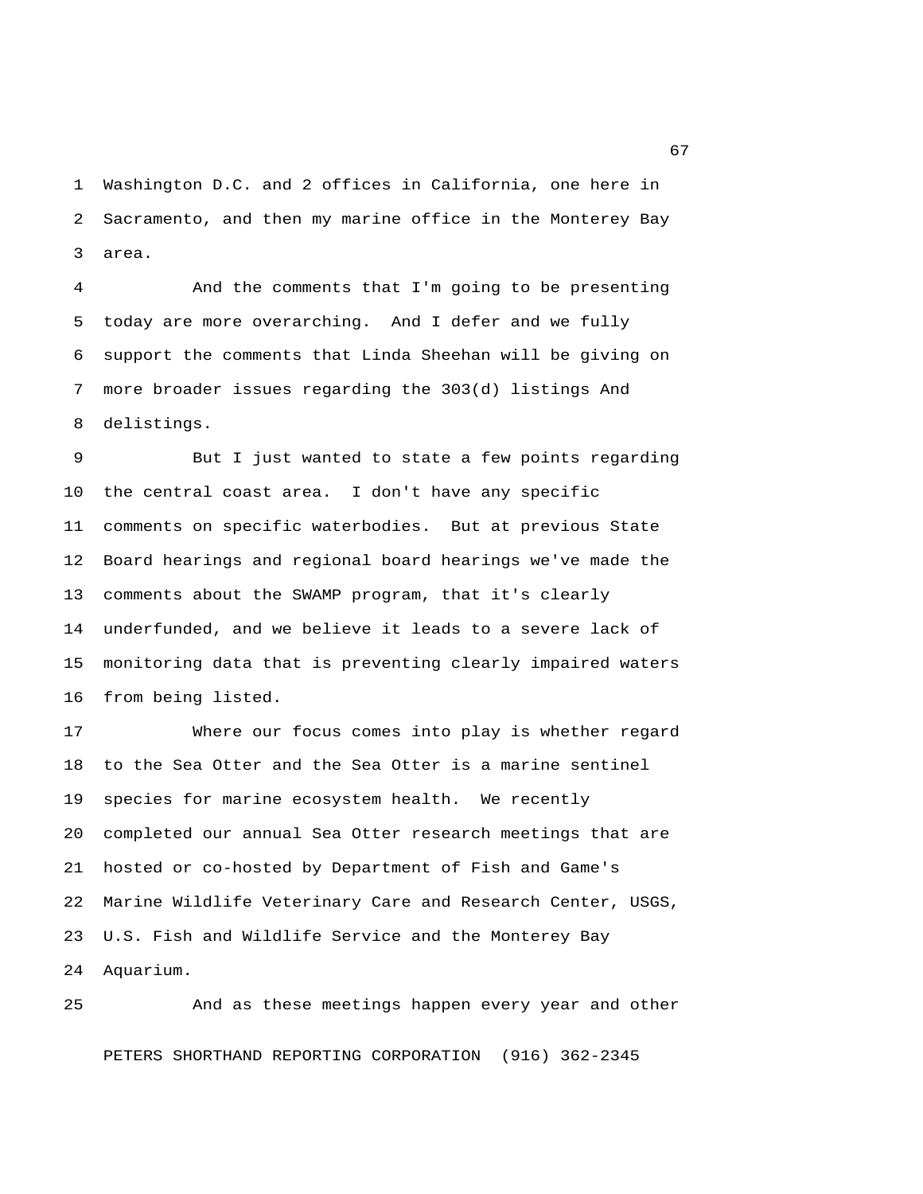1 Washington D.C. and 2 offices in California, one here in 2 Sacramento, and then my marine office in the Monterey Bay 3 area.

 4 And the comments that I'm going to be presenting 5 today are more overarching. And I defer and we fully 6 support the comments that Linda Sheehan will be giving on 7 more broader issues regarding the 303(d) listings And 8 delistings.

 9 But I just wanted to state a few points regarding 10 the central coast area. I don't have any specific 11 comments on specific waterbodies. But at previous State 12 Board hearings and regional board hearings we've made the 13 comments about the SWAMP program, that it's clearly 14 underfunded, and we believe it leads to a severe lack of 15 monitoring data that is preventing clearly impaired waters 16 from being listed.

17 Where our focus comes into play is whether regard 18 to the Sea Otter and the Sea Otter is a marine sentinel 19 species for marine ecosystem health. We recently 20 completed our annual Sea Otter research meetings that are 21 hosted or co-hosted by Department of Fish and Game's 22 Marine Wildlife Veterinary Care and Research Center, USGS, 23 U.S. Fish and Wildlife Service and the Monterey Bay 24 Aquarium.

25 And as these meetings happen every year and other PETERS SHORTHAND REPORTING CORPORATION (916) 362-2345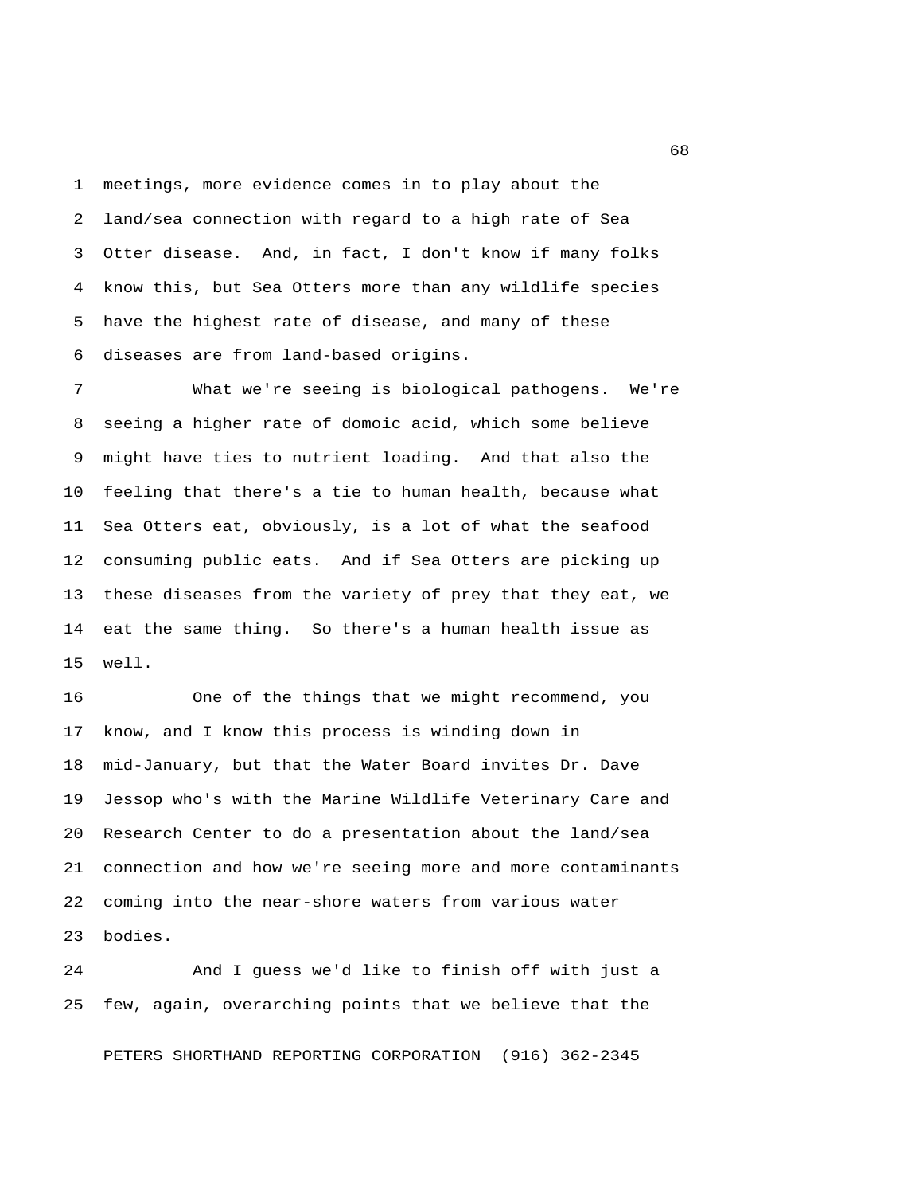1 meetings, more evidence comes in to play about the 2 land/sea connection with regard to a high rate of Sea 3 Otter disease. And, in fact, I don't know if many folks 4 know this, but Sea Otters more than any wildlife species 5 have the highest rate of disease, and many of these 6 diseases are from land-based origins.

 7 What we're seeing is biological pathogens. We're 8 seeing a higher rate of domoic acid, which some believe 9 might have ties to nutrient loading. And that also the 10 feeling that there's a tie to human health, because what 11 Sea Otters eat, obviously, is a lot of what the seafood 12 consuming public eats. And if Sea Otters are picking up 13 these diseases from the variety of prey that they eat, we 14 eat the same thing. So there's a human health issue as 15 well.

16 One of the things that we might recommend, you 17 know, and I know this process is winding down in 18 mid-January, but that the Water Board invites Dr. Dave 19 Jessop who's with the Marine Wildlife Veterinary Care and 20 Research Center to do a presentation about the land/sea 21 connection and how we're seeing more and more contaminants 22 coming into the near-shore waters from various water 23 bodies.

24 And I guess we'd like to finish off with just a 25 few, again, overarching points that we believe that the

PETERS SHORTHAND REPORTING CORPORATION (916) 362-2345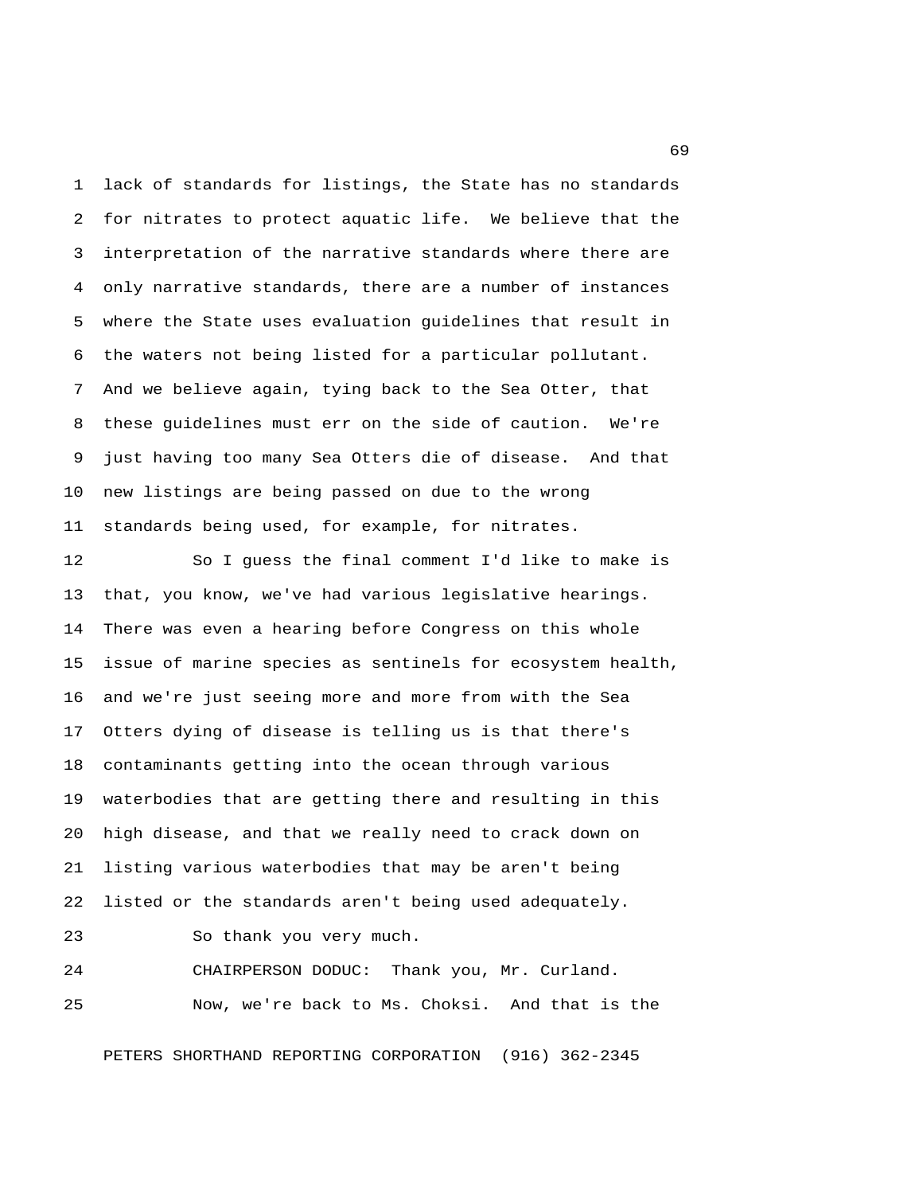1 lack of standards for listings, the State has no standards 2 for nitrates to protect aquatic life. We believe that the 3 interpretation of the narrative standards where there are 4 only narrative standards, there are a number of instances 5 where the State uses evaluation guidelines that result in 6 the waters not being listed for a particular pollutant. 7 And we believe again, tying back to the Sea Otter, that 8 these guidelines must err on the side of caution. We're 9 just having too many Sea Otters die of disease. And that 10 new listings are being passed on due to the wrong 11 standards being used, for example, for nitrates.

12 So I guess the final comment I'd like to make is 13 that, you know, we've had various legislative hearings. 14 There was even a hearing before Congress on this whole 15 issue of marine species as sentinels for ecosystem health, 16 and we're just seeing more and more from with the Sea 17 Otters dying of disease is telling us is that there's 18 contaminants getting into the ocean through various 19 waterbodies that are getting there and resulting in this 20 high disease, and that we really need to crack down on 21 listing various waterbodies that may be aren't being 22 listed or the standards aren't being used adequately. 23 So thank you very much.

24 CHAIRPERSON DODUC: Thank you, Mr. Curland. 25 Now, we're back to Ms. Choksi. And that is the

PETERS SHORTHAND REPORTING CORPORATION (916) 362-2345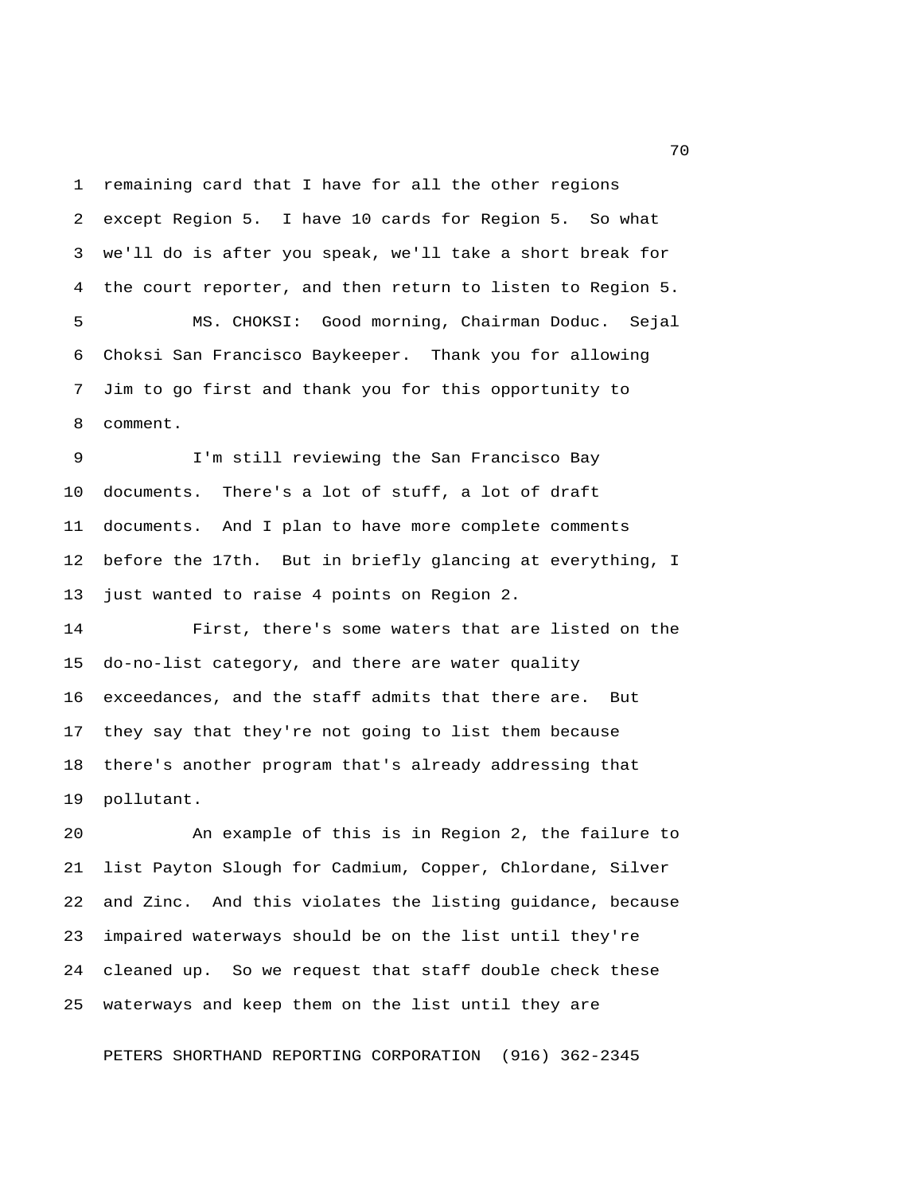1 remaining card that I have for all the other regions 2 except Region 5. I have 10 cards for Region 5. So what 3 we'll do is after you speak, we'll take a short break for 4 the court reporter, and then return to listen to Region 5. 5 MS. CHOKSI: Good morning, Chairman Doduc. Sejal 6 Choksi San Francisco Baykeeper. Thank you for allowing 7 Jim to go first and thank you for this opportunity to

8 comment.

 9 I'm still reviewing the San Francisco Bay 10 documents. There's a lot of stuff, a lot of draft 11 documents. And I plan to have more complete comments 12 before the 17th. But in briefly glancing at everything, I 13 just wanted to raise 4 points on Region 2.

14 First, there's some waters that are listed on the 15 do-no-list category, and there are water quality 16 exceedances, and the staff admits that there are. But 17 they say that they're not going to list them because 18 there's another program that's already addressing that 19 pollutant.

20 An example of this is in Region 2, the failure to 21 list Payton Slough for Cadmium, Copper, Chlordane, Silver 22 and Zinc. And this violates the listing guidance, because 23 impaired waterways should be on the list until they're 24 cleaned up. So we request that staff double check these 25 waterways and keep them on the list until they are

PETERS SHORTHAND REPORTING CORPORATION (916) 362-2345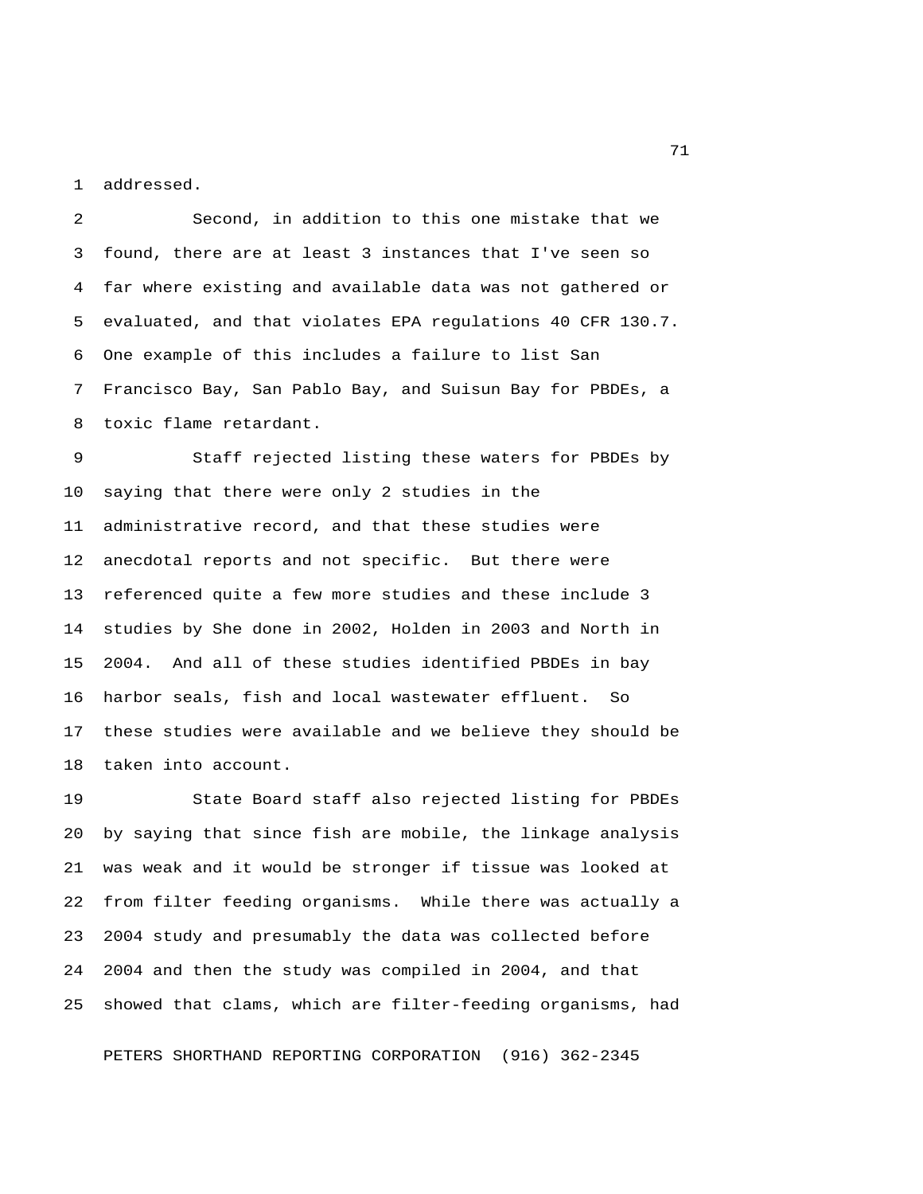1 addressed.

 2 Second, in addition to this one mistake that we 3 found, there are at least 3 instances that I've seen so 4 far where existing and available data was not gathered or 5 evaluated, and that violates EPA regulations 40 CFR 130.7. 6 One example of this includes a failure to list San 7 Francisco Bay, San Pablo Bay, and Suisun Bay for PBDEs, a 8 toxic flame retardant.

 9 Staff rejected listing these waters for PBDEs by 10 saying that there were only 2 studies in the 11 administrative record, and that these studies were 12 anecdotal reports and not specific. But there were 13 referenced quite a few more studies and these include 3 14 studies by She done in 2002, Holden in 2003 and North in 15 2004. And all of these studies identified PBDEs in bay 16 harbor seals, fish and local wastewater effluent. So 17 these studies were available and we believe they should be 18 taken into account.

19 State Board staff also rejected listing for PBDEs 20 by saying that since fish are mobile, the linkage analysis 21 was weak and it would be stronger if tissue was looked at 22 from filter feeding organisms. While there was actually a 23 2004 study and presumably the data was collected before 24 2004 and then the study was compiled in 2004, and that 25 showed that clams, which are filter-feeding organisms, had

PETERS SHORTHAND REPORTING CORPORATION (916) 362-2345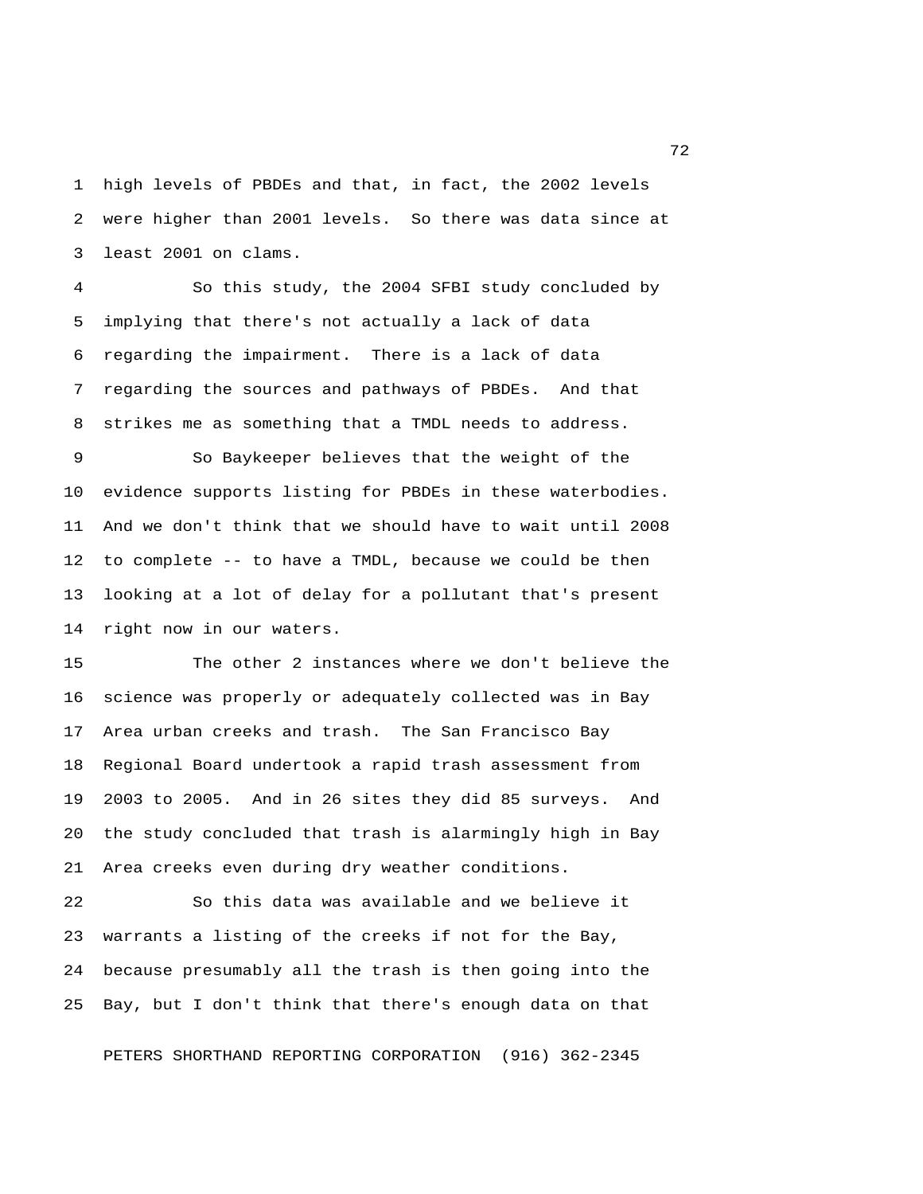1 high levels of PBDEs and that, in fact, the 2002 levels 2 were higher than 2001 levels. So there was data since at 3 least 2001 on clams.

 4 So this study, the 2004 SFBI study concluded by 5 implying that there's not actually a lack of data 6 regarding the impairment. There is a lack of data 7 regarding the sources and pathways of PBDEs. And that 8 strikes me as something that a TMDL needs to address.

 9 So Baykeeper believes that the weight of the 10 evidence supports listing for PBDEs in these waterbodies. 11 And we don't think that we should have to wait until 2008 12 to complete -- to have a TMDL, because we could be then 13 looking at a lot of delay for a pollutant that's present 14 right now in our waters.

15 The other 2 instances where we don't believe the 16 science was properly or adequately collected was in Bay 17 Area urban creeks and trash. The San Francisco Bay 18 Regional Board undertook a rapid trash assessment from 19 2003 to 2005. And in 26 sites they did 85 surveys. And 20 the study concluded that trash is alarmingly high in Bay 21 Area creeks even during dry weather conditions.

22 So this data was available and we believe it 23 warrants a listing of the creeks if not for the Bay, 24 because presumably all the trash is then going into the 25 Bay, but I don't think that there's enough data on that

PETERS SHORTHAND REPORTING CORPORATION (916) 362-2345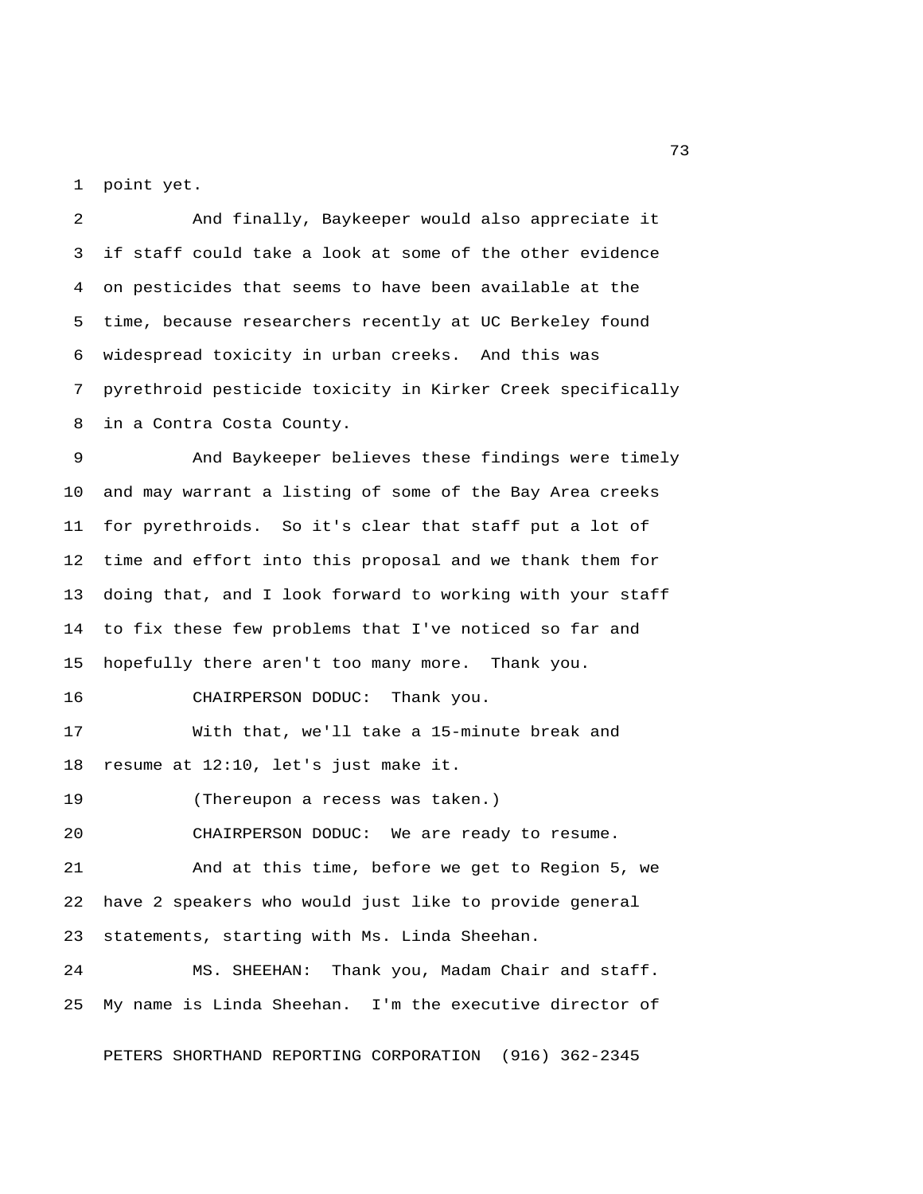1 point yet.

 2 And finally, Baykeeper would also appreciate it 3 if staff could take a look at some of the other evidence 4 on pesticides that seems to have been available at the 5 time, because researchers recently at UC Berkeley found 6 widespread toxicity in urban creeks. And this was 7 pyrethroid pesticide toxicity in Kirker Creek specifically 8 in a Contra Costa County.

 9 And Baykeeper believes these findings were timely 10 and may warrant a listing of some of the Bay Area creeks 11 for pyrethroids. So it's clear that staff put a lot of 12 time and effort into this proposal and we thank them for 13 doing that, and I look forward to working with your staff 14 to fix these few problems that I've noticed so far and 15 hopefully there aren't too many more. Thank you. 16 CHAIRPERSON DODUC: Thank you. 17 With that, we'll take a 15-minute break and

18 resume at 12:10, let's just make it.

19 (Thereupon a recess was taken.)

20 CHAIRPERSON DODUC: We are ready to resume.

21 And at this time, before we get to Region 5, we 22 have 2 speakers who would just like to provide general 23 statements, starting with Ms. Linda Sheehan.

24 MS. SHEEHAN: Thank you, Madam Chair and staff. 25 My name is Linda Sheehan. I'm the executive director of

PETERS SHORTHAND REPORTING CORPORATION (916) 362-2345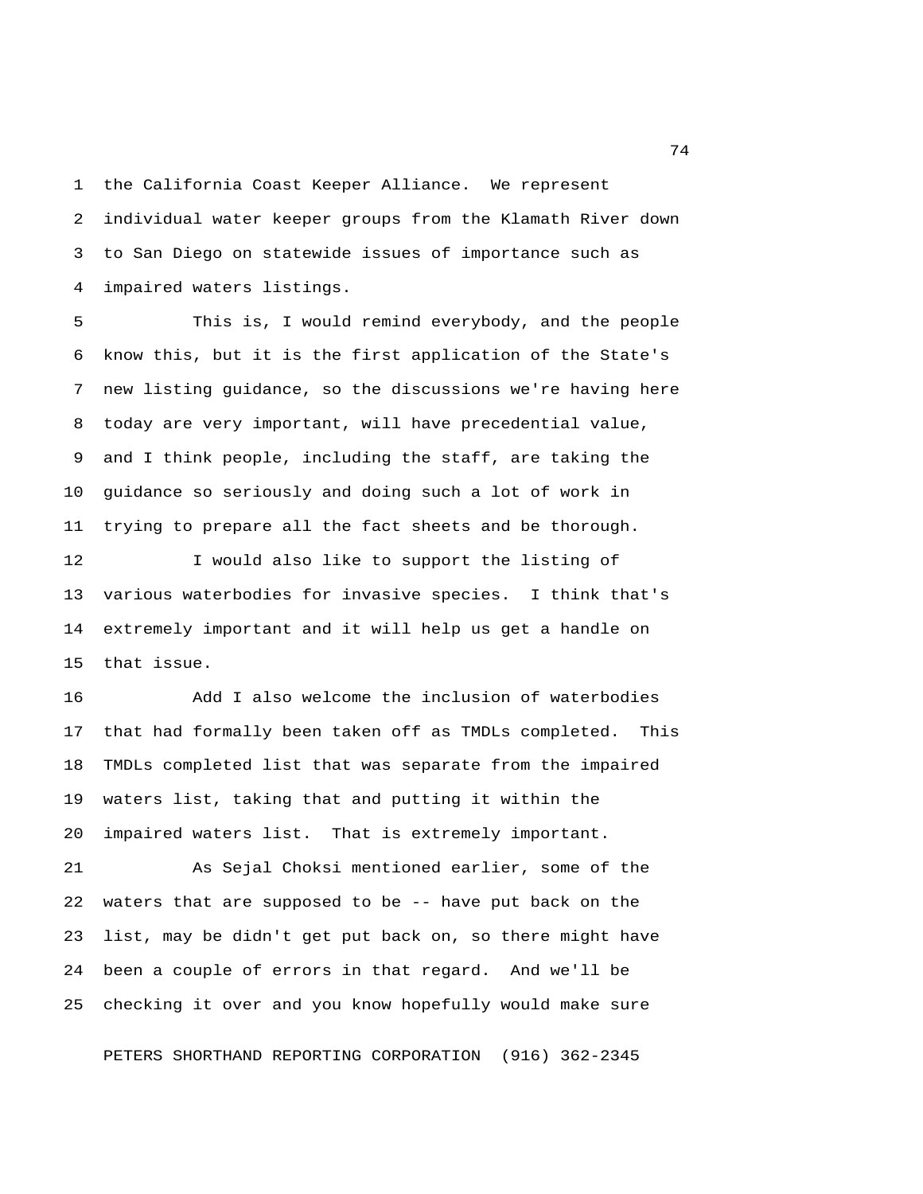1 the California Coast Keeper Alliance. We represent 2 individual water keeper groups from the Klamath River down 3 to San Diego on statewide issues of importance such as 4 impaired waters listings.

 5 This is, I would remind everybody, and the people 6 know this, but it is the first application of the State's 7 new listing guidance, so the discussions we're having here 8 today are very important, will have precedential value, 9 and I think people, including the staff, are taking the 10 guidance so seriously and doing such a lot of work in 11 trying to prepare all the fact sheets and be thorough.

12 I would also like to support the listing of 13 various waterbodies for invasive species. I think that's 14 extremely important and it will help us get a handle on 15 that issue.

16 Add I also welcome the inclusion of waterbodies 17 that had formally been taken off as TMDLs completed. This 18 TMDLs completed list that was separate from the impaired 19 waters list, taking that and putting it within the 20 impaired waters list. That is extremely important.

21 As Sejal Choksi mentioned earlier, some of the 22 waters that are supposed to be -- have put back on the 23 list, may be didn't get put back on, so there might have 24 been a couple of errors in that regard. And we'll be 25 checking it over and you know hopefully would make sure

PETERS SHORTHAND REPORTING CORPORATION (916) 362-2345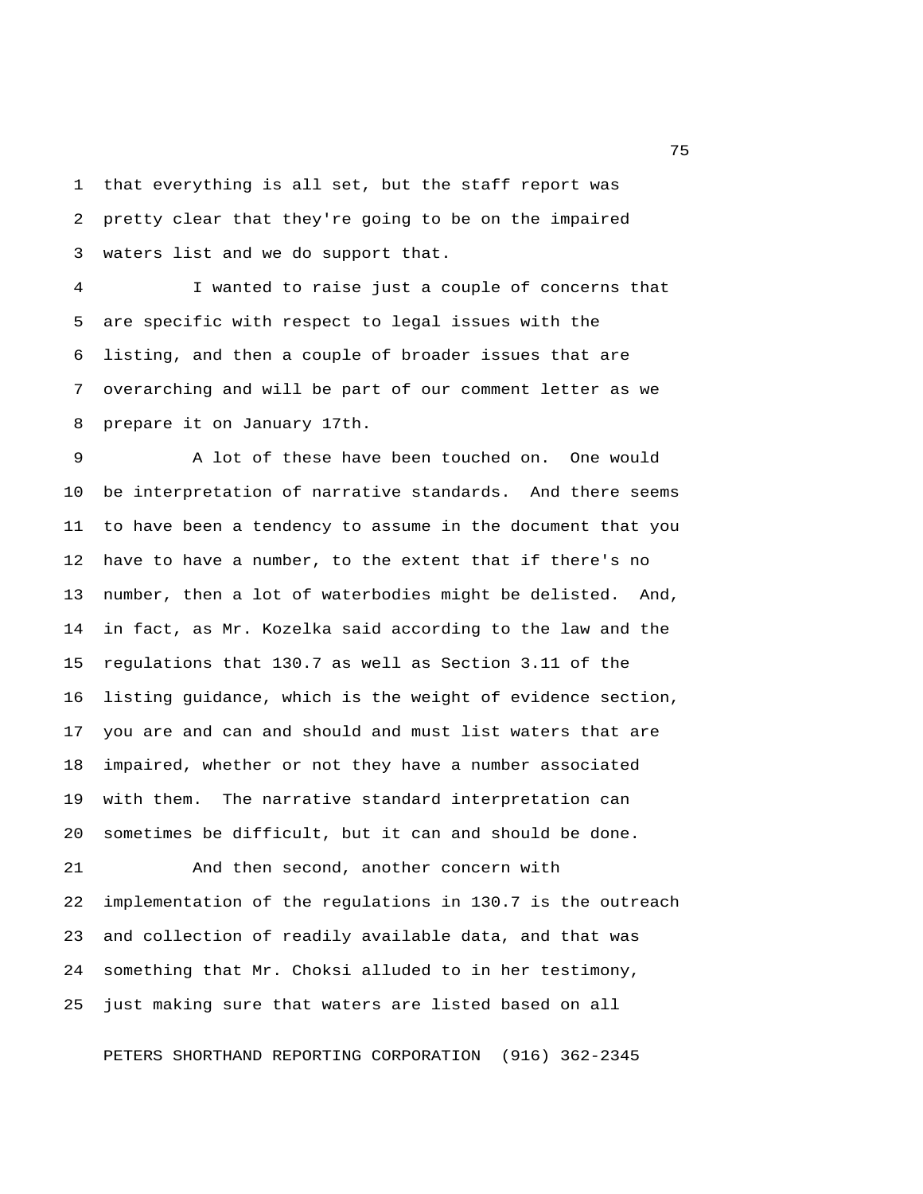1 that everything is all set, but the staff report was 2 pretty clear that they're going to be on the impaired 3 waters list and we do support that.

 4 I wanted to raise just a couple of concerns that 5 are specific with respect to legal issues with the 6 listing, and then a couple of broader issues that are 7 overarching and will be part of our comment letter as we 8 prepare it on January 17th.

 9 A lot of these have been touched on. One would 10 be interpretation of narrative standards. And there seems 11 to have been a tendency to assume in the document that you 12 have to have a number, to the extent that if there's no 13 number, then a lot of waterbodies might be delisted. And, 14 in fact, as Mr. Kozelka said according to the law and the 15 regulations that 130.7 as well as Section 3.11 of the 16 listing guidance, which is the weight of evidence section, 17 you are and can and should and must list waters that are 18 impaired, whether or not they have a number associated 19 with them. The narrative standard interpretation can 20 sometimes be difficult, but it can and should be done.

21 And then second, another concern with 22 implementation of the regulations in 130.7 is the outreach 23 and collection of readily available data, and that was 24 something that Mr. Choksi alluded to in her testimony, 25 just making sure that waters are listed based on all

PETERS SHORTHAND REPORTING CORPORATION (916) 362-2345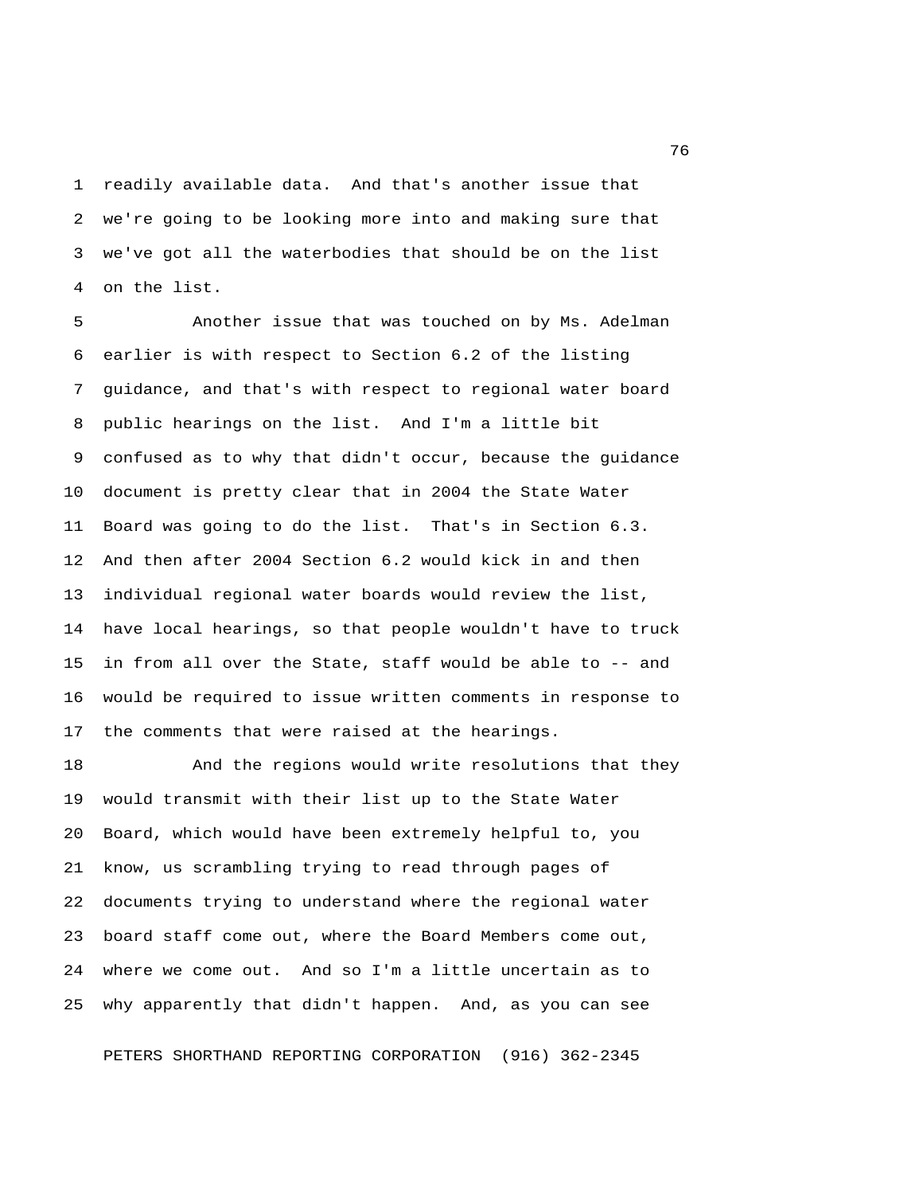1 readily available data. And that's another issue that 2 we're going to be looking more into and making sure that 3 we've got all the waterbodies that should be on the list 4 on the list.

 5 Another issue that was touched on by Ms. Adelman 6 earlier is with respect to Section 6.2 of the listing 7 guidance, and that's with respect to regional water board 8 public hearings on the list. And I'm a little bit 9 confused as to why that didn't occur, because the guidance 10 document is pretty clear that in 2004 the State Water 11 Board was going to do the list. That's in Section 6.3. 12 And then after 2004 Section 6.2 would kick in and then 13 individual regional water boards would review the list, 14 have local hearings, so that people wouldn't have to truck 15 in from all over the State, staff would be able to -- and 16 would be required to issue written comments in response to 17 the comments that were raised at the hearings.

18 And the regions would write resolutions that they 19 would transmit with their list up to the State Water 20 Board, which would have been extremely helpful to, you 21 know, us scrambling trying to read through pages of 22 documents trying to understand where the regional water 23 board staff come out, where the Board Members come out, 24 where we come out. And so I'm a little uncertain as to 25 why apparently that didn't happen. And, as you can see

PETERS SHORTHAND REPORTING CORPORATION (916) 362-2345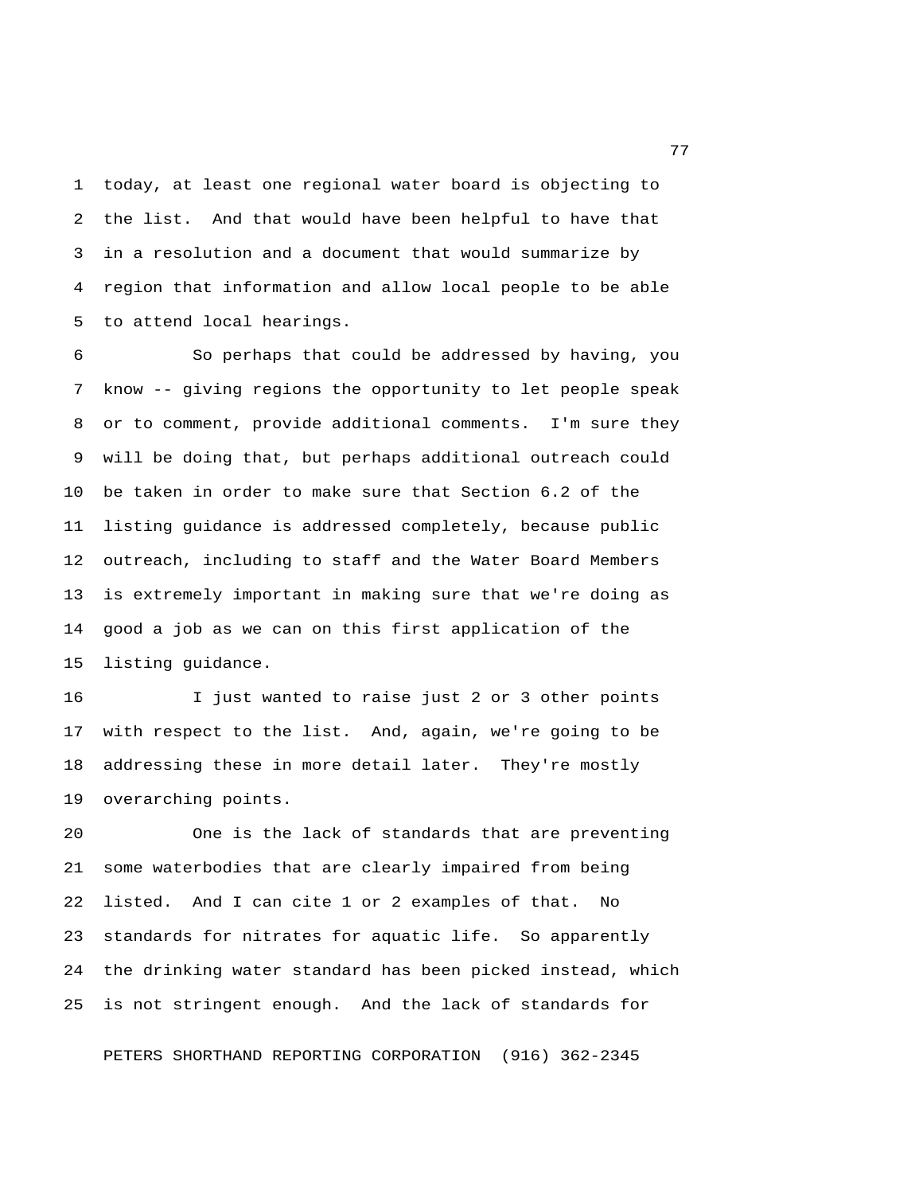1 today, at least one regional water board is objecting to 2 the list. And that would have been helpful to have that 3 in a resolution and a document that would summarize by 4 region that information and allow local people to be able 5 to attend local hearings.

 6 So perhaps that could be addressed by having, you 7 know -- giving regions the opportunity to let people speak 8 or to comment, provide additional comments. I'm sure they 9 will be doing that, but perhaps additional outreach could 10 be taken in order to make sure that Section 6.2 of the 11 listing guidance is addressed completely, because public 12 outreach, including to staff and the Water Board Members 13 is extremely important in making sure that we're doing as 14 good a job as we can on this first application of the 15 listing guidance.

16 I just wanted to raise just 2 or 3 other points 17 with respect to the list. And, again, we're going to be 18 addressing these in more detail later. They're mostly 19 overarching points.

20 One is the lack of standards that are preventing 21 some waterbodies that are clearly impaired from being 22 listed. And I can cite 1 or 2 examples of that. No 23 standards for nitrates for aquatic life. So apparently 24 the drinking water standard has been picked instead, which 25 is not stringent enough. And the lack of standards for

PETERS SHORTHAND REPORTING CORPORATION (916) 362-2345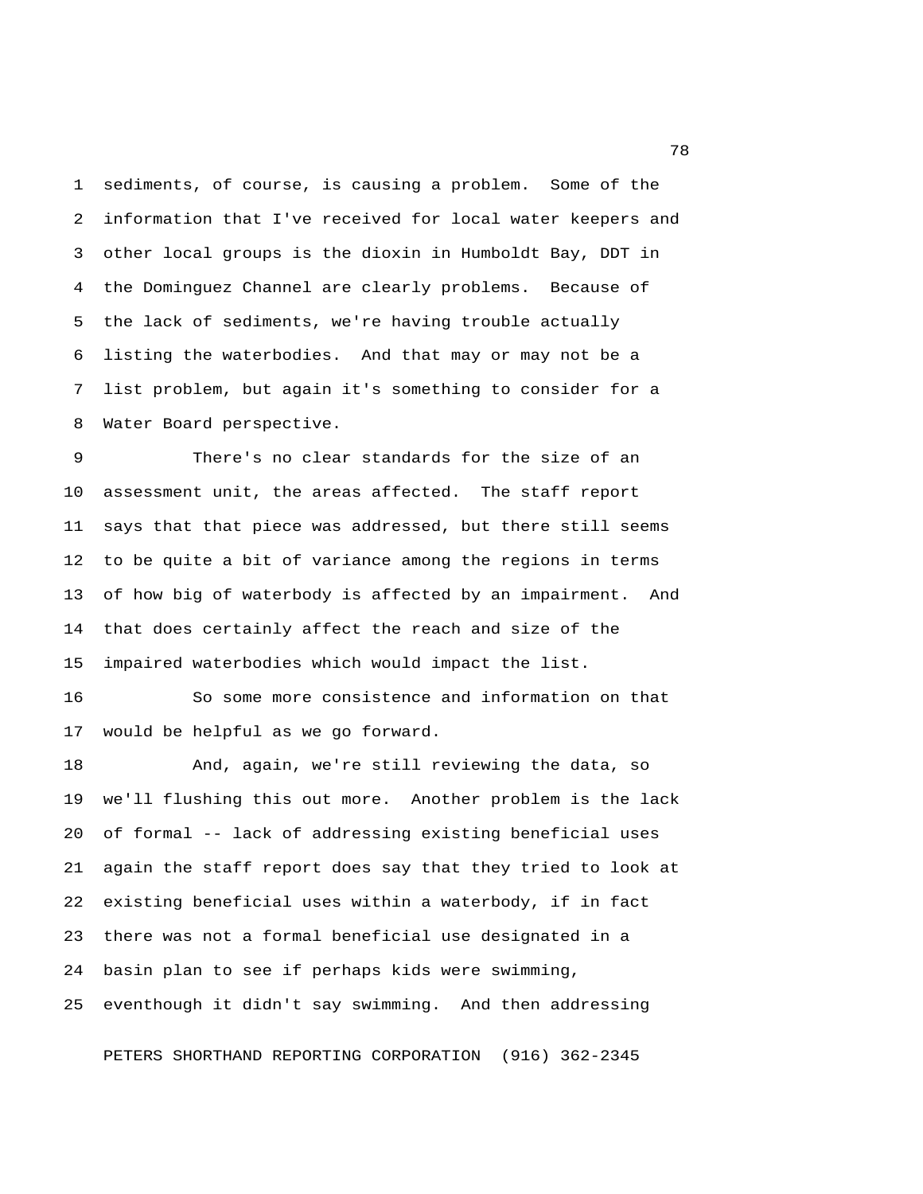1 sediments, of course, is causing a problem. Some of the 2 information that I've received for local water keepers and 3 other local groups is the dioxin in Humboldt Bay, DDT in 4 the Dominguez Channel are clearly problems. Because of 5 the lack of sediments, we're having trouble actually 6 listing the waterbodies. And that may or may not be a 7 list problem, but again it's something to consider for a 8 Water Board perspective.

 9 There's no clear standards for the size of an 10 assessment unit, the areas affected. The staff report 11 says that that piece was addressed, but there still seems 12 to be quite a bit of variance among the regions in terms 13 of how big of waterbody is affected by an impairment. And 14 that does certainly affect the reach and size of the 15 impaired waterbodies which would impact the list.

16 So some more consistence and information on that 17 would be helpful as we go forward.

18 And, again, we're still reviewing the data, so 19 we'll flushing this out more. Another problem is the lack 20 of formal -- lack of addressing existing beneficial uses 21 again the staff report does say that they tried to look at 22 existing beneficial uses within a waterbody, if in fact 23 there was not a formal beneficial use designated in a 24 basin plan to see if perhaps kids were swimming, 25 eventhough it didn't say swimming. And then addressing

PETERS SHORTHAND REPORTING CORPORATION (916) 362-2345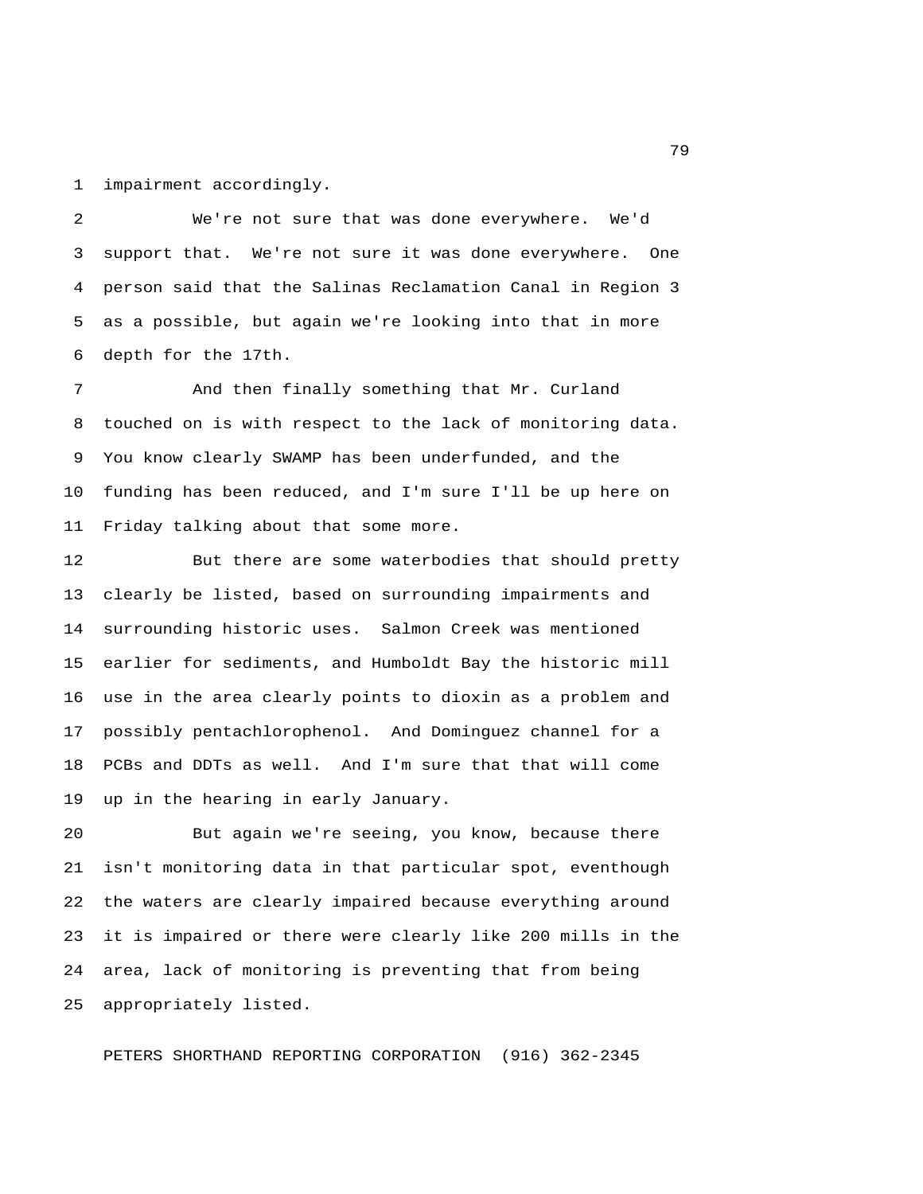1 impairment accordingly.

 2 We're not sure that was done everywhere. We'd 3 support that. We're not sure it was done everywhere. One 4 person said that the Salinas Reclamation Canal in Region 3 5 as a possible, but again we're looking into that in more 6 depth for the 17th.

 7 And then finally something that Mr. Curland 8 touched on is with respect to the lack of monitoring data. 9 You know clearly SWAMP has been underfunded, and the 10 funding has been reduced, and I'm sure I'll be up here on 11 Friday talking about that some more.

12 But there are some waterbodies that should pretty 13 clearly be listed, based on surrounding impairments and 14 surrounding historic uses. Salmon Creek was mentioned 15 earlier for sediments, and Humboldt Bay the historic mill 16 use in the area clearly points to dioxin as a problem and 17 possibly pentachlorophenol. And Dominguez channel for a 18 PCBs and DDTs as well. And I'm sure that that will come 19 up in the hearing in early January.

20 But again we're seeing, you know, because there 21 isn't monitoring data in that particular spot, eventhough 22 the waters are clearly impaired because everything around 23 it is impaired or there were clearly like 200 mills in the 24 area, lack of monitoring is preventing that from being 25 appropriately listed.

PETERS SHORTHAND REPORTING CORPORATION (916) 362-2345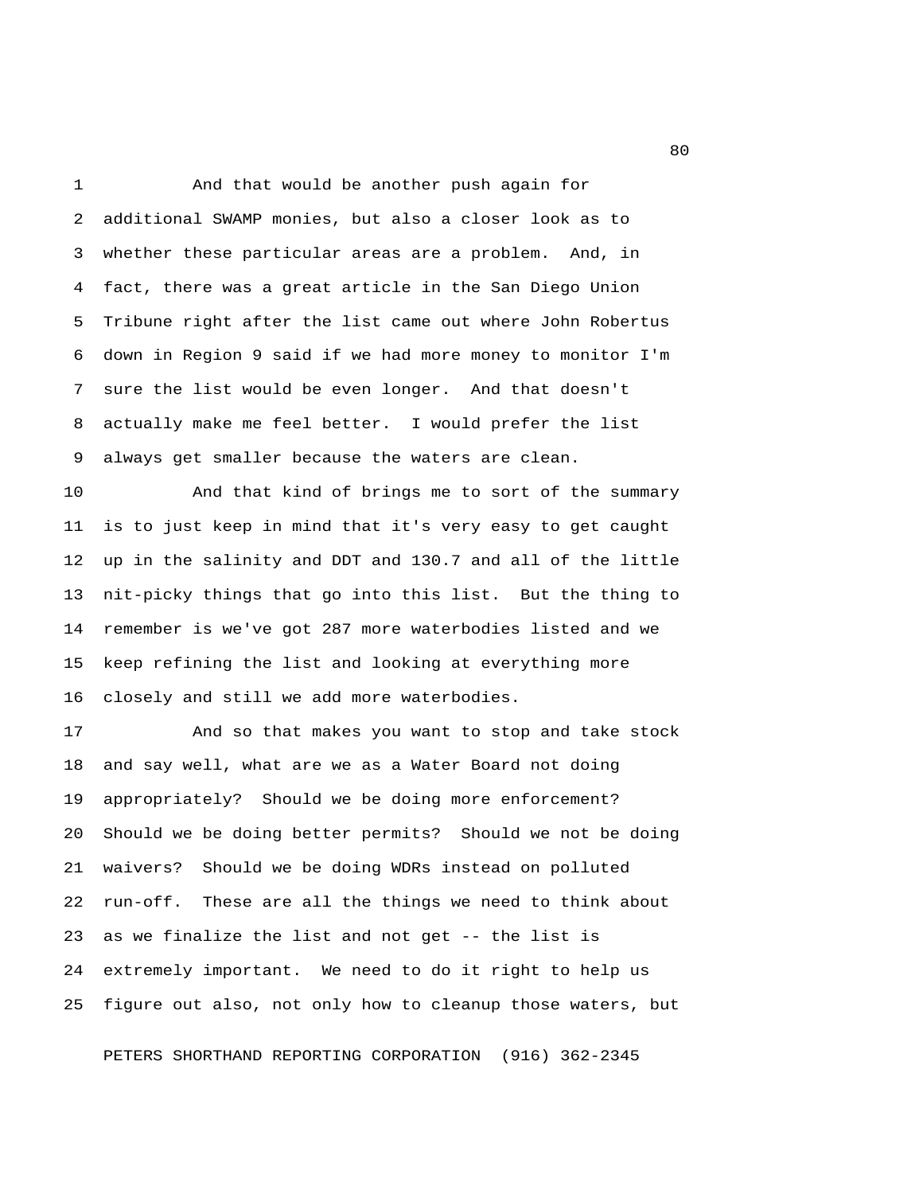1 And that would be another push again for 2 additional SWAMP monies, but also a closer look as to 3 whether these particular areas are a problem. And, in 4 fact, there was a great article in the San Diego Union 5 Tribune right after the list came out where John Robertus 6 down in Region 9 said if we had more money to monitor I'm 7 sure the list would be even longer. And that doesn't 8 actually make me feel better. I would prefer the list 9 always get smaller because the waters are clean.

10 And that kind of brings me to sort of the summary 11 is to just keep in mind that it's very easy to get caught 12 up in the salinity and DDT and 130.7 and all of the little 13 nit-picky things that go into this list. But the thing to 14 remember is we've got 287 more waterbodies listed and we 15 keep refining the list and looking at everything more 16 closely and still we add more waterbodies.

17 And so that makes you want to stop and take stock 18 and say well, what are we as a Water Board not doing 19 appropriately? Should we be doing more enforcement? 20 Should we be doing better permits? Should we not be doing 21 waivers? Should we be doing WDRs instead on polluted 22 run-off. These are all the things we need to think about 23 as we finalize the list and not get -- the list is 24 extremely important. We need to do it right to help us 25 figure out also, not only how to cleanup those waters, but

PETERS SHORTHAND REPORTING CORPORATION (916) 362-2345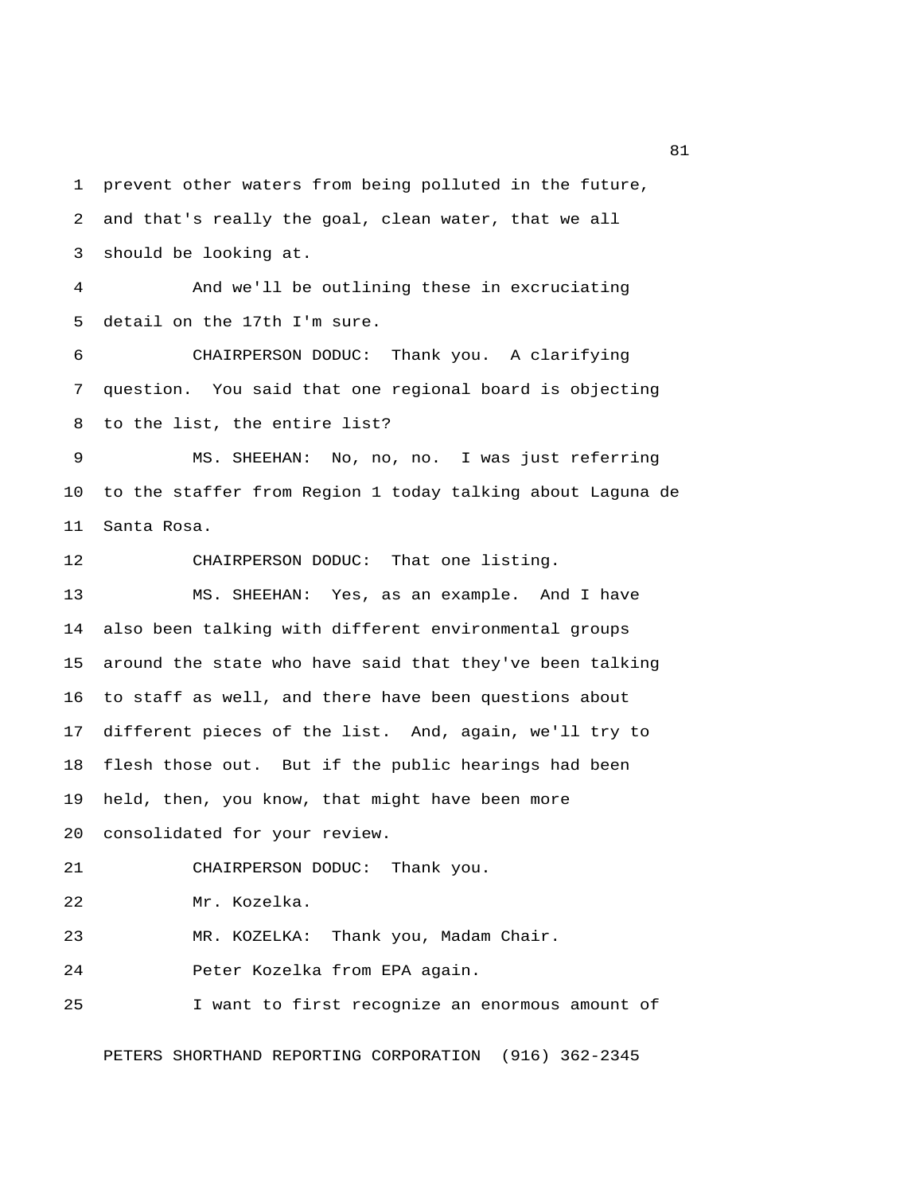1 prevent other waters from being polluted in the future, 2 and that's really the goal, clean water, that we all 3 should be looking at.

 4 And we'll be outlining these in excruciating 5 detail on the 17th I'm sure.

 6 CHAIRPERSON DODUC: Thank you. A clarifying 7 question. You said that one regional board is objecting 8 to the list, the entire list?

 9 MS. SHEEHAN: No, no, no. I was just referring 10 to the staffer from Region 1 today talking about Laguna de 11 Santa Rosa.

12 CHAIRPERSON DODUC: That one listing.

13 MS. SHEEHAN: Yes, as an example. And I have 14 also been talking with different environmental groups 15 around the state who have said that they've been talking 16 to staff as well, and there have been questions about 17 different pieces of the list. And, again, we'll try to 18 flesh those out. But if the public hearings had been 19 held, then, you know, that might have been more 20 consolidated for your review.

21 CHAIRPERSON DODUC: Thank you.

22 Mr. Kozelka.

23 MR. KOZELKA: Thank you, Madam Chair.

24 Peter Kozelka from EPA again.

25 I want to first recognize an enormous amount of

PETERS SHORTHAND REPORTING CORPORATION (916) 362-2345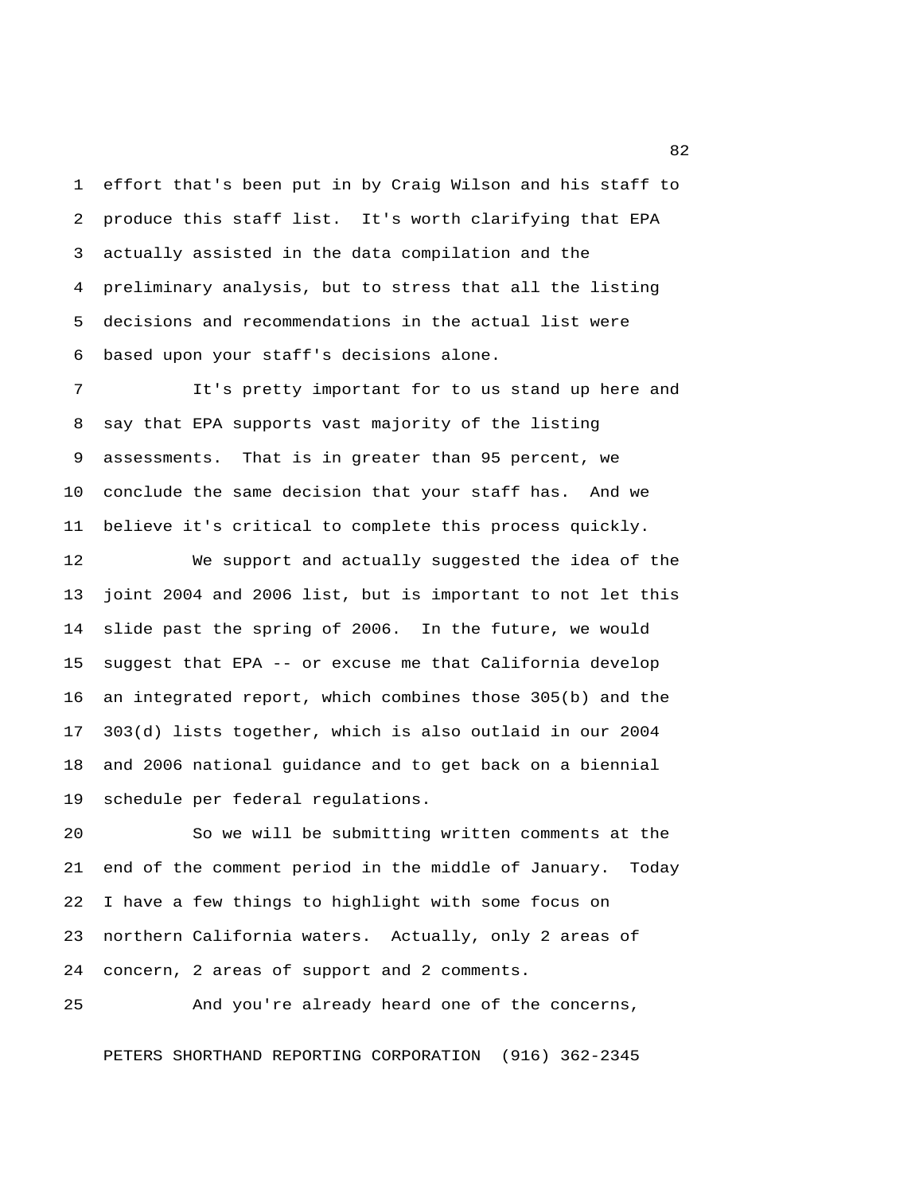1 effort that's been put in by Craig Wilson and his staff to 2 produce this staff list. It's worth clarifying that EPA 3 actually assisted in the data compilation and the 4 preliminary analysis, but to stress that all the listing 5 decisions and recommendations in the actual list were 6 based upon your staff's decisions alone.

 7 It's pretty important for to us stand up here and 8 say that EPA supports vast majority of the listing 9 assessments. That is in greater than 95 percent, we 10 conclude the same decision that your staff has. And we 11 believe it's critical to complete this process quickly.

12 We support and actually suggested the idea of the 13 joint 2004 and 2006 list, but is important to not let this 14 slide past the spring of 2006. In the future, we would 15 suggest that EPA -- or excuse me that California develop 16 an integrated report, which combines those 305(b) and the 17 303(d) lists together, which is also outlaid in our 2004 18 and 2006 national guidance and to get back on a biennial 19 schedule per federal regulations.

20 So we will be submitting written comments at the 21 end of the comment period in the middle of January. Today 22 I have a few things to highlight with some focus on 23 northern California waters. Actually, only 2 areas of 24 concern, 2 areas of support and 2 comments.

25 And you're already heard one of the concerns,

PETERS SHORTHAND REPORTING CORPORATION (916) 362-2345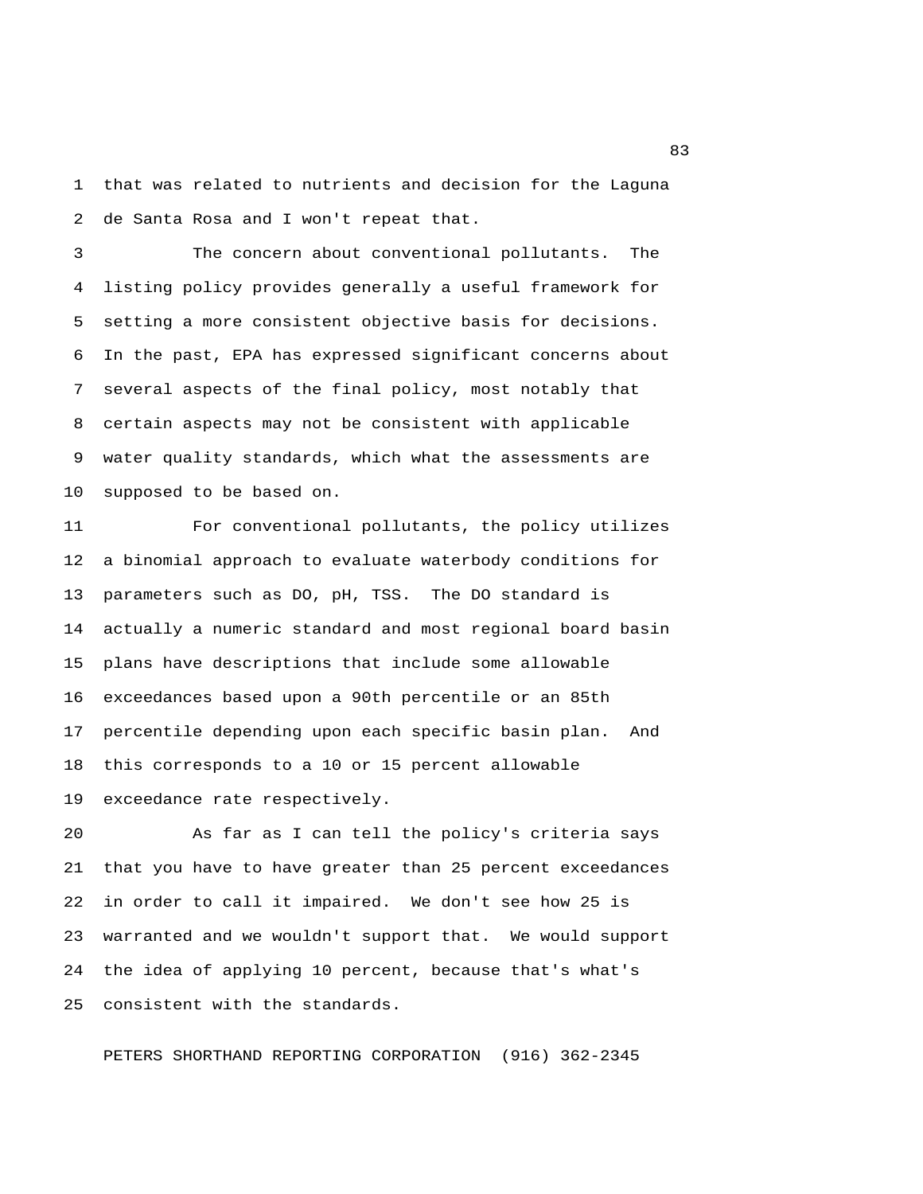1 that was related to nutrients and decision for the Laguna 2 de Santa Rosa and I won't repeat that.

 3 The concern about conventional pollutants. The 4 listing policy provides generally a useful framework for 5 setting a more consistent objective basis for decisions. 6 In the past, EPA has expressed significant concerns about 7 several aspects of the final policy, most notably that 8 certain aspects may not be consistent with applicable 9 water quality standards, which what the assessments are 10 supposed to be based on.

11 For conventional pollutants, the policy utilizes 12 a binomial approach to evaluate waterbody conditions for 13 parameters such as DO, pH, TSS. The DO standard is 14 actually a numeric standard and most regional board basin 15 plans have descriptions that include some allowable 16 exceedances based upon a 90th percentile or an 85th 17 percentile depending upon each specific basin plan. And 18 this corresponds to a 10 or 15 percent allowable 19 exceedance rate respectively.

20 As far as I can tell the policy's criteria says 21 that you have to have greater than 25 percent exceedances 22 in order to call it impaired. We don't see how 25 is 23 warranted and we wouldn't support that. We would support 24 the idea of applying 10 percent, because that's what's 25 consistent with the standards.

PETERS SHORTHAND REPORTING CORPORATION (916) 362-2345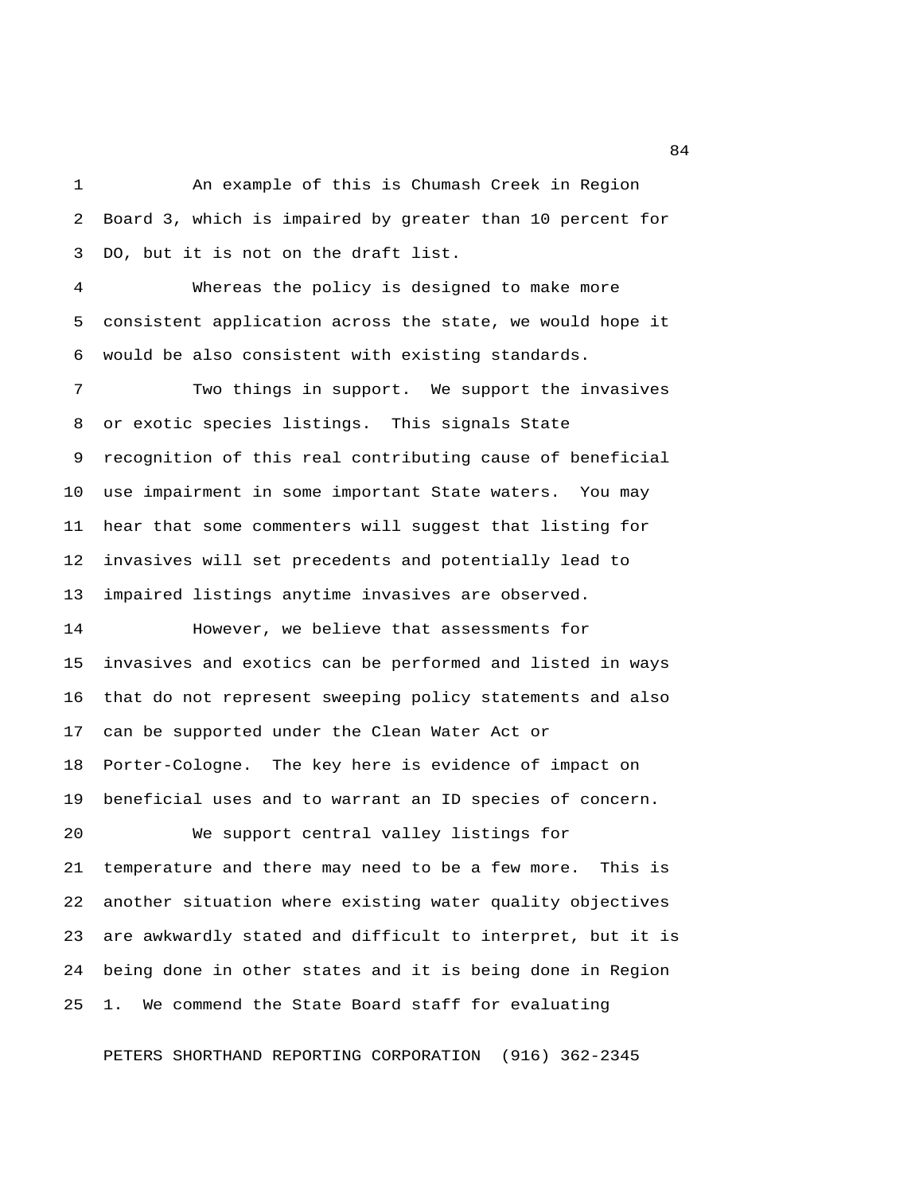1 An example of this is Chumash Creek in Region 2 Board 3, which is impaired by greater than 10 percent for 3 DO, but it is not on the draft list.

 4 Whereas the policy is designed to make more 5 consistent application across the state, we would hope it 6 would be also consistent with existing standards.

 7 Two things in support. We support the invasives 8 or exotic species listings. This signals State 9 recognition of this real contributing cause of beneficial 10 use impairment in some important State waters. You may 11 hear that some commenters will suggest that listing for 12 invasives will set precedents and potentially lead to 13 impaired listings anytime invasives are observed.

14 However, we believe that assessments for 15 invasives and exotics can be performed and listed in ways 16 that do not represent sweeping policy statements and also 17 can be supported under the Clean Water Act or 18 Porter-Cologne. The key here is evidence of impact on 19 beneficial uses and to warrant an ID species of concern. 20 We support central valley listings for

21 temperature and there may need to be a few more. This is 22 another situation where existing water quality objectives 23 are awkwardly stated and difficult to interpret, but it is 24 being done in other states and it is being done in Region 25 1. We commend the State Board staff for evaluating

PETERS SHORTHAND REPORTING CORPORATION (916) 362-2345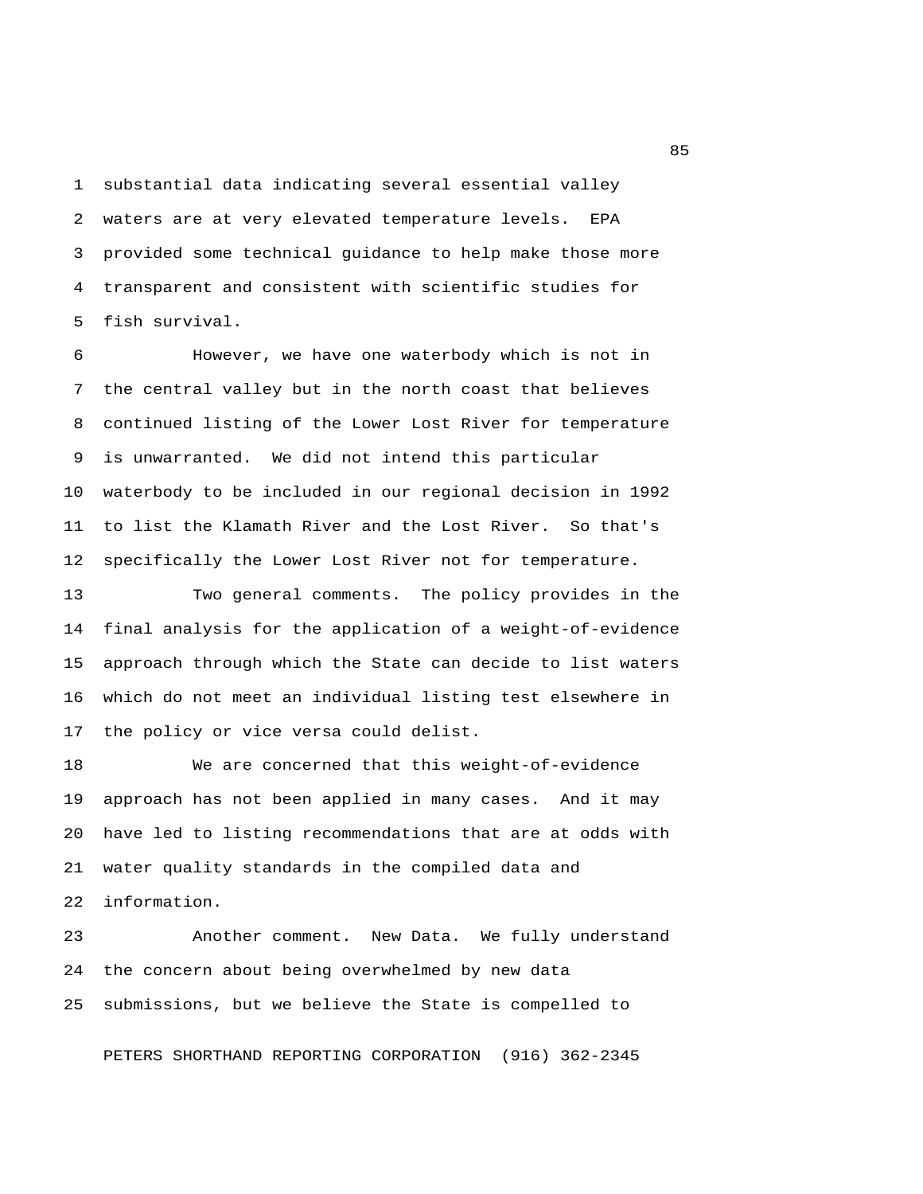1 substantial data indicating several essential valley 2 waters are at very elevated temperature levels. EPA 3 provided some technical guidance to help make those more 4 transparent and consistent with scientific studies for 5 fish survival.

 6 However, we have one waterbody which is not in 7 the central valley but in the north coast that believes 8 continued listing of the Lower Lost River for temperature 9 is unwarranted. We did not intend this particular 10 waterbody to be included in our regional decision in 1992 11 to list the Klamath River and the Lost River. So that's 12 specifically the Lower Lost River not for temperature.

13 Two general comments. The policy provides in the 14 final analysis for the application of a weight-of-evidence 15 approach through which the State can decide to list waters 16 which do not meet an individual listing test elsewhere in 17 the policy or vice versa could delist.

18 We are concerned that this weight-of-evidence 19 approach has not been applied in many cases. And it may 20 have led to listing recommendations that are at odds with 21 water quality standards in the compiled data and 22 information.

23 Another comment. New Data. We fully understand 24 the concern about being overwhelmed by new data 25 submissions, but we believe the State is compelled to

PETERS SHORTHAND REPORTING CORPORATION (916) 362-2345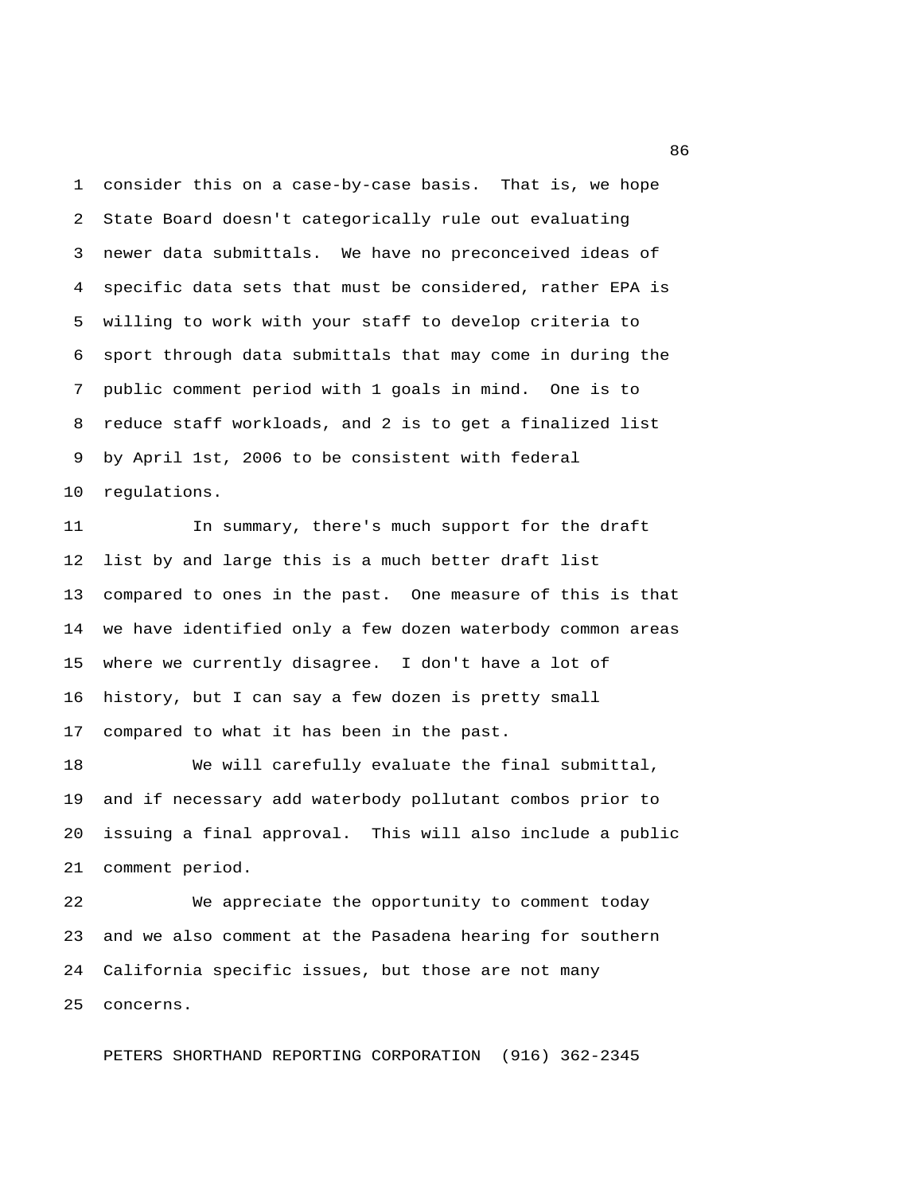1 consider this on a case-by-case basis. That is, we hope 2 State Board doesn't categorically rule out evaluating 3 newer data submittals. We have no preconceived ideas of 4 specific data sets that must be considered, rather EPA is 5 willing to work with your staff to develop criteria to 6 sport through data submittals that may come in during the 7 public comment period with 1 goals in mind. One is to 8 reduce staff workloads, and 2 is to get a finalized list 9 by April 1st, 2006 to be consistent with federal 10 regulations.

11 In summary, there's much support for the draft 12 list by and large this is a much better draft list 13 compared to ones in the past. One measure of this is that 14 we have identified only a few dozen waterbody common areas 15 where we currently disagree. I don't have a lot of 16 history, but I can say a few dozen is pretty small 17 compared to what it has been in the past.

18 We will carefully evaluate the final submittal, 19 and if necessary add waterbody pollutant combos prior to 20 issuing a final approval. This will also include a public 21 comment period.

22 We appreciate the opportunity to comment today 23 and we also comment at the Pasadena hearing for southern 24 California specific issues, but those are not many 25 concerns.

PETERS SHORTHAND REPORTING CORPORATION (916) 362-2345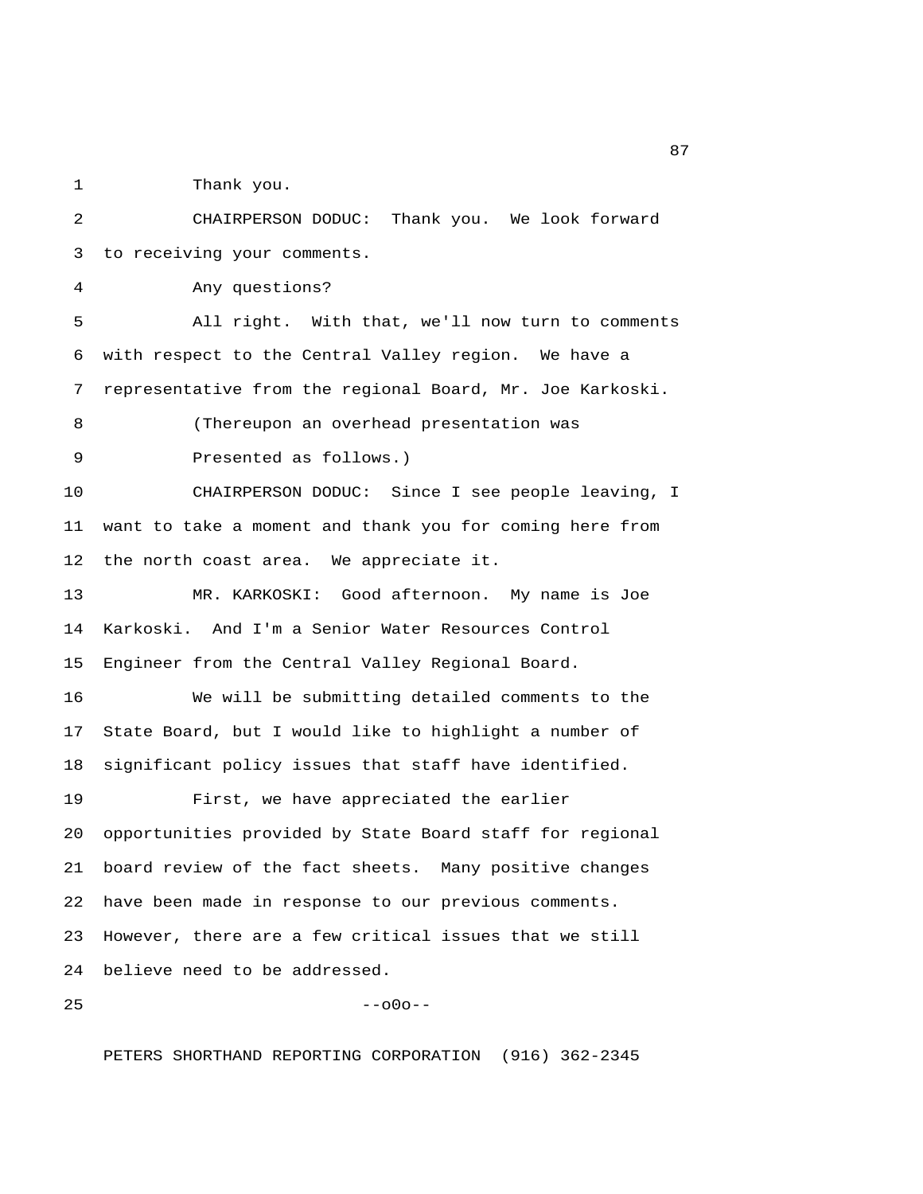1 Thank you.

 2 CHAIRPERSON DODUC: Thank you. We look forward 3 to receiving your comments. 4 Any questions? 5 All right. With that, we'll now turn to comments 6 with respect to the Central Valley region. We have a 7 representative from the regional Board, Mr. Joe Karkoski. 8 (Thereupon an overhead presentation was 9 Presented as follows.) 10 CHAIRPERSON DODUC: Since I see people leaving, I 11 want to take a moment and thank you for coming here from 12 the north coast area. We appreciate it. 13 MR. KARKOSKI: Good afternoon. My name is Joe 14 Karkoski. And I'm a Senior Water Resources Control 15 Engineer from the Central Valley Regional Board. 16 We will be submitting detailed comments to the 17 State Board, but I would like to highlight a number of 18 significant policy issues that staff have identified. 19 First, we have appreciated the earlier 20 opportunities provided by State Board staff for regional 21 board review of the fact sheets. Many positive changes 22 have been made in response to our previous comments. 23 However, there are a few critical issues that we still 24 believe need to be addressed.  $25$  --o0o--

PETERS SHORTHAND REPORTING CORPORATION (916) 362-2345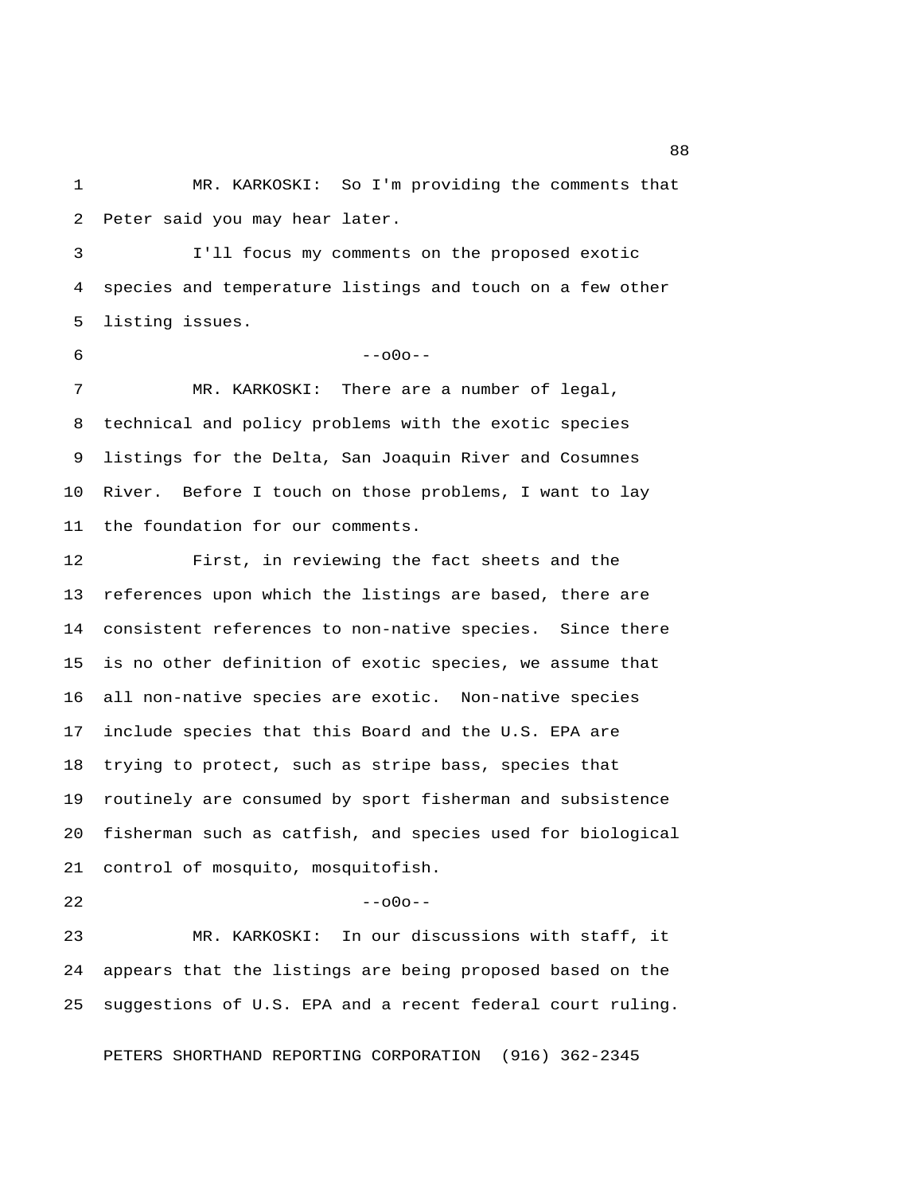1 MR. KARKOSKI: So I'm providing the comments that 2 Peter said you may hear later.

 3 I'll focus my comments on the proposed exotic 4 species and temperature listings and touch on a few other 5 listing issues.

## $6 - -000 - -$

 7 MR. KARKOSKI: There are a number of legal, 8 technical and policy problems with the exotic species 9 listings for the Delta, San Joaquin River and Cosumnes 10 River. Before I touch on those problems, I want to lay 11 the foundation for our comments.

12 First, in reviewing the fact sheets and the 13 references upon which the listings are based, there are 14 consistent references to non-native species. Since there 15 is no other definition of exotic species, we assume that 16 all non-native species are exotic. Non-native species 17 include species that this Board and the U.S. EPA are 18 trying to protect, such as stripe bass, species that 19 routinely are consumed by sport fisherman and subsistence 20 fisherman such as catfish, and species used for biological 21 control of mosquito, mosquitofish.

 $22$  --o0o--

23 MR. KARKOSKI: In our discussions with staff, it 24 appears that the listings are being proposed based on the 25 suggestions of U.S. EPA and a recent federal court ruling.

PETERS SHORTHAND REPORTING CORPORATION (916) 362-2345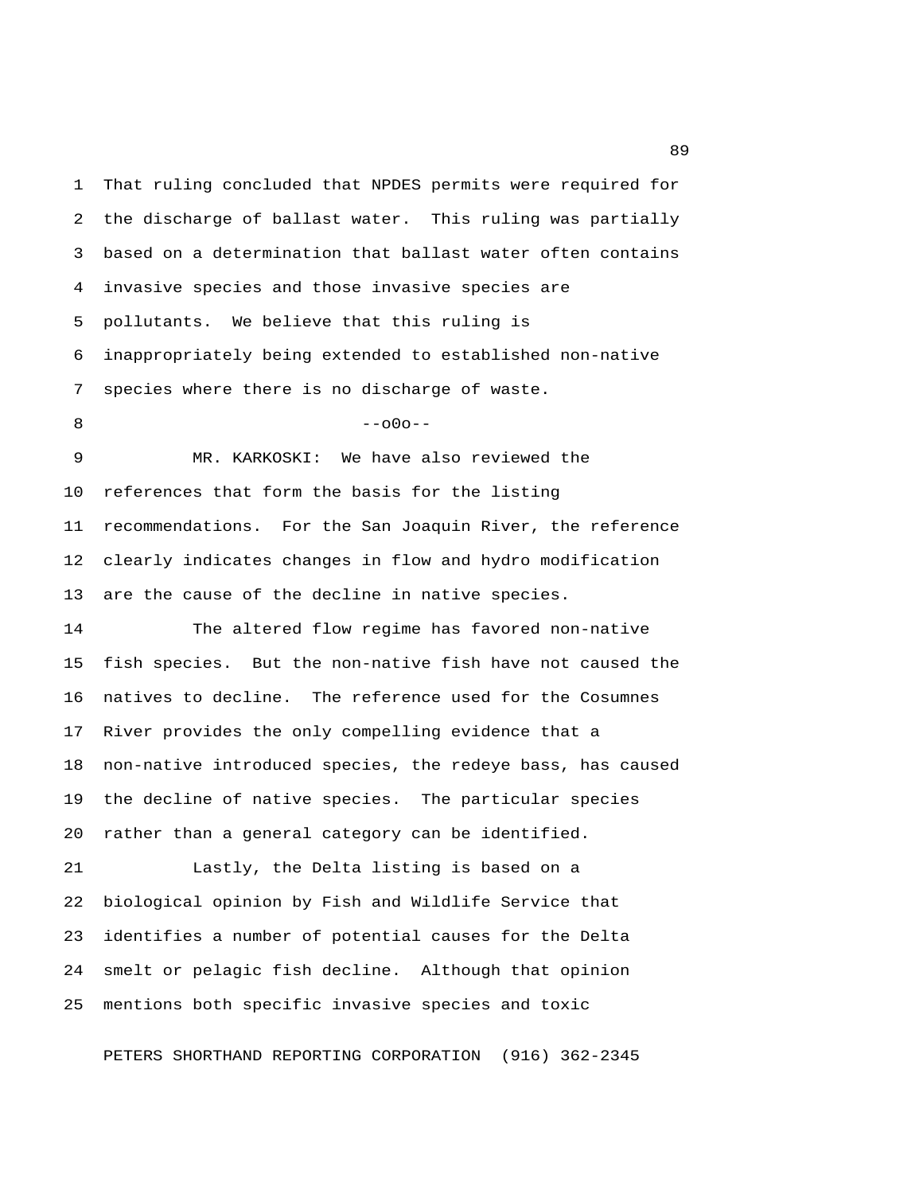1 That ruling concluded that NPDES permits were required for 2 the discharge of ballast water. This ruling was partially 3 based on a determination that ballast water often contains 4 invasive species and those invasive species are 5 pollutants. We believe that this ruling is 6 inappropriately being extended to established non-native 7 species where there is no discharge of waste. 8 --- 000-- 9 MR. KARKOSKI: We have also reviewed the 10 references that form the basis for the listing 11 recommendations. For the San Joaquin River, the reference 12 clearly indicates changes in flow and hydro modification 13 are the cause of the decline in native species. 14 The altered flow regime has favored non-native 15 fish species. But the non-native fish have not caused the 16 natives to decline. The reference used for the Cosumnes 17 River provides the only compelling evidence that a 18 non-native introduced species, the redeye bass, has caused

19 the decline of native species. The particular species 20 rather than a general category can be identified.

21 Lastly, the Delta listing is based on a 22 biological opinion by Fish and Wildlife Service that 23 identifies a number of potential causes for the Delta 24 smelt or pelagic fish decline. Although that opinion 25 mentions both specific invasive species and toxic

PETERS SHORTHAND REPORTING CORPORATION (916) 362-2345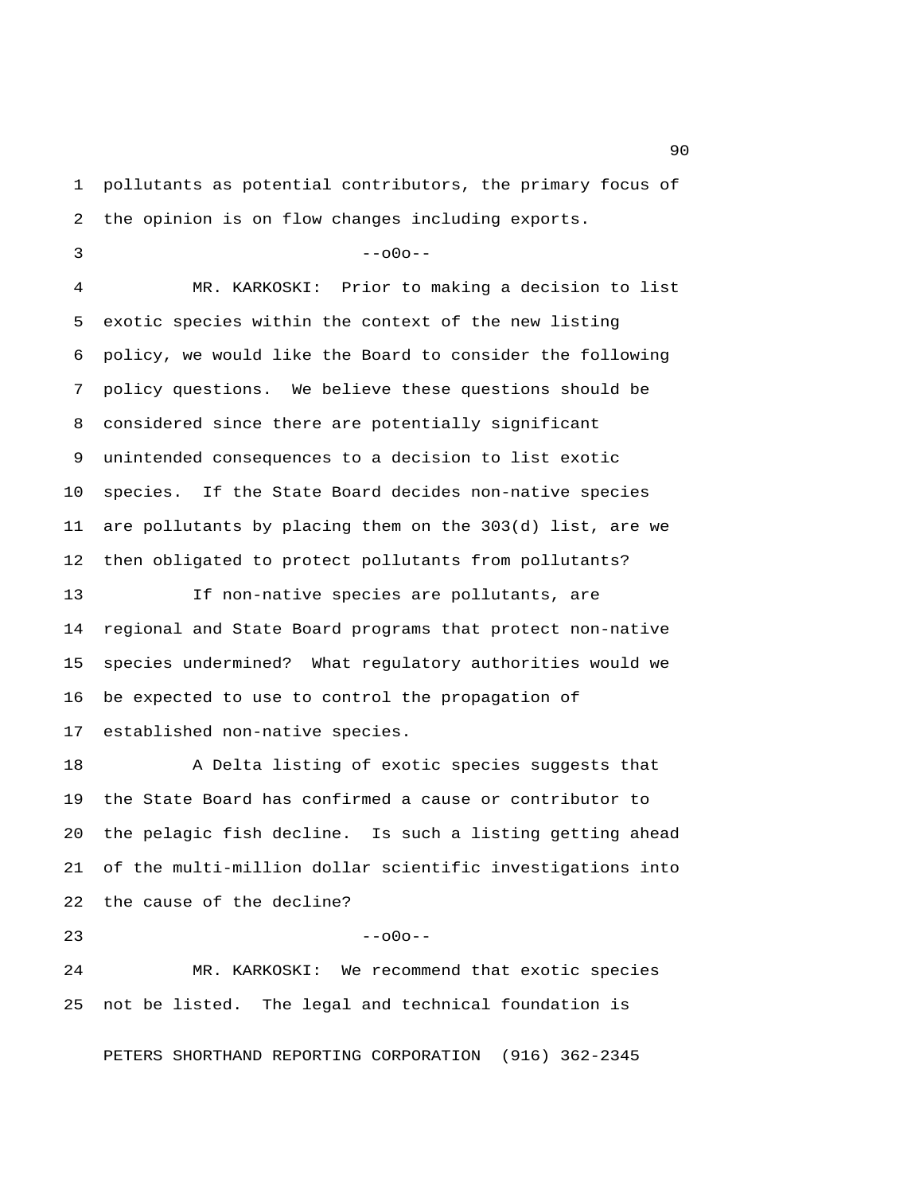1 pollutants as potential contributors, the primary focus of 2 the opinion is on flow changes including exports.

```
3 - -000 - -
```
 4 MR. KARKOSKI: Prior to making a decision to list 5 exotic species within the context of the new listing 6 policy, we would like the Board to consider the following 7 policy questions. We believe these questions should be 8 considered since there are potentially significant 9 unintended consequences to a decision to list exotic 10 species. If the State Board decides non-native species 11 are pollutants by placing them on the 303(d) list, are we 12 then obligated to protect pollutants from pollutants?

13 If non-native species are pollutants, are 14 regional and State Board programs that protect non-native 15 species undermined? What regulatory authorities would we 16 be expected to use to control the propagation of 17 established non-native species.

18 A Delta listing of exotic species suggests that 19 the State Board has confirmed a cause or contributor to 20 the pelagic fish decline. Is such a listing getting ahead 21 of the multi-million dollar scientific investigations into 22 the cause of the decline?

 $23$  --o0o--

24 MR. KARKOSKI: We recommend that exotic species 25 not be listed. The legal and technical foundation is

PETERS SHORTHAND REPORTING CORPORATION (916) 362-2345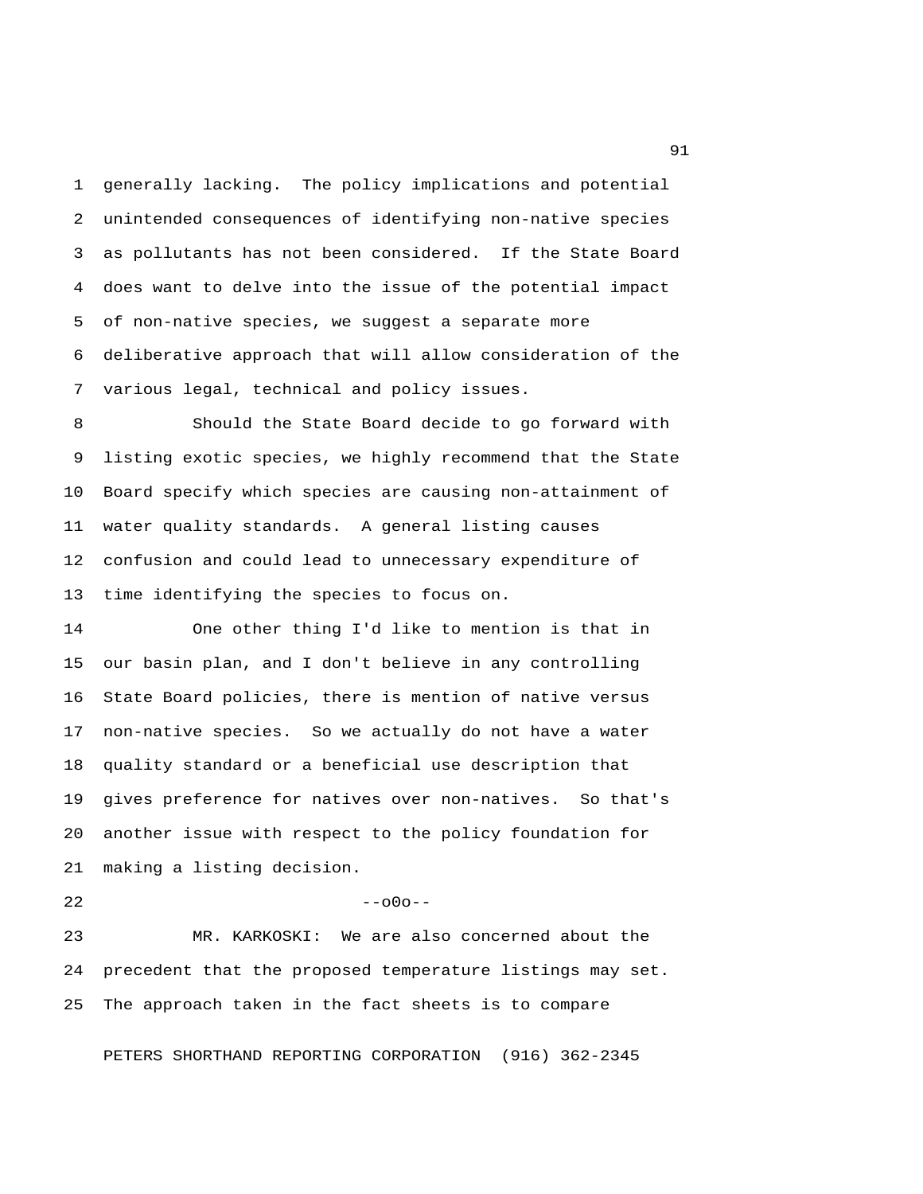1 generally lacking. The policy implications and potential 2 unintended consequences of identifying non-native species 3 as pollutants has not been considered. If the State Board 4 does want to delve into the issue of the potential impact 5 of non-native species, we suggest a separate more 6 deliberative approach that will allow consideration of the 7 various legal, technical and policy issues.

 8 Should the State Board decide to go forward with 9 listing exotic species, we highly recommend that the State 10 Board specify which species are causing non-attainment of 11 water quality standards. A general listing causes 12 confusion and could lead to unnecessary expenditure of 13 time identifying the species to focus on.

14 One other thing I'd like to mention is that in 15 our basin plan, and I don't believe in any controlling 16 State Board policies, there is mention of native versus 17 non-native species. So we actually do not have a water 18 quality standard or a beneficial use description that 19 gives preference for natives over non-natives. So that's 20 another issue with respect to the policy foundation for 21 making a listing decision.

 $22$  --o0o--

23 MR. KARKOSKI: We are also concerned about the 24 precedent that the proposed temperature listings may set. 25 The approach taken in the fact sheets is to compare

PETERS SHORTHAND REPORTING CORPORATION (916) 362-2345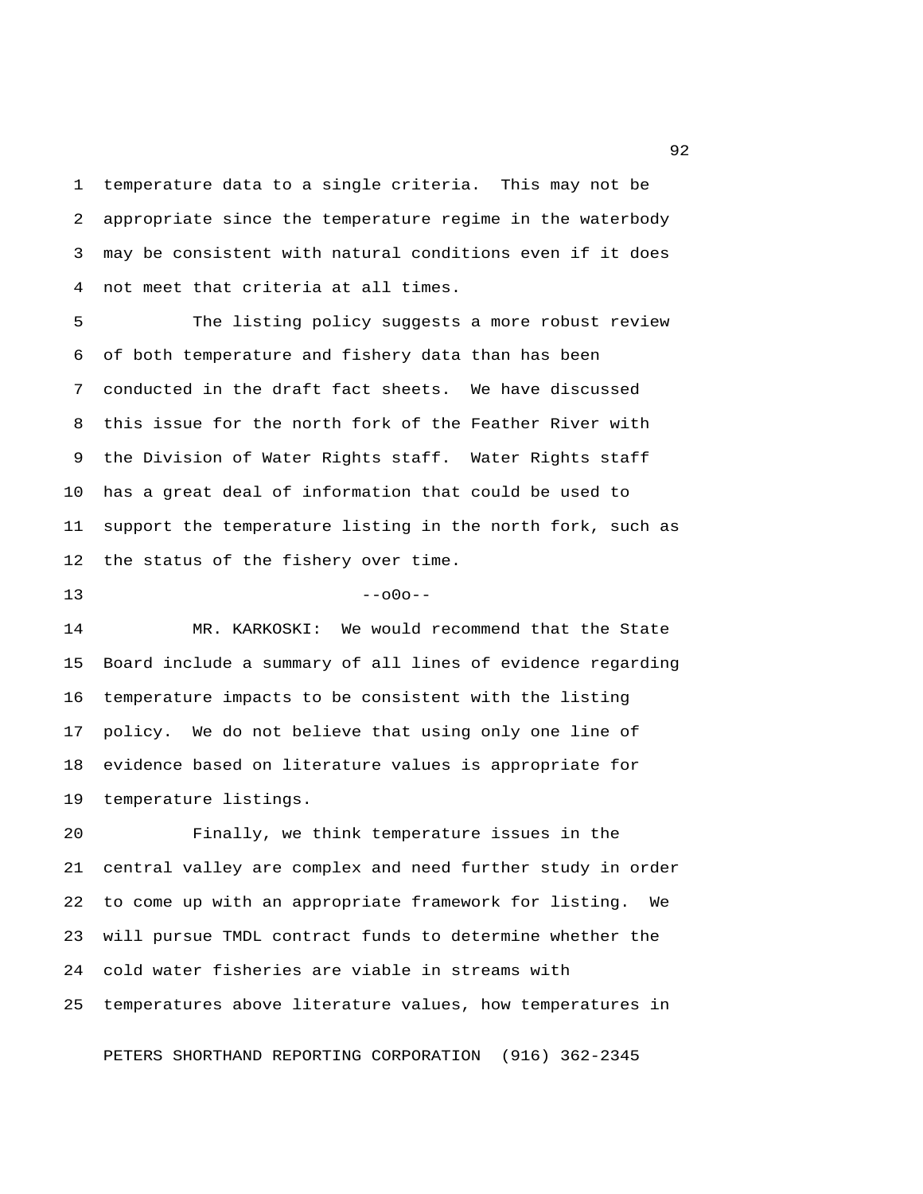1 temperature data to a single criteria. This may not be 2 appropriate since the temperature regime in the waterbody 3 may be consistent with natural conditions even if it does 4 not meet that criteria at all times.

 5 The listing policy suggests a more robust review 6 of both temperature and fishery data than has been 7 conducted in the draft fact sheets. We have discussed 8 this issue for the north fork of the Feather River with 9 the Division of Water Rights staff. Water Rights staff 10 has a great deal of information that could be used to 11 support the temperature listing in the north fork, such as 12 the status of the fishery over time.

 $13$  --o0o--

14 MR. KARKOSKI: We would recommend that the State 15 Board include a summary of all lines of evidence regarding 16 temperature impacts to be consistent with the listing 17 policy. We do not believe that using only one line of 18 evidence based on literature values is appropriate for 19 temperature listings.

20 Finally, we think temperature issues in the 21 central valley are complex and need further study in order 22 to come up with an appropriate framework for listing. We 23 will pursue TMDL contract funds to determine whether the 24 cold water fisheries are viable in streams with 25 temperatures above literature values, how temperatures in

PETERS SHORTHAND REPORTING CORPORATION (916) 362-2345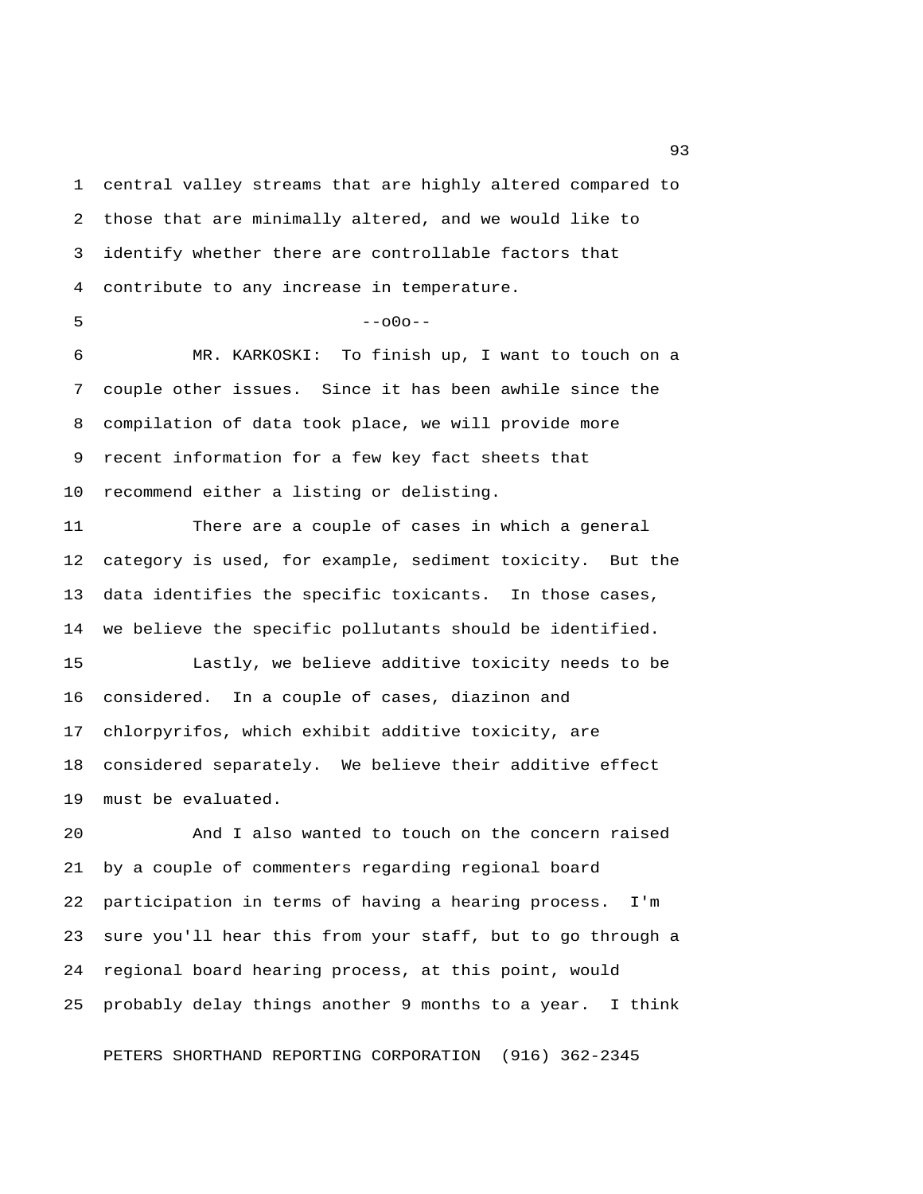1 central valley streams that are highly altered compared to 2 those that are minimally altered, and we would like to 3 identify whether there are controllable factors that 4 contribute to any increase in temperature.  $5 - -000 - -$ 6 MR. KARKOSKI: To finish up, I want to touch on a

 7 couple other issues. Since it has been awhile since the 8 compilation of data took place, we will provide more 9 recent information for a few key fact sheets that 10 recommend either a listing or delisting.

11 There are a couple of cases in which a general 12 category is used, for example, sediment toxicity. But the 13 data identifies the specific toxicants. In those cases, 14 we believe the specific pollutants should be identified.

15 Lastly, we believe additive toxicity needs to be 16 considered. In a couple of cases, diazinon and 17 chlorpyrifos, which exhibit additive toxicity, are 18 considered separately. We believe their additive effect 19 must be evaluated.

20 And I also wanted to touch on the concern raised 21 by a couple of commenters regarding regional board 22 participation in terms of having a hearing process. I'm 23 sure you'll hear this from your staff, but to go through a 24 regional board hearing process, at this point, would 25 probably delay things another 9 months to a year. I think

PETERS SHORTHAND REPORTING CORPORATION (916) 362-2345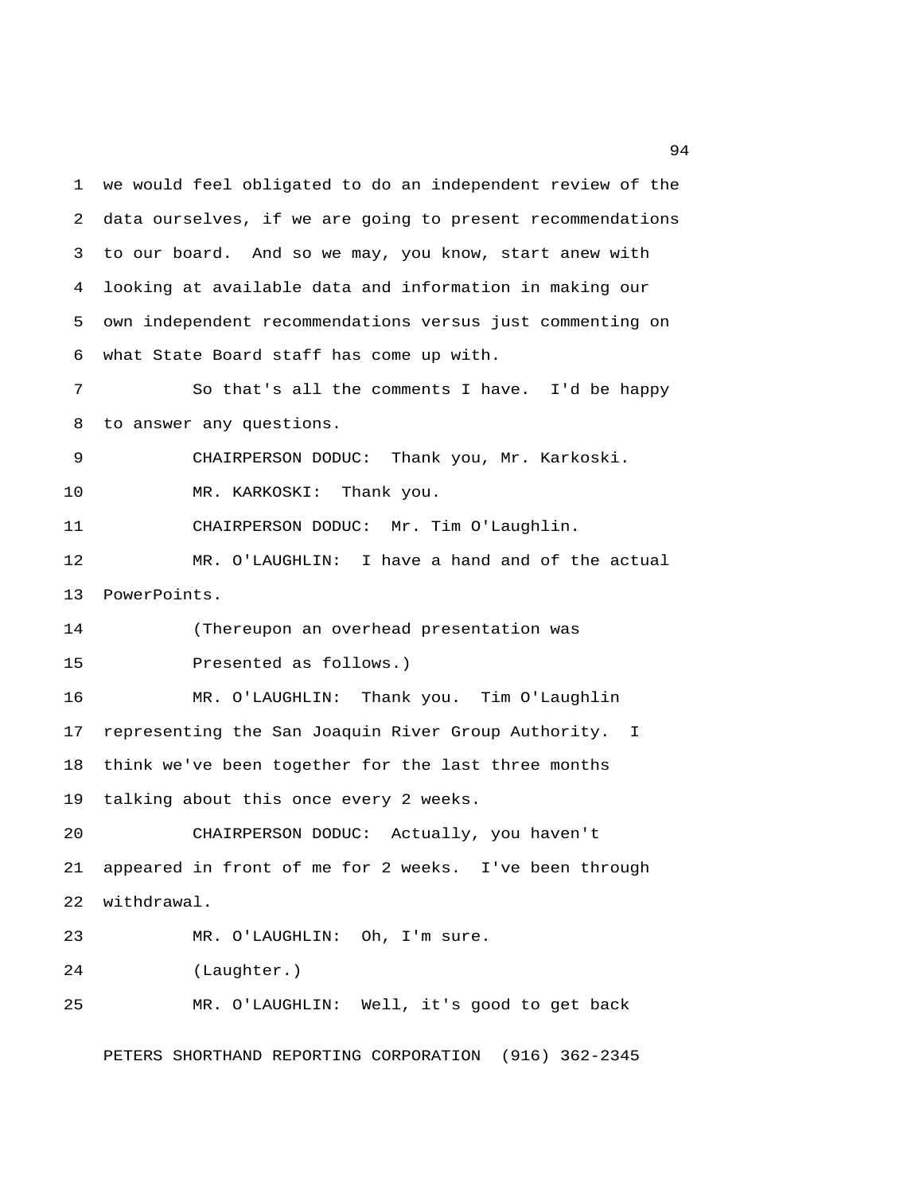1 we would feel obligated to do an independent review of the 2 data ourselves, if we are going to present recommendations 3 to our board. And so we may, you know, start anew with 4 looking at available data and information in making our 5 own independent recommendations versus just commenting on 6 what State Board staff has come up with. 7 So that's all the comments I have. I'd be happy 8 to answer any questions. 9 CHAIRPERSON DODUC: Thank you, Mr. Karkoski. 10 MR. KARKOSKI: Thank you. 11 CHAIRPERSON DODUC: Mr. Tim O'Laughlin. 12 MR. O'LAUGHLIN: I have a hand and of the actual 13 PowerPoints. 14 (Thereupon an overhead presentation was 15 Presented as follows.) 16 MR. O'LAUGHLIN: Thank you. Tim O'Laughlin 17 representing the San Joaquin River Group Authority. I 18 think we've been together for the last three months 19 talking about this once every 2 weeks. 20 CHAIRPERSON DODUC: Actually, you haven't 21 appeared in front of me for 2 weeks. I've been through 22 withdrawal. 23 MR. O'LAUGHLIN: Oh, I'm sure. 24 (Laughter.) 25 MR. O'LAUGHLIN: Well, it's good to get back

PETERS SHORTHAND REPORTING CORPORATION (916) 362-2345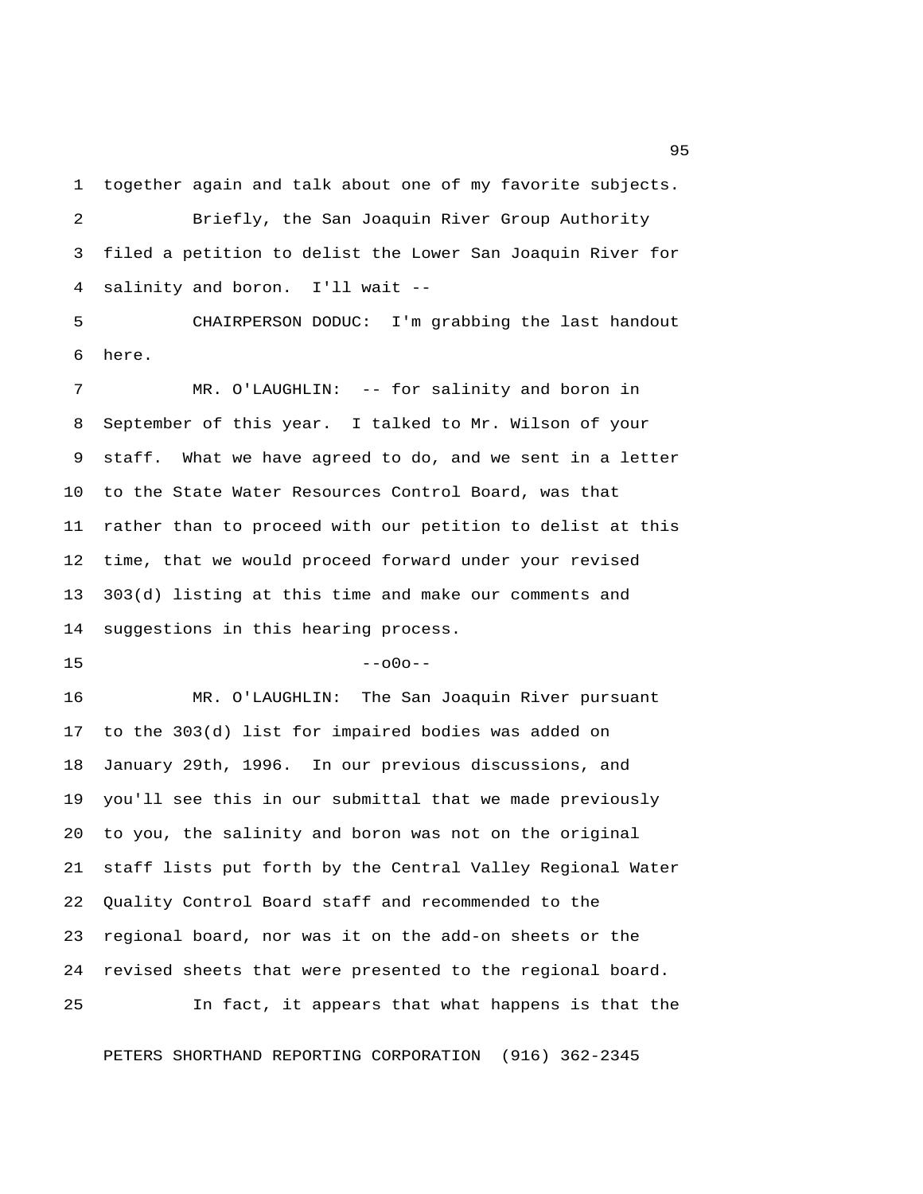1 together again and talk about one of my favorite subjects.

 2 Briefly, the San Joaquin River Group Authority 3 filed a petition to delist the Lower San Joaquin River for 4 salinity and boron. I'll wait --

 5 CHAIRPERSON DODUC: I'm grabbing the last handout 6 here.

 7 MR. O'LAUGHLIN: -- for salinity and boron in 8 September of this year. I talked to Mr. Wilson of your 9 staff. What we have agreed to do, and we sent in a letter 10 to the State Water Resources Control Board, was that 11 rather than to proceed with our petition to delist at this 12 time, that we would proceed forward under your revised 13 303(d) listing at this time and make our comments and 14 suggestions in this hearing process.

 $15$  --o0o--

16 MR. O'LAUGHLIN: The San Joaquin River pursuant 17 to the 303(d) list for impaired bodies was added on 18 January 29th, 1996. In our previous discussions, and 19 you'll see this in our submittal that we made previously 20 to you, the salinity and boron was not on the original 21 staff lists put forth by the Central Valley Regional Water 22 Quality Control Board staff and recommended to the 23 regional board, nor was it on the add-on sheets or the 24 revised sheets that were presented to the regional board. 25 In fact, it appears that what happens is that the

PETERS SHORTHAND REPORTING CORPORATION (916) 362-2345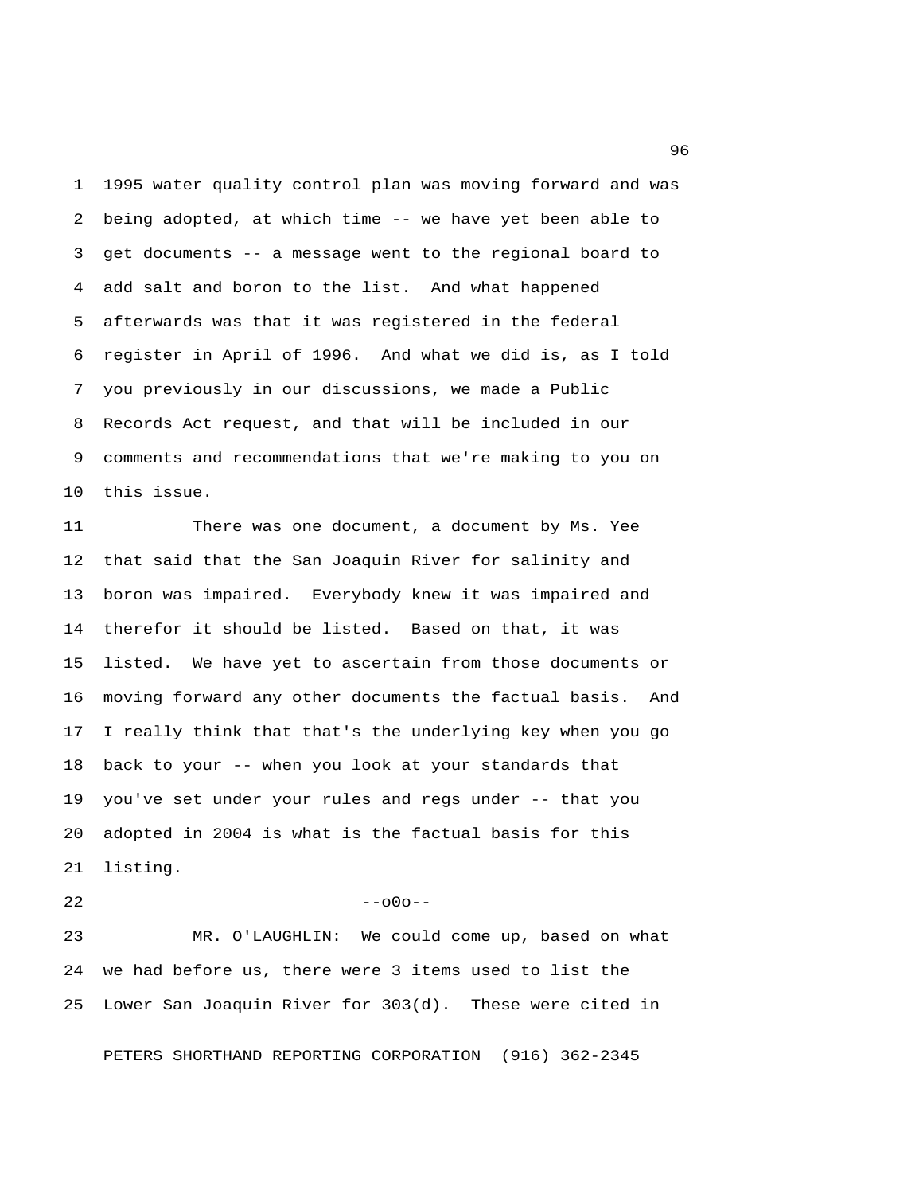1 1995 water quality control plan was moving forward and was 2 being adopted, at which time -- we have yet been able to 3 get documents -- a message went to the regional board to 4 add salt and boron to the list. And what happened 5 afterwards was that it was registered in the federal 6 register in April of 1996. And what we did is, as I told 7 you previously in our discussions, we made a Public 8 Records Act request, and that will be included in our 9 comments and recommendations that we're making to you on 10 this issue.

11 There was one document, a document by Ms. Yee 12 that said that the San Joaquin River for salinity and 13 boron was impaired. Everybody knew it was impaired and 14 therefor it should be listed. Based on that, it was 15 listed. We have yet to ascertain from those documents or 16 moving forward any other documents the factual basis. And 17 I really think that that's the underlying key when you go 18 back to your -- when you look at your standards that 19 you've set under your rules and regs under -- that you 20 adopted in 2004 is what is the factual basis for this 21 listing.

 $22$  --o0o--

23 MR. O'LAUGHLIN: We could come up, based on what 24 we had before us, there were 3 items used to list the 25 Lower San Joaquin River for 303(d). These were cited in

PETERS SHORTHAND REPORTING CORPORATION (916) 362-2345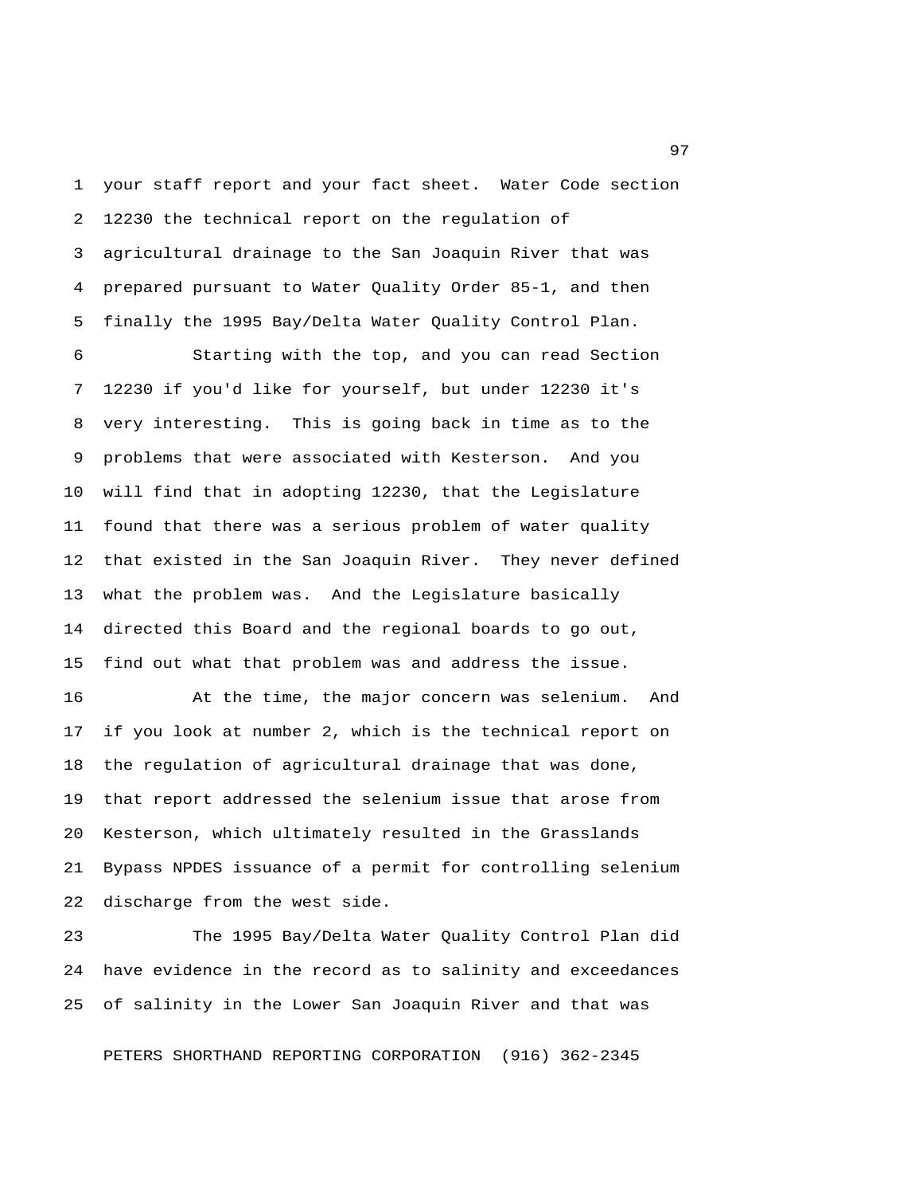1 your staff report and your fact sheet. Water Code section 2 12230 the technical report on the regulation of 3 agricultural drainage to the San Joaquin River that was 4 prepared pursuant to Water Quality Order 85-1, and then 5 finally the 1995 Bay/Delta Water Quality Control Plan.

 6 Starting with the top, and you can read Section 7 12230 if you'd like for yourself, but under 12230 it's 8 very interesting. This is going back in time as to the 9 problems that were associated with Kesterson. And you 10 will find that in adopting 12230, that the Legislature 11 found that there was a serious problem of water quality 12 that existed in the San Joaquin River. They never defined 13 what the problem was. And the Legislature basically 14 directed this Board and the regional boards to go out, 15 find out what that problem was and address the issue.

16 At the time, the major concern was selenium. And 17 if you look at number 2, which is the technical report on 18 the regulation of agricultural drainage that was done, 19 that report addressed the selenium issue that arose from 20 Kesterson, which ultimately resulted in the Grasslands 21 Bypass NPDES issuance of a permit for controlling selenium 22 discharge from the west side.

23 The 1995 Bay/Delta Water Quality Control Plan did 24 have evidence in the record as to salinity and exceedances 25 of salinity in the Lower San Joaquin River and that was

PETERS SHORTHAND REPORTING CORPORATION (916) 362-2345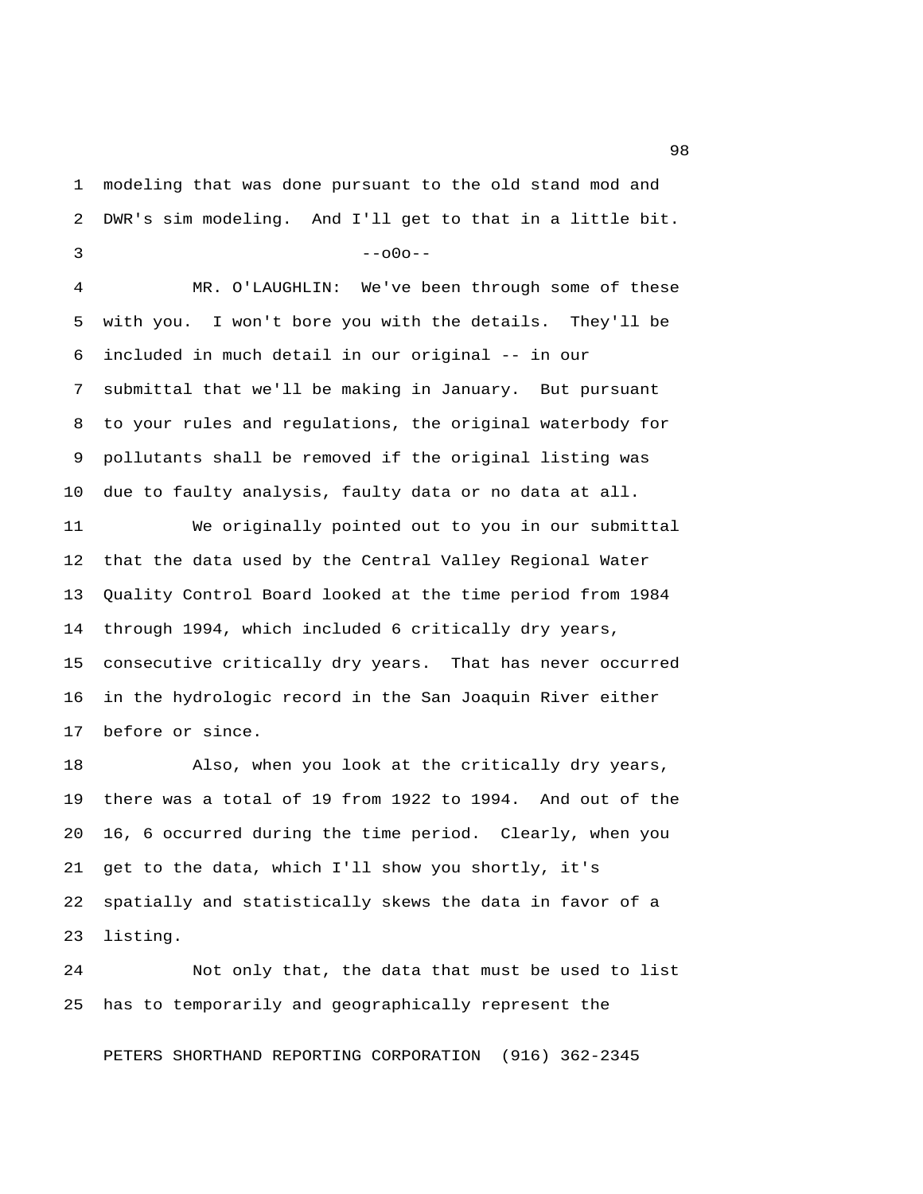1 modeling that was done pursuant to the old stand mod and 2 DWR's sim modeling. And I'll get to that in a little bit.  $3 - -000 - -$ 

 4 MR. O'LAUGHLIN: We've been through some of these 5 with you. I won't bore you with the details. They'll be 6 included in much detail in our original -- in our 7 submittal that we'll be making in January. But pursuant 8 to your rules and regulations, the original waterbody for 9 pollutants shall be removed if the original listing was 10 due to faulty analysis, faulty data or no data at all.

11 We originally pointed out to you in our submittal 12 that the data used by the Central Valley Regional Water 13 Quality Control Board looked at the time period from 1984 14 through 1994, which included 6 critically dry years, 15 consecutive critically dry years. That has never occurred 16 in the hydrologic record in the San Joaquin River either 17 before or since.

18 Also, when you look at the critically dry years, 19 there was a total of 19 from 1922 to 1994. And out of the 20 16, 6 occurred during the time period. Clearly, when you 21 get to the data, which I'll show you shortly, it's 22 spatially and statistically skews the data in favor of a 23 listing.

24 Not only that, the data that must be used to list 25 has to temporarily and geographically represent the

PETERS SHORTHAND REPORTING CORPORATION (916) 362-2345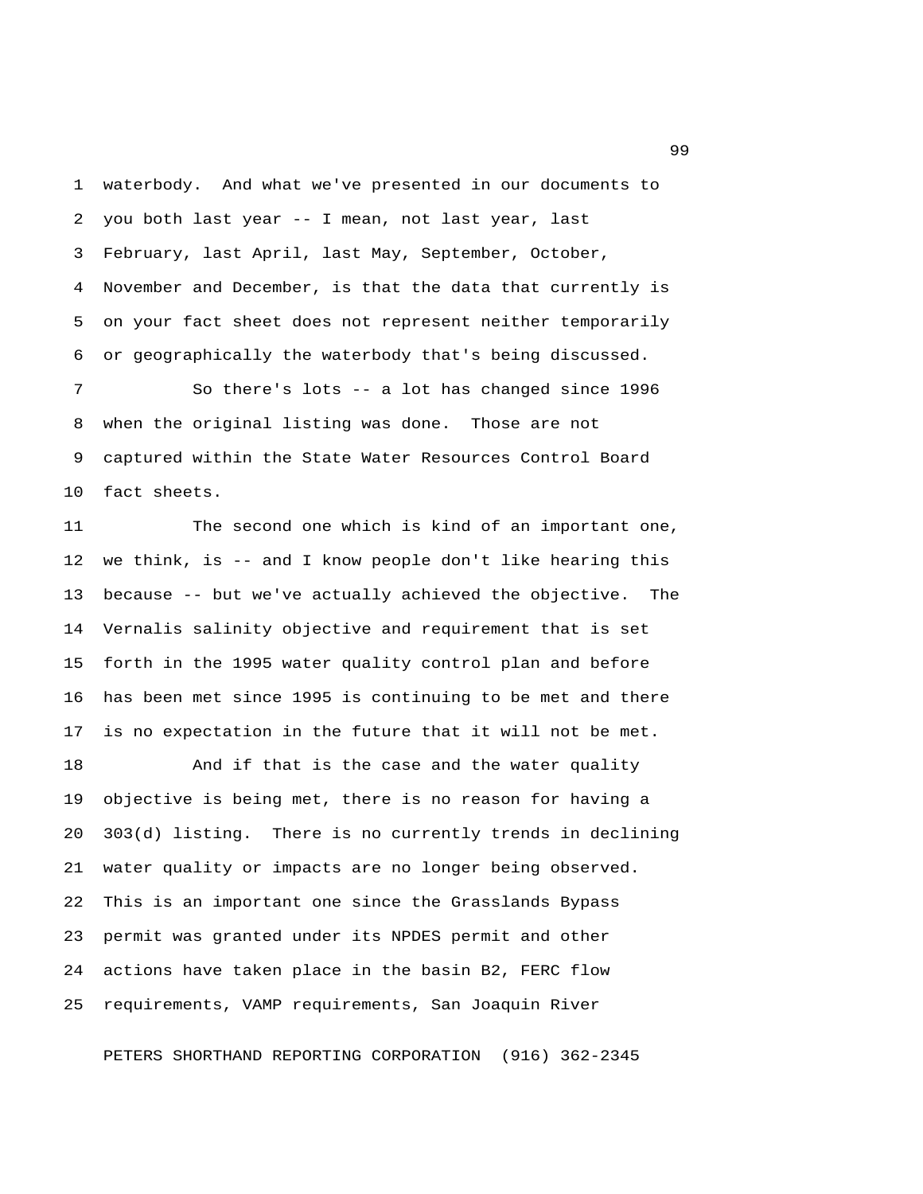1 waterbody. And what we've presented in our documents to 2 you both last year -- I mean, not last year, last 3 February, last April, last May, September, October, 4 November and December, is that the data that currently is 5 on your fact sheet does not represent neither temporarily 6 or geographically the waterbody that's being discussed.

 7 So there's lots -- a lot has changed since 1996 8 when the original listing was done. Those are not 9 captured within the State Water Resources Control Board 10 fact sheets.

11 The second one which is kind of an important one, 12 we think, is -- and I know people don't like hearing this 13 because -- but we've actually achieved the objective. The 14 Vernalis salinity objective and requirement that is set 15 forth in the 1995 water quality control plan and before 16 has been met since 1995 is continuing to be met and there 17 is no expectation in the future that it will not be met.

18 And if that is the case and the water quality 19 objective is being met, there is no reason for having a 20 303(d) listing. There is no currently trends in declining 21 water quality or impacts are no longer being observed. 22 This is an important one since the Grasslands Bypass 23 permit was granted under its NPDES permit and other 24 actions have taken place in the basin B2, FERC flow 25 requirements, VAMP requirements, San Joaquin River

PETERS SHORTHAND REPORTING CORPORATION (916) 362-2345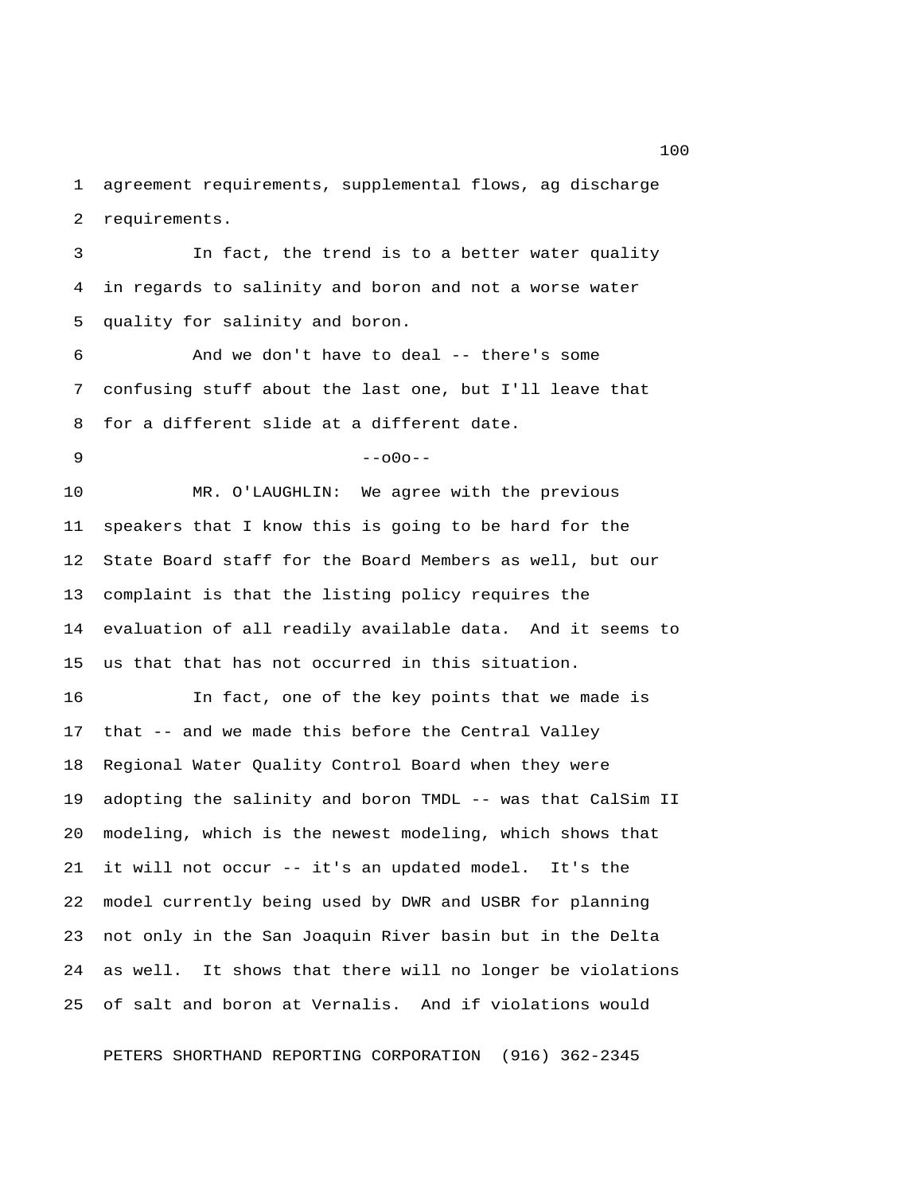1 agreement requirements, supplemental flows, ag discharge 2 requirements.

 3 In fact, the trend is to a better water quality 4 in regards to salinity and boron and not a worse water 5 quality for salinity and boron.

 6 And we don't have to deal -- there's some 7 confusing stuff about the last one, but I'll leave that 8 for a different slide at a different date.

 $9 - -000 - -$ 

10 MR. O'LAUGHLIN: We agree with the previous 11 speakers that I know this is going to be hard for the 12 State Board staff for the Board Members as well, but our 13 complaint is that the listing policy requires the 14 evaluation of all readily available data. And it seems to 15 us that that has not occurred in this situation.

16 In fact, one of the key points that we made is 17 that -- and we made this before the Central Valley 18 Regional Water Quality Control Board when they were 19 adopting the salinity and boron TMDL -- was that CalSim II 20 modeling, which is the newest modeling, which shows that 21 it will not occur -- it's an updated model. It's the 22 model currently being used by DWR and USBR for planning 23 not only in the San Joaquin River basin but in the Delta 24 as well. It shows that there will no longer be violations 25 of salt and boron at Vernalis. And if violations would

PETERS SHORTHAND REPORTING CORPORATION (916) 362-2345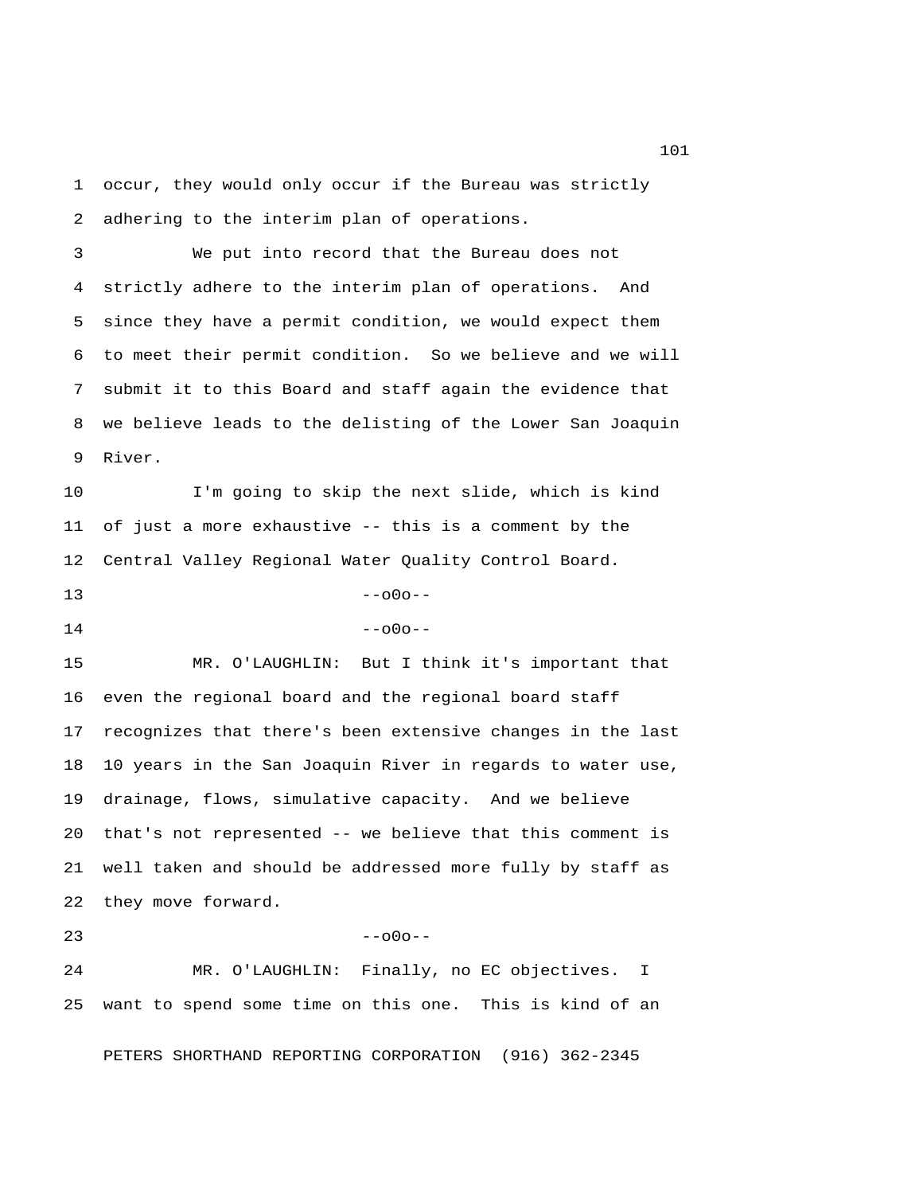1 occur, they would only occur if the Bureau was strictly 2 adhering to the interim plan of operations.

 3 We put into record that the Bureau does not 4 strictly adhere to the interim plan of operations. And 5 since they have a permit condition, we would expect them 6 to meet their permit condition. So we believe and we will 7 submit it to this Board and staff again the evidence that 8 we believe leads to the delisting of the Lower San Joaquin 9 River.

10 I'm going to skip the next slide, which is kind 11 of just a more exhaustive -- this is a comment by the 12 Central Valley Regional Water Quality Control Board.

 $13$  --o0o--

| 14 | $--000--$ |
|----|-----------|
|    |           |

15 MR. O'LAUGHLIN: But I think it's important that 16 even the regional board and the regional board staff 17 recognizes that there's been extensive changes in the last 18 10 years in the San Joaquin River in regards to water use, 19 drainage, flows, simulative capacity. And we believe 20 that's not represented -- we believe that this comment is 21 well taken and should be addressed more fully by staff as 22 they move forward.

## $23$  --o0o--

24 MR. O'LAUGHLIN: Finally, no EC objectives. I 25 want to spend some time on this one. This is kind of an

PETERS SHORTHAND REPORTING CORPORATION (916) 362-2345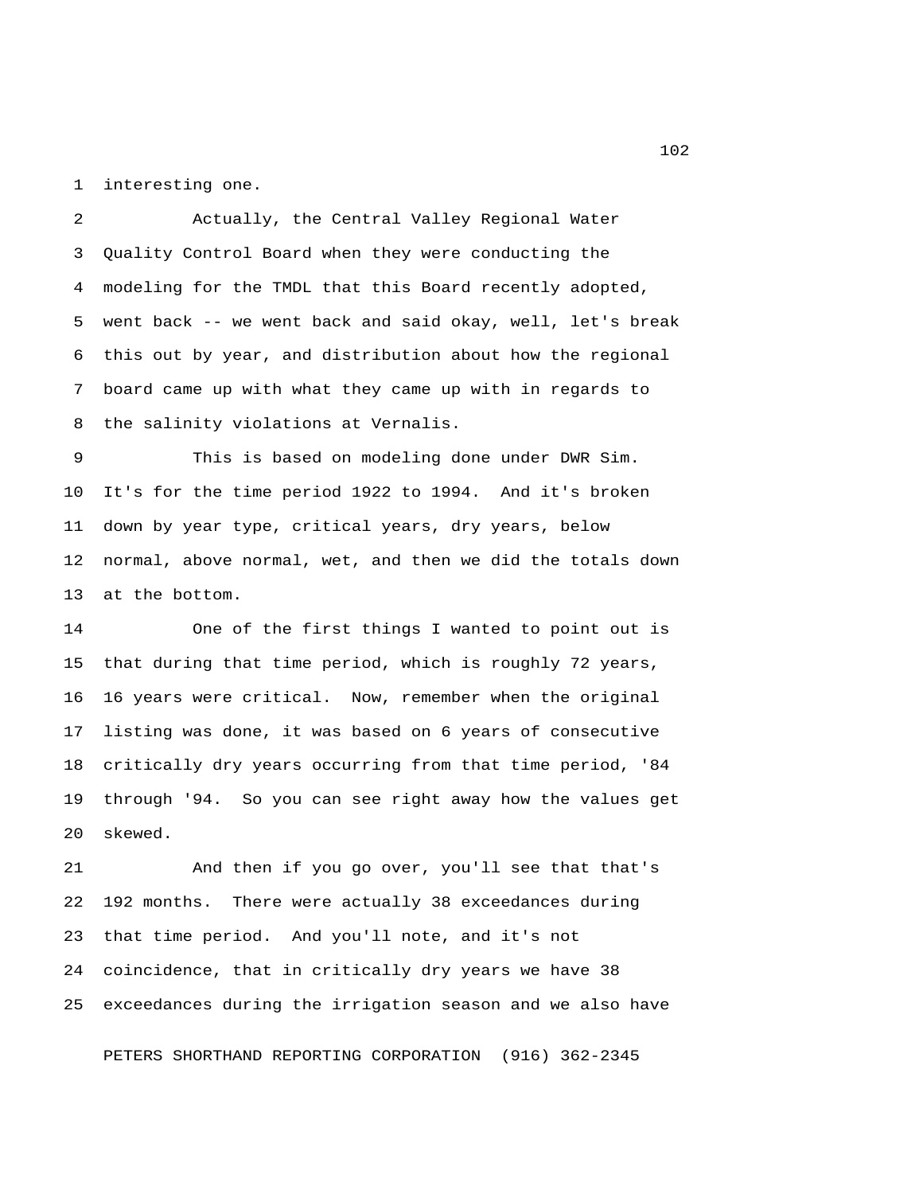1 interesting one.

 2 Actually, the Central Valley Regional Water 3 Quality Control Board when they were conducting the 4 modeling for the TMDL that this Board recently adopted, 5 went back -- we went back and said okay, well, let's break 6 this out by year, and distribution about how the regional 7 board came up with what they came up with in regards to 8 the salinity violations at Vernalis.

 9 This is based on modeling done under DWR Sim. 10 It's for the time period 1922 to 1994. And it's broken 11 down by year type, critical years, dry years, below 12 normal, above normal, wet, and then we did the totals down 13 at the bottom.

14 One of the first things I wanted to point out is 15 that during that time period, which is roughly 72 years, 16 16 years were critical. Now, remember when the original 17 listing was done, it was based on 6 years of consecutive 18 critically dry years occurring from that time period, '84 19 through '94. So you can see right away how the values get 20 skewed.

21 And then if you go over, you'll see that that's 22 192 months. There were actually 38 exceedances during 23 that time period. And you'll note, and it's not 24 coincidence, that in critically dry years we have 38 25 exceedances during the irrigation season and we also have

PETERS SHORTHAND REPORTING CORPORATION (916) 362-2345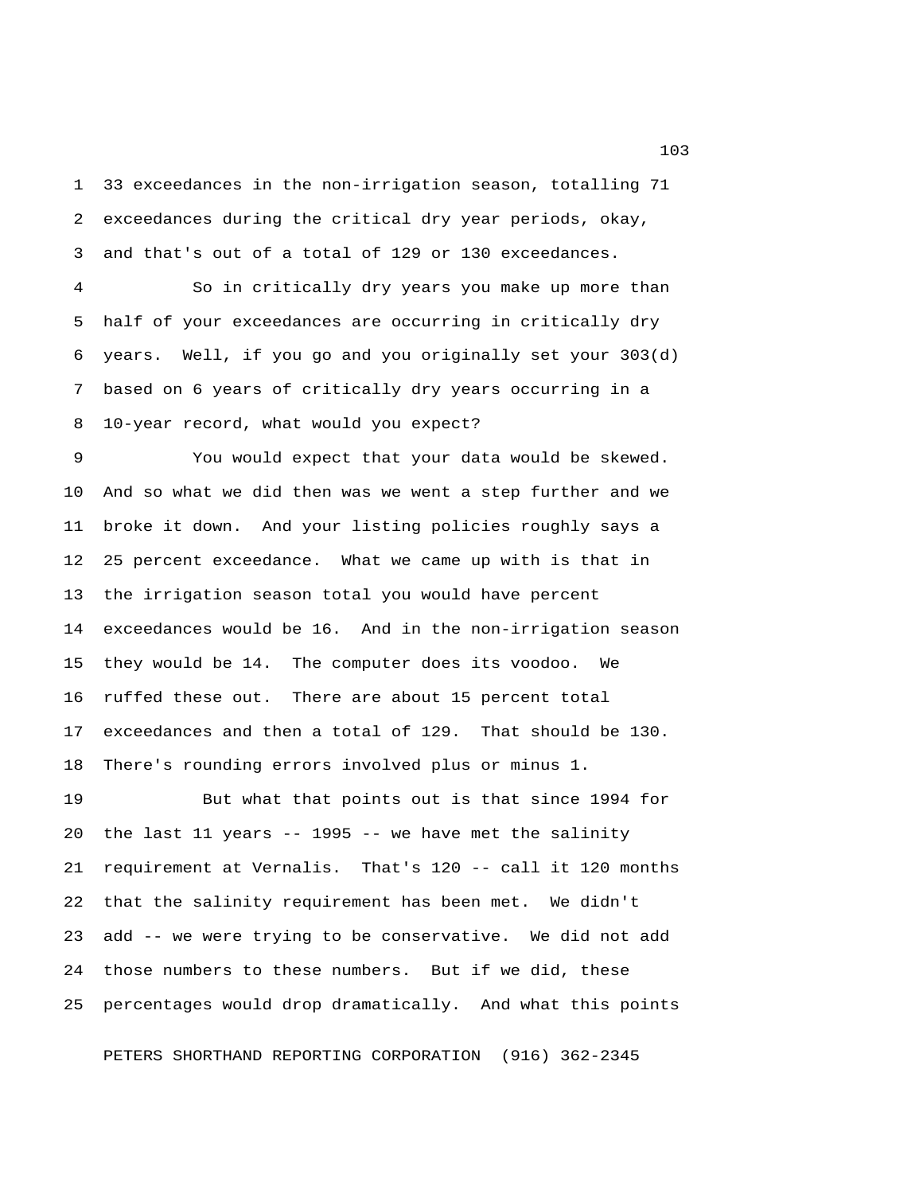1 33 exceedances in the non-irrigation season, totalling 71 2 exceedances during the critical dry year periods, okay, 3 and that's out of a total of 129 or 130 exceedances.

 4 So in critically dry years you make up more than 5 half of your exceedances are occurring in critically dry 6 years. Well, if you go and you originally set your 303(d) 7 based on 6 years of critically dry years occurring in a 8 10-year record, what would you expect?

 9 You would expect that your data would be skewed. 10 And so what we did then was we went a step further and we 11 broke it down. And your listing policies roughly says a 12 25 percent exceedance. What we came up with is that in 13 the irrigation season total you would have percent 14 exceedances would be 16. And in the non-irrigation season 15 they would be 14. The computer does its voodoo. We 16 ruffed these out. There are about 15 percent total 17 exceedances and then a total of 129. That should be 130. 18 There's rounding errors involved plus or minus 1.

19 But what that points out is that since 1994 for 20 the last 11 years -- 1995 -- we have met the salinity 21 requirement at Vernalis. That's 120 -- call it 120 months 22 that the salinity requirement has been met. We didn't 23 add -- we were trying to be conservative. We did not add 24 those numbers to these numbers. But if we did, these 25 percentages would drop dramatically. And what this points

PETERS SHORTHAND REPORTING CORPORATION (916) 362-2345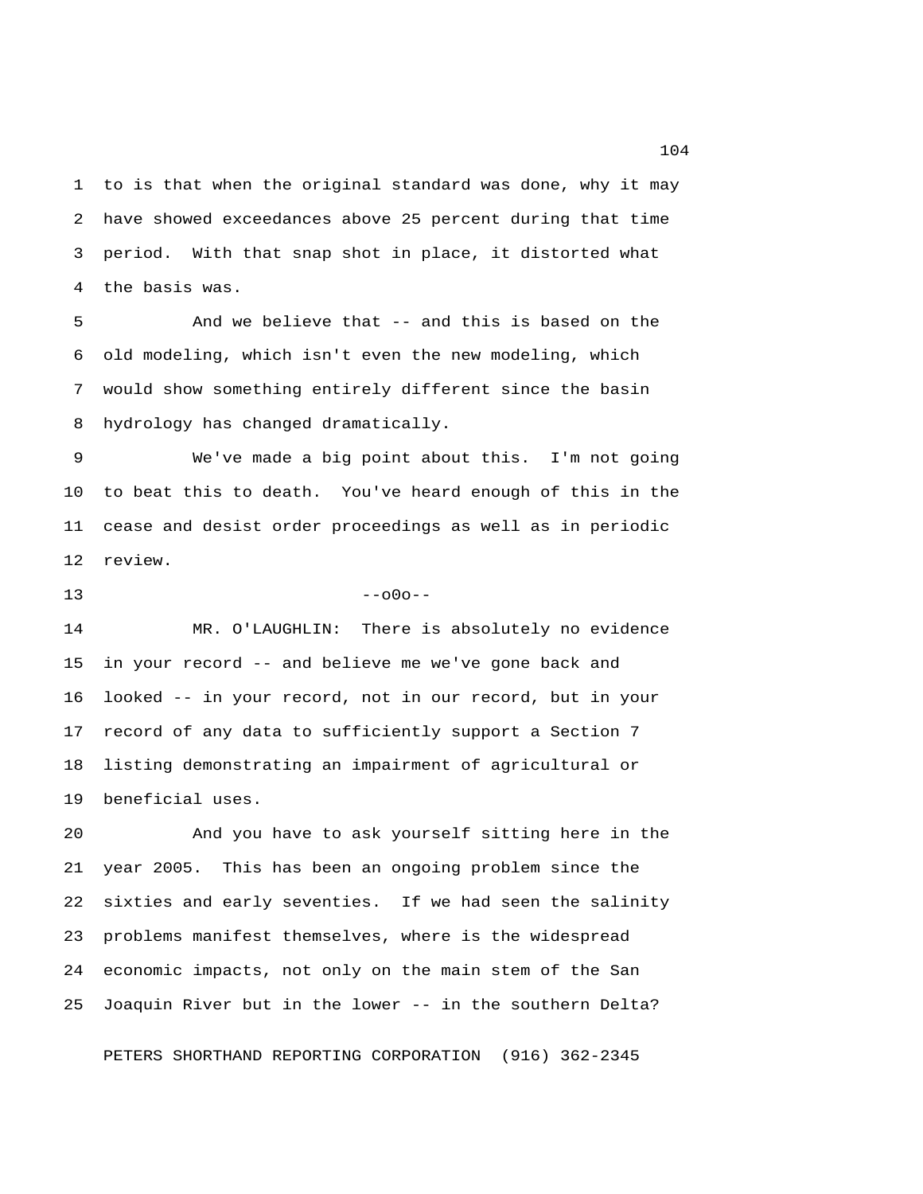1 to is that when the original standard was done, why it may 2 have showed exceedances above 25 percent during that time 3 period. With that snap shot in place, it distorted what 4 the basis was.

 5 And we believe that -- and this is based on the 6 old modeling, which isn't even the new modeling, which 7 would show something entirely different since the basin 8 hydrology has changed dramatically.

 9 We've made a big point about this. I'm not going 10 to beat this to death. You've heard enough of this in the 11 cease and desist order proceedings as well as in periodic 12 review.

 $13 - -000 - -$ 

14 MR. O'LAUGHLIN: There is absolutely no evidence 15 in your record -- and believe me we've gone back and 16 looked -- in your record, not in our record, but in your 17 record of any data to sufficiently support a Section 7 18 listing demonstrating an impairment of agricultural or 19 beneficial uses.

20 And you have to ask yourself sitting here in the 21 year 2005. This has been an ongoing problem since the 22 sixties and early seventies. If we had seen the salinity 23 problems manifest themselves, where is the widespread 24 economic impacts, not only on the main stem of the San 25 Joaquin River but in the lower -- in the southern Delta?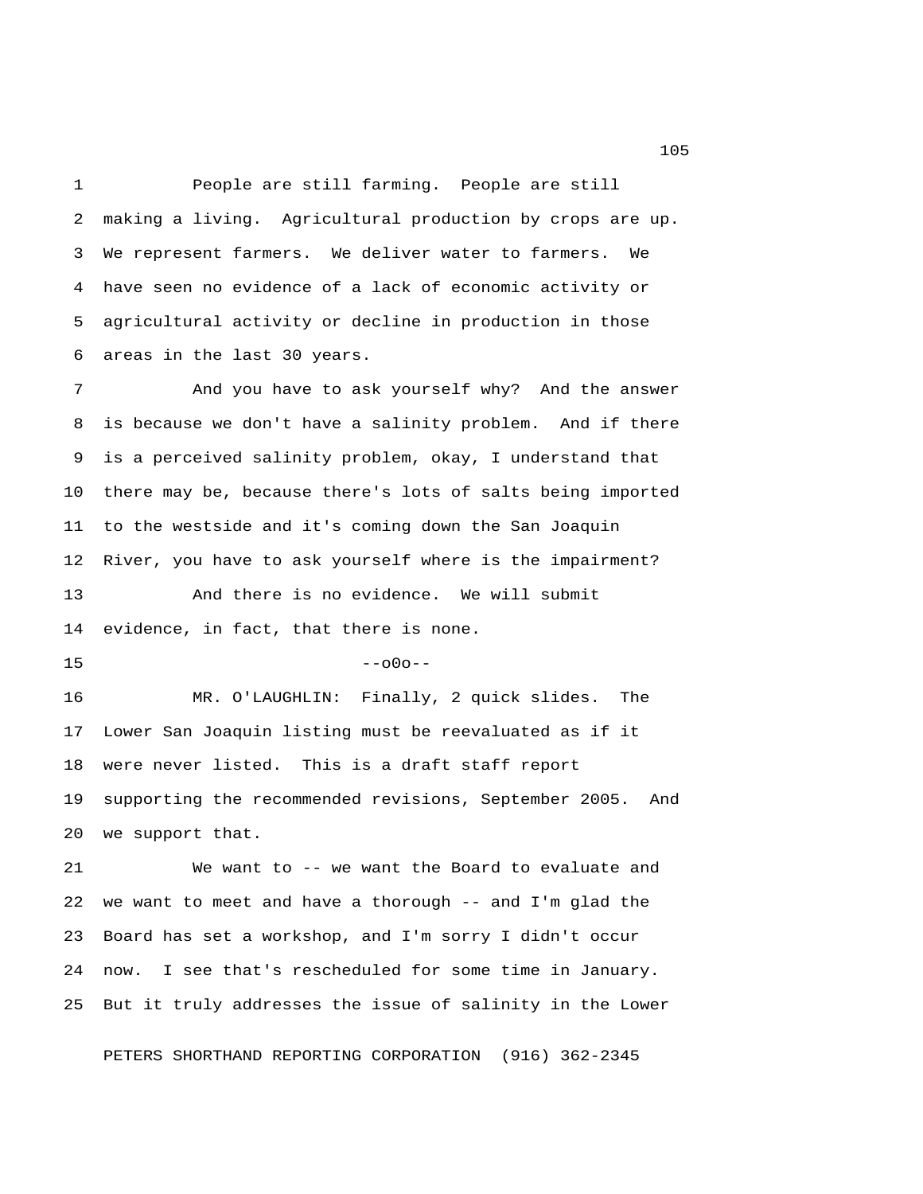1 People are still farming. People are still 2 making a living. Agricultural production by crops are up. 3 We represent farmers. We deliver water to farmers. We 4 have seen no evidence of a lack of economic activity or 5 agricultural activity or decline in production in those 6 areas in the last 30 years.

 7 And you have to ask yourself why? And the answer 8 is because we don't have a salinity problem. And if there 9 is a perceived salinity problem, okay, I understand that 10 there may be, because there's lots of salts being imported 11 to the westside and it's coming down the San Joaquin 12 River, you have to ask yourself where is the impairment? 13 And there is no evidence. We will submit 14 evidence, in fact, that there is none.

 $15$  --o0o--

16 MR. O'LAUGHLIN: Finally, 2 quick slides. The 17 Lower San Joaquin listing must be reevaluated as if it 18 were never listed. This is a draft staff report 19 supporting the recommended revisions, September 2005. And 20 we support that.

21 We want to -- we want the Board to evaluate and 22 we want to meet and have a thorough -- and I'm glad the 23 Board has set a workshop, and I'm sorry I didn't occur 24 now. I see that's rescheduled for some time in January. 25 But it truly addresses the issue of salinity in the Lower

PETERS SHORTHAND REPORTING CORPORATION (916) 362-2345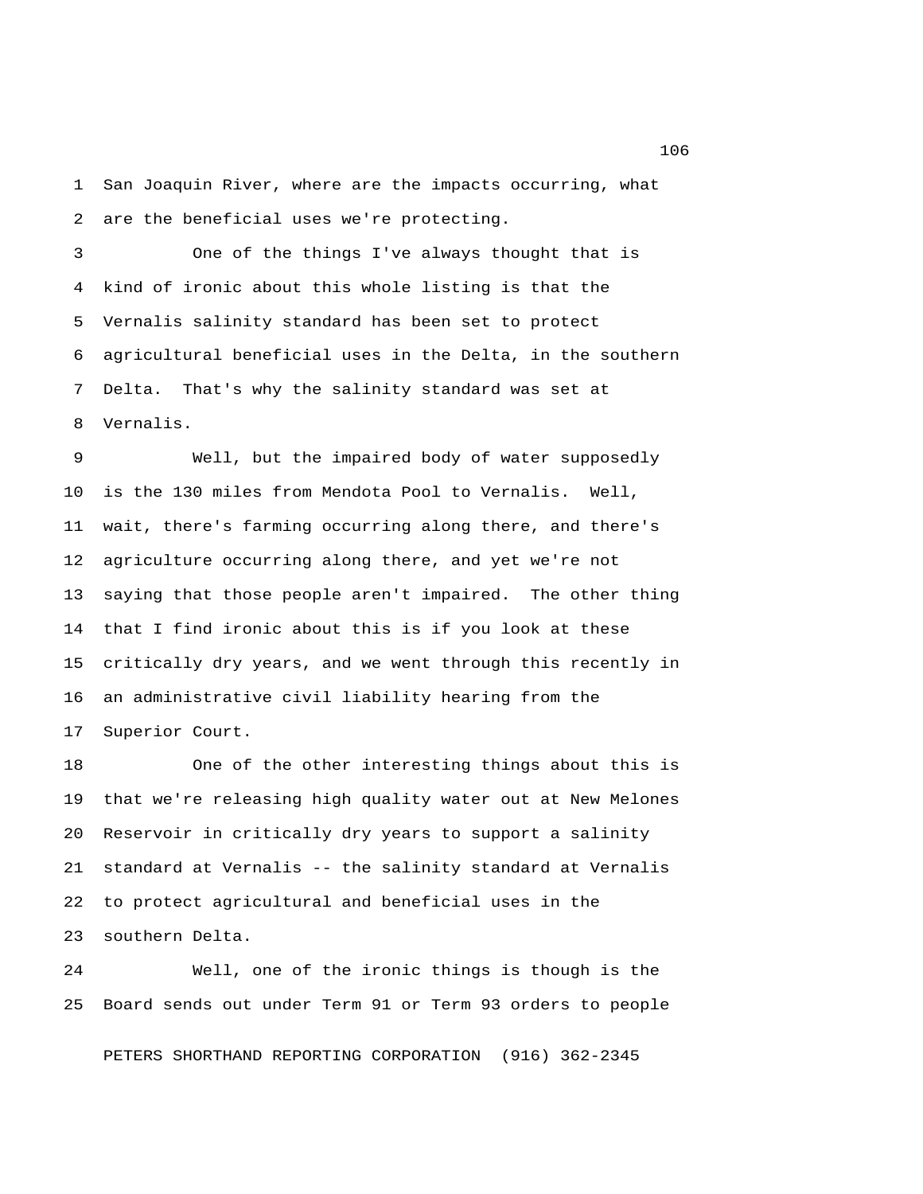1 San Joaquin River, where are the impacts occurring, what 2 are the beneficial uses we're protecting.

 3 One of the things I've always thought that is 4 kind of ironic about this whole listing is that the 5 Vernalis salinity standard has been set to protect 6 agricultural beneficial uses in the Delta, in the southern 7 Delta. That's why the salinity standard was set at 8 Vernalis.

 9 Well, but the impaired body of water supposedly 10 is the 130 miles from Mendota Pool to Vernalis. Well, 11 wait, there's farming occurring along there, and there's 12 agriculture occurring along there, and yet we're not 13 saying that those people aren't impaired. The other thing 14 that I find ironic about this is if you look at these 15 critically dry years, and we went through this recently in 16 an administrative civil liability hearing from the 17 Superior Court.

18 One of the other interesting things about this is 19 that we're releasing high quality water out at New Melones 20 Reservoir in critically dry years to support a salinity 21 standard at Vernalis -- the salinity standard at Vernalis 22 to protect agricultural and beneficial uses in the 23 southern Delta.

24 Well, one of the ironic things is though is the 25 Board sends out under Term 91 or Term 93 orders to people

PETERS SHORTHAND REPORTING CORPORATION (916) 362-2345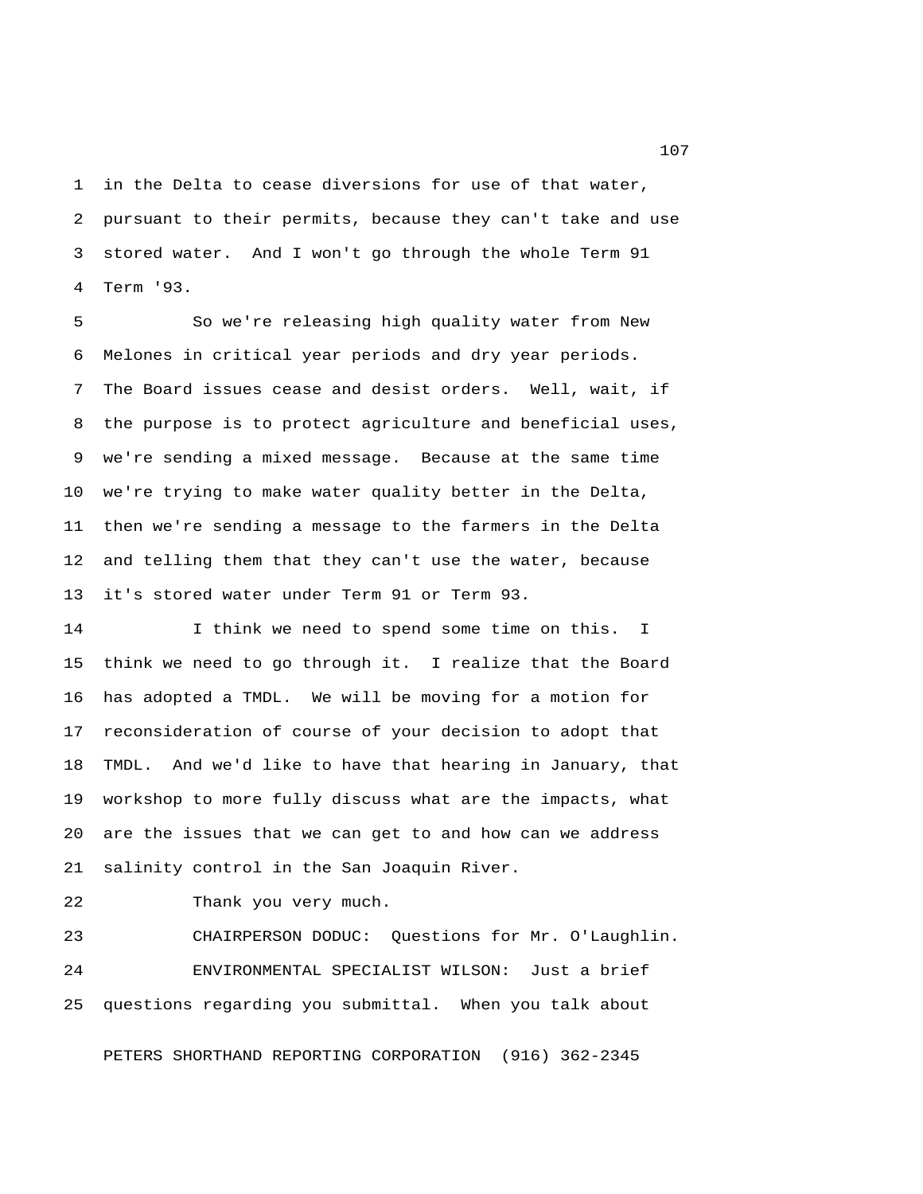1 in the Delta to cease diversions for use of that water, 2 pursuant to their permits, because they can't take and use 3 stored water. And I won't go through the whole Term 91 4 Term '93.

 5 So we're releasing high quality water from New 6 Melones in critical year periods and dry year periods. 7 The Board issues cease and desist orders. Well, wait, if 8 the purpose is to protect agriculture and beneficial uses, 9 we're sending a mixed message. Because at the same time 10 we're trying to make water quality better in the Delta, 11 then we're sending a message to the farmers in the Delta 12 and telling them that they can't use the water, because 13 it's stored water under Term 91 or Term 93.

14 I think we need to spend some time on this. I 15 think we need to go through it. I realize that the Board 16 has adopted a TMDL. We will be moving for a motion for 17 reconsideration of course of your decision to adopt that 18 TMDL. And we'd like to have that hearing in January, that 19 workshop to more fully discuss what are the impacts, what 20 are the issues that we can get to and how can we address 21 salinity control in the San Joaquin River.

22 Thank you very much.

23 CHAIRPERSON DODUC: Questions for Mr. O'Laughlin. 24 ENVIRONMENTAL SPECIALIST WILSON: Just a brief 25 questions regarding you submittal. When you talk about

PETERS SHORTHAND REPORTING CORPORATION (916) 362-2345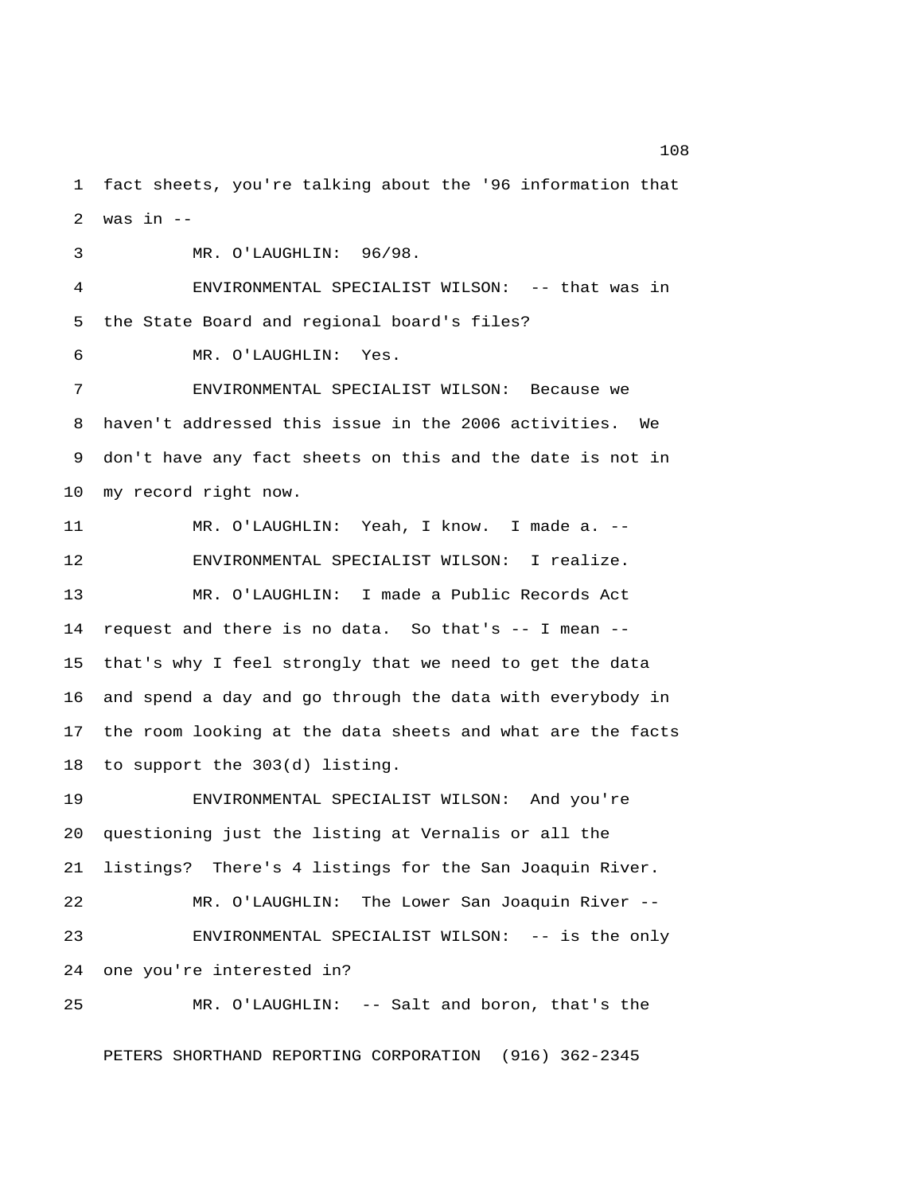1 fact sheets, you're talking about the '96 information that 2 was in  $-$ 

3 MR. O'LAUGHLIN: 96/98.

 4 ENVIRONMENTAL SPECIALIST WILSON: -- that was in 5 the State Board and regional board's files?

6 MR. O'LAUGHLIN: Yes.

 7 ENVIRONMENTAL SPECIALIST WILSON: Because we 8 haven't addressed this issue in the 2006 activities. We 9 don't have any fact sheets on this and the date is not in 10 my record right now.

11 MR. O'LAUGHLIN: Yeah, I know. I made a. -- 12 ENVIRONMENTAL SPECIALIST WILSON: I realize. 13 MR. O'LAUGHLIN: I made a Public Records Act 14 request and there is no data. So that's -- I mean -- 15 that's why I feel strongly that we need to get the data 16 and spend a day and go through the data with everybody in 17 the room looking at the data sheets and what are the facts 18 to support the 303(d) listing.

19 ENVIRONMENTAL SPECIALIST WILSON: And you're 20 questioning just the listing at Vernalis or all the 21 listings? There's 4 listings for the San Joaquin River. 22 MR. O'LAUGHLIN: The Lower San Joaquin River -- 23 ENVIRONMENTAL SPECIALIST WILSON: -- is the only 24 one you're interested in? 25 MR. O'LAUGHLIN: -- Salt and boron, that's the

PETERS SHORTHAND REPORTING CORPORATION (916) 362-2345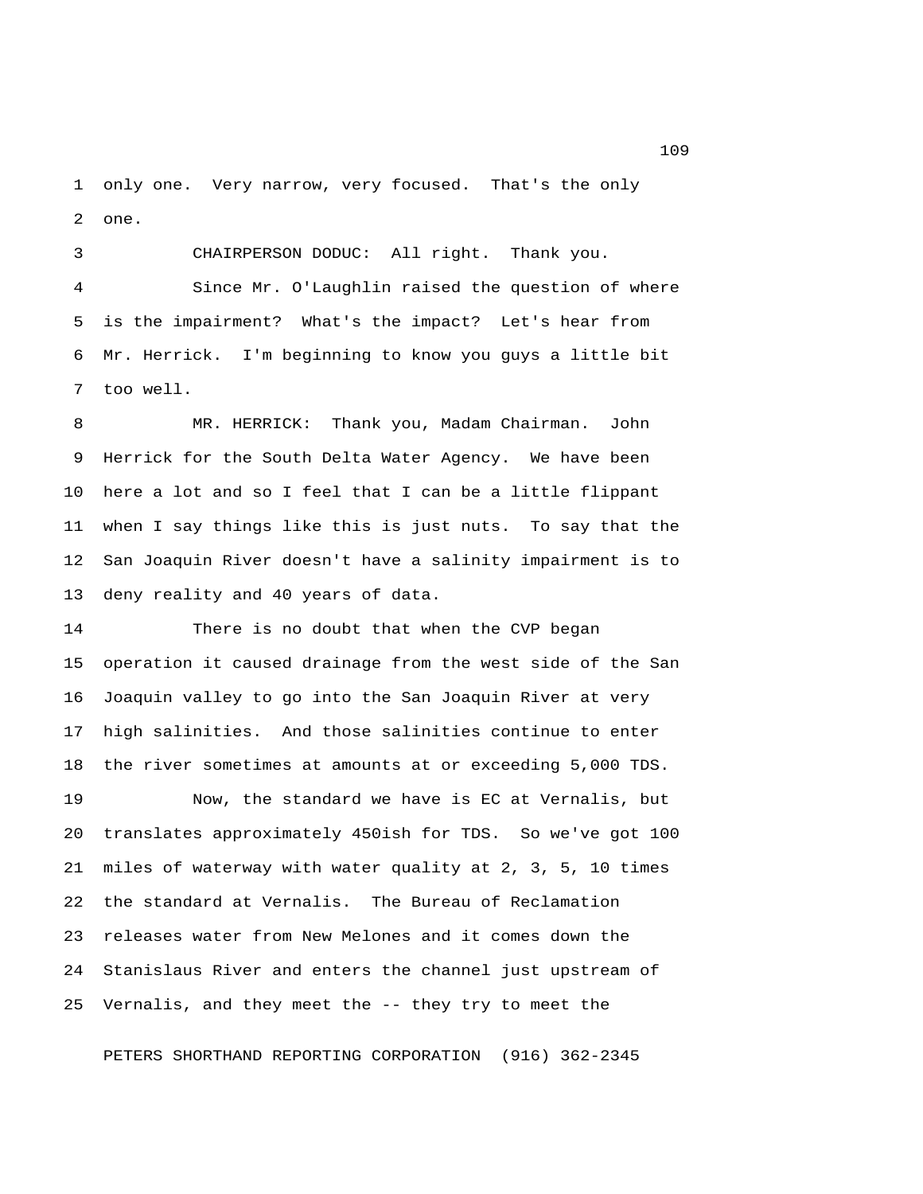1 only one. Very narrow, very focused. That's the only 2 one.

 3 CHAIRPERSON DODUC: All right. Thank you. 4 Since Mr. O'Laughlin raised the question of where 5 is the impairment? What's the impact? Let's hear from 6 Mr. Herrick. I'm beginning to know you guys a little bit 7 too well.

 8 MR. HERRICK: Thank you, Madam Chairman. John 9 Herrick for the South Delta Water Agency. We have been 10 here a lot and so I feel that I can be a little flippant 11 when I say things like this is just nuts. To say that the 12 San Joaquin River doesn't have a salinity impairment is to 13 deny reality and 40 years of data.

14 There is no doubt that when the CVP began 15 operation it caused drainage from the west side of the San 16 Joaquin valley to go into the San Joaquin River at very 17 high salinities. And those salinities continue to enter 18 the river sometimes at amounts at or exceeding 5,000 TDS.

19 Now, the standard we have is EC at Vernalis, but 20 translates approximately 450ish for TDS. So we've got 100 21 miles of waterway with water quality at 2, 3, 5, 10 times 22 the standard at Vernalis. The Bureau of Reclamation 23 releases water from New Melones and it comes down the 24 Stanislaus River and enters the channel just upstream of 25 Vernalis, and they meet the -- they try to meet the

PETERS SHORTHAND REPORTING CORPORATION (916) 362-2345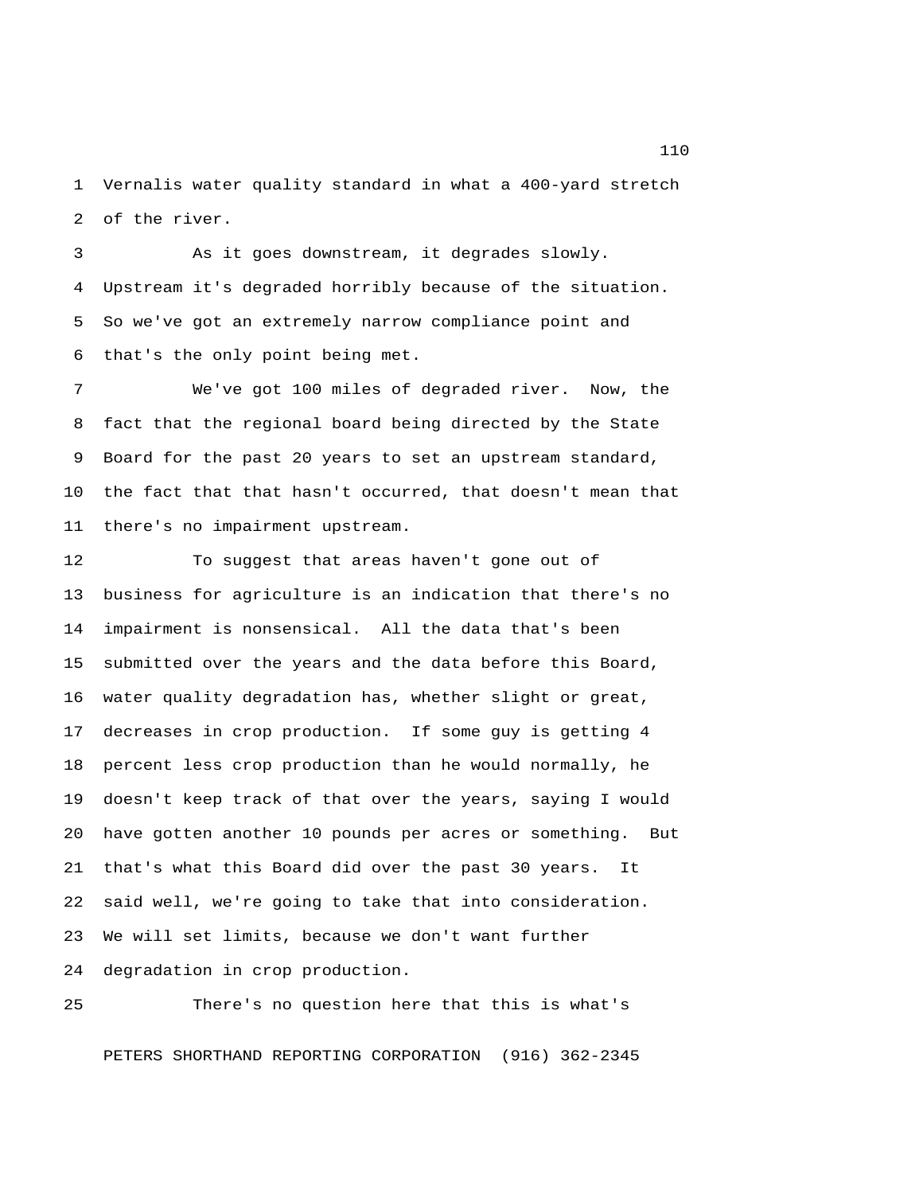1 Vernalis water quality standard in what a 400-yard stretch 2 of the river.

 3 As it goes downstream, it degrades slowly. 4 Upstream it's degraded horribly because of the situation. 5 So we've got an extremely narrow compliance point and 6 that's the only point being met.

 7 We've got 100 miles of degraded river. Now, the 8 fact that the regional board being directed by the State 9 Board for the past 20 years to set an upstream standard, 10 the fact that that hasn't occurred, that doesn't mean that 11 there's no impairment upstream.

12 To suggest that areas haven't gone out of 13 business for agriculture is an indication that there's no 14 impairment is nonsensical. All the data that's been 15 submitted over the years and the data before this Board, 16 water quality degradation has, whether slight or great, 17 decreases in crop production. If some guy is getting 4 18 percent less crop production than he would normally, he 19 doesn't keep track of that over the years, saying I would 20 have gotten another 10 pounds per acres or something. But 21 that's what this Board did over the past 30 years. It 22 said well, we're going to take that into consideration. 23 We will set limits, because we don't want further 24 degradation in crop production.

25 There's no question here that this is what's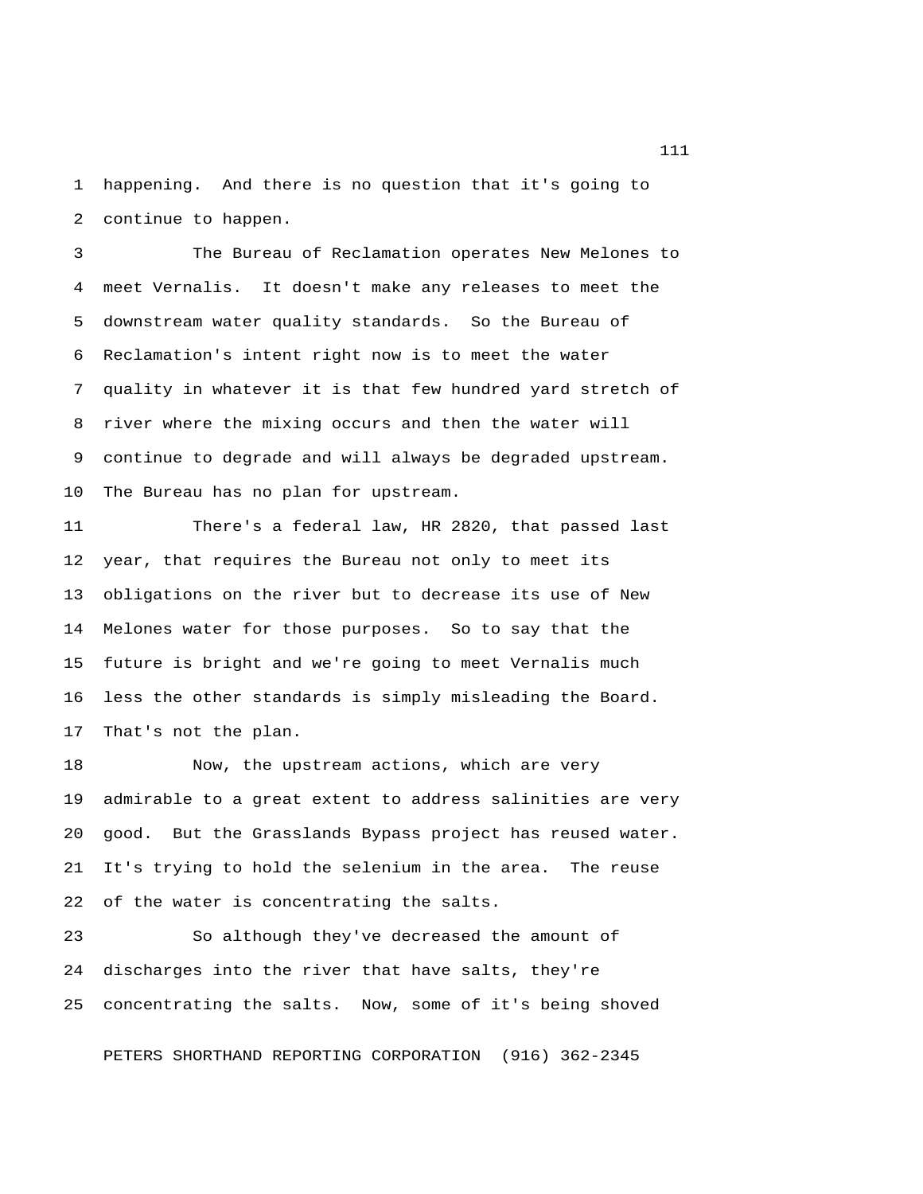1 happening. And there is no question that it's going to 2 continue to happen.

 3 The Bureau of Reclamation operates New Melones to 4 meet Vernalis. It doesn't make any releases to meet the 5 downstream water quality standards. So the Bureau of 6 Reclamation's intent right now is to meet the water 7 quality in whatever it is that few hundred yard stretch of 8 river where the mixing occurs and then the water will 9 continue to degrade and will always be degraded upstream. 10 The Bureau has no plan for upstream.

11 There's a federal law, HR 2820, that passed last 12 year, that requires the Bureau not only to meet its 13 obligations on the river but to decrease its use of New 14 Melones water for those purposes. So to say that the 15 future is bright and we're going to meet Vernalis much 16 less the other standards is simply misleading the Board. 17 That's not the plan.

18 Now, the upstream actions, which are very 19 admirable to a great extent to address salinities are very 20 good. But the Grasslands Bypass project has reused water. 21 It's trying to hold the selenium in the area. The reuse 22 of the water is concentrating the salts.

23 So although they've decreased the amount of 24 discharges into the river that have salts, they're 25 concentrating the salts. Now, some of it's being shoved

PETERS SHORTHAND REPORTING CORPORATION (916) 362-2345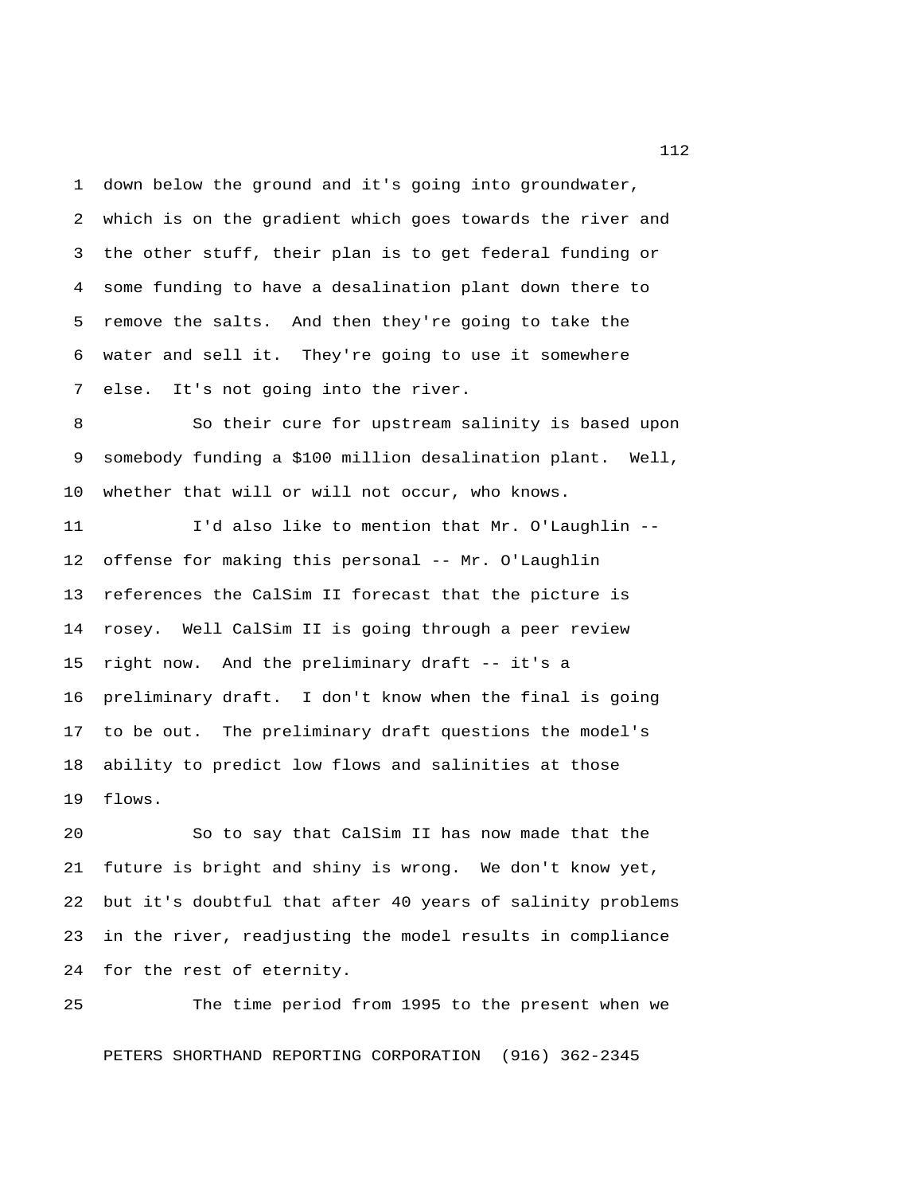1 down below the ground and it's going into groundwater, 2 which is on the gradient which goes towards the river and 3 the other stuff, their plan is to get federal funding or 4 some funding to have a desalination plant down there to 5 remove the salts. And then they're going to take the 6 water and sell it. They're going to use it somewhere 7 else. It's not going into the river.

 8 So their cure for upstream salinity is based upon 9 somebody funding a \$100 million desalination plant. Well, 10 whether that will or will not occur, who knows.

11 I'd also like to mention that Mr. O'Laughlin -- 12 offense for making this personal -- Mr. O'Laughlin 13 references the CalSim II forecast that the picture is 14 rosey. Well CalSim II is going through a peer review 15 right now. And the preliminary draft -- it's a 16 preliminary draft. I don't know when the final is going 17 to be out. The preliminary draft questions the model's 18 ability to predict low flows and salinities at those 19 flows.

20 So to say that CalSim II has now made that the 21 future is bright and shiny is wrong. We don't know yet, 22 but it's doubtful that after 40 years of salinity problems 23 in the river, readjusting the model results in compliance 24 for the rest of eternity.

25 The time period from 1995 to the present when we PETERS SHORTHAND REPORTING CORPORATION (916) 362-2345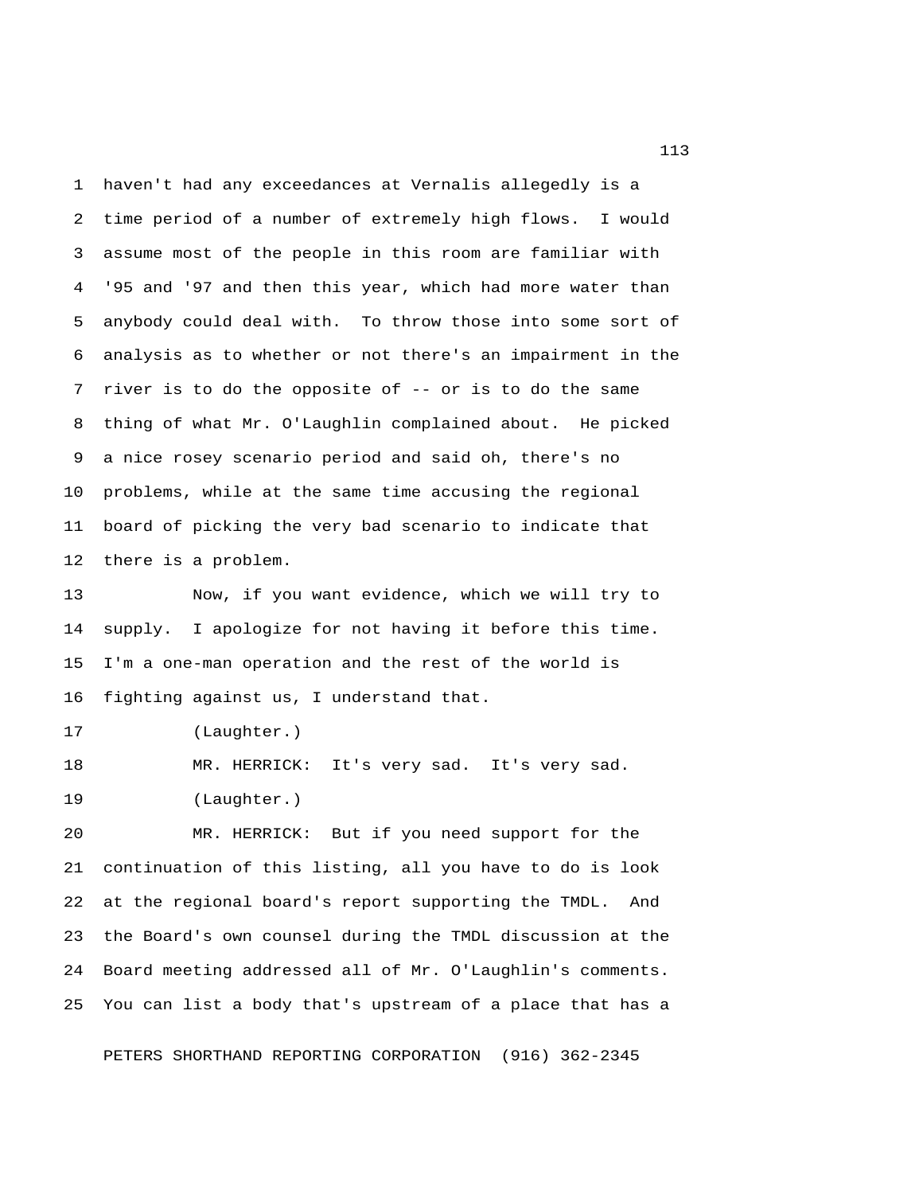1 haven't had any exceedances at Vernalis allegedly is a 2 time period of a number of extremely high flows. I would 3 assume most of the people in this room are familiar with 4 '95 and '97 and then this year, which had more water than 5 anybody could deal with. To throw those into some sort of 6 analysis as to whether or not there's an impairment in the 7 river is to do the opposite of -- or is to do the same 8 thing of what Mr. O'Laughlin complained about. He picked 9 a nice rosey scenario period and said oh, there's no 10 problems, while at the same time accusing the regional 11 board of picking the very bad scenario to indicate that 12 there is a problem.

13 Now, if you want evidence, which we will try to 14 supply. I apologize for not having it before this time. 15 I'm a one-man operation and the rest of the world is 16 fighting against us, I understand that.

17 (Laughter.)

18 MR. HERRICK: It's very sad. It's very sad. 19 (Laughter.)

20 MR. HERRICK: But if you need support for the 21 continuation of this listing, all you have to do is look 22 at the regional board's report supporting the TMDL. And 23 the Board's own counsel during the TMDL discussion at the 24 Board meeting addressed all of Mr. O'Laughlin's comments. 25 You can list a body that's upstream of a place that has a

PETERS SHORTHAND REPORTING CORPORATION (916) 362-2345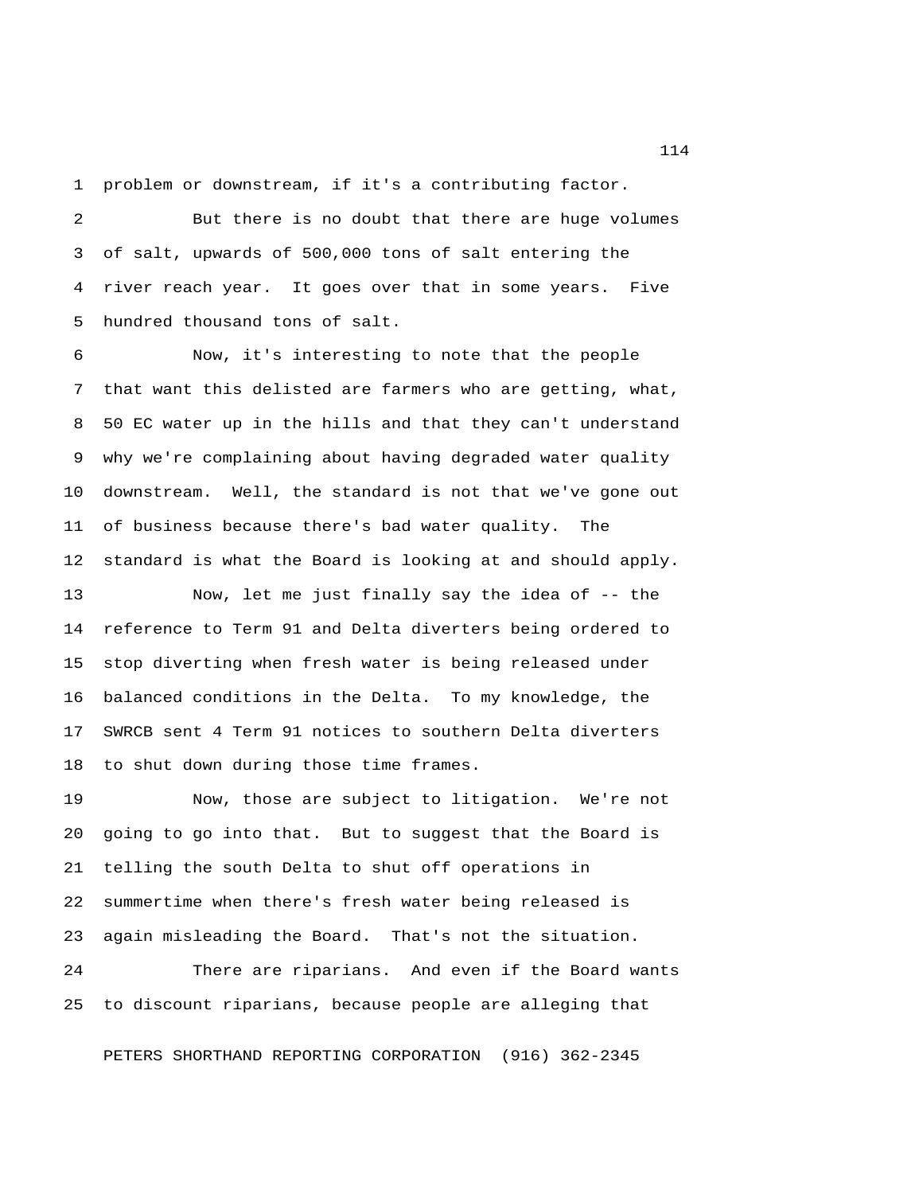1 problem or downstream, if it's a contributing factor.

 2 But there is no doubt that there are huge volumes 3 of salt, upwards of 500,000 tons of salt entering the 4 river reach year. It goes over that in some years. Five 5 hundred thousand tons of salt.

 6 Now, it's interesting to note that the people 7 that want this delisted are farmers who are getting, what, 8 50 EC water up in the hills and that they can't understand 9 why we're complaining about having degraded water quality 10 downstream. Well, the standard is not that we've gone out 11 of business because there's bad water quality. The 12 standard is what the Board is looking at and should apply.

13 Now, let me just finally say the idea of -- the 14 reference to Term 91 and Delta diverters being ordered to 15 stop diverting when fresh water is being released under 16 balanced conditions in the Delta. To my knowledge, the 17 SWRCB sent 4 Term 91 notices to southern Delta diverters 18 to shut down during those time frames.

19 Now, those are subject to litigation. We're not 20 going to go into that. But to suggest that the Board is 21 telling the south Delta to shut off operations in 22 summertime when there's fresh water being released is 23 again misleading the Board. That's not the situation.

24 There are riparians. And even if the Board wants 25 to discount riparians, because people are alleging that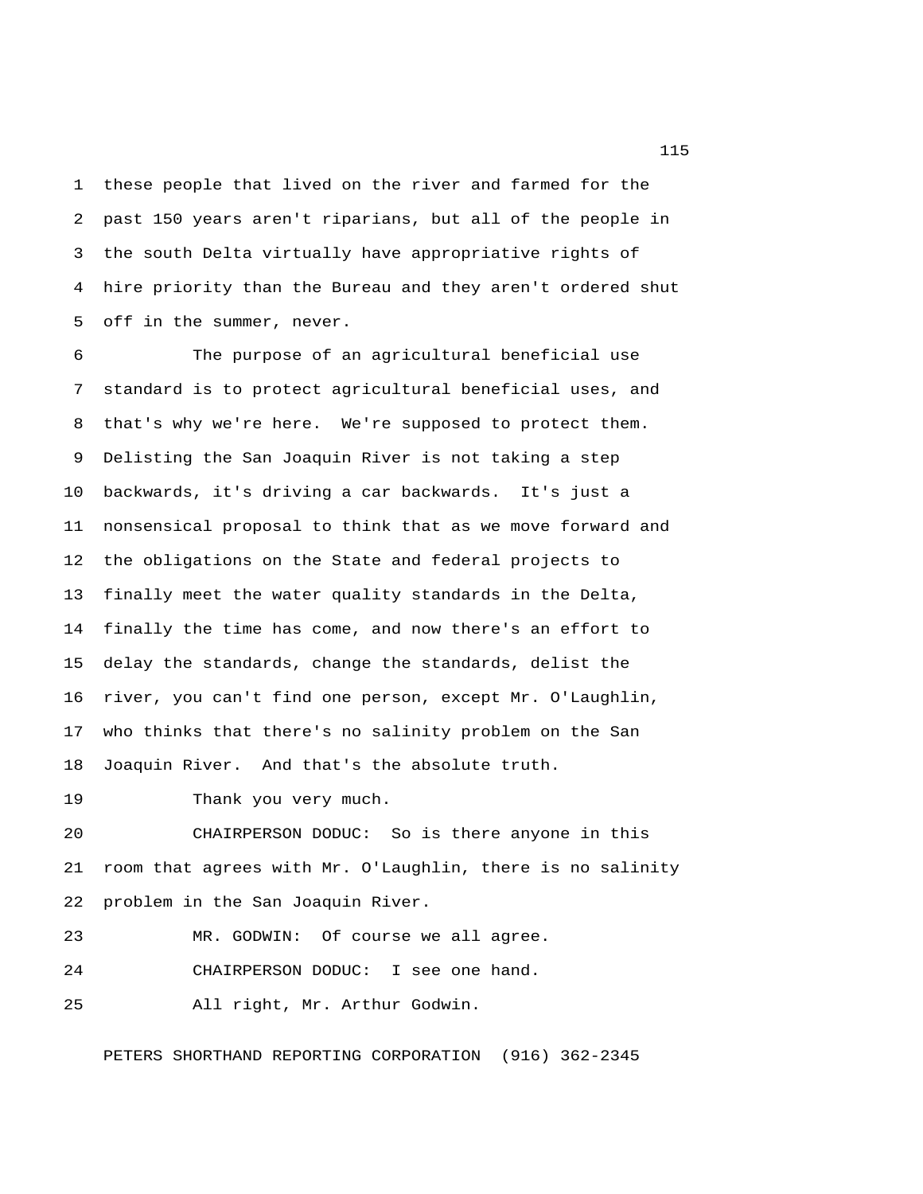1 these people that lived on the river and farmed for the 2 past 150 years aren't riparians, but all of the people in 3 the south Delta virtually have appropriative rights of 4 hire priority than the Bureau and they aren't ordered shut 5 off in the summer, never.

 6 The purpose of an agricultural beneficial use 7 standard is to protect agricultural beneficial uses, and 8 that's why we're here. We're supposed to protect them. 9 Delisting the San Joaquin River is not taking a step 10 backwards, it's driving a car backwards. It's just a 11 nonsensical proposal to think that as we move forward and 12 the obligations on the State and federal projects to 13 finally meet the water quality standards in the Delta, 14 finally the time has come, and now there's an effort to 15 delay the standards, change the standards, delist the 16 river, you can't find one person, except Mr. O'Laughlin, 17 who thinks that there's no salinity problem on the San 18 Joaquin River. And that's the absolute truth.

19 Thank you very much.

20 CHAIRPERSON DODUC: So is there anyone in this 21 room that agrees with Mr. O'Laughlin, there is no salinity 22 problem in the San Joaquin River.

23 MR. GODWIN: Of course we all agree.

24 CHAIRPERSON DODUC: I see one hand.

25 All right, Mr. Arthur Godwin.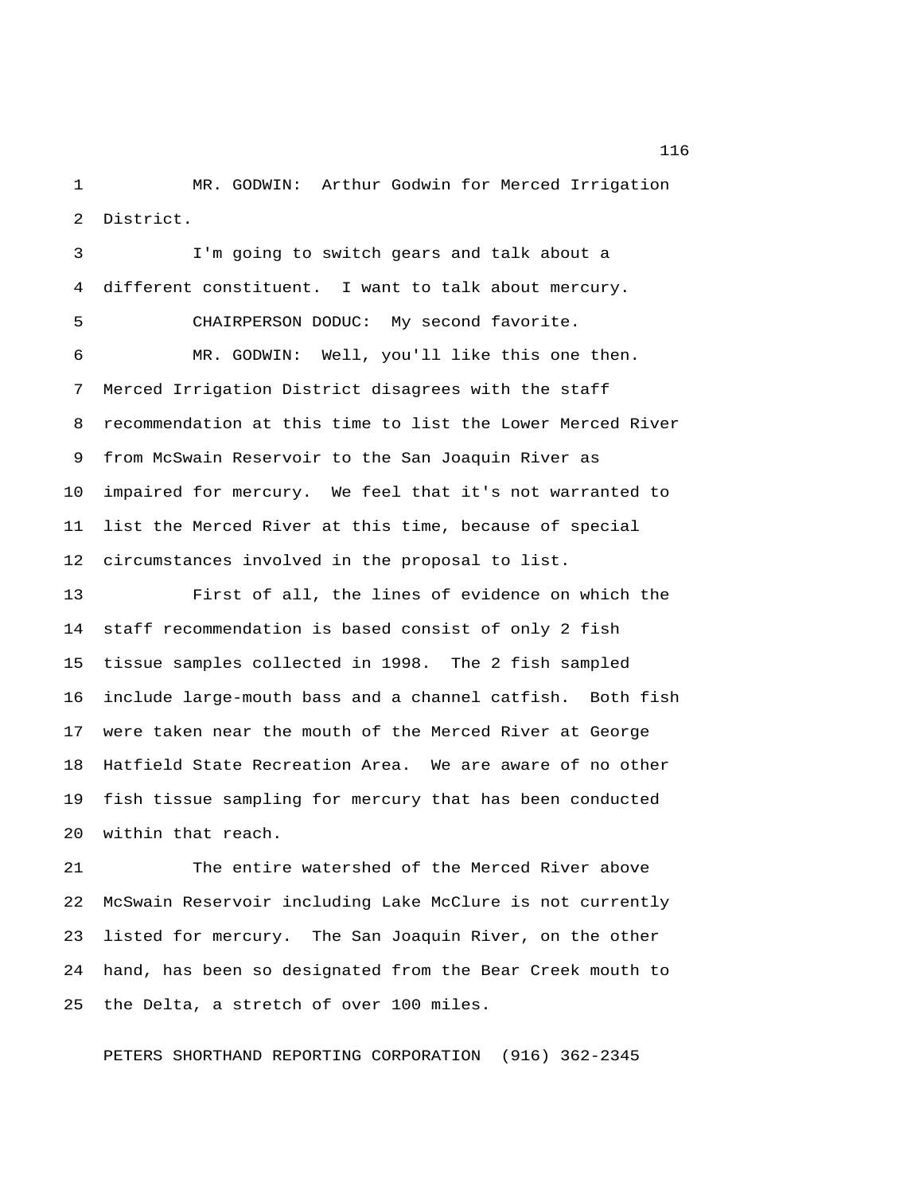1 MR. GODWIN: Arthur Godwin for Merced Irrigation 2 District.

 3 I'm going to switch gears and talk about a 4 different constituent. I want to talk about mercury. 5 CHAIRPERSON DODUC: My second favorite. 6 MR. GODWIN: Well, you'll like this one then. 7 Merced Irrigation District disagrees with the staff 8 recommendation at this time to list the Lower Merced River 9 from McSwain Reservoir to the San Joaquin River as 10 impaired for mercury. We feel that it's not warranted to 11 list the Merced River at this time, because of special 12 circumstances involved in the proposal to list.

13 First of all, the lines of evidence on which the 14 staff recommendation is based consist of only 2 fish 15 tissue samples collected in 1998. The 2 fish sampled 16 include large-mouth bass and a channel catfish. Both fish 17 were taken near the mouth of the Merced River at George 18 Hatfield State Recreation Area. We are aware of no other 19 fish tissue sampling for mercury that has been conducted 20 within that reach.

21 The entire watershed of the Merced River above 22 McSwain Reservoir including Lake McClure is not currently 23 listed for mercury. The San Joaquin River, on the other 24 hand, has been so designated from the Bear Creek mouth to 25 the Delta, a stretch of over 100 miles.

PETERS SHORTHAND REPORTING CORPORATION (916) 362-2345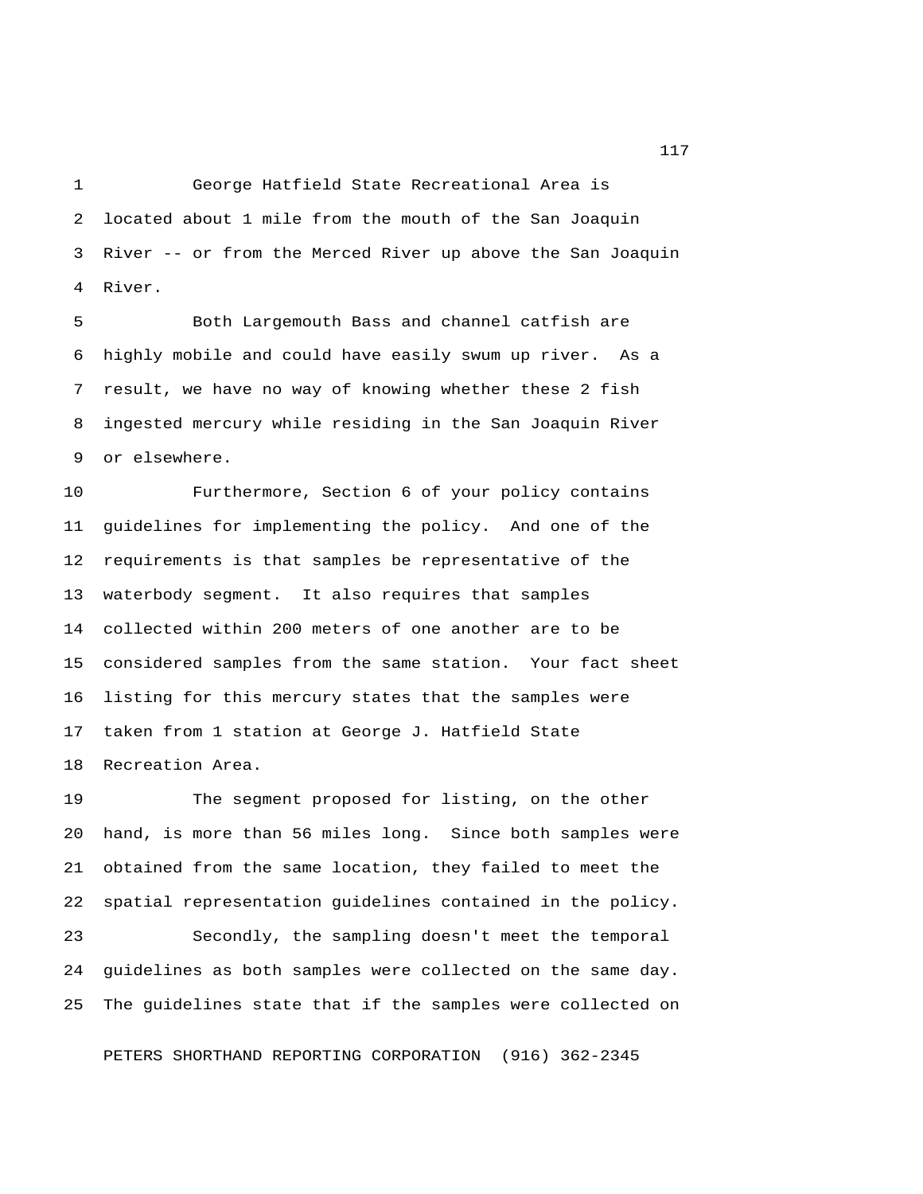1 George Hatfield State Recreational Area is 2 located about 1 mile from the mouth of the San Joaquin 3 River -- or from the Merced River up above the San Joaquin 4 River.

 5 Both Largemouth Bass and channel catfish are 6 highly mobile and could have easily swum up river. As a 7 result, we have no way of knowing whether these 2 fish 8 ingested mercury while residing in the San Joaquin River 9 or elsewhere.

10 Furthermore, Section 6 of your policy contains 11 guidelines for implementing the policy. And one of the 12 requirements is that samples be representative of the 13 waterbody segment. It also requires that samples 14 collected within 200 meters of one another are to be 15 considered samples from the same station. Your fact sheet 16 listing for this mercury states that the samples were 17 taken from 1 station at George J. Hatfield State 18 Recreation Area.

19 The segment proposed for listing, on the other 20 hand, is more than 56 miles long. Since both samples were 21 obtained from the same location, they failed to meet the 22 spatial representation guidelines contained in the policy.

23 Secondly, the sampling doesn't meet the temporal 24 guidelines as both samples were collected on the same day. 25 The guidelines state that if the samples were collected on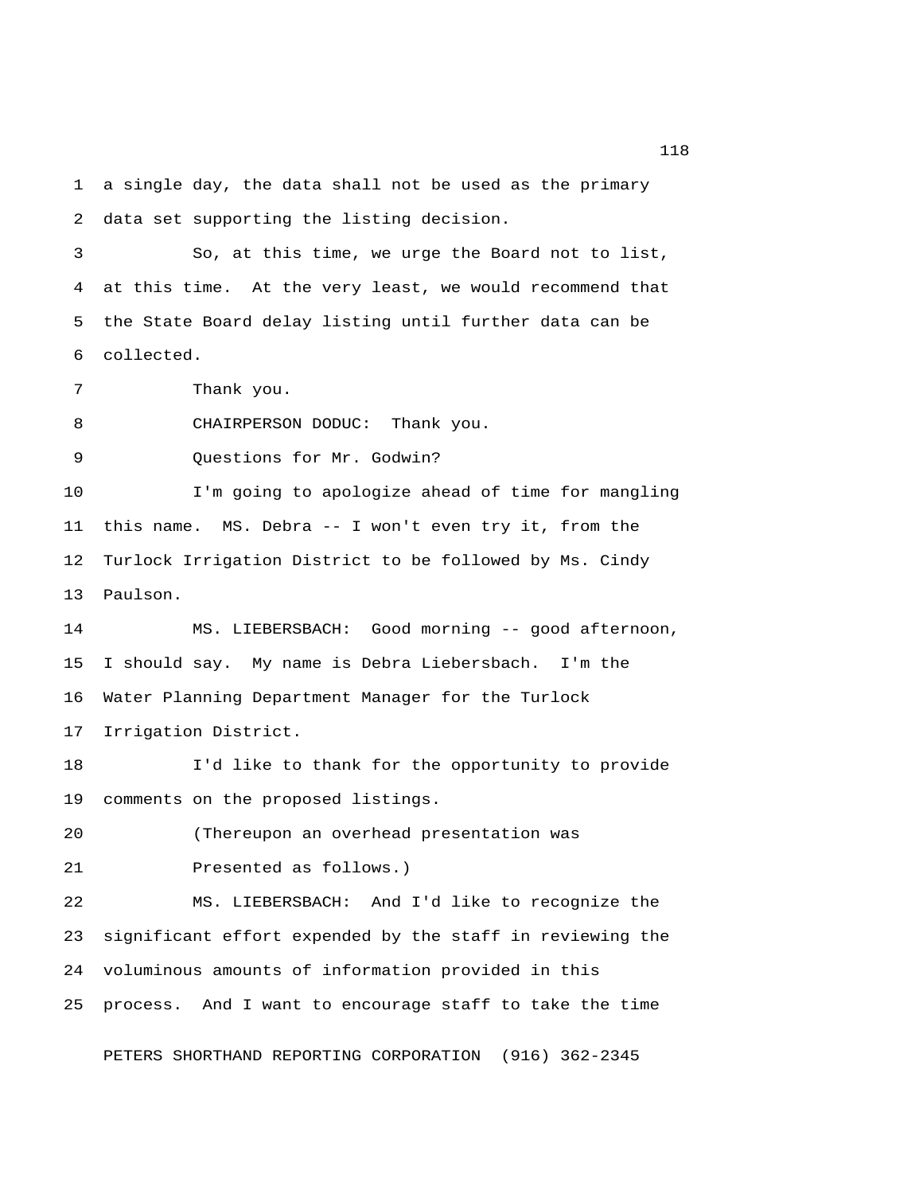1 a single day, the data shall not be used as the primary 2 data set supporting the listing decision.

 3 So, at this time, we urge the Board not to list, 4 at this time. At the very least, we would recommend that 5 the State Board delay listing until further data can be 6 collected.

7 Thank you.

8 CHAIRPERSON DODUC: Thank you.

9 Questions for Mr. Godwin?

10 I'm going to apologize ahead of time for mangling 11 this name. MS. Debra -- I won't even try it, from the 12 Turlock Irrigation District to be followed by Ms. Cindy 13 Paulson.

14 MS. LIEBERSBACH: Good morning -- good afternoon, 15 I should say. My name is Debra Liebersbach. I'm the 16 Water Planning Department Manager for the Turlock 17 Irrigation District.

18 I'd like to thank for the opportunity to provide 19 comments on the proposed listings.

20 (Thereupon an overhead presentation was

21 Presented as follows.)

22 MS. LIEBERSBACH: And I'd like to recognize the 23 significant effort expended by the staff in reviewing the 24 voluminous amounts of information provided in this 25 process. And I want to encourage staff to take the time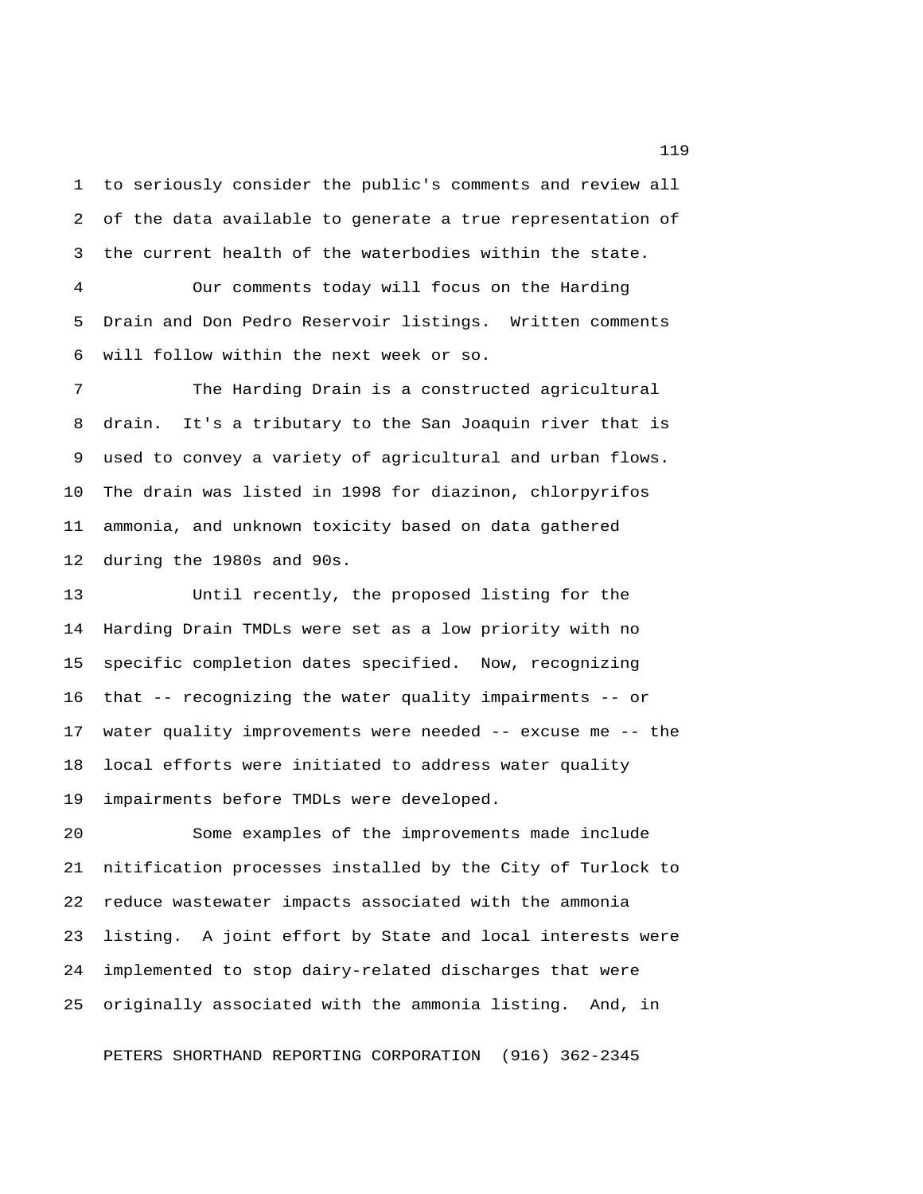1 to seriously consider the public's comments and review all 2 of the data available to generate a true representation of 3 the current health of the waterbodies within the state.

 4 Our comments today will focus on the Harding 5 Drain and Don Pedro Reservoir listings. Written comments 6 will follow within the next week or so.

 7 The Harding Drain is a constructed agricultural 8 drain. It's a tributary to the San Joaquin river that is 9 used to convey a variety of agricultural and urban flows. 10 The drain was listed in 1998 for diazinon, chlorpyrifos 11 ammonia, and unknown toxicity based on data gathered 12 during the 1980s and 90s.

13 Until recently, the proposed listing for the 14 Harding Drain TMDLs were set as a low priority with no 15 specific completion dates specified. Now, recognizing 16 that -- recognizing the water quality impairments -- or 17 water quality improvements were needed -- excuse me -- the 18 local efforts were initiated to address water quality 19 impairments before TMDLs were developed.

20 Some examples of the improvements made include 21 nitification processes installed by the City of Turlock to 22 reduce wastewater impacts associated with the ammonia 23 listing. A joint effort by State and local interests were 24 implemented to stop dairy-related discharges that were 25 originally associated with the ammonia listing. And, in

PETERS SHORTHAND REPORTING CORPORATION (916) 362-2345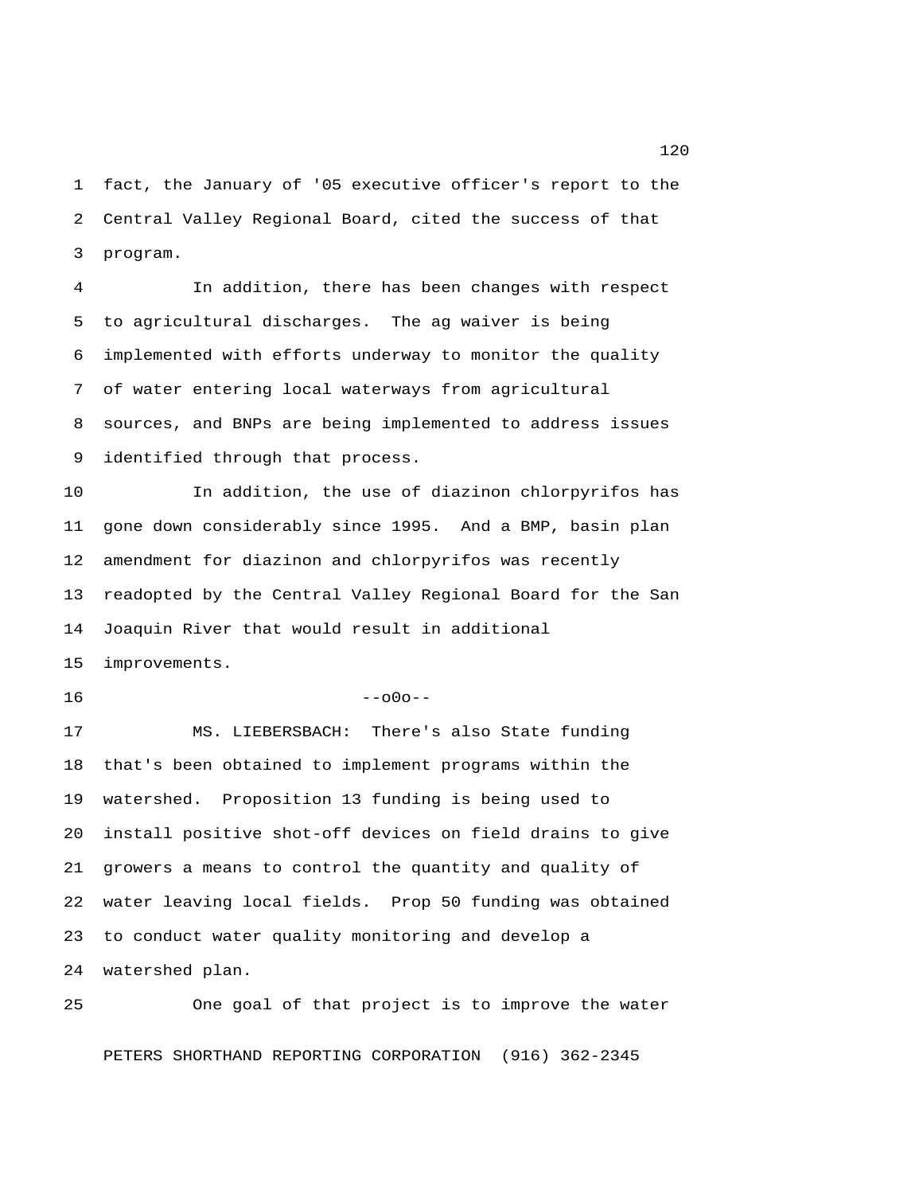1 fact, the January of '05 executive officer's report to the 2 Central Valley Regional Board, cited the success of that 3 program.

 4 In addition, there has been changes with respect 5 to agricultural discharges. The ag waiver is being 6 implemented with efforts underway to monitor the quality 7 of water entering local waterways from agricultural 8 sources, and BNPs are being implemented to address issues 9 identified through that process.

10 In addition, the use of diazinon chlorpyrifos has 11 gone down considerably since 1995. And a BMP, basin plan 12 amendment for diazinon and chlorpyrifos was recently 13 readopted by the Central Valley Regional Board for the San 14 Joaquin River that would result in additional 15 improvements.

## $16$  --o0o--

17 MS. LIEBERSBACH: There's also State funding 18 that's been obtained to implement programs within the 19 watershed. Proposition 13 funding is being used to 20 install positive shot-off devices on field drains to give 21 growers a means to control the quantity and quality of 22 water leaving local fields. Prop 50 funding was obtained 23 to conduct water quality monitoring and develop a 24 watershed plan.

25 One goal of that project is to improve the water PETERS SHORTHAND REPORTING CORPORATION (916) 362-2345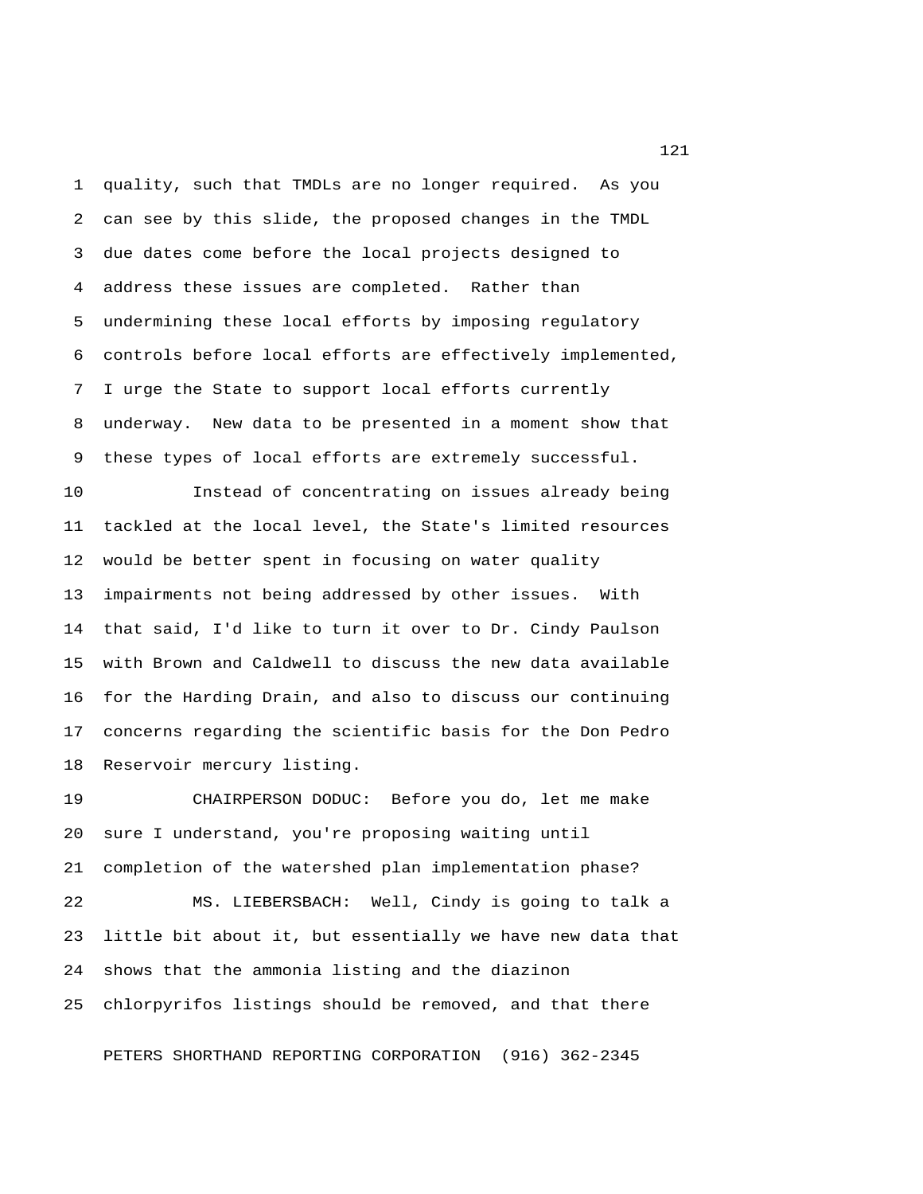1 quality, such that TMDLs are no longer required. As you 2 can see by this slide, the proposed changes in the TMDL 3 due dates come before the local projects designed to 4 address these issues are completed. Rather than 5 undermining these local efforts by imposing regulatory 6 controls before local efforts are effectively implemented, 7 I urge the State to support local efforts currently 8 underway. New data to be presented in a moment show that 9 these types of local efforts are extremely successful.

10 Instead of concentrating on issues already being 11 tackled at the local level, the State's limited resources 12 would be better spent in focusing on water quality 13 impairments not being addressed by other issues. With 14 that said, I'd like to turn it over to Dr. Cindy Paulson 15 with Brown and Caldwell to discuss the new data available 16 for the Harding Drain, and also to discuss our continuing 17 concerns regarding the scientific basis for the Don Pedro 18 Reservoir mercury listing.

19 CHAIRPERSON DODUC: Before you do, let me make 20 sure I understand, you're proposing waiting until 21 completion of the watershed plan implementation phase? 22 MS. LIEBERSBACH: Well, Cindy is going to talk a 23 little bit about it, but essentially we have new data that 24 shows that the ammonia listing and the diazinon

25 chlorpyrifos listings should be removed, and that there

PETERS SHORTHAND REPORTING CORPORATION (916) 362-2345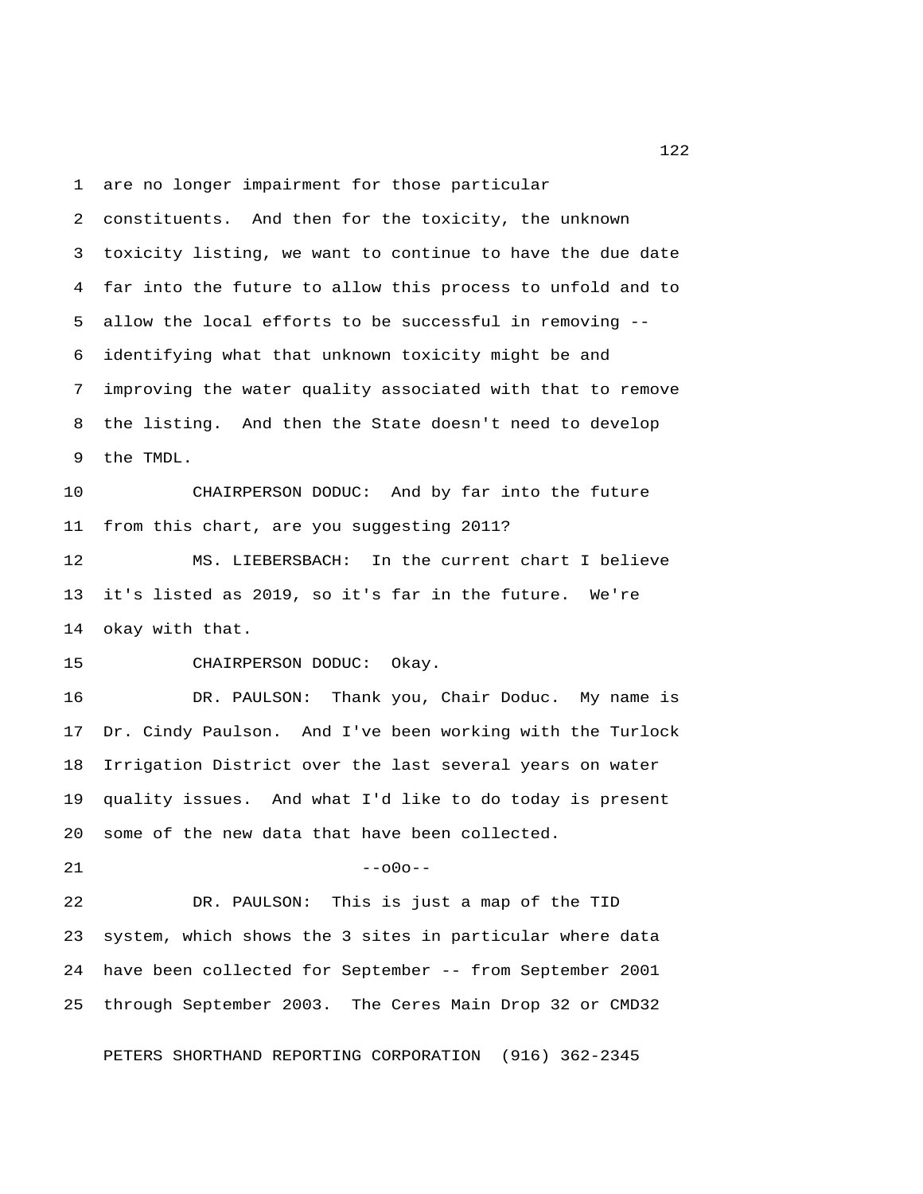1 are no longer impairment for those particular 2 constituents. And then for the toxicity, the unknown 3 toxicity listing, we want to continue to have the due date 4 far into the future to allow this process to unfold and to 5 allow the local efforts to be successful in removing -- 6 identifying what that unknown toxicity might be and 7 improving the water quality associated with that to remove 8 the listing. And then the State doesn't need to develop 9 the TMDL.

10 CHAIRPERSON DODUC: And by far into the future 11 from this chart, are you suggesting 2011?

12 MS. LIEBERSBACH: In the current chart I believe 13 it's listed as 2019, so it's far in the future. We're 14 okay with that.

15 CHAIRPERSON DODUC: Okay.

16 DR. PAULSON: Thank you, Chair Doduc. My name is 17 Dr. Cindy Paulson. And I've been working with the Turlock 18 Irrigation District over the last several years on water 19 quality issues. And what I'd like to do today is present 20 some of the new data that have been collected.

 $21$  --000--

22 DR. PAULSON: This is just a map of the TID 23 system, which shows the 3 sites in particular where data 24 have been collected for September -- from September 2001 25 through September 2003. The Ceres Main Drop 32 or CMD32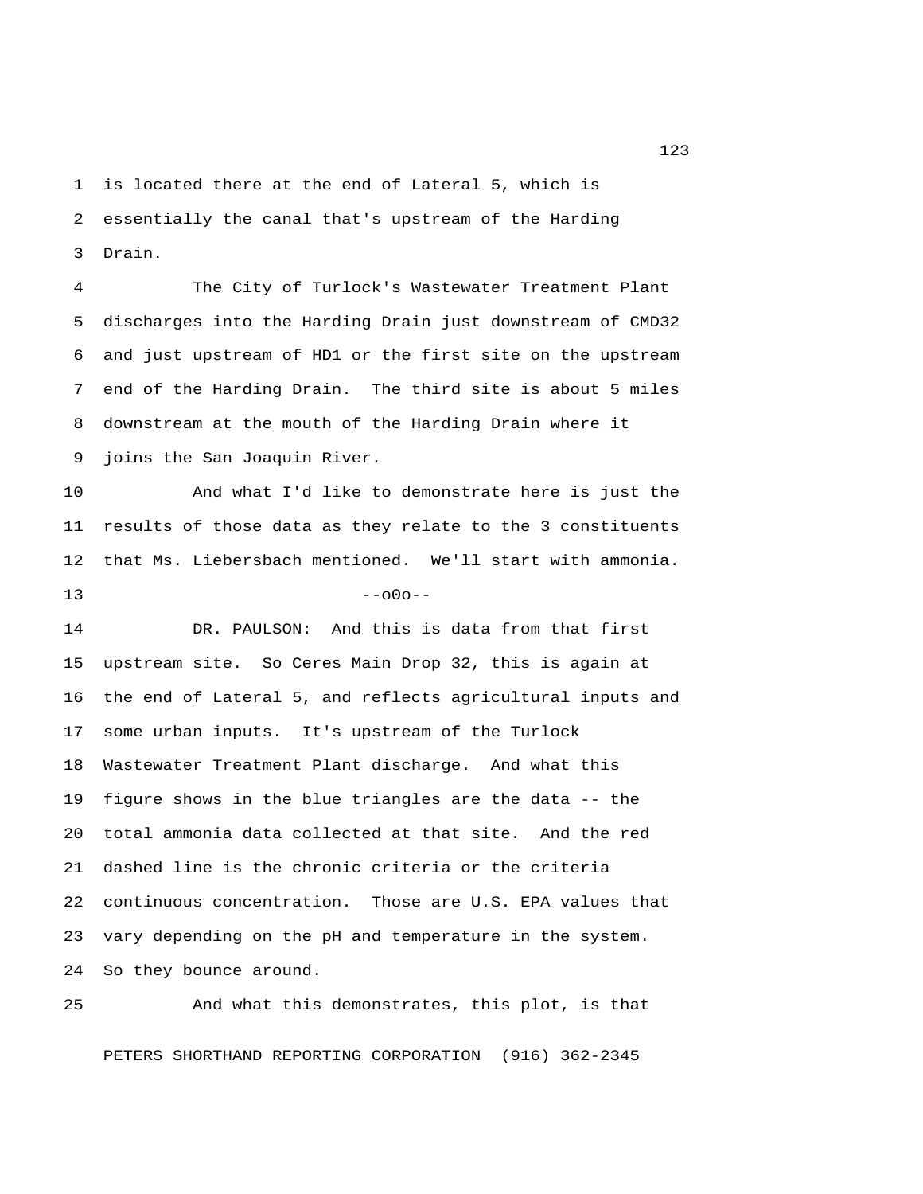1 is located there at the end of Lateral 5, which is 2 essentially the canal that's upstream of the Harding 3 Drain.

 4 The City of Turlock's Wastewater Treatment Plant 5 discharges into the Harding Drain just downstream of CMD32 6 and just upstream of HD1 or the first site on the upstream 7 end of the Harding Drain. The third site is about 5 miles 8 downstream at the mouth of the Harding Drain where it 9 joins the San Joaquin River.

10 And what I'd like to demonstrate here is just the 11 results of those data as they relate to the 3 constituents 12 that Ms. Liebersbach mentioned. We'll start with ammonia.  $13$  --o0o--

14 DR. PAULSON: And this is data from that first 15 upstream site. So Ceres Main Drop 32, this is again at 16 the end of Lateral 5, and reflects agricultural inputs and 17 some urban inputs. It's upstream of the Turlock 18 Wastewater Treatment Plant discharge. And what this 19 figure shows in the blue triangles are the data -- the 20 total ammonia data collected at that site. And the red 21 dashed line is the chronic criteria or the criteria 22 continuous concentration. Those are U.S. EPA values that 23 vary depending on the pH and temperature in the system. 24 So they bounce around.

25 And what this demonstrates, this plot, is that

PETERS SHORTHAND REPORTING CORPORATION (916) 362-2345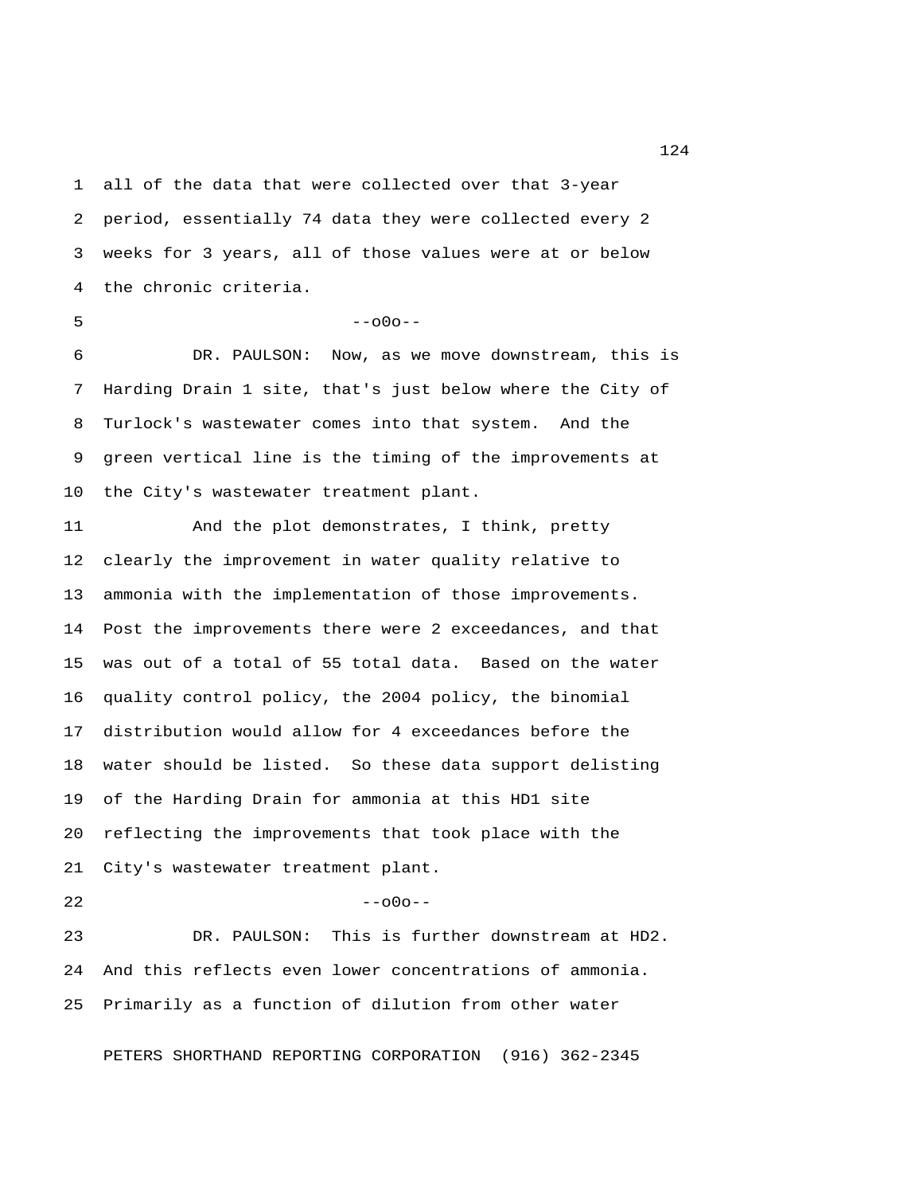1 all of the data that were collected over that 3-year 2 period, essentially 74 data they were collected every 2 3 weeks for 3 years, all of those values were at or below 4 the chronic criteria.

 $5 - -000 - -$ 

 6 DR. PAULSON: Now, as we move downstream, this is 7 Harding Drain 1 site, that's just below where the City of 8 Turlock's wastewater comes into that system. And the 9 green vertical line is the timing of the improvements at 10 the City's wastewater treatment plant.

11 And the plot demonstrates, I think, pretty 12 clearly the improvement in water quality relative to 13 ammonia with the implementation of those improvements. 14 Post the improvements there were 2 exceedances, and that 15 was out of a total of 55 total data. Based on the water 16 quality control policy, the 2004 policy, the binomial 17 distribution would allow for 4 exceedances before the 18 water should be listed. So these data support delisting 19 of the Harding Drain for ammonia at this HD1 site 20 reflecting the improvements that took place with the 21 City's wastewater treatment plant.  $22$  --o0o--

23 DR. PAULSON: This is further downstream at HD2. 24 And this reflects even lower concentrations of ammonia. 25 Primarily as a function of dilution from other water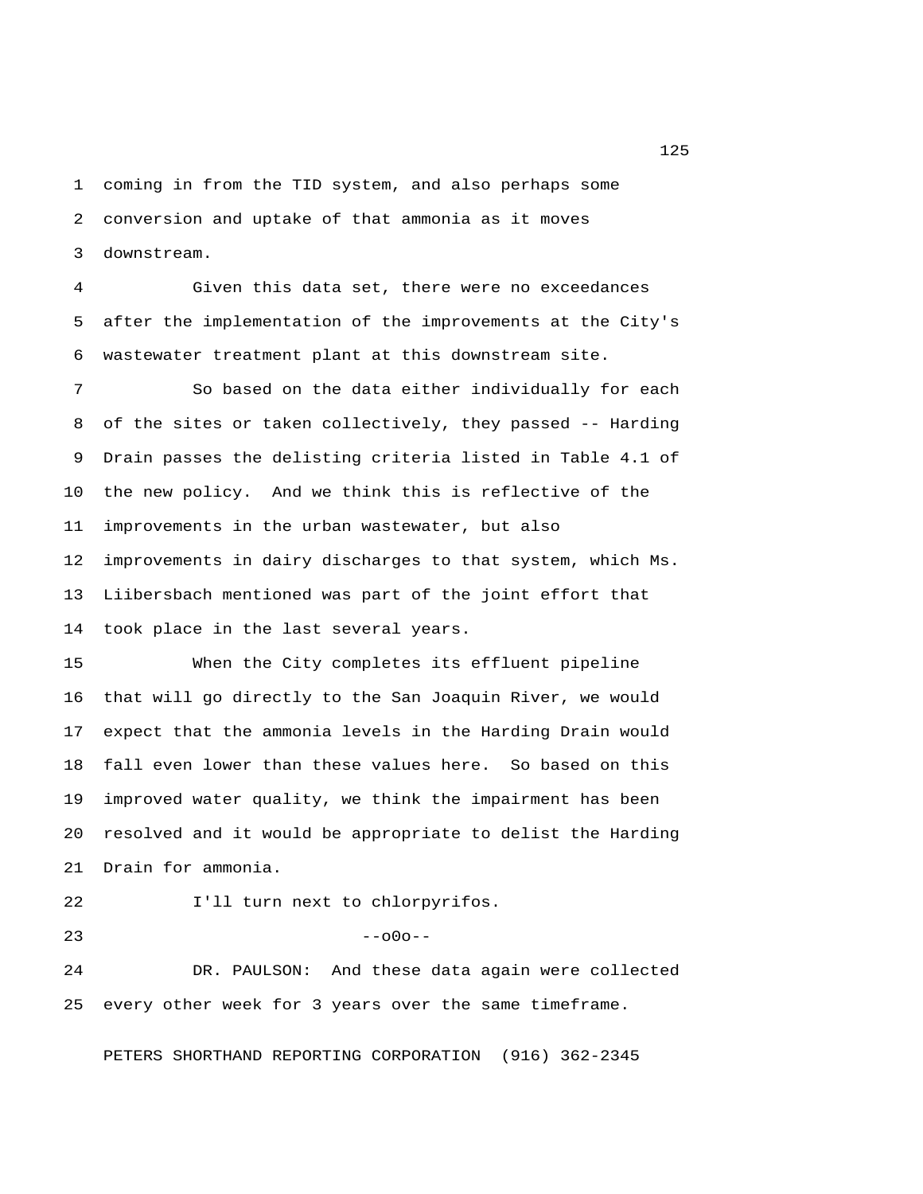1 coming in from the TID system, and also perhaps some 2 conversion and uptake of that ammonia as it moves 3 downstream.

 4 Given this data set, there were no exceedances 5 after the implementation of the improvements at the City's 6 wastewater treatment plant at this downstream site.

 7 So based on the data either individually for each 8 of the sites or taken collectively, they passed -- Harding 9 Drain passes the delisting criteria listed in Table 4.1 of 10 the new policy. And we think this is reflective of the 11 improvements in the urban wastewater, but also 12 improvements in dairy discharges to that system, which Ms. 13 Liibersbach mentioned was part of the joint effort that 14 took place in the last several years.

15 When the City completes its effluent pipeline 16 that will go directly to the San Joaquin River, we would 17 expect that the ammonia levels in the Harding Drain would 18 fall even lower than these values here. So based on this 19 improved water quality, we think the impairment has been 20 resolved and it would be appropriate to delist the Harding 21 Drain for ammonia.

22 I'll turn next to chlorpyrifos.

 $23$  --o0o--

24 DR. PAULSON: And these data again were collected 25 every other week for 3 years over the same timeframe.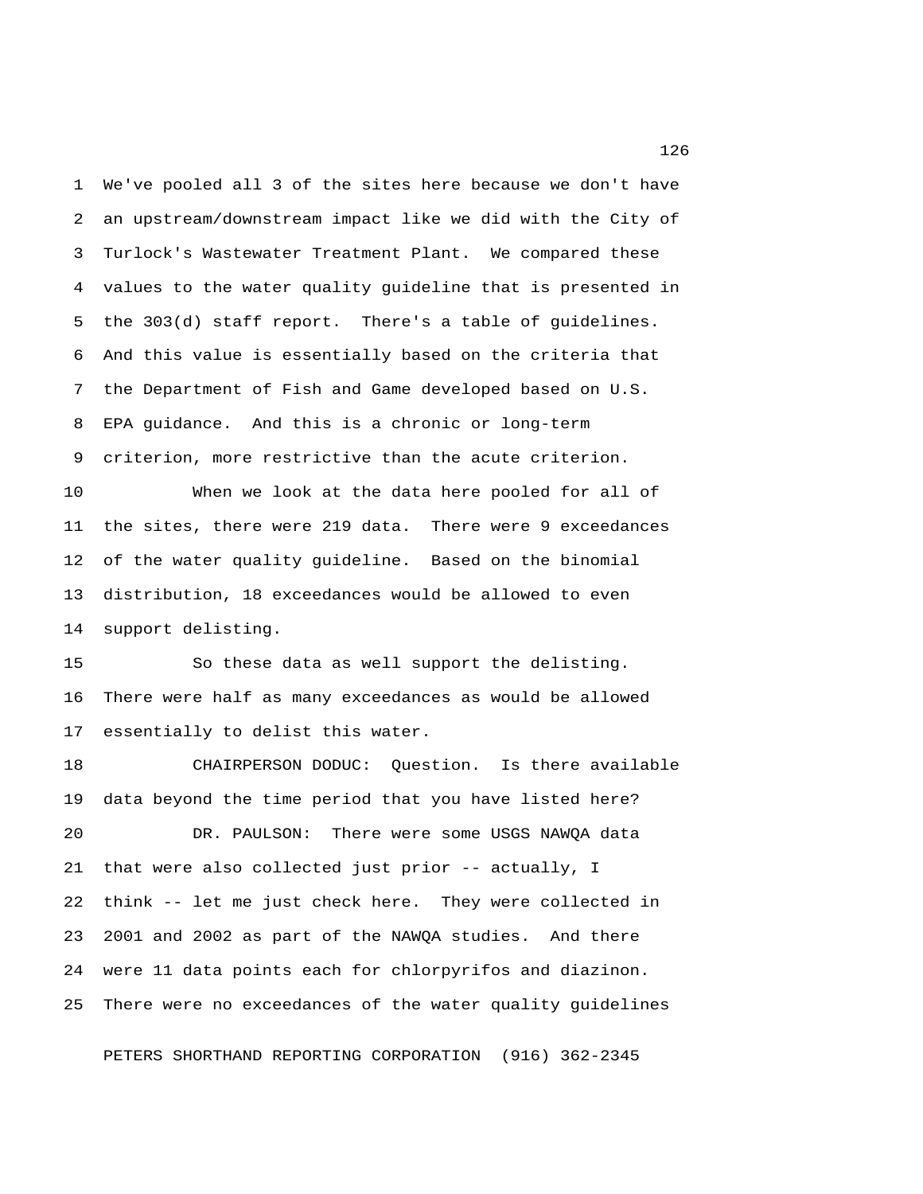1 We've pooled all 3 of the sites here because we don't have 2 an upstream/downstream impact like we did with the City of 3 Turlock's Wastewater Treatment Plant. We compared these 4 values to the water quality guideline that is presented in 5 the 303(d) staff report. There's a table of guidelines. 6 And this value is essentially based on the criteria that 7 the Department of Fish and Game developed based on U.S. 8 EPA guidance. And this is a chronic or long-term 9 criterion, more restrictive than the acute criterion.

10 When we look at the data here pooled for all of 11 the sites, there were 219 data. There were 9 exceedances 12 of the water quality guideline. Based on the binomial 13 distribution, 18 exceedances would be allowed to even 14 support delisting.

15 So these data as well support the delisting. 16 There were half as many exceedances as would be allowed 17 essentially to delist this water.

18 CHAIRPERSON DODUC: Question. Is there available 19 data beyond the time period that you have listed here? 20 DR. PAULSON: There were some USGS NAWQA data 21 that were also collected just prior -- actually, I 22 think -- let me just check here. They were collected in 23 2001 and 2002 as part of the NAWQA studies. And there 24 were 11 data points each for chlorpyrifos and diazinon. 25 There were no exceedances of the water quality guidelines

PETERS SHORTHAND REPORTING CORPORATION (916) 362-2345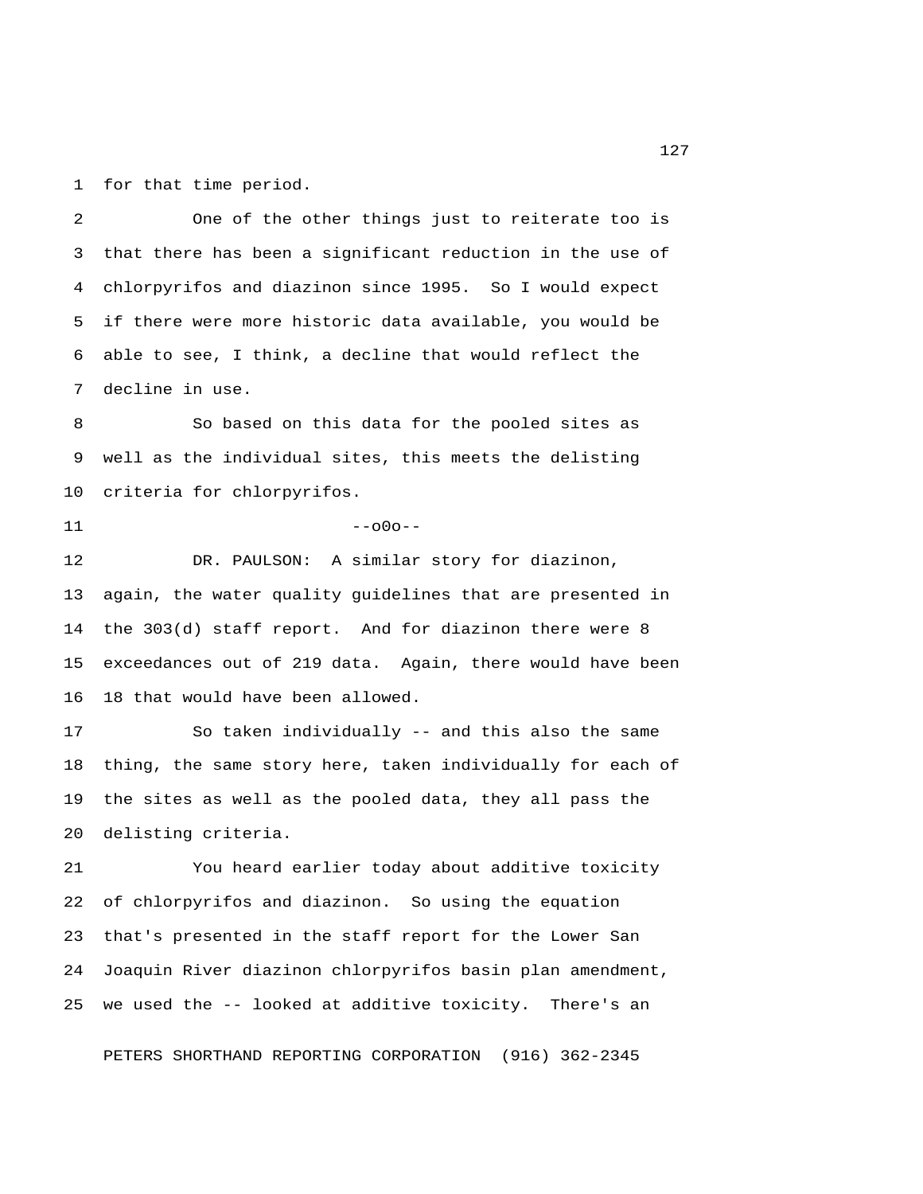1 for that time period.

 2 One of the other things just to reiterate too is 3 that there has been a significant reduction in the use of 4 chlorpyrifos and diazinon since 1995. So I would expect 5 if there were more historic data available, you would be 6 able to see, I think, a decline that would reflect the 7 decline in use.

 8 So based on this data for the pooled sites as 9 well as the individual sites, this meets the delisting 10 criteria for chlorpyrifos.

 $11$  --000--

12 DR. PAULSON: A similar story for diazinon, 13 again, the water quality guidelines that are presented in 14 the 303(d) staff report. And for diazinon there were 8 15 exceedances out of 219 data. Again, there would have been 16 18 that would have been allowed.

17 So taken individually -- and this also the same 18 thing, the same story here, taken individually for each of 19 the sites as well as the pooled data, they all pass the 20 delisting criteria.

21 You heard earlier today about additive toxicity 22 of chlorpyrifos and diazinon. So using the equation 23 that's presented in the staff report for the Lower San 24 Joaquin River diazinon chlorpyrifos basin plan amendment, 25 we used the -- looked at additive toxicity. There's an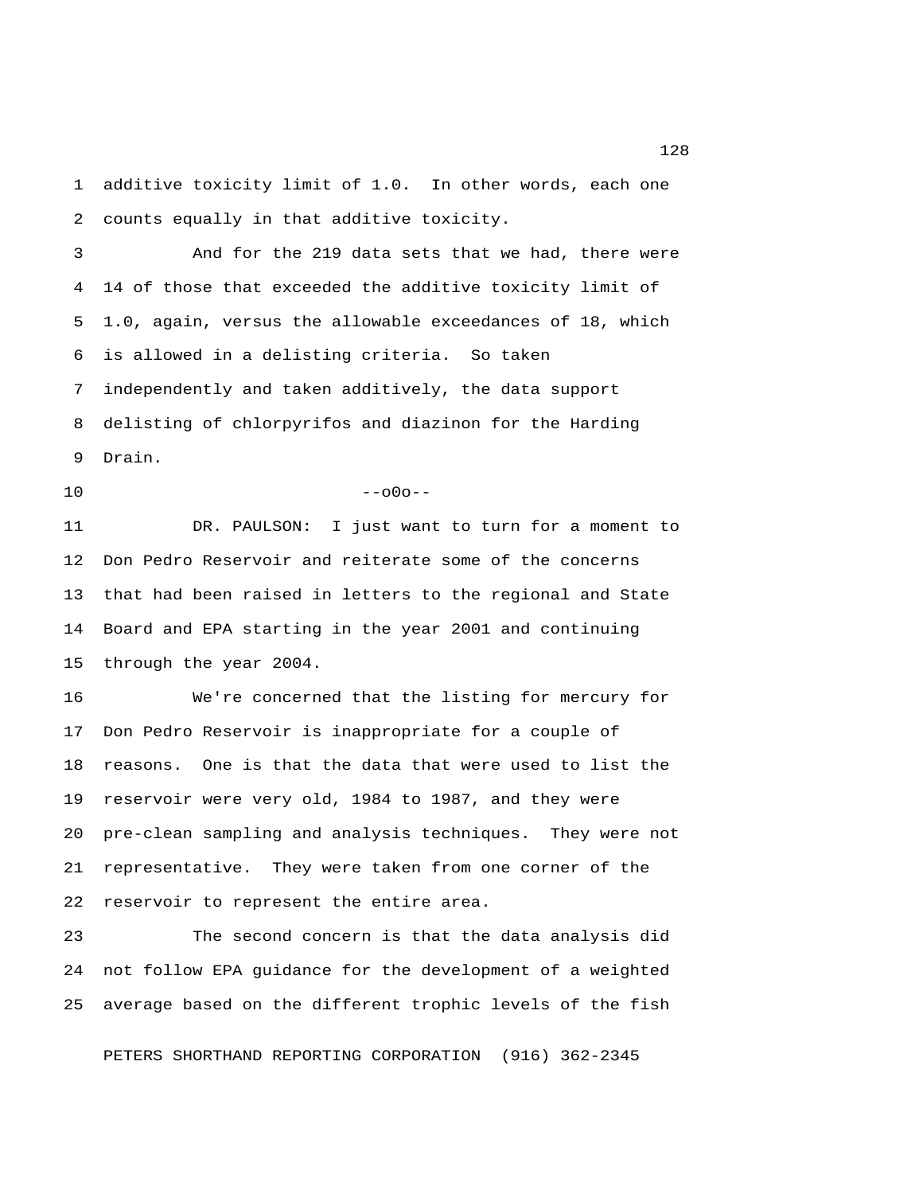1 additive toxicity limit of 1.0. In other words, each one 2 counts equally in that additive toxicity.

 3 And for the 219 data sets that we had, there were 4 14 of those that exceeded the additive toxicity limit of 5 1.0, again, versus the allowable exceedances of 18, which 6 is allowed in a delisting criteria. So taken 7 independently and taken additively, the data support 8 delisting of chlorpyrifos and diazinon for the Harding 9 Drain.

 $10$  --o0o--

11 DR. PAULSON: I just want to turn for a moment to 12 Don Pedro Reservoir and reiterate some of the concerns 13 that had been raised in letters to the regional and State 14 Board and EPA starting in the year 2001 and continuing 15 through the year 2004.

16 We're concerned that the listing for mercury for 17 Don Pedro Reservoir is inappropriate for a couple of 18 reasons. One is that the data that were used to list the 19 reservoir were very old, 1984 to 1987, and they were 20 pre-clean sampling and analysis techniques. They were not 21 representative. They were taken from one corner of the 22 reservoir to represent the entire area.

23 The second concern is that the data analysis did 24 not follow EPA guidance for the development of a weighted 25 average based on the different trophic levels of the fish

PETERS SHORTHAND REPORTING CORPORATION (916) 362-2345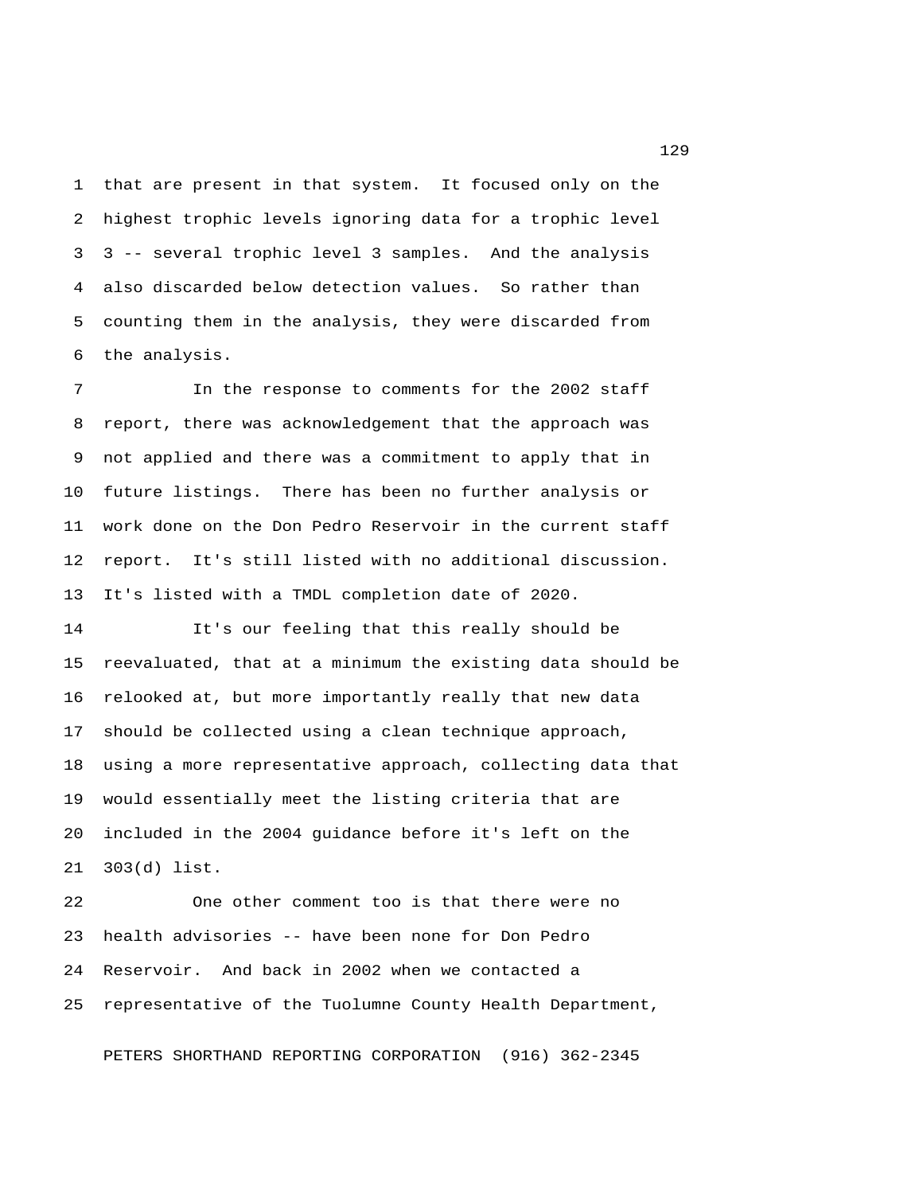1 that are present in that system. It focused only on the 2 highest trophic levels ignoring data for a trophic level 3 3 -- several trophic level 3 samples. And the analysis 4 also discarded below detection values. So rather than 5 counting them in the analysis, they were discarded from 6 the analysis.

 7 In the response to comments for the 2002 staff 8 report, there was acknowledgement that the approach was 9 not applied and there was a commitment to apply that in 10 future listings. There has been no further analysis or 11 work done on the Don Pedro Reservoir in the current staff 12 report. It's still listed with no additional discussion. 13 It's listed with a TMDL completion date of 2020.

14 It's our feeling that this really should be 15 reevaluated, that at a minimum the existing data should be 16 relooked at, but more importantly really that new data 17 should be collected using a clean technique approach, 18 using a more representative approach, collecting data that 19 would essentially meet the listing criteria that are 20 included in the 2004 guidance before it's left on the 21 303(d) list.

22 One other comment too is that there were no 23 health advisories -- have been none for Don Pedro 24 Reservoir. And back in 2002 when we contacted a 25 representative of the Tuolumne County Health Department,

PETERS SHORTHAND REPORTING CORPORATION (916) 362-2345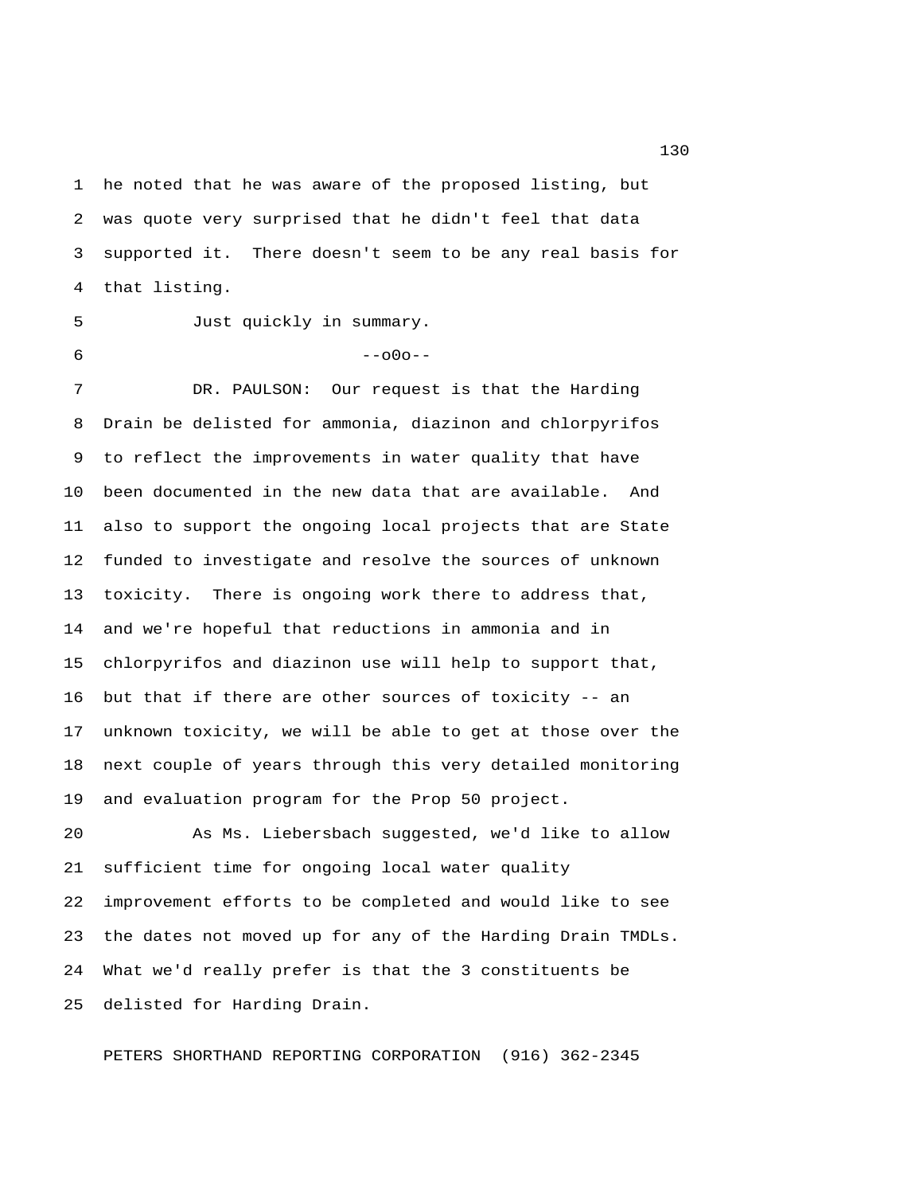1 he noted that he was aware of the proposed listing, but 2 was quote very surprised that he didn't feel that data 3 supported it. There doesn't seem to be any real basis for 4 that listing.

5 Just quickly in summary.

 $6 - -000 - -$ 

 7 DR. PAULSON: Our request is that the Harding 8 Drain be delisted for ammonia, diazinon and chlorpyrifos 9 to reflect the improvements in water quality that have 10 been documented in the new data that are available. And 11 also to support the ongoing local projects that are State 12 funded to investigate and resolve the sources of unknown 13 toxicity. There is ongoing work there to address that, 14 and we're hopeful that reductions in ammonia and in 15 chlorpyrifos and diazinon use will help to support that, 16 but that if there are other sources of toxicity -- an 17 unknown toxicity, we will be able to get at those over the 18 next couple of years through this very detailed monitoring 19 and evaluation program for the Prop 50 project.

20 As Ms. Liebersbach suggested, we'd like to allow 21 sufficient time for ongoing local water quality 22 improvement efforts to be completed and would like to see 23 the dates not moved up for any of the Harding Drain TMDLs. 24 What we'd really prefer is that the 3 constituents be 25 delisted for Harding Drain.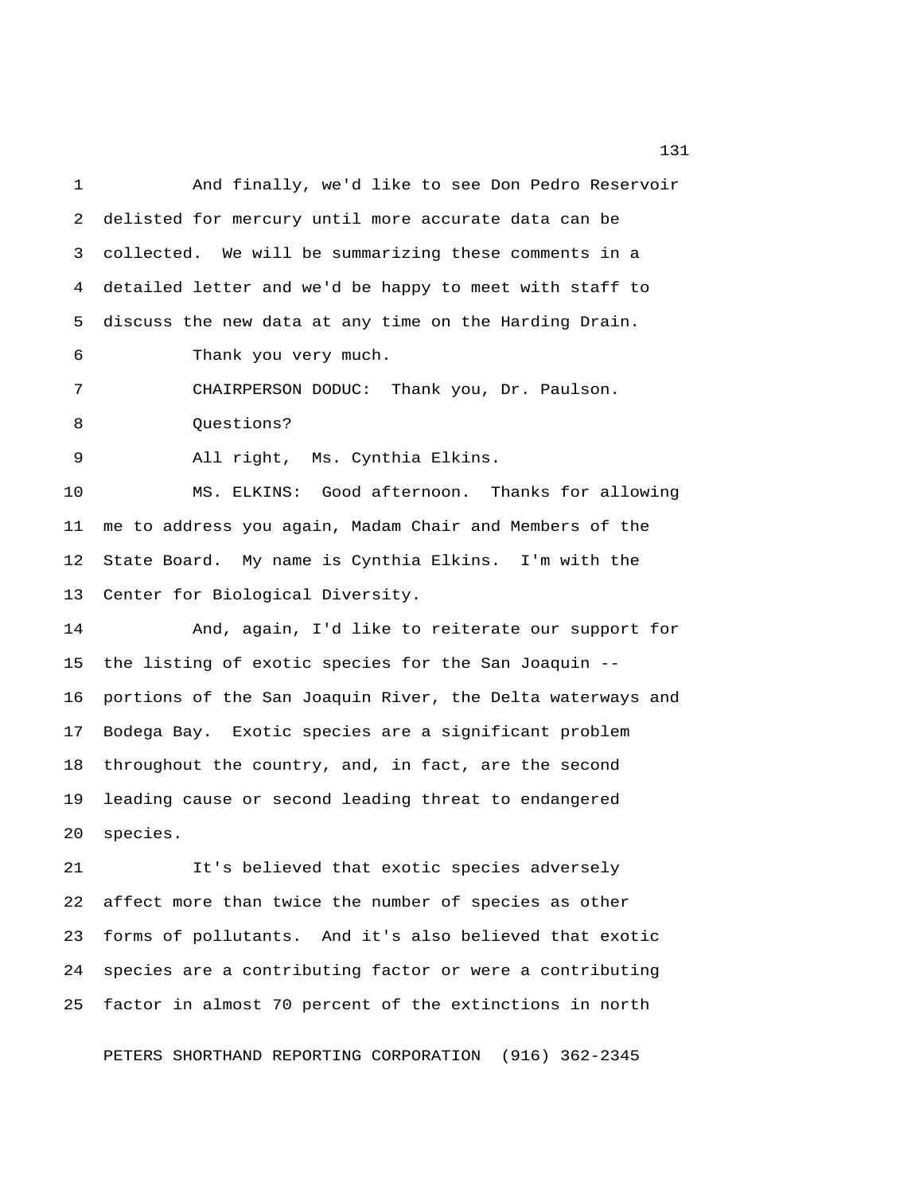1 And finally, we'd like to see Don Pedro Reservoir 2 delisted for mercury until more accurate data can be 3 collected. We will be summarizing these comments in a 4 detailed letter and we'd be happy to meet with staff to 5 discuss the new data at any time on the Harding Drain. 6 Thank you very much. 7 CHAIRPERSON DODUC: Thank you, Dr. Paulson. 8 Questions? 9 All right, Ms. Cynthia Elkins. 10 MS. ELKINS: Good afternoon. Thanks for allowing 11 me to address you again, Madam Chair and Members of the 12 State Board. My name is Cynthia Elkins. I'm with the 13 Center for Biological Diversity. 14 And, again, I'd like to reiterate our support for 15 the listing of exotic species for the San Joaquin -- 16 portions of the San Joaquin River, the Delta waterways and 17 Bodega Bay. Exotic species are a significant problem 18 throughout the country, and, in fact, are the second 19 leading cause or second leading threat to endangered 20 species. 21 It's believed that exotic species adversely 22 affect more than twice the number of species as other 23 forms of pollutants. And it's also believed that exotic 24 species are a contributing factor or were a contributing 25 factor in almost 70 percent of the extinctions in north

PETERS SHORTHAND REPORTING CORPORATION (916) 362-2345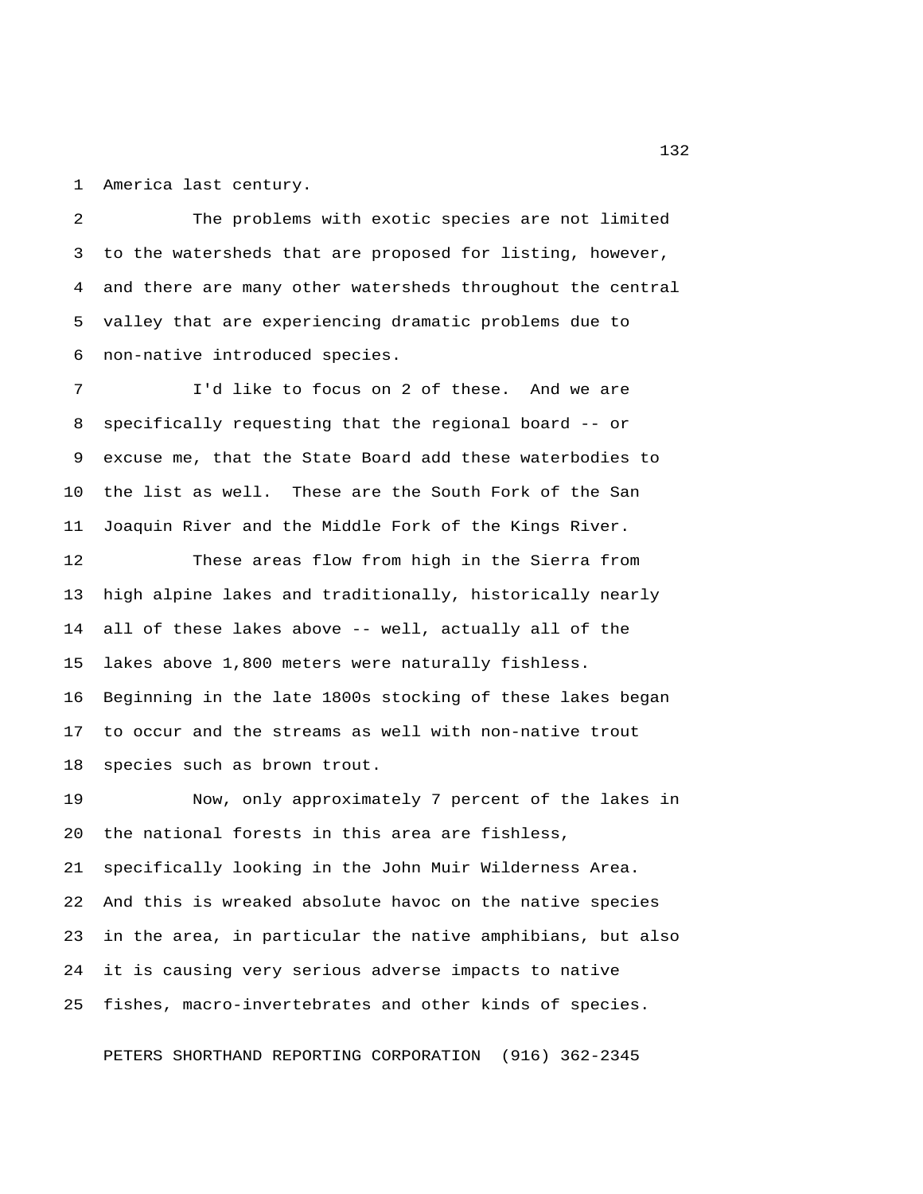1 America last century.

 2 The problems with exotic species are not limited 3 to the watersheds that are proposed for listing, however, 4 and there are many other watersheds throughout the central 5 valley that are experiencing dramatic problems due to 6 non-native introduced species.

 7 I'd like to focus on 2 of these. And we are 8 specifically requesting that the regional board -- or 9 excuse me, that the State Board add these waterbodies to 10 the list as well. These are the South Fork of the San 11 Joaquin River and the Middle Fork of the Kings River.

12 These areas flow from high in the Sierra from 13 high alpine lakes and traditionally, historically nearly 14 all of these lakes above -- well, actually all of the 15 lakes above 1,800 meters were naturally fishless. 16 Beginning in the late 1800s stocking of these lakes began 17 to occur and the streams as well with non-native trout 18 species such as brown trout.

19 Now, only approximately 7 percent of the lakes in 20 the national forests in this area are fishless, 21 specifically looking in the John Muir Wilderness Area. 22 And this is wreaked absolute havoc on the native species 23 in the area, in particular the native amphibians, but also 24 it is causing very serious adverse impacts to native 25 fishes, macro-invertebrates and other kinds of species.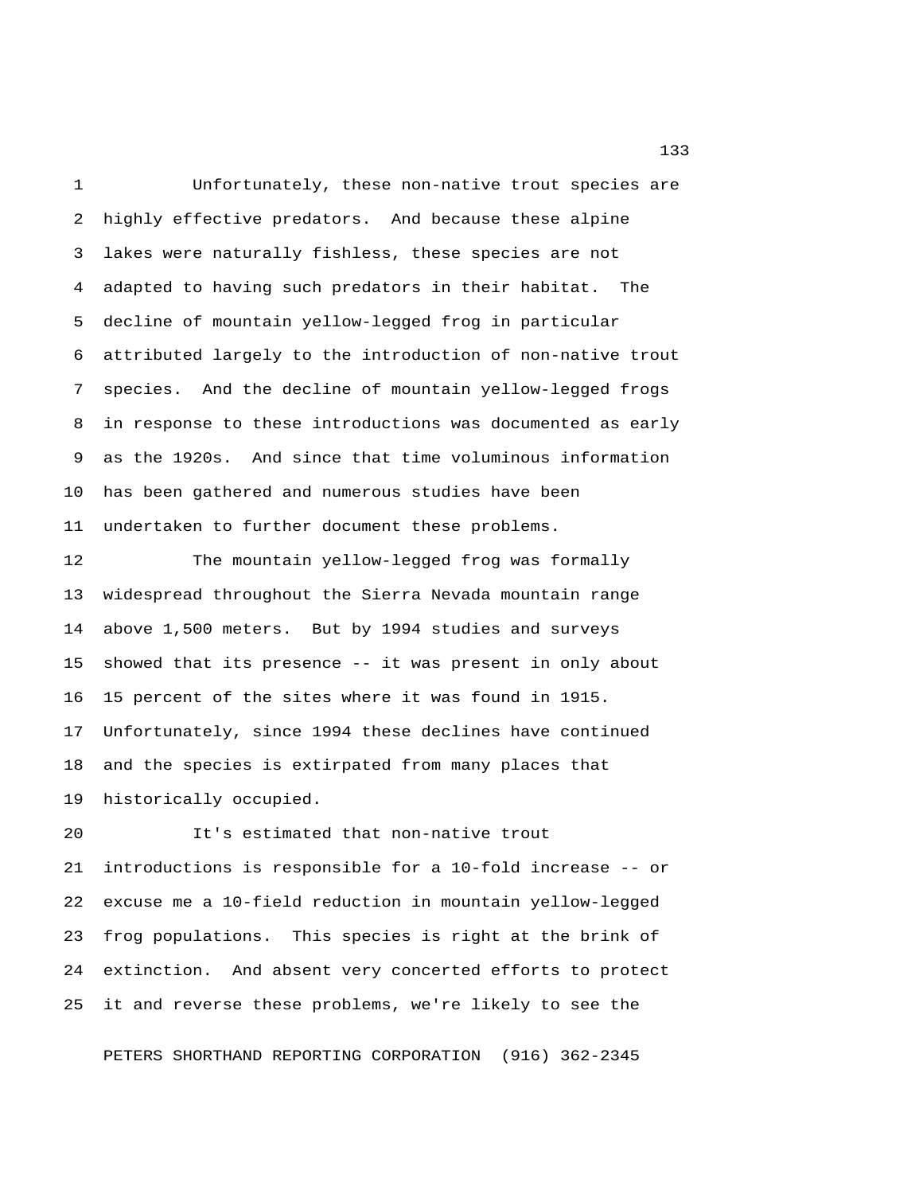1 Unfortunately, these non-native trout species are 2 highly effective predators. And because these alpine 3 lakes were naturally fishless, these species are not 4 adapted to having such predators in their habitat. The 5 decline of mountain yellow-legged frog in particular 6 attributed largely to the introduction of non-native trout 7 species. And the decline of mountain yellow-legged frogs 8 in response to these introductions was documented as early 9 as the 1920s. And since that time voluminous information 10 has been gathered and numerous studies have been 11 undertaken to further document these problems.

12 The mountain yellow-legged frog was formally 13 widespread throughout the Sierra Nevada mountain range 14 above 1,500 meters. But by 1994 studies and surveys 15 showed that its presence -- it was present in only about 16 15 percent of the sites where it was found in 1915. 17 Unfortunately, since 1994 these declines have continued 18 and the species is extirpated from many places that 19 historically occupied.

20 It's estimated that non-native trout 21 introductions is responsible for a 10-fold increase -- or 22 excuse me a 10-field reduction in mountain yellow-legged 23 frog populations. This species is right at the brink of 24 extinction. And absent very concerted efforts to protect 25 it and reverse these problems, we're likely to see the

PETERS SHORTHAND REPORTING CORPORATION (916) 362-2345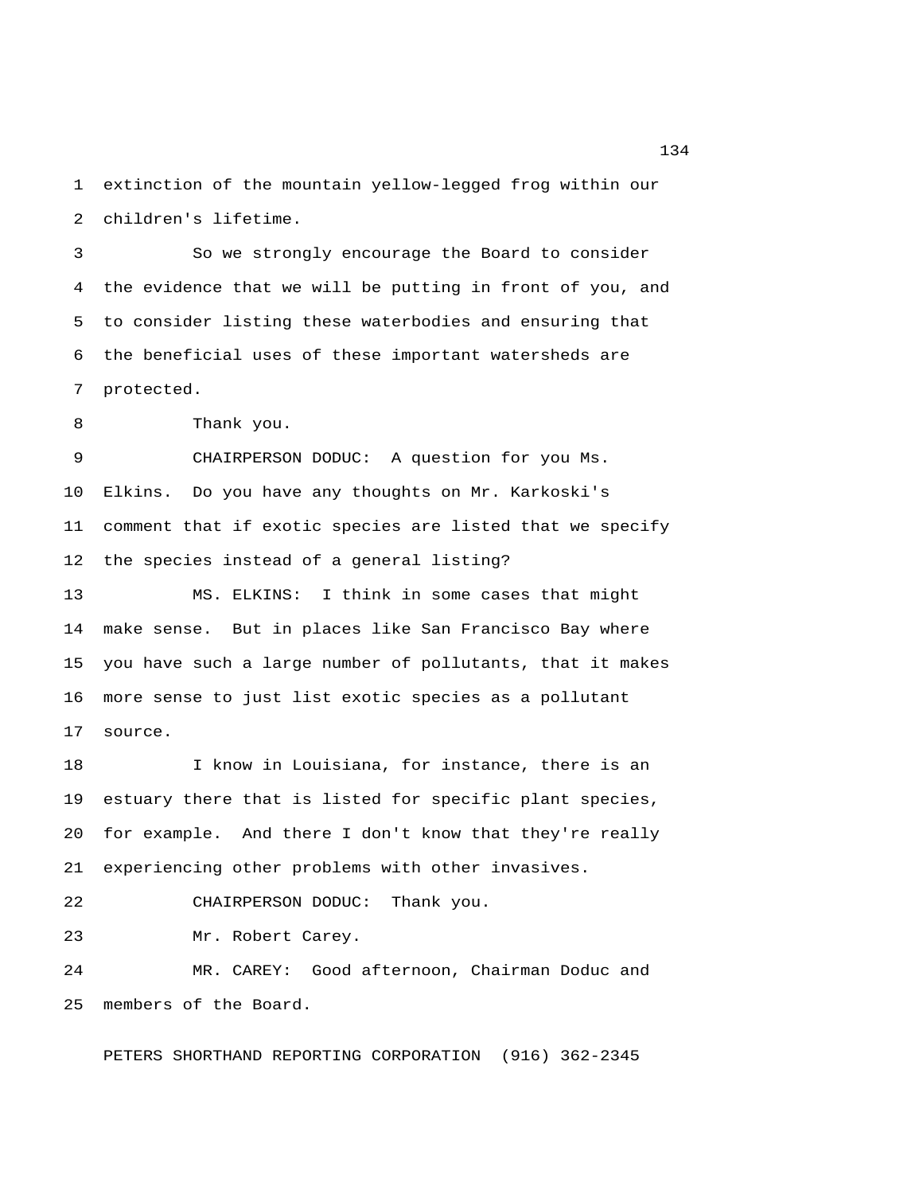1 extinction of the mountain yellow-legged frog within our 2 children's lifetime.

 3 So we strongly encourage the Board to consider 4 the evidence that we will be putting in front of you, and 5 to consider listing these waterbodies and ensuring that 6 the beneficial uses of these important watersheds are 7 protected.

8 Thank you.

 9 CHAIRPERSON DODUC: A question for you Ms. 10 Elkins. Do you have any thoughts on Mr. Karkoski's 11 comment that if exotic species are listed that we specify 12 the species instead of a general listing?

13 MS. ELKINS: I think in some cases that might 14 make sense. But in places like San Francisco Bay where 15 you have such a large number of pollutants, that it makes 16 more sense to just list exotic species as a pollutant 17 source.

18 I know in Louisiana, for instance, there is an 19 estuary there that is listed for specific plant species, 20 for example. And there I don't know that they're really 21 experiencing other problems with other invasives.

22 CHAIRPERSON DODUC: Thank you.

23 Mr. Robert Carey.

24 MR. CAREY: Good afternoon, Chairman Doduc and 25 members of the Board.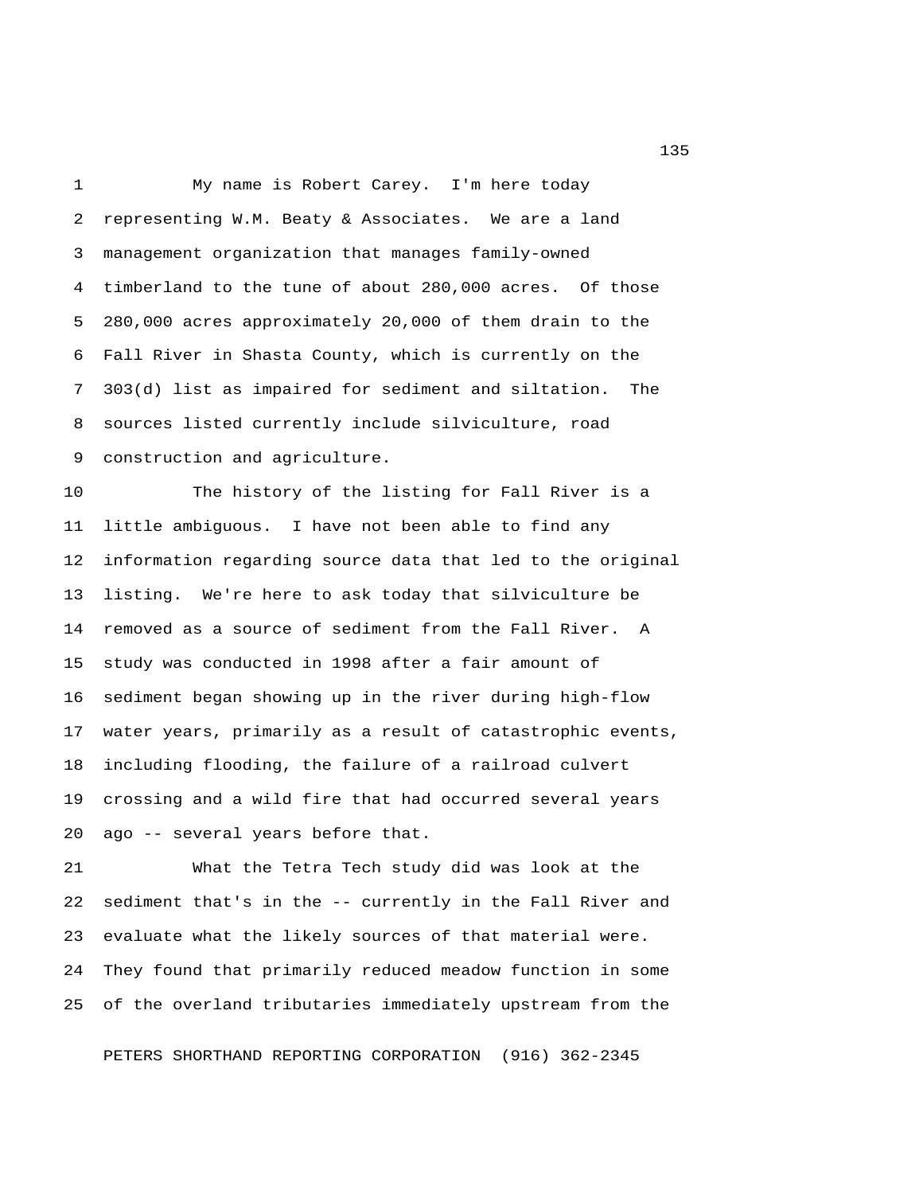1 My name is Robert Carey. I'm here today 2 representing W.M. Beaty & Associates. We are a land 3 management organization that manages family-owned 4 timberland to the tune of about 280,000 acres. Of those 5 280,000 acres approximately 20,000 of them drain to the 6 Fall River in Shasta County, which is currently on the 7 303(d) list as impaired for sediment and siltation. The 8 sources listed currently include silviculture, road 9 construction and agriculture.

10 The history of the listing for Fall River is a 11 little ambiguous. I have not been able to find any 12 information regarding source data that led to the original 13 listing. We're here to ask today that silviculture be 14 removed as a source of sediment from the Fall River. A 15 study was conducted in 1998 after a fair amount of 16 sediment began showing up in the river during high-flow 17 water years, primarily as a result of catastrophic events, 18 including flooding, the failure of a railroad culvert 19 crossing and a wild fire that had occurred several years 20 ago -- several years before that.

21 What the Tetra Tech study did was look at the 22 sediment that's in the -- currently in the Fall River and 23 evaluate what the likely sources of that material were. 24 They found that primarily reduced meadow function in some 25 of the overland tributaries immediately upstream from the

PETERS SHORTHAND REPORTING CORPORATION (916) 362-2345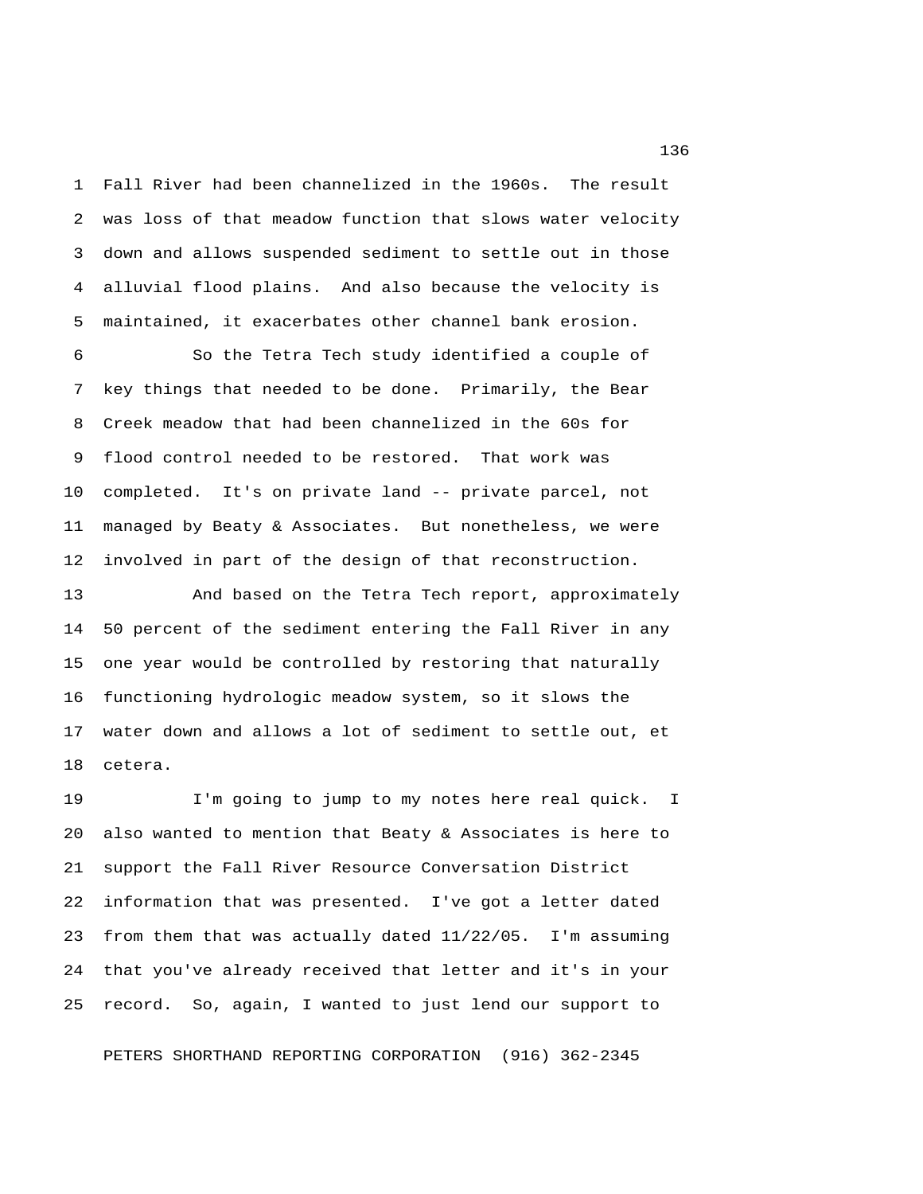1 Fall River had been channelized in the 1960s. The result 2 was loss of that meadow function that slows water velocity 3 down and allows suspended sediment to settle out in those 4 alluvial flood plains. And also because the velocity is 5 maintained, it exacerbates other channel bank erosion.

 6 So the Tetra Tech study identified a couple of 7 key things that needed to be done. Primarily, the Bear 8 Creek meadow that had been channelized in the 60s for 9 flood control needed to be restored. That work was 10 completed. It's on private land -- private parcel, not 11 managed by Beaty & Associates. But nonetheless, we were 12 involved in part of the design of that reconstruction.

13 And based on the Tetra Tech report, approximately 14 50 percent of the sediment entering the Fall River in any 15 one year would be controlled by restoring that naturally 16 functioning hydrologic meadow system, so it slows the 17 water down and allows a lot of sediment to settle out, et 18 cetera.

19 I'm going to jump to my notes here real quick. I 20 also wanted to mention that Beaty & Associates is here to 21 support the Fall River Resource Conversation District 22 information that was presented. I've got a letter dated 23 from them that was actually dated 11/22/05. I'm assuming 24 that you've already received that letter and it's in your 25 record. So, again, I wanted to just lend our support to

PETERS SHORTHAND REPORTING CORPORATION (916) 362-2345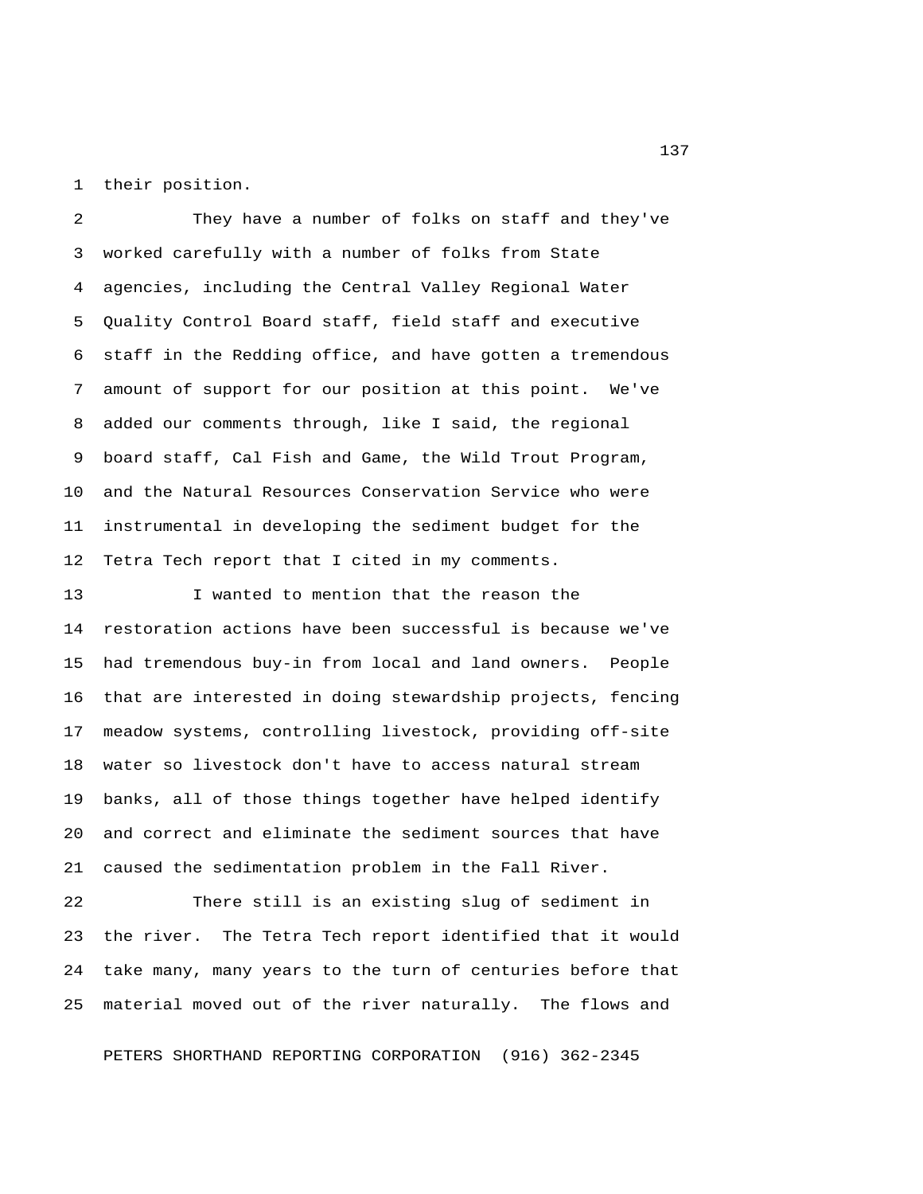1 their position.

 2 They have a number of folks on staff and they've 3 worked carefully with a number of folks from State 4 agencies, including the Central Valley Regional Water 5 Quality Control Board staff, field staff and executive 6 staff in the Redding office, and have gotten a tremendous 7 amount of support for our position at this point. We've 8 added our comments through, like I said, the regional 9 board staff, Cal Fish and Game, the Wild Trout Program, 10 and the Natural Resources Conservation Service who were 11 instrumental in developing the sediment budget for the 12 Tetra Tech report that I cited in my comments.

13 I wanted to mention that the reason the 14 restoration actions have been successful is because we've 15 had tremendous buy-in from local and land owners. People 16 that are interested in doing stewardship projects, fencing 17 meadow systems, controlling livestock, providing off-site 18 water so livestock don't have to access natural stream 19 banks, all of those things together have helped identify 20 and correct and eliminate the sediment sources that have 21 caused the sedimentation problem in the Fall River.

22 There still is an existing slug of sediment in 23 the river. The Tetra Tech report identified that it would 24 take many, many years to the turn of centuries before that 25 material moved out of the river naturally. The flows and

PETERS SHORTHAND REPORTING CORPORATION (916) 362-2345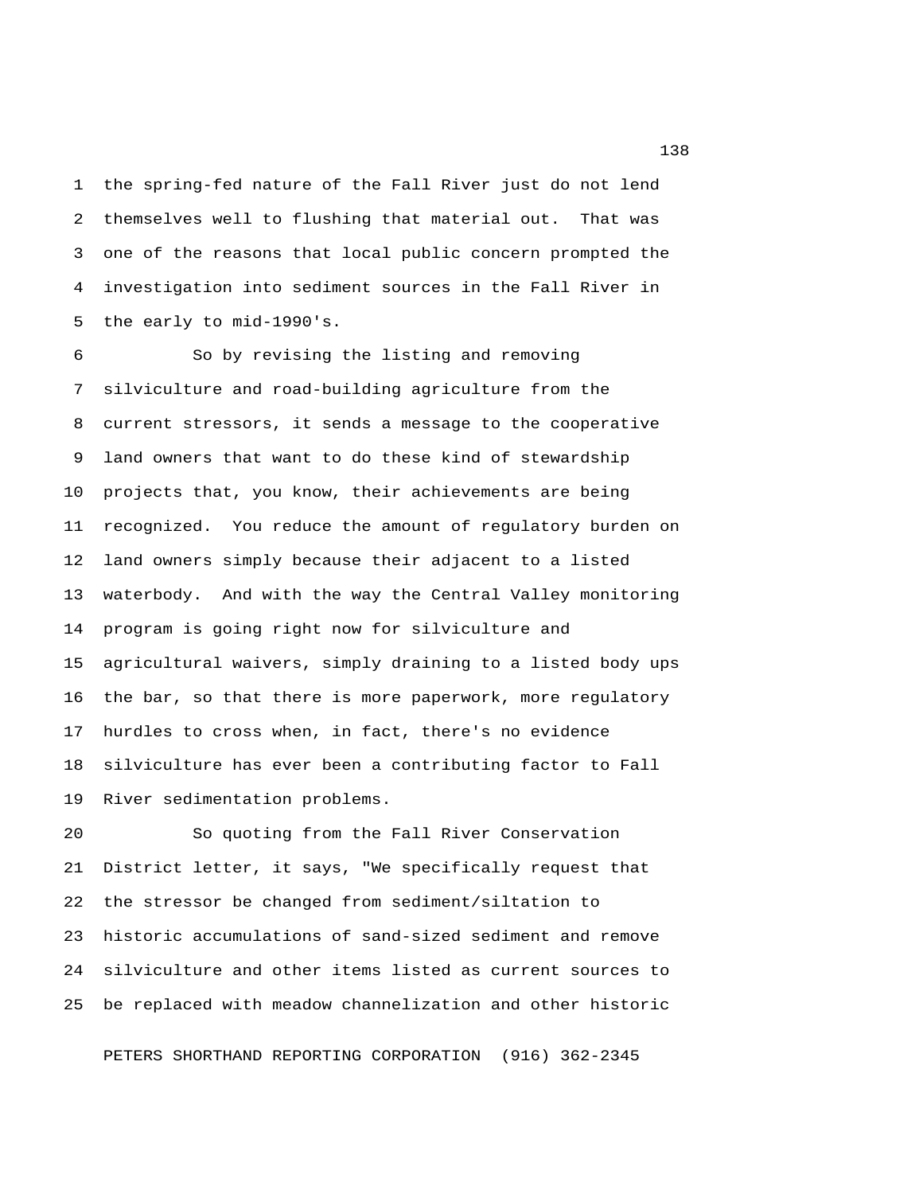1 the spring-fed nature of the Fall River just do not lend 2 themselves well to flushing that material out. That was 3 one of the reasons that local public concern prompted the 4 investigation into sediment sources in the Fall River in 5 the early to mid-1990's.

 6 So by revising the listing and removing 7 silviculture and road-building agriculture from the 8 current stressors, it sends a message to the cooperative 9 land owners that want to do these kind of stewardship 10 projects that, you know, their achievements are being 11 recognized. You reduce the amount of regulatory burden on 12 land owners simply because their adjacent to a listed 13 waterbody. And with the way the Central Valley monitoring 14 program is going right now for silviculture and 15 agricultural waivers, simply draining to a listed body ups 16 the bar, so that there is more paperwork, more regulatory 17 hurdles to cross when, in fact, there's no evidence 18 silviculture has ever been a contributing factor to Fall 19 River sedimentation problems.

20 So quoting from the Fall River Conservation 21 District letter, it says, "We specifically request that 22 the stressor be changed from sediment/siltation to 23 historic accumulations of sand-sized sediment and remove 24 silviculture and other items listed as current sources to 25 be replaced with meadow channelization and other historic

PETERS SHORTHAND REPORTING CORPORATION (916) 362-2345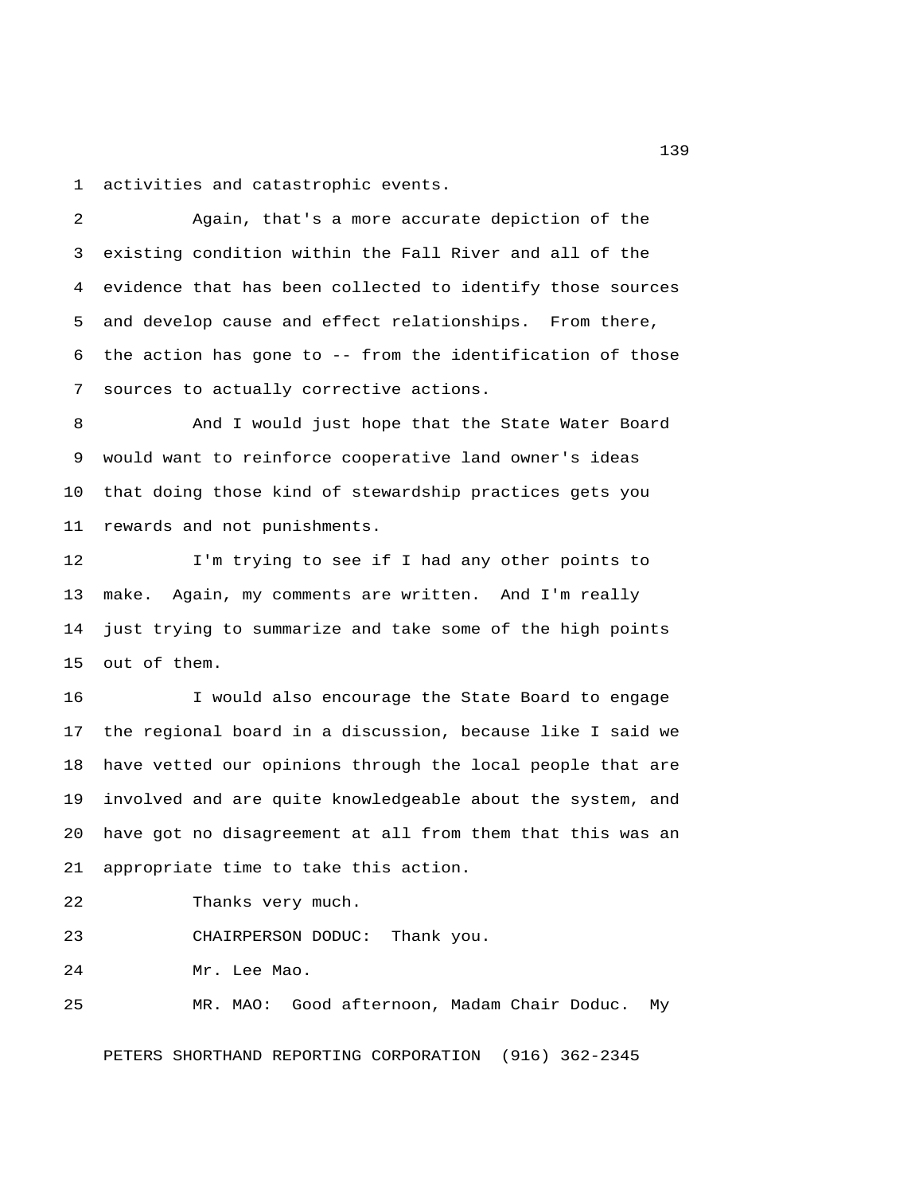1 activities and catastrophic events.

 2 Again, that's a more accurate depiction of the 3 existing condition within the Fall River and all of the 4 evidence that has been collected to identify those sources 5 and develop cause and effect relationships. From there, 6 the action has gone to -- from the identification of those 7 sources to actually corrective actions.

8 And I would just hope that the State Water Board 9 would want to reinforce cooperative land owner's ideas 10 that doing those kind of stewardship practices gets you 11 rewards and not punishments.

12 I'm trying to see if I had any other points to 13 make. Again, my comments are written. And I'm really 14 just trying to summarize and take some of the high points 15 out of them.

16 I would also encourage the State Board to engage 17 the regional board in a discussion, because like I said we 18 have vetted our opinions through the local people that are 19 involved and are quite knowledgeable about the system, and 20 have got no disagreement at all from them that this was an 21 appropriate time to take this action.

22 Thanks very much.

23 CHAIRPERSON DODUC: Thank you.

24 Mr. Lee Mao.

25 MR. MAO: Good afternoon, Madam Chair Doduc. My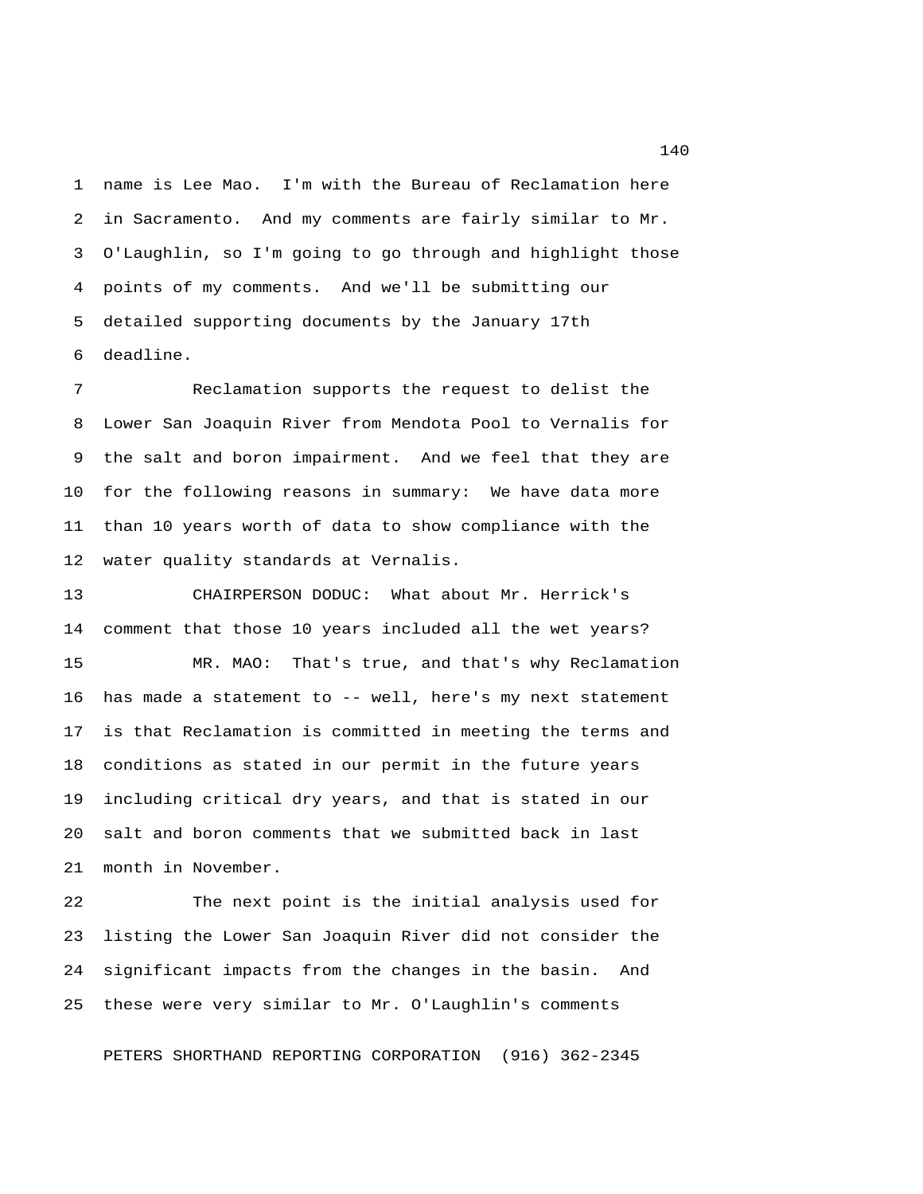1 name is Lee Mao. I'm with the Bureau of Reclamation here 2 in Sacramento. And my comments are fairly similar to Mr. 3 O'Laughlin, so I'm going to go through and highlight those 4 points of my comments. And we'll be submitting our 5 detailed supporting documents by the January 17th 6 deadline.

 7 Reclamation supports the request to delist the 8 Lower San Joaquin River from Mendota Pool to Vernalis for 9 the salt and boron impairment. And we feel that they are 10 for the following reasons in summary: We have data more 11 than 10 years worth of data to show compliance with the 12 water quality standards at Vernalis.

13 CHAIRPERSON DODUC: What about Mr. Herrick's 14 comment that those 10 years included all the wet years? 15 MR. MAO: That's true, and that's why Reclamation 16 has made a statement to -- well, here's my next statement 17 is that Reclamation is committed in meeting the terms and 18 conditions as stated in our permit in the future years 19 including critical dry years, and that is stated in our 20 salt and boron comments that we submitted back in last 21 month in November.

22 The next point is the initial analysis used for 23 listing the Lower San Joaquin River did not consider the 24 significant impacts from the changes in the basin. And 25 these were very similar to Mr. O'Laughlin's comments

PETERS SHORTHAND REPORTING CORPORATION (916) 362-2345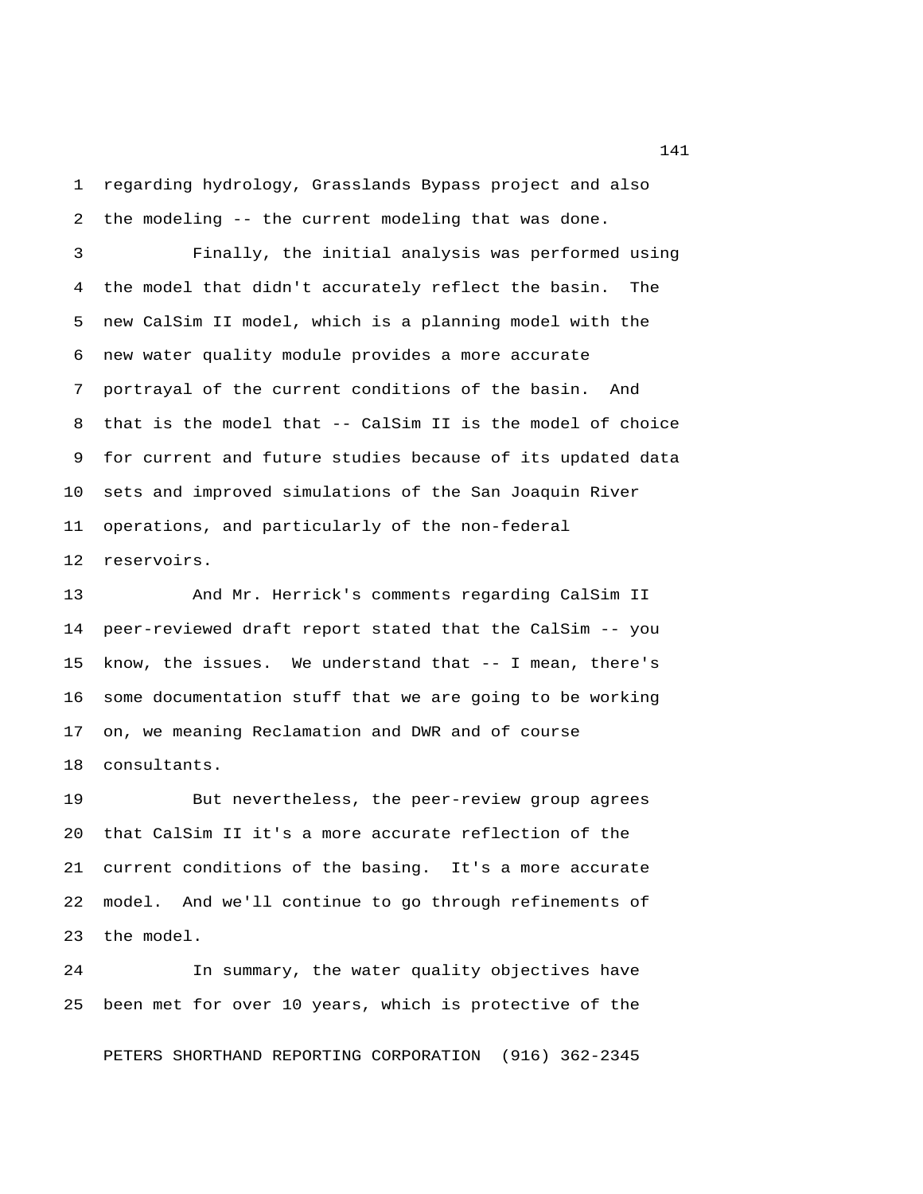1 regarding hydrology, Grasslands Bypass project and also 2 the modeling -- the current modeling that was done.

 3 Finally, the initial analysis was performed using 4 the model that didn't accurately reflect the basin. The 5 new CalSim II model, which is a planning model with the 6 new water quality module provides a more accurate 7 portrayal of the current conditions of the basin. And 8 that is the model that -- CalSim II is the model of choice 9 for current and future studies because of its updated data 10 sets and improved simulations of the San Joaquin River 11 operations, and particularly of the non-federal 12 reservoirs.

13 And Mr. Herrick's comments regarding CalSim II 14 peer-reviewed draft report stated that the CalSim -- you 15 know, the issues. We understand that -- I mean, there's 16 some documentation stuff that we are going to be working 17 on, we meaning Reclamation and DWR and of course 18 consultants.

19 But nevertheless, the peer-review group agrees 20 that CalSim II it's a more accurate reflection of the 21 current conditions of the basing. It's a more accurate 22 model. And we'll continue to go through refinements of 23 the model.

24 In summary, the water quality objectives have 25 been met for over 10 years, which is protective of the

PETERS SHORTHAND REPORTING CORPORATION (916) 362-2345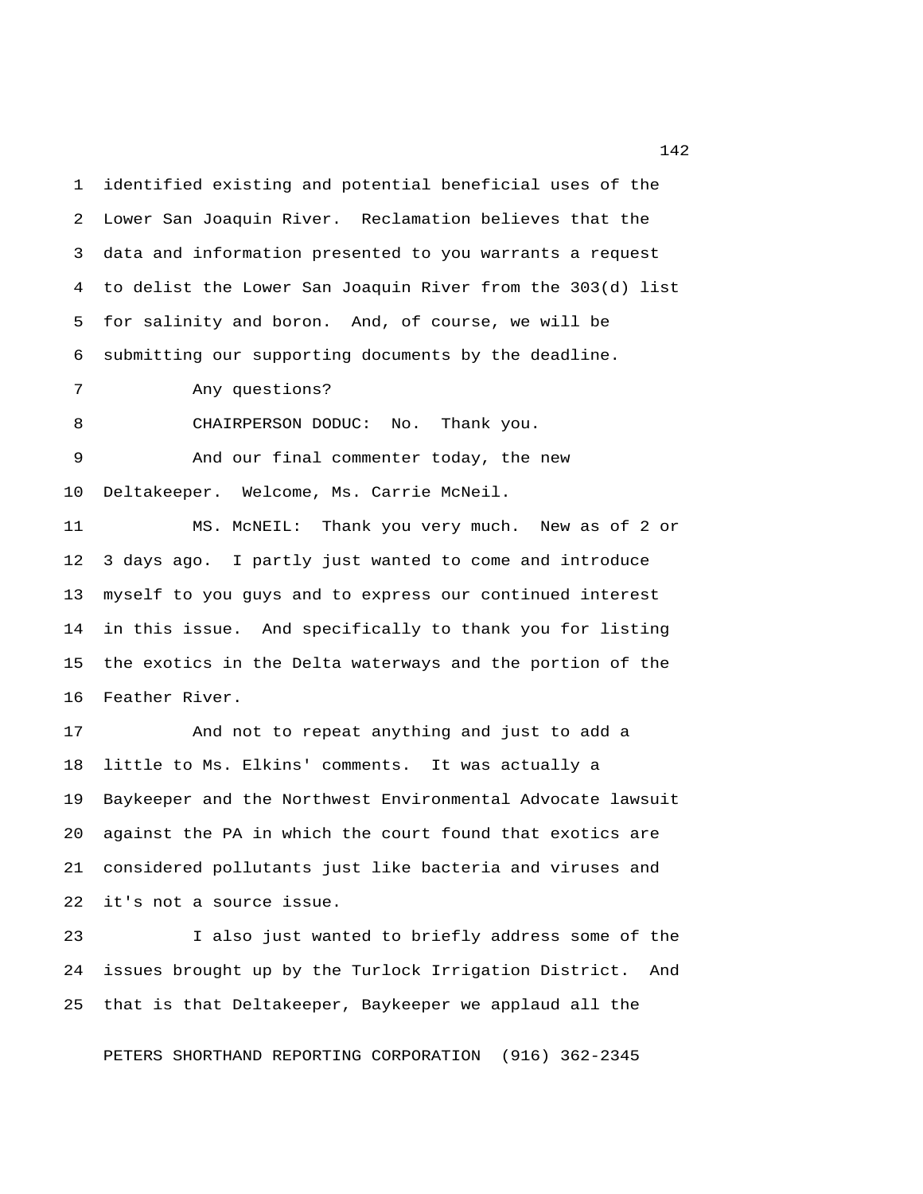1 identified existing and potential beneficial uses of the 2 Lower San Joaquin River. Reclamation believes that the 3 data and information presented to you warrants a request 4 to delist the Lower San Joaquin River from the 303(d) list 5 for salinity and boron. And, of course, we will be 6 submitting our supporting documents by the deadline.

7 Any questions?

8 CHAIRPERSON DODUC: No. Thank you.

 9 And our final commenter today, the new 10 Deltakeeper. Welcome, Ms. Carrie McNeil.

11 MS. McNEIL: Thank you very much. New as of 2 or 12 3 days ago. I partly just wanted to come and introduce 13 myself to you guys and to express our continued interest 14 in this issue. And specifically to thank you for listing 15 the exotics in the Delta waterways and the portion of the 16 Feather River.

17 And not to repeat anything and just to add a 18 little to Ms. Elkins' comments. It was actually a 19 Baykeeper and the Northwest Environmental Advocate lawsuit 20 against the PA in which the court found that exotics are 21 considered pollutants just like bacteria and viruses and 22 it's not a source issue.

23 I also just wanted to briefly address some of the 24 issues brought up by the Turlock Irrigation District. And 25 that is that Deltakeeper, Baykeeper we applaud all the

PETERS SHORTHAND REPORTING CORPORATION (916) 362-2345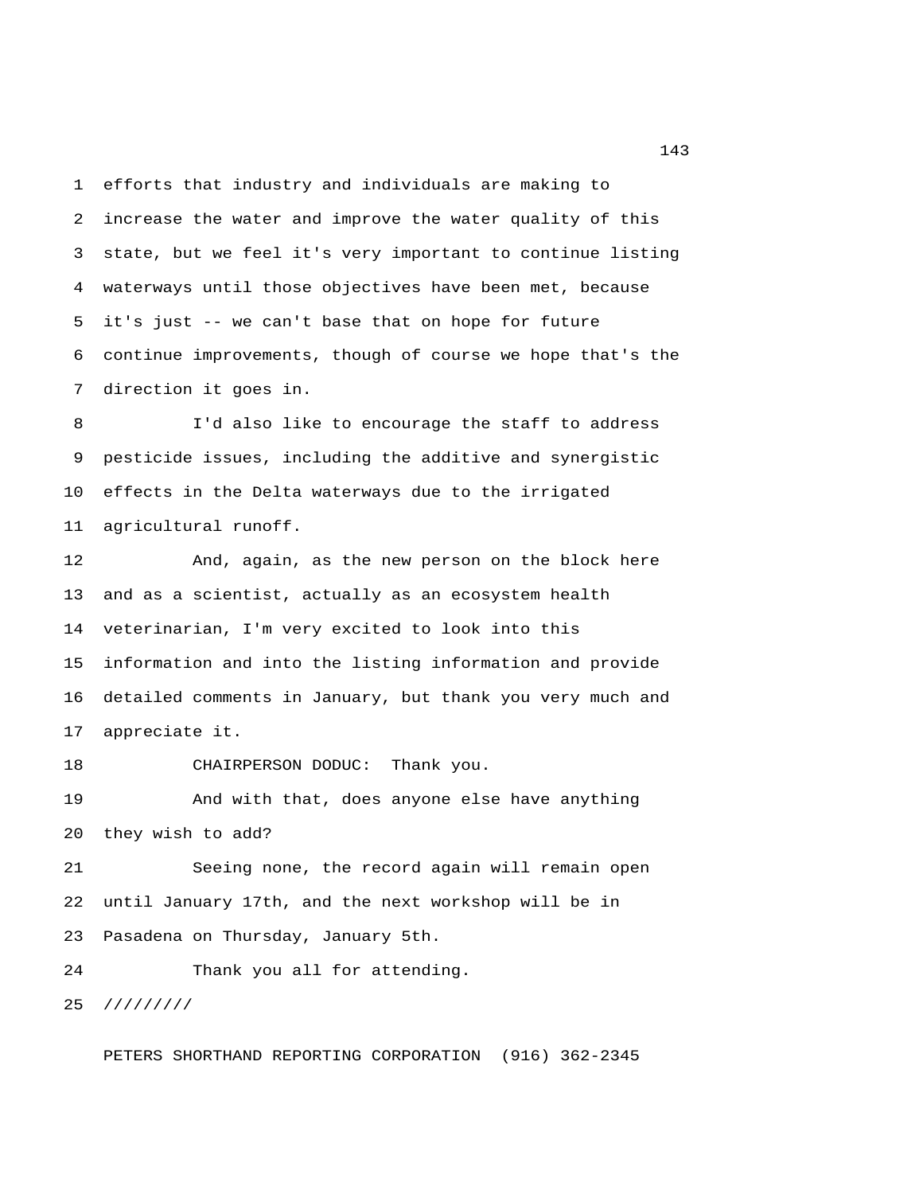1 efforts that industry and individuals are making to 2 increase the water and improve the water quality of this 3 state, but we feel it's very important to continue listing 4 waterways until those objectives have been met, because 5 it's just -- we can't base that on hope for future 6 continue improvements, though of course we hope that's the 7 direction it goes in.

 8 I'd also like to encourage the staff to address 9 pesticide issues, including the additive and synergistic 10 effects in the Delta waterways due to the irrigated 11 agricultural runoff.

12 And, again, as the new person on the block here 13 and as a scientist, actually as an ecosystem health 14 veterinarian, I'm very excited to look into this 15 information and into the listing information and provide 16 detailed comments in January, but thank you very much and 17 appreciate it.

18 CHAIRPERSON DODUC: Thank you.

19 And with that, does anyone else have anything 20 they wish to add?

21 Seeing none, the record again will remain open 22 until January 17th, and the next workshop will be in 23 Pasadena on Thursday, January 5th.

24 Thank you all for attending.

25 /////////

PETERS SHORTHAND REPORTING CORPORATION (916) 362-2345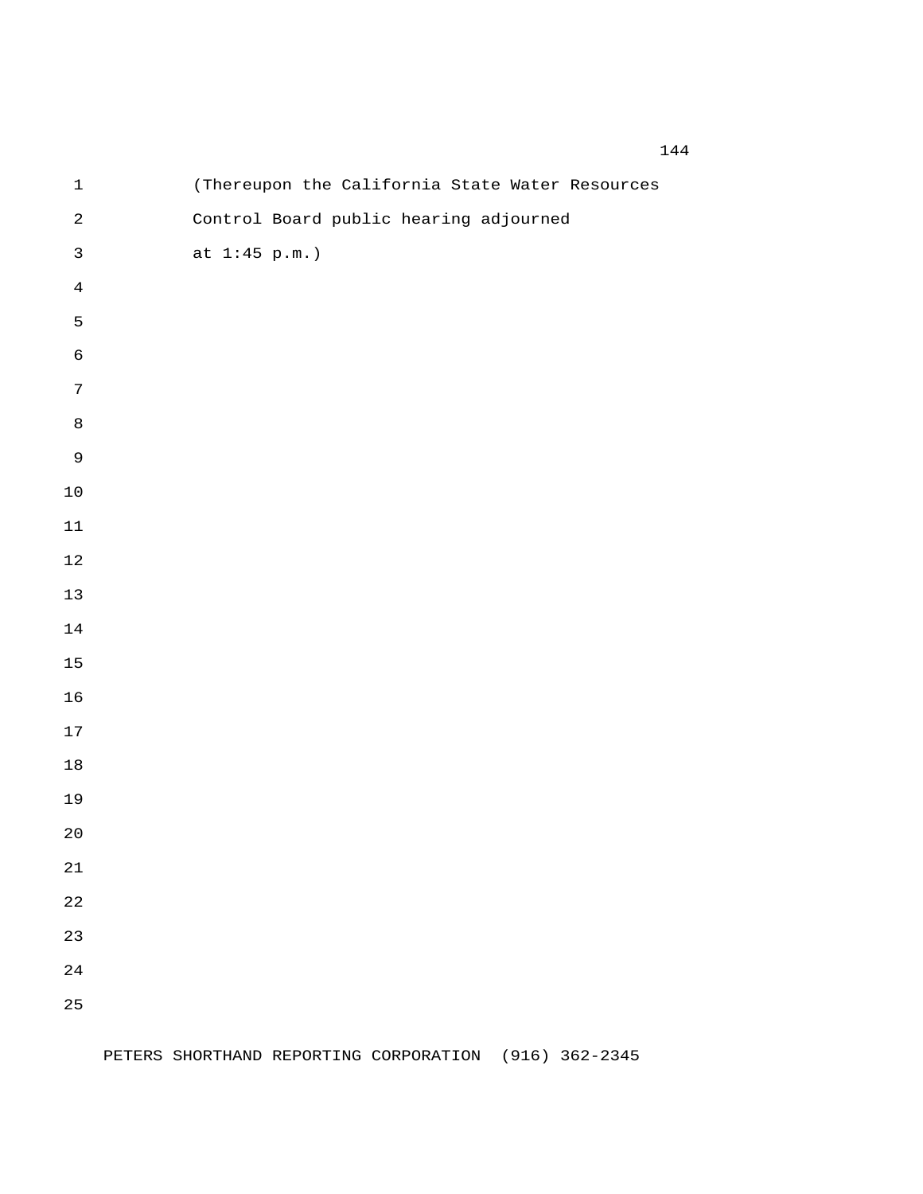| $\ensuremath{\mathbbm{1}}$ | (Thereupon the California State Water Resources |
|----------------------------|-------------------------------------------------|
| $\sqrt{2}$                 | Control Board public hearing adjourned          |
| $\mathfrak{Z}$             | at $1:45$ p.m.)                                 |
| $\ensuremath{4}$           |                                                 |
| 5                          |                                                 |
| $\epsilon$                 |                                                 |
| $\boldsymbol{7}$           |                                                 |
| $\,8\,$                    |                                                 |
| $\mathsf 9$                |                                                 |
| $1\,0$                     |                                                 |
| $11\,$                     |                                                 |
| $1\,2$                     |                                                 |
| $13$                       |                                                 |
| $1\,4$                     |                                                 |
| 15                         |                                                 |
| 16                         |                                                 |
| $17\,$                     |                                                 |
| $18\,$                     |                                                 |
| 19                         |                                                 |
| $20$                       |                                                 |
| 21                         |                                                 |
| 22                         |                                                 |
| 23                         |                                                 |
| 24                         |                                                 |
| 25                         |                                                 |